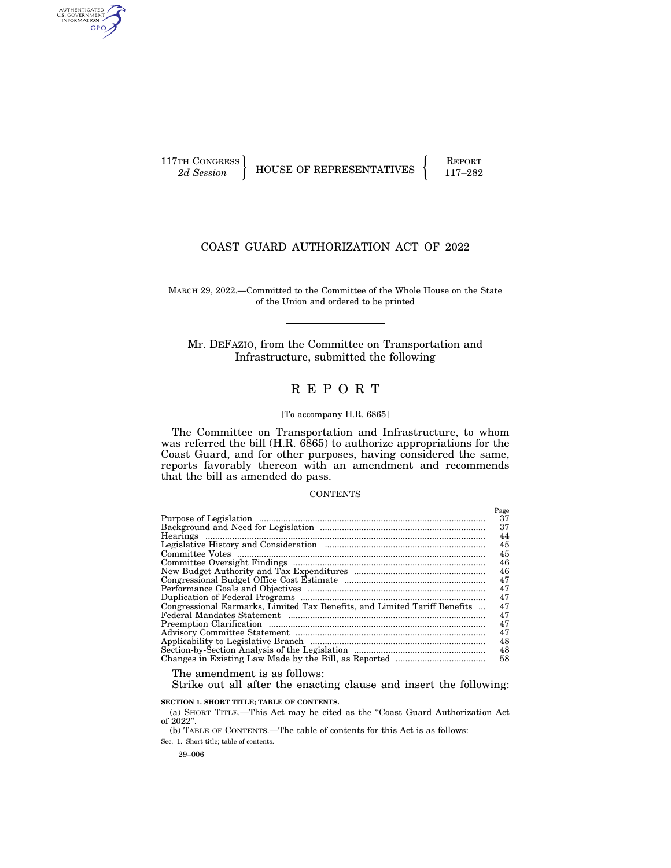AUTHENTICATED<br>U.S. GOVERNMENT<br>INFORMATION GPO

117TH CONGRESS HOUSE OF REPRESENTATIVES FEPORT 117-282

# COAST GUARD AUTHORIZATION ACT OF 2022

MARCH 29, 2022.—Committed to the Committee of the Whole House on the State of the Union and ordered to be printed

Mr. DEFAZIO, from the Committee on Transportation and Infrastructure, submitted the following

# R E P O R T

# [To accompany H.R. 6865]

The Committee on Transportation and Infrastructure, to whom was referred the bill (H.R. 6865) to authorize appropriations for the Coast Guard, and for other purposes, having considered the same, reports favorably thereon with an amendment and recommends that the bill as amended do pass.

# **CONTENTS**

|                                                                           | Page |
|---------------------------------------------------------------------------|------|
|                                                                           | 37   |
|                                                                           | 37   |
|                                                                           | 44   |
|                                                                           | 45   |
|                                                                           | 45   |
|                                                                           | 46   |
|                                                                           | 46   |
|                                                                           | 47   |
|                                                                           | 47   |
|                                                                           | 47   |
| Congressional Earmarks, Limited Tax Benefits, and Limited Tariff Benefits | 47   |
|                                                                           | 47   |
|                                                                           | 47   |
|                                                                           | 47   |
|                                                                           | 48   |
|                                                                           | 48   |
|                                                                           | 58   |

The amendment is as follows:

Strike out all after the enacting clause and insert the following: **SECTION 1. SHORT TITLE; TABLE OF CONTENTS.** 

(a) SHORT TITLE.—This Act may be cited as the ''Coast Guard Authorization Act of 2022''. (b) TABLE OF CONTENTS.—The table of contents for this Act is as follows:

Sec. 1. Short title; table of contents.

29–006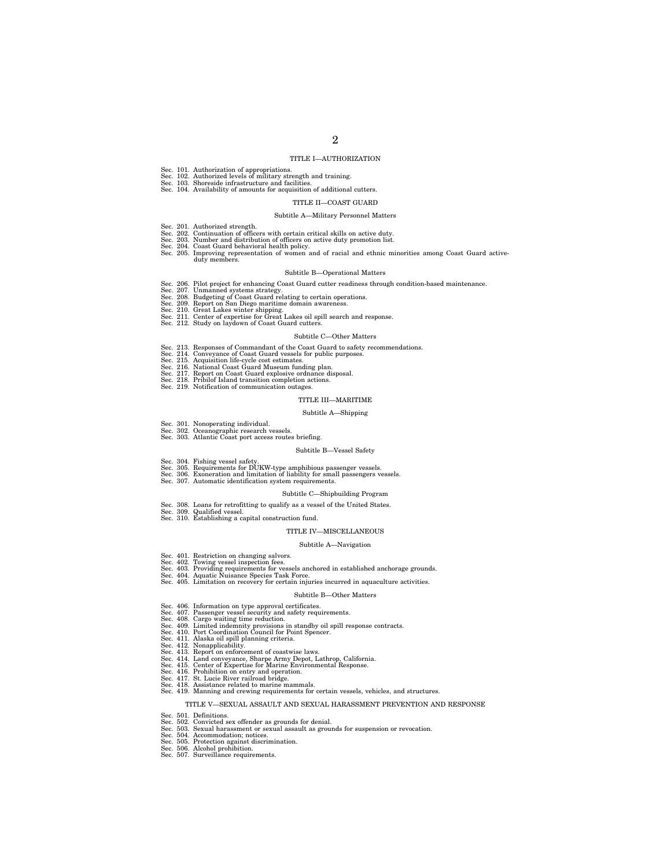# 2 TITLE I—AUTHORIZATION

- 
- Sec. 101. Authorization of appropriations. Sec. 102. Authorized levels of military strength and training. Sec. 103. Shoreside infrastructure and facilities.
- Sec. 104. Availability of amounts for acquisition of additional cutters.
- 

### TITLE II—COAST GUARD

### Subtitle A—Military Personnel Matters

- 
- 
- 
- Sec. 201. Authorized strength.<br>Sec. 202. Continuation of officers with certain critical skills on active duty.<br>Sec. 203. Number and distribution of officers on active duty promotion list.<br>Sec. 204. Coast Guard behavioral h

#### Subtitle B—Operational Matters

# Sec. 206. Pilot project for enhancing Coast Guard cutter readiness through condition-based maintenance. Sec. 207. Unmanned systems strategy.

- 
- 
- 
- 
- Sec. 208. Budgeting of Coast Guard relating to certain operations.<br>Sec. 209. Report on San Diego maritime domain awareness.<br>Sec. 211. Cerat Lakes winter shipping.<br>Sec. 211. Center of expertise for Great Lakes oil spill sea

#### Subtitle C—Other Matters

- Sec. 213. Responses of Commandant of the Coast Guard to safety recommendations.<br>Sec. 214. Conveyance of Coast Guard vessels for public purposes.<br>Sec. 215. Acquisition life-cycle cost estimates.<br>Sec. 216. National Coast Gua
- 
- 
- 
- 
- Sec. 219. Notification of communication outages.

### TITLE III—MARITIME

### Subtitle A—Shipping

- 
- Sec. 301. Nonoperating individual. Sec. 302. Oceanographic research vessels. Sec. 303. Atlantic Coast port access routes briefing.

# Subtitle B—Vessel Safety

#### Sec. 304. Fishing vessel safety.

- Sec. 305. Requirements for DUKW-type amphibious passenger vessels.<br>Sec. 306. Exoneration and limitation of liability for small passengers vessels.<br>Sec. 307. Automatic identification system requirements.
- -

- Sec. 308. Loans for retrofitting to qualify as a vessel of the United States.
- Sec. 309. Qualified vessel. Sec. 310. Establishing a capital construction fund.
	-

#### TITLE IV—MISCELLANEOUS

#### Subtitle A—Navigation

- Sec. 401. Restriction on changing salvors.
- 
- Sec. 402. Towing vessel inspection fees.<br>Sec. 403. Providing requirements for vessels anchored in established anchorage grounds.<br>Sec. 404. Aquatic Nuisance Species Task Force.<br>Sec. 405. Limitation on recovery for certain i
- 

#### Subtitle B—Other Matters

- 
- 
- 
- 
- 
- 
- 
- 
- 
- 
- 
- Sec. 407. Information on type approval certificates.<br>Sec. 407. Passenger vessel security and safety requirements.<br>Sec. 408. Cargo waiting time reduction.<br>Sec. 408. Cargo waiting time reduction.<br>Sec. 410. Port Coordination
	- TITLE V—SEXUAL ASSAULT AND SEXUAL HARASSMENT PREVENTION AND RESPONSE

- 
- Sec. 501. Definitions.<br>Sec. 501. Definitions.<br>Sec. 502. Convicted sex offender as grounds for denial.<br>Sec. 503. Sexual harassment or sexual assault as grounds for suspension or revocation.<br>Sec. 505. Protection against disc
- 
- 
- 
- 

# Subtitle C—Shipbuilding Program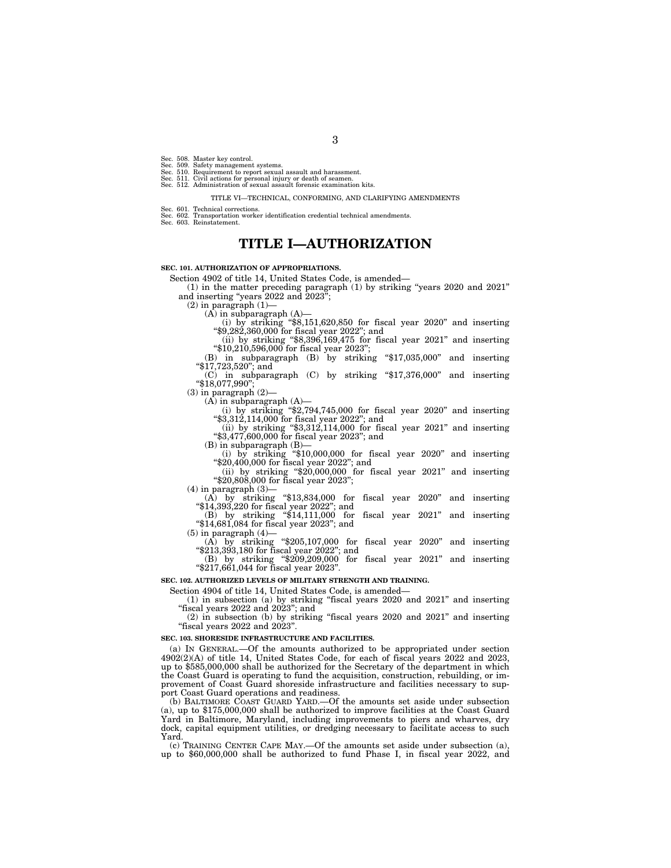- Sec. 508. Master key control. Sec. 509. Safety management systems.
- 
- 
- Sec. 510. Requirement to report sexual assault and harassment.<br>Sec. 511. Civil actions for personal injury or death of seamen.<br>Sec. 512. Administration of sexual assault forensic examination kits.
	- TITLE VI—TECHNICAL, CONFORMING, AND CLARIFYING AMENDMENTS

Sec. 601. Technical corrections. Sec. 602. Transportation worker identification credential technical amendments. Sec. 603. Reinstatement.

# **TITLE I—AUTHORIZATION**

#### **SEC. 101. AUTHORIZATION OF APPROPRIATIONS.**

Section 4902 of title 14, United States Code, is amended—

(1) in the matter preceding paragraph (1) by striking ''years 2020 and 2021'' and inserting ''years 2022 and 2023'';

 $(2)$  in paragraph  $(1)$ –

(A) in subparagraph (A)—

(i) by striking  $\frac{65}{56}$ , 151, 620, 850 for fiscal year 2020" and inserting ''\$9,282,360,000 for fiscal year 2022''; and

(ii) by striking ''\$8,396,169,475 for fiscal year 2021'' and inserting ''\$10,210,596,000 for fiscal year 2023'';

(B) in subparagraph (B) by striking ''\$17,035,000'' and inserting ''\$17,723,520''; and

(C) in subparagraph (C) by striking ''\$17,376,000'' and inserting ''\$18,077,990'';

(3) in paragraph (2)—

 $(A)$  in subparagraph  $(A)$ —

(i) by striking ''\$2,794,745,000 for fiscal year 2020'' and inserting ''\$3,312,114,000 for fiscal year 2022''; and

 $(i)$  by striking "\$3,312,114,000 for fiscal year 2021" and inserting ''\$3,477,600,000 for fiscal year 2023''; and

(B) in subparagraph (B)—

(i) by striking " $$10,000,000$  for fiscal year 2020" and inserting ''\$20,400,000 for fiscal year 2022''; and

(ii) by striking ''\$20,000,000 for fiscal year 2021'' and inserting ''\$20,808,000 for fiscal year 2023'';

(4) in paragraph  $(3)$ —

 $(A)$  by striking "\$13,834,000 for fiscal year 2020" and inserting ''\$14,393,220 for fiscal year 2022''; and

(B) by striking ''\$14,111,000 for fiscal year 2021'' and inserting ''\$14,681,084 for fiscal year 2023''; and

 $(5)$  in paragraph  $(4)$ —

(A) by striking ''\$205,107,000 for fiscal year 2020'' and inserting ''\$213,393,180 for fiscal year 2022''; and

(B) by striking ''\$209,209,000 for fiscal year 2021'' and inserting  $*$ \$217,661,044 for fiscal year 2023".

# **SEC. 102. AUTHORIZED LEVELS OF MILITARY STRENGTH AND TRAINING.**

Section 4904 of title 14, United States Code, is amended—

(1) in subsection (a) by striking ''fiscal years 2020 and 2021'' and inserting ''fiscal years 2022 and 2023''; and

(2) in subsection (b) by striking ''fiscal years 2020 and 2021'' and inserting ''fiscal years 2022 and 2023''.

#### **SEC. 103. SHORESIDE INFRASTRUCTURE AND FACILITIES.**

(a) IN GENERAL.—Of the amounts authorized to be appropriated under section 4902(2)(A) of title 14, United States Code, for each of fiscal years 2022 and 2023, up to \$585,000,000 shall be authorized for the Secretary of the department in which the Coast Guard is operating to fund the acquisition, construction, rebuilding, or improvement of Coast Guard shoreside infrastructure and facilities necessary to support Coast Guard operations and readiness.

(b) BALTIMORE COAST GUARD YARD.—Of the amounts set aside under subsection (a), up to \$175,000,000 shall be authorized to improve facilities at the Coast Guard Yard in Baltimore, Maryland, including improvements to piers and wharves, dry dock, capital equipment utilities, or dredging necessary to facilitate access to such Yard.

(c) TRAINING CENTER CAPE MAY.—Of the amounts set aside under subsection (a), up to \$60,000,000 shall be authorized to fund Phase I, in fiscal year 2022, and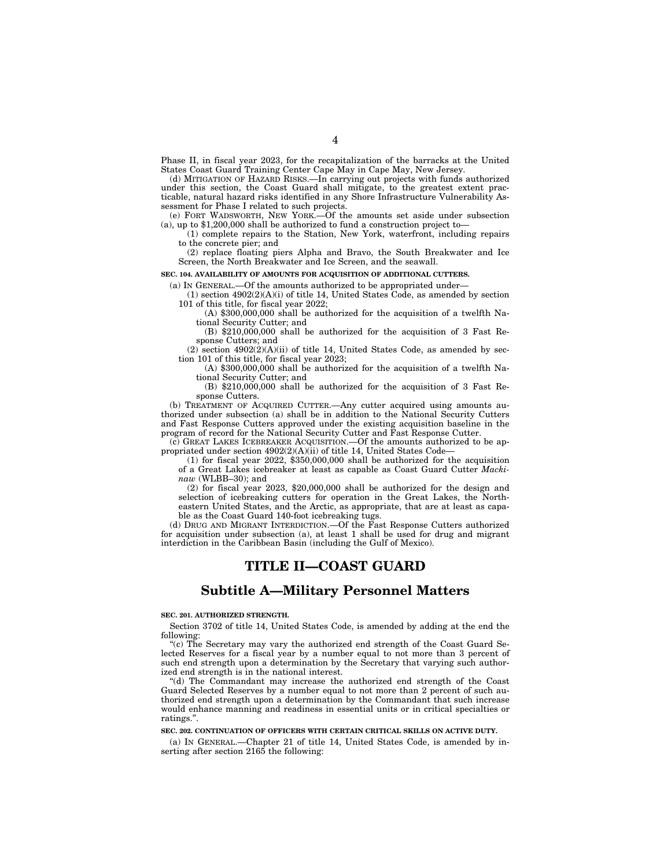Phase II, in fiscal year 2023, for the recapitalization of the barracks at the United States Coast Guard Training Center Cape May in Cape May, New Jersey.

(d) MITIGATION OF HAZARD RISKS.—In carrying out projects with funds authorized under this section, the Coast Guard shall mitigate, to the greatest extent practicable, natural hazard risks identified in any Shore Infrastructure Vulnerability Assessment for Phase I related to such projects.

(e) FORT WADSWORTH, NEW YORK.—Of the amounts set aside under subsection  $(a)$ , up to \$1,200,000 shall be authorized to fund a construction project to-

(1) complete repairs to the Station, New York, waterfront, including repairs to the concrete pier; and

(2) replace floating piers Alpha and Bravo, the South Breakwater and Ice Screen, the North Breakwater and Ice Screen, and the seawall.

### **SEC. 104. AVAILABILITY OF AMOUNTS FOR ACQUISITION OF ADDITIONAL CUTTERS.**

(a) IN GENERAL.—Of the amounts authorized to be appropriated under— (1) section  $4902(2)(A)(i)$  of title 14, United States Code, as amended by section

101 of this title, for fiscal year 2022; (A) \$300,000,000 shall be authorized for the acquisition of a twelfth National Security Cutter; and

(B) \$210,000,000 shall be authorized for the acquisition of 3 Fast Response Cutters; and

 $(2)$  section 4902 $(2)(A)(ii)$  of title 14, United States Code, as amended by section 101 of this title, for fiscal year 2023;

(A) \$300,000,000 shall be authorized for the acquisition of a twelfth National Security Cutter; and

(B) \$210,000,000 shall be authorized for the acquisition of 3 Fast Response Cutters.

(b) TREATMENT OF ACQUIRED CUTTER.—Any cutter acquired using amounts authorized under subsection (a) shall be in addition to the National Security Cutters and Fast Response Cutters approved under the existing acquisition baseline in the program of record for the National Security Cutter and Fast Response Cutter.

(c) GREAT LAKES ICEBREAKER ACQUISITION.—Of the amounts authorized to be appropriated under section 4902(2)(A)(ii) of title 14, United States Code—

(1) for fiscal year 2022, \$350,000,000 shall be authorized for the acquisition of a Great Lakes icebreaker at least as capable as Coast Guard Cutter *Mackinaw* (WLBB–30); and

(2) for fiscal year 2023, \$20,000,000 shall be authorized for the design and selection of icebreaking cutters for operation in the Great Lakes, the Northeastern United States, and the Arctic, as appropriate, that are at least as capable as the Coast Guard 140-foot icebreaking tugs.

(d) DRUG AND MIGRANT INTERDICTION.—Of the Fast Response Cutters authorized for acquisition under subsection (a), at least 1 shall be used for drug and migrant interdiction in the Caribbean Basin (including the Gulf of Mexico).

# **TITLE II—COAST GUARD**

# **Subtitle A—Military Personnel Matters**

# **SEC. 201. AUTHORIZED STRENGTH.**

Section 3702 of title 14, United States Code, is amended by adding at the end the following:

''(c) The Secretary may vary the authorized end strength of the Coast Guard Selected Reserves for a fiscal year by a number equal to not more than 3 percent of such end strength upon a determination by the Secretary that varying such authorized end strength is in the national interest.

''(d) The Commandant may increase the authorized end strength of the Coast Guard Selected Reserves by a number equal to not more than 2 percent of such authorized end strength upon a determination by the Commandant that such increase would enhance manning and readiness in essential units or in critical specialties or ratings.''.

#### **SEC. 202. CONTINUATION OF OFFICERS WITH CERTAIN CRITICAL SKILLS ON ACTIVE DUTY.**

(a) IN GENERAL.—Chapter 21 of title 14, United States Code, is amended by inserting after section 2165 the following: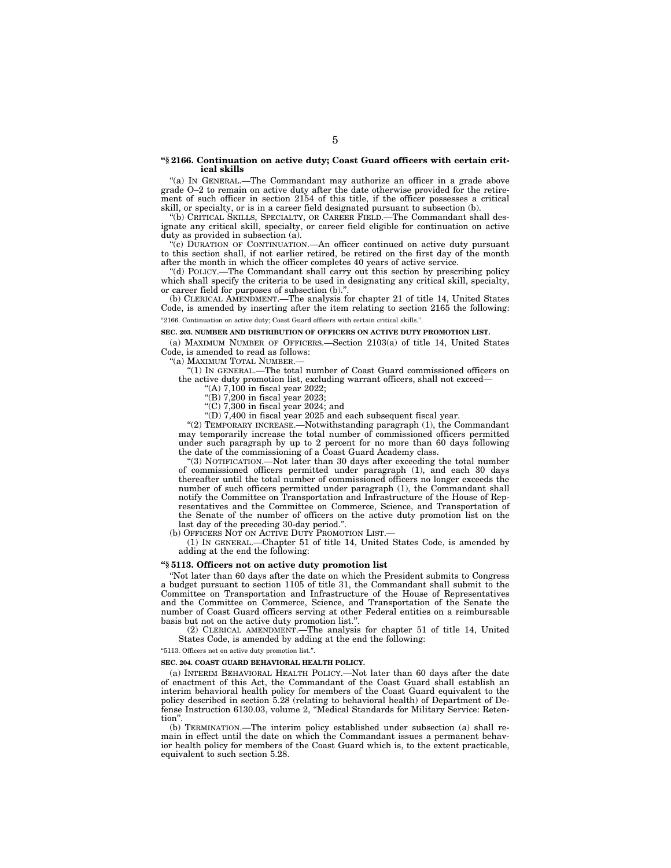### **''§ 2166. Continuation on active duty; Coast Guard officers with certain critical skills**

''(a) IN GENERAL.—The Commandant may authorize an officer in a grade above grade O–2 to remain on active duty after the date otherwise provided for the retirement of such officer in section 2154 of this title, if the officer possesses a critical skill, or specialty, or is in a career field designated pursuant to subsection (b).

''(b) CRITICAL SKILLS, SPECIALTY, OR CAREER FIELD.—The Commandant shall designate any critical skill, specialty, or career field eligible for continuation on active duty as provided in subsection (a).

''(c) DURATION OF CONTINUATION.—An officer continued on active duty pursuant to this section shall, if not earlier retired, be retired on the first day of the month after the month in which the officer completes 40 years of active service.

''(d) POLICY.—The Commandant shall carry out this section by prescribing policy which shall specify the criteria to be used in designating any critical skill, specialty, or career field for purposes of subsection (b).''.

(b) CLERICAL AMENDMENT.—The analysis for chapter 21 of title 14, United States Code, is amended by inserting after the item relating to section 2165 the following: ''2166. Continuation on active duty; Coast Guard officers with certain critical skills.''.

#### **SEC. 203. NUMBER AND DISTRIBUTION OF OFFICERS ON ACTIVE DUTY PROMOTION LIST.**

(a) MAXIMUM NUMBER OF OFFICERS.—Section 2103(a) of title 14, United States Code, is amended to read as follows:

"(a) MAXIMUM TOTAL NUMBER.

''(1) IN GENERAL.—The total number of Coast Guard commissioned officers on the active duty promotion list, excluding warrant officers, shall not exceed—

 $(A)$  7,100 in fiscal year 2022;

"(B)  $7,200$  in fiscal year 2023;

"(C)  $7,300$  in fiscal year 2024; and

 $(0)$  7,400 in fiscal year 2025 and each subsequent fiscal year.

''(2) TEMPORARY INCREASE.—Notwithstanding paragraph (1), the Commandant may temporarily increase the total number of commissioned officers permitted under such paragraph by up to 2 percent for no more than 60 days following the date of the commissioning of a Coast Guard Academy class.

''(3) NOTIFICATION.—Not later than 30 days after exceeding the total number of commissioned officers permitted under paragraph (1), and each 30 days thereafter until the total number of commissioned officers no longer exceeds the number of such officers permitted under paragraph (1), the Commandant shall notify the Committee on Transportation and Infrastructure of the House of Representatives and the Committee on Commerce, Science, and Transportation of the Senate of the number of officers on the active duty promotion list on the last day of the preceding 30-day period.''.

(b) OFFICERS NOT ON ACTIVE DUTY PROMOTION LIST.—

(1) IN GENERAL.—Chapter 51 of title 14, United States Code, is amended by adding at the end the following:

# **''§ 5113. Officers not on active duty promotion list**

''Not later than 60 days after the date on which the President submits to Congress a budget pursuant to section 1105 of title 31, the Commandant shall submit to the Committee on Transportation and Infrastructure of the House of Representatives and the Committee on Commerce, Science, and Transportation of the Senate the number of Coast Guard officers serving at other Federal entities on a reimbursable basis but not on the active duty promotion list."

(2) CLERICAL AMENDMENT.—The analysis for chapter 51 of title 14, United States Code, is amended by adding at the end the following:

''5113. Officers not on active duty promotion list.''.

# **SEC. 204. COAST GUARD BEHAVIORAL HEALTH POLICY.**

(a) INTERIM BEHAVIORAL HEALTH POLICY.—Not later than 60 days after the date of enactment of this Act, the Commandant of the Coast Guard shall establish an interim behavioral health policy for members of the Coast Guard equivalent to the policy described in section 5.28 (relating to behavioral health) of Department of Defense Instruction 6130.03, volume 2, ''Medical Standards for Military Service: Retention''.

(b) TERMINATION.—The interim policy established under subsection (a) shall remain in effect until the date on which the Commandant issues a permanent behavior health policy for members of the Coast Guard which is, to the extent practicable, equivalent to such section 5.28.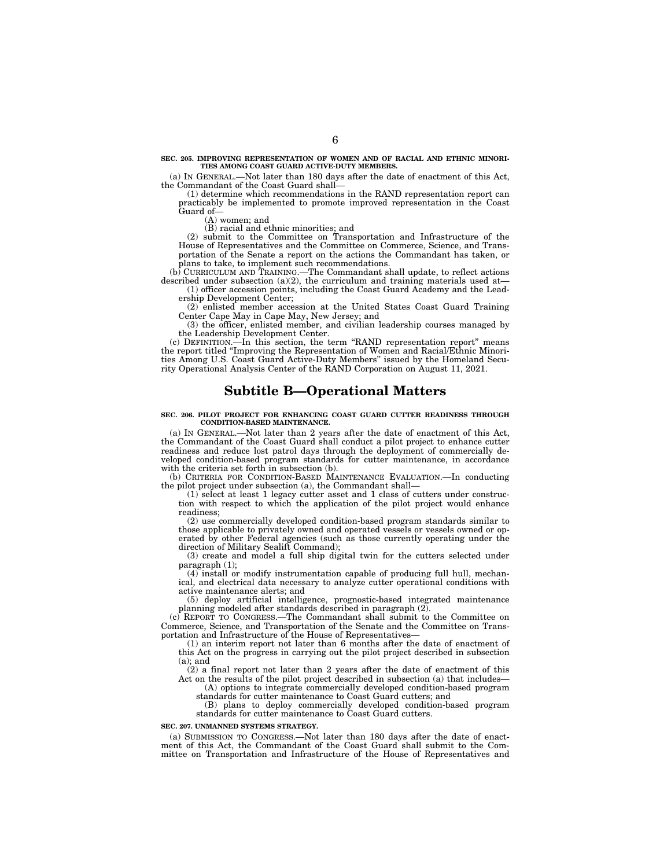**SEC. 205. IMPROVING REPRESENTATION OF WOMEN AND OF RACIAL AND ETHNIC MINORI-TIES AMONG COAST GUARD ACTIVE-DUTY MEMBERS.** 

(a) IN GENERAL.—Not later than 180 days after the date of enactment of this Act, the Commandant of the Coast Guard shall—

(1) determine which recommendations in the RAND representation report can practicably be implemented to promote improved representation in the Coast Guard of—

(A) women; and

(B) racial and ethnic minorities; and (2) submit to the Committee on Transportation and Infrastructure of the House of Representatives and the Committee on Commerce, Science, and Transportation of the Senate a report on the actions the Commandant has taken, or plans to take, to implement such recommendations.

(b) CURRICULUM AND TRAINING.—The Commandant shall update, to reflect actions described under subsection  $(a)(2)$ , the curriculum and training materials used at

(1) officer accession points, including the Coast Guard Academy and the Leadership Development Center;

(2) enlisted member accession at the United States Coast Guard Training Center Cape May in Cape May, New Jersey; and

(3) the officer, enlisted member, and civilian leadership courses managed by the Leadership Development Center.

(c) DEFINITION.—In this section, the term ''RAND representation report'' means the report titled ''Improving the Representation of Women and Racial/Ethnic Minorities Among U.S. Coast Guard Active-Duty Members'' issued by the Homeland Security Operational Analysis Center of the RAND Corporation on August 11, 2021.

# **Subtitle B—Operational Matters**

#### **SEC. 206. PILOT PROJECT FOR ENHANCING COAST GUARD CUTTER READINESS THROUGH CONDITION-BASED MAINTENANCE.**

(a) IN GENERAL.—Not later than 2 years after the date of enactment of this Act, the Commandant of the Coast Guard shall conduct a pilot project to enhance cutter readiness and reduce lost patrol days through the deployment of commercially developed condition-based program standards for cutter maintenance, in accordance with the criteria set forth in subsection (b).

(b) CRITERIA FOR CONDITION-BASED MAINTENANCE EVALUATION.—In conducting the pilot project under subsection (a), the Commandant shall—

(1) select at least 1 legacy cutter asset and 1 class of cutters under construction with respect to which the application of the pilot project would enhance readiness;

(2) use commercially developed condition-based program standards similar to those applicable to privately owned and operated vessels or vessels owned or operated by other Federal agencies (such as those currently operating under the direction of Military Sealift Command);

(3) create and model a full ship digital twin for the cutters selected under paragraph (1);

(4) install or modify instrumentation capable of producing full hull, mechanical, and electrical data necessary to analyze cutter operational conditions with active maintenance alerts; and

(5) deploy artificial intelligence, prognostic-based integrated maintenance planning modeled after standards described in paragraph (2).

(c) REPORT TO CONGRESS.—The Commandant shall submit to the Committee on Commerce, Science, and Transportation of the Senate and the Committee on Transportation and Infrastructure of the House of Representatives—

(1) an interim report not later than 6 months after the date of enactment of this Act on the progress in carrying out the pilot project described in subsection (a); and

(2) a final report not later than 2 years after the date of enactment of this Act on the results of the pilot project described in subsection (a) that includes— (A) options to integrate commercially developed condition-based program

standards for cutter maintenance to Coast Guard cutters; and

(B) plans to deploy commercially developed condition-based program standards for cutter maintenance to Coast Guard cutters.

#### **SEC. 207. UNMANNED SYSTEMS STRATEGY.**

(a) SUBMISSION TO CONGRESS.—Not later than 180 days after the date of enactment of this Act, the Commandant of the Coast Guard shall submit to the Committee on Transportation and Infrastructure of the House of Representatives and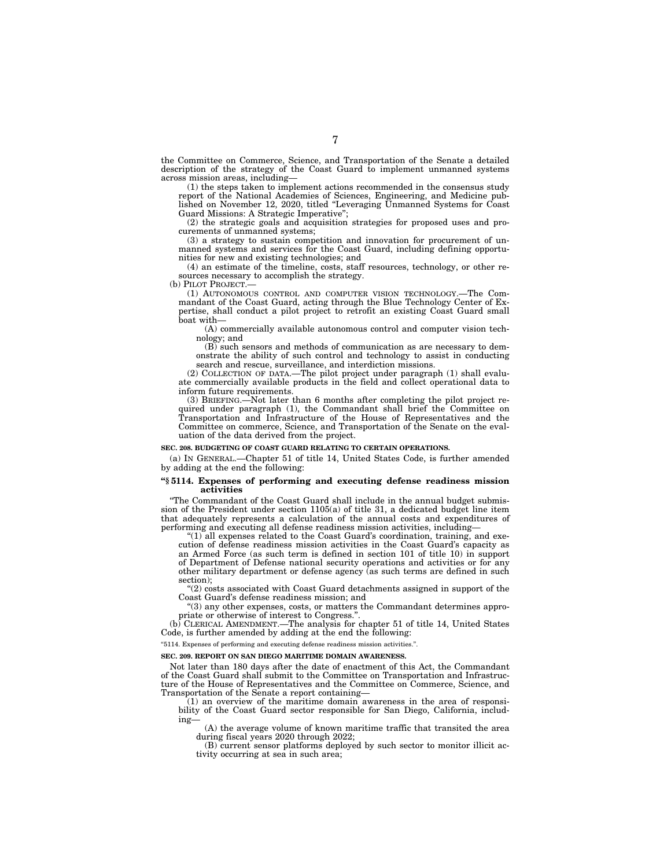the Committee on Commerce, Science, and Transportation of the Senate a detailed description of the strategy of the Coast Guard to implement unmanned systems across mission areas, including—

(1) the steps taken to implement actions recommended in the consensus study report of the National Academies of Sciences, Engineering, and Medicine published on November 12, 2020, titled ''Leveraging Unmanned Systems for Coast Guard Missions: A Strategic Imperative'';

(2) the strategic goals and acquisition strategies for proposed uses and procurements of unmanned systems;

(3) a strategy to sustain competition and innovation for procurement of unmanned systems and services for the Coast Guard, including defining opportunities for new and existing technologies; and

(4) an estimate of the timeline, costs, staff resources, technology, or other resources necessary to accomplish the strategy.

(b) PILOT PROJECT.—

(1) AUTONOMOUS CONTROL AND COMPUTER VISION TECHNOLOGY.—The Commandant of the Coast Guard, acting through the Blue Technology Center of Expertise, shall conduct a pilot project to retrofit an existing Coast Guard small boat with—

(A) commercially available autonomous control and computer vision technology; and

(B) such sensors and methods of communication as are necessary to demonstrate the ability of such control and technology to assist in conducting search and rescue, surveillance, and interdiction missions.

(2) COLLECTION OF DATA.—The pilot project under paragraph (1) shall evaluate commercially available products in the field and collect operational data to inform future requirements.

(3) BRIEFING.—Not later than 6 months after completing the pilot project required under paragraph (1), the Commandant shall brief the Committee on Transportation and Infrastructure of the House of Representatives and the Committee on commerce, Science, and Transportation of the Senate on the evaluation of the data derived from the project.

#### **SEC. 208. BUDGETING OF COAST GUARD RELATING TO CERTAIN OPERATIONS.**

(a) IN GENERAL.—Chapter 51 of title 14, United States Code, is further amended by adding at the end the following:

### **''§ 5114. Expenses of performing and executing defense readiness mission activities**

''The Commandant of the Coast Guard shall include in the annual budget submission of the President under section 1105(a) of title 31, a dedicated budget line item that adequately represents a calculation of the annual costs and expenditures of performing and executing all defense readiness mission activities, including—

"(1) all expenses related to the Coast Guard's coordination, training, and execution of defense readiness mission activities in the Coast Guard's capacity as an Armed Force (as such term is defined in section 101 of title 10) in support of Department of Defense national security operations and activities or for any other military department or defense agency (as such terms are defined in such section);

''(2) costs associated with Coast Guard detachments assigned in support of the Coast Guard's defense readiness mission; and

''(3) any other expenses, costs, or matters the Commandant determines appropriate or otherwise of interest to Congress.''.

(b) CLERICAL AMENDMENT.—The analysis for chapter 51 of title 14, United States Code, is further amended by adding at the end the following:

''5114. Expenses of performing and executing defense readiness mission activities.''.

#### **SEC. 209. REPORT ON SAN DIEGO MARITIME DOMAIN AWARENESS.**

Not later than 180 days after the date of enactment of this Act, the Commandant of the Coast Guard shall submit to the Committee on Transportation and Infrastructure of the House of Representatives and the Committee on Commerce, Science, and Transportation of the Senate a report containing—

(1) an overview of the maritime domain awareness in the area of responsibility of the Coast Guard sector responsible for San Diego, California, including—

(A) the average volume of known maritime traffic that transited the area during fiscal years 2020 through 2022;

(B) current sensor platforms deployed by such sector to monitor illicit activity occurring at sea in such area;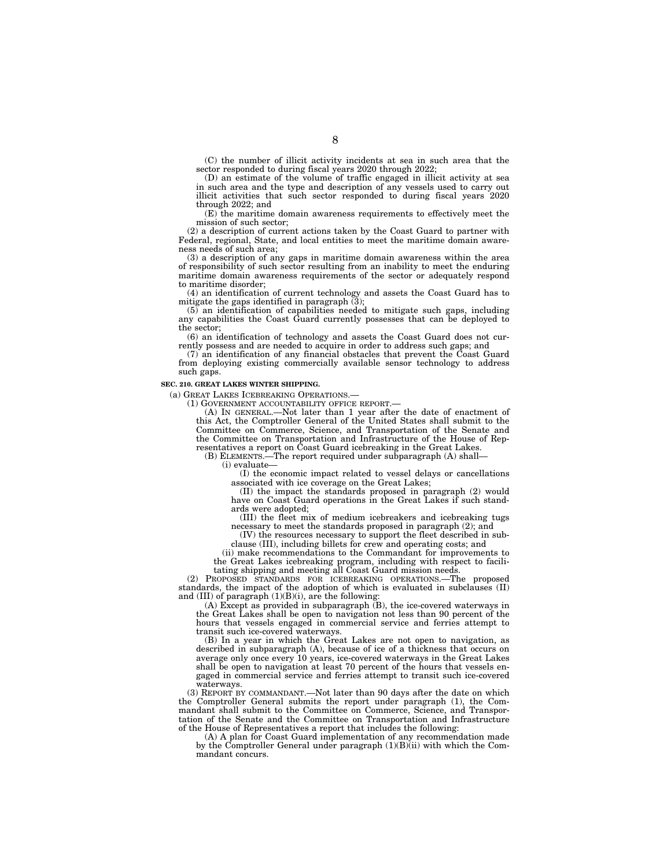(C) the number of illicit activity incidents at sea in such area that the sector responded to during fiscal years 2020 through 2022;

(D) an estimate of the volume of traffic engaged in illicit activity at sea in such area and the type and description of any vessels used to carry out illicit activities that such sector responded to during fiscal years 2020 through 2022; and

(E) the maritime domain awareness requirements to effectively meet the mission of such sector;

(2) a description of current actions taken by the Coast Guard to partner with Federal, regional, State, and local entities to meet the maritime domain awareness needs of such area;

(3) a description of any gaps in maritime domain awareness within the area of responsibility of such sector resulting from an inability to meet the enduring maritime domain awareness requirements of the sector or adequately respond to maritime disorder;

(4) an identification of current technology and assets the Coast Guard has to mitigate the gaps identified in paragraph (3);

(5) an identification of capabilities needed to mitigate such gaps, including any capabilities the Coast Guard currently possesses that can be deployed to the sector;

(6) an identification of technology and assets the Coast Guard does not currently possess and are needed to acquire in order to address such gaps; and

(7) an identification of any financial obstacles that prevent the Coast Guard from deploying existing commercially available sensor technology to address such gaps.

# **SEC. 210. GREAT LAKES WINTER SHIPPING.**

(a) GREAT LAKES ICEBREAKING OPERATIONS.—

(1) GOVERNMENT ACCOUNTABILITY OFFICE REPORT.—

(A) IN GENERAL.—Not later than 1 year after the date of enactment of this Act, the Comptroller General of the United States shall submit to the Committee on Commerce, Science, and Transportation of the Senate and the Committee on Transportation and Infrastructure of the House of Representatives a report on Coast Guard icebreaking in the Great Lakes.

(B) ELEMENTS.—The report required under subparagraph (A) shall—

(i) evaluate—

(I) the economic impact related to vessel delays or cancellations associated with ice coverage on the Great Lakes;

(II) the impact the standards proposed in paragraph (2) would have on Coast Guard operations in the Great Lakes if such standards were adopted;

(III) the fleet mix of medium icebreakers and icebreaking tugs necessary to meet the standards proposed in paragraph (2); and

(IV) the resources necessary to support the fleet described in sub-

clause (III), including billets for crew and operating costs; and (ii) make recommendations to the Commandant for improvements to the Great Lakes icebreaking program, including with respect to facilitating shipping and meeting all Coast Guard mission needs.

(2) PROPOSED STANDARDS FOR ICEBREAKING OPERATIONS.—The proposed standards, the impact of the adoption of which is evaluated in subclauses (II) and (III) of paragraph  $(1)(B)(i)$ , are the following:

(A) Except as provided in subparagraph (B), the ice-covered waterways in the Great Lakes shall be open to navigation not less than 90 percent of the hours that vessels engaged in commercial service and ferries attempt to transit such ice-covered waterways.

(B) In a year in which the Great Lakes are not open to navigation, as described in subparagraph (A), because of ice of a thickness that occurs on average only once every 10 years, ice-covered waterways in the Great Lakes shall be open to navigation at least 70 percent of the hours that vessels engaged in commercial service and ferries attempt to transit such ice-covered waterways.

(3) REPORT BY COMMANDANT.—Not later than 90 days after the date on which the Comptroller General submits the report under paragraph (1), the Commandant shall submit to the Committee on Commerce, Science, and Transportation of the Senate and the Committee on Transportation and Infrastructure of the House of Representatives a report that includes the following:

(A) A plan for Coast Guard implementation of any recommendation made by the Comptroller General under paragraph (1)(B)(ii) with which the Commandant concurs.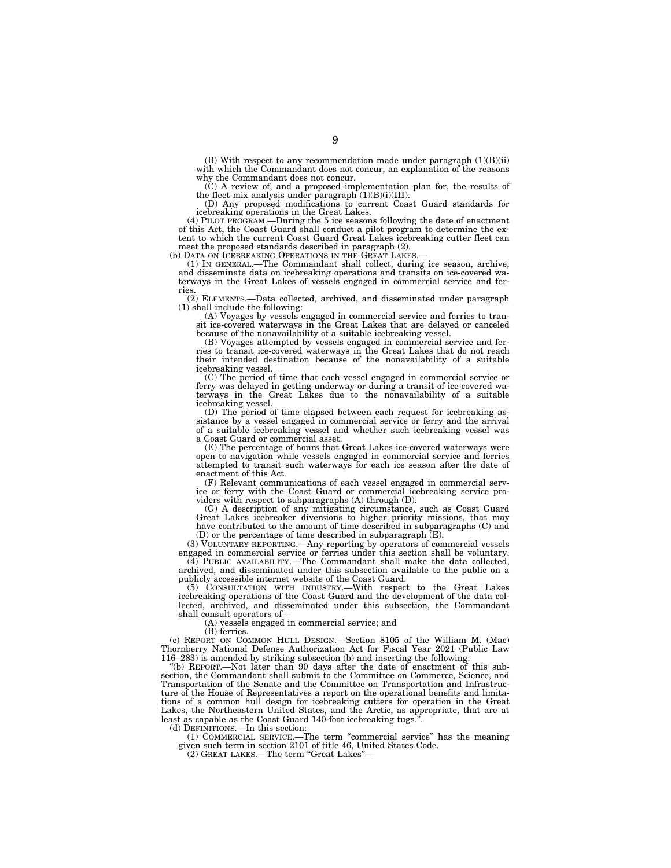(B) With respect to any recommendation made under paragraph (1)(B)(ii) with which the Commandant does not concur, an explanation of the reasons why the Commandant does not concur.

(C) A review of, and a proposed implementation plan for, the results of the fleet mix analysis under paragraph (1)(B)(i)(III).

(D) Any proposed modifications to current Coast Guard standards for icebreaking operations in the Great Lakes.

(4) PILOT PROGRAM.—During the 5 ice seasons following the date of enactment of this Act, the Coast Guard shall conduct a pilot program to determine the extent to which the current Coast Guard Great Lakes icebreaking cutter fleet can meet the proposed standards described in paragraph (2).

(1) IN GENERAL.—The Commandant shall collect, during ice season, archive, and disseminate data on icebreaking operations and transits on ice-covered waterways in the Great Lakes of vessels engaged in commercial service and ferries.

(2) ELEMENTS.—Data collected, archived, and disseminated under paragraph (1) shall include the following: (A) Voyages by vessels engaged in commercial service and ferries to tran-

sit ice-covered waterways in the Great Lakes that are delayed or canceled because of the nonavailability of a suitable icebreaking vessel.

(B) Voyages attempted by vessels engaged in commercial service and ferries to transit ice-covered waterways in the Great Lakes that do not reach their intended destination because of the nonavailability of a suitable icebreaking vessel.

(C) The period of time that each vessel engaged in commercial service or ferry was delayed in getting underway or during a transit of ice-covered waterways in the Great Lakes due to the nonavailability of a suitable icebreaking vessel.

(D) The period of time elapsed between each request for icebreaking assistance by a vessel engaged in commercial service or ferry and the arrival of a suitable icebreaking vessel and whether such icebreaking vessel was a Coast Guard or commercial asset.

(E) The percentage of hours that Great Lakes ice-covered waterways were open to navigation while vessels engaged in commercial service and ferries attempted to transit such waterways for each ice season after the date of enactment of this Act.

(F) Relevant communications of each vessel engaged in commercial service or ferry with the Coast Guard or commercial icebreaking service providers with respect to subparagraphs (A) through (D).

(G) A description of any mitigating circumstance, such as Coast Guard Great Lakes icebreaker diversions to higher priority missions, that may have contributed to the amount of time described in subparagraphs (C) and (D) or the percentage of time described in subparagraph (E).

(3) VOLUNTARY REPORTING.—Any reporting by operators of commercial vessels engaged in commercial service or ferries under this section shall be voluntary. (4) PUBLIC AVAILABILITY.—The Commandant shall make the data collected,

archived, and disseminated under this subsection available to the public on a publicly accessible internet website of the Coast Guard. (5) CONSULTATION WITH INDUSTRY.—With respect to the Great Lakes

icebreaking operations of the Coast Guard and the development of the data collected, archived, and disseminated under this subsection, the Commandant shall consult operators of—

(A) vessels engaged in commercial service; and

(B) ferries.

(c) REPORT ON COMMON HULL DESIGN.—Section 8105 of the William M. (Mac) Thornberry National Defense Authorization Act for Fiscal Year 2021 (Public Law 116–283) is amended by striking subsection (b) and inserting the following:

''(b) REPORT.—Not later than 90 days after the date of enactment of this subsection, the Commandant shall submit to the Committee on Commerce, Science, and Transportation of the Senate and the Committee on Transportation and Infrastructure of the House of Representatives a report on the operational benefits and limitations of a common hull design for icebreaking cutters for operation in the Great Lakes, the Northeastern United States, and the Arctic, as appropriate, that are at least as capable as the Coast Guard 140-foot icebreaking tugs.

(d) DEFINITIONS.—In this section:

(1) COMMERCIAL SERVICE.—The term ''commercial service'' has the meaning given such term in section 2101 of title 46, United States Code.

(2) GREAT LAKES.—The term ''Great Lakes''—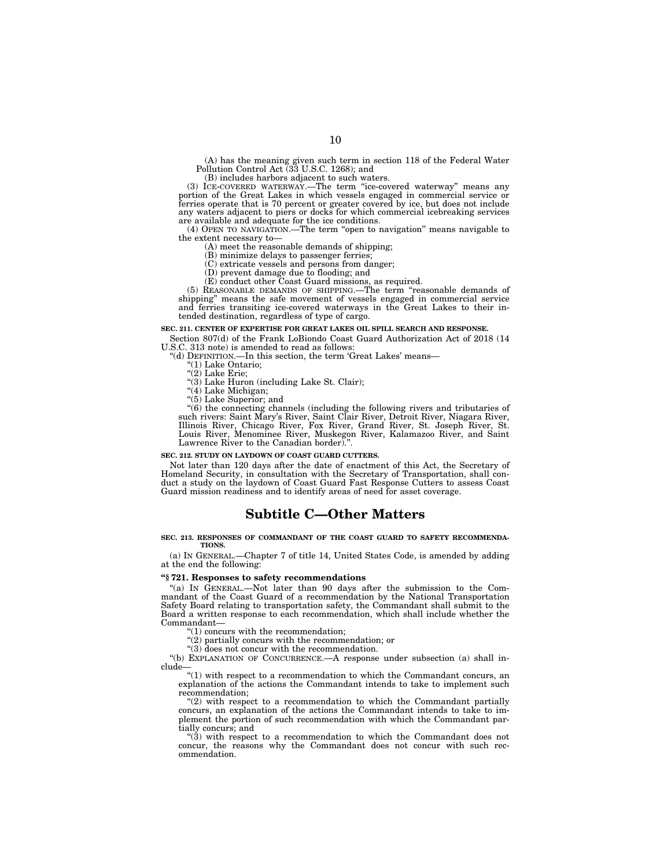(A) has the meaning given such term in section 118 of the Federal Water Pollution Control Act (33 U.S.C. 1268); and

(B) includes harbors adjacent to such waters.

(3) ICE-COVERED WATERWAY.—The term ''ice-covered waterway'' means any portion of the Great Lakes in which vessels engaged in commercial service or ferries operate that is 70 percent or greater covered by ice, but does not include any waters adjacent to piers or docks for which commercial icebreaking services are available and adequate for the ice conditions.

(4) OPEN TO NAVIGATION.—The term ''open to navigation'' means navigable to the extent necessary to—

(A) meet the reasonable demands of shipping;

(B) minimize delays to passenger ferries;

(C) extricate vessels and persons from danger;

(D) prevent damage due to flooding; and (E) conduct other Coast Guard missions, as required.

(5) REASONABLE DEMANDS OF SHIPPING.—The term ''reasonable demands of shipping'' means the safe movement of vessels engaged in commercial service and ferries transiting ice-covered waterways in the Great Lakes to their intended destination, regardless of type of cargo.

#### **SEC. 211. CENTER OF EXPERTISE FOR GREAT LAKES OIL SPILL SEARCH AND RESPONSE.**

Section 807(d) of the Frank LoBiondo Coast Guard Authorization Act of 2018 (14 U.S.C. 313 note) is amended to read as follows:

''(d) DEFINITION.—In this section, the term 'Great Lakes' means—

''(1) Lake Ontario;

 $\sqrt{\frac{2}{2}}$  Lake Erie;

''(3) Lake Huron (including Lake St. Clair);

"(4) Lake Michigan;

''(5) Lake Superior; and ''(6) the connecting channels (including the following rivers and tributaries of such rivers: Saint Mary's River, Saint Clair River, Detroit River, Niagara River, Illinois River, Chicago River, Fox River, Grand River, St. Joseph River, St. Louis River, Menominee River, Muskegon River, Kalamazoo River, and Saint Lawrence River to the Canadian border).''.

# **SEC. 212. STUDY ON LAYDOWN OF COAST GUARD CUTTERS.**

Not later than 120 days after the date of enactment of this Act, the Secretary of Homeland Security, in consultation with the Secretary of Transportation, shall con-duct a study on the laydown of Coast Guard Fast Response Cutters to assess Coast Guard mission readiness and to identify areas of need for asset coverage.

# **Subtitle C—Other Matters**

**SEC. 213. RESPONSES OF COMMANDANT OF THE COAST GUARD TO SAFETY RECOMMENDA-TIONS.** 

(a) IN GENERAL.—Chapter 7 of title 14, United States Code, is amended by adding at the end the following:

# **''§ 721. Responses to safety recommendations**

''(a) IN GENERAL.—Not later than 90 days after the submission to the Commandant of the Coast Guard of a recommendation by the National Transportation Safety Board relating to transportation safety, the Commandant shall submit to the Board a written response to each recommendation, which shall include whether the Commandant—

''(1) concurs with the recommendation;

 $''(2)$  partially concurs with the recommendation; or

''(3) does not concur with the recommendation.

''(b) EXPLANATION OF CONCURRENCE.—A response under subsection (a) shall include—

''(1) with respect to a recommendation to which the Commandant concurs, an explanation of the actions the Commandant intends to take to implement such recommendation;

"(2) with respect to a recommendation to which the Commandant partially concurs, an explanation of the actions the Commandant intends to take to implement the portion of such recommendation with which the Commandant partially concurs; and

" $(3)$  with respect to a recommendation to which the Commandant does not concur, the reasons why the Commandant does not concur with such recommendation.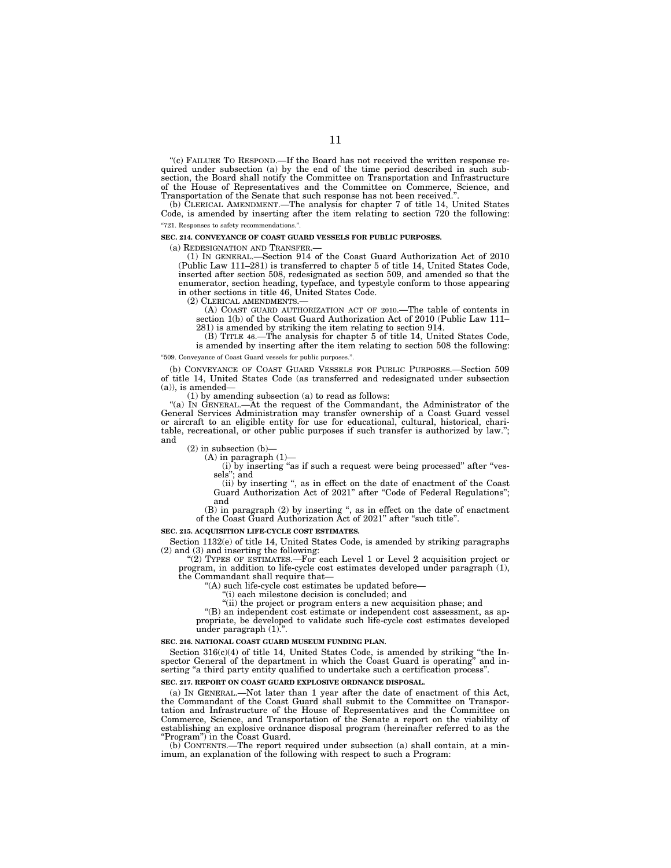"(c) FAILURE TO RESPOND.—If the Board has not received the written response required under subsection (a) by the end of the time period described in such subsection, the Board shall notify the Committee on Transportation and Infrastructure of the House of Representatives and the Committee on Commerce, Science, and Transportation of the Senate that such response has not been received.

(b) CLERICAL AMENDMENT.—The analysis for chapter 7 of title 14, United States Code, is amended by inserting after the item relating to section 720 the following: ''721. Responses to safety recommendations.''.

### **SEC. 214. CONVEYANCE OF COAST GUARD VESSELS FOR PUBLIC PURPOSES.**

(a) REDESIGNATION AND TRANSFER.—

(1) IN GENERAL.—Section 914 of the Coast Guard Authorization Act of 2010 (Public Law 111–281) is transferred to chapter 5 of title 14, United States Code, inserted after section 508, redesignated as section 509, and amended so that the enumerator, section heading, typeface, and typestyle conform to those appearing in other sections in title 46, United States Code.

(2) CLERICAL AMENDMENTS.—

(A) COAST GUARD AUTHORIZATION ACT OF 2010.—The table of contents in section 1(b) of the Coast Guard Authorization Act of 2010 (Public Law 111– 281) is amended by striking the item relating to section 914.

(B) TITLE 46.—The analysis for chapter 5 of title 14, United States Code,

is amended by inserting after the item relating to section 508 the following: ''509. Conveyance of Coast Guard vessels for public purposes.''.

(b) CONVEYANCE OF COAST GUARD VESSELS FOR PUBLIC PURPOSES.—Section 509 of title 14, United States Code (as transferred and redesignated under subsection  $(a)$ , is amended-

(1) by amending subsection (a) to read as follows:

"(a) IN GENERAL.—At the request of the Commandant, the Administrator of the General Services Administration may transfer ownership of a Coast Guard vessel or aircraft to an eligible entity for use for educational, cultural, historical, charitable, recreational, or other public purposes if such transfer is authorized by law.''; and

 $(2)$  in subsection  $(b)$ -

 $(A)$  in paragraph  $(1)$ —

(i) by inserting "as if such a request were being processed" after "vessels''; and

(ii) by inserting '', as in effect on the date of enactment of the Coast Guard Authorization Act of 2021" after "Code of Federal Regulations"; and

(B) in paragraph (2) by inserting '', as in effect on the date of enactment of the Coast Guard Authorization Act of 2021'' after ''such title''.

# **SEC. 215. ACQUISITION LIFE-CYCLE COST ESTIMATES.**

Section 1132(e) of title 14, United States Code, is amended by striking paragraphs (2) and (3) and inserting the following:

''(2) TYPES OF ESTIMATES.—For each Level 1 or Level 2 acquisition project or program, in addition to life-cycle cost estimates developed under paragraph (1), the Commandant shall require that—

''(A) such life-cycle cost estimates be updated before—

(i) each milestone decision is concluded; and ''(ii) the project or program enters a new acquisition phase; and

''(B) an independent cost estimate or independent cost assessment, as appropriate, be developed to validate such life-cycle cost estimates developed under paragraph  $(1)$ .

#### **SEC. 216. NATIONAL COAST GUARD MUSEUM FUNDING PLAN.**

Section 316(c)(4) of title 14, United States Code, is amended by striking "the Inspector General of the department in which the Coast Guard is operating'' and inserting "a third party entity qualified to undertake such a certification process".

# **SEC. 217. REPORT ON COAST GUARD EXPLOSIVE ORDNANCE DISPOSAL.**

(a) IN GENERAL.—Not later than 1 year after the date of enactment of this Act, the Commandant of the Coast Guard shall submit to the Committee on Transportation and Infrastructure of the House of Representatives and the Committee on Commerce, Science, and Transportation of the Senate a report on the viability of establishing an explosive ordnance disposal program (hereinafter referred to as the ''Program'') in the Coast Guard.

(b) CONTENTS.—The report required under subsection (a) shall contain, at a minimum, an explanation of the following with respect to such a Program: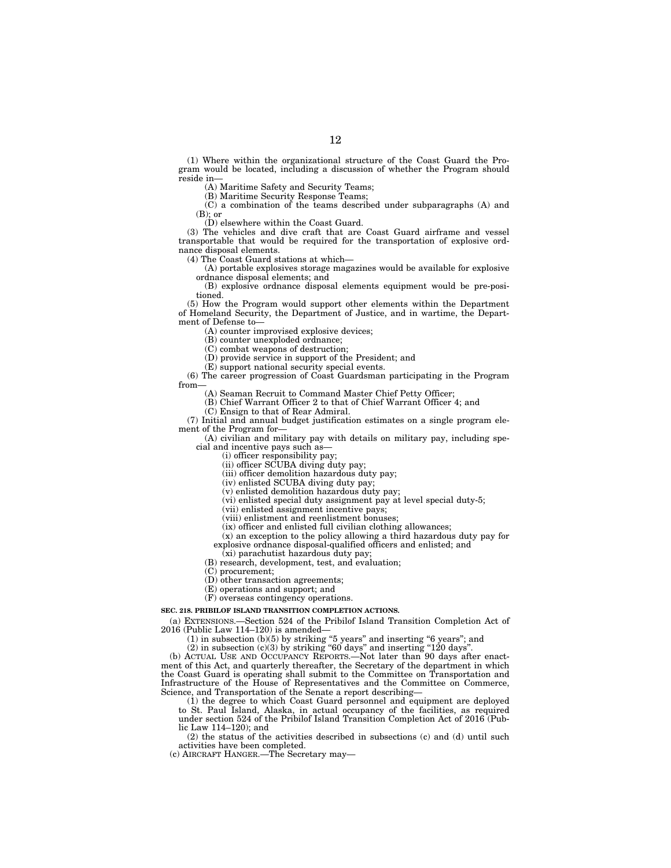(1) Where within the organizational structure of the Coast Guard the Program would be located, including a discussion of whether the Program should reside in—

(A) Maritime Safety and Security Teams;

(B) Maritime Security Response Teams;

(C) a combination of the teams described under subparagraphs (A) and (B); or

(D) elsewhere within the Coast Guard.

(3) The vehicles and dive craft that are Coast Guard airframe and vessel transportable that would be required for the transportation of explosive ordnance disposal elements.

(4) The Coast Guard stations at which—

(A) portable explosives storage magazines would be available for explosive ordnance disposal elements; and

(B) explosive ordnance disposal elements equipment would be pre-positioned.

(5) How the Program would support other elements within the Department of Homeland Security, the Department of Justice, and in wartime, the Department of Defense to-

(A) counter improvised explosive devices;

(B) counter unexploded ordnance;

(C) combat weapons of destruction;

(D) provide service in support of the President; and

(E) support national security special events.

(6) The career progression of Coast Guardsman participating in the Program from

(A) Seaman Recruit to Command Master Chief Petty Officer;

(B) Chief Warrant Officer 2 to that of Chief Warrant Officer 4; and

(C) Ensign to that of Rear Admiral.

(7) Initial and annual budget justification estimates on a single program element of the Program for—

(A) civilian and military pay with details on military pay, including special and incentive pays such as—

(i) officer responsibility pay;

(ii) officer SCUBA diving duty pay;

(iii) officer demolition hazardous duty pay;

(iv) enlisted SCUBA diving duty pay;

(v) enlisted demolition hazardous duty pay;

(vi) enlisted special duty assignment pay at level special duty-5;

(vii) enlisted assignment incentive pays;

(viii) enlistment and reenlistment bonuses;

(ix) officer and enlisted full civilian clothing allowances;

(x) an exception to the policy allowing a third hazardous duty pay for explosive ordnance disposal-qualified officers and enlisted; and

(xi) parachutist hazardous duty pay;

(B) research, development, test, and evaluation;

(C) procurement;

(D) other transaction agreements;

(E) operations and support; and

(F) overseas contingency operations.

**SEC. 218. PRIBILOF ISLAND TRANSITION COMPLETION ACTIONS.** 

(a) EXTENSIONS.—Section 524 of the Pribilof Island Transition Completion Act of 2016 (Public Law 114–120) is amended—

 $(1)$  in subsection  $(b)(5)$  by striking "5 years" and inserting "6 years"; and

 $(2)$  in subsection  $(c)(3)$  by striking "60 days" and inserting "120 days".

(b) ACTUAL USE AND OCCUPANCY REPORTS.—Not later than 90 days after enactment of this Act, and quarterly thereafter, the Secretary of the department in which the Coast Guard is operating shall submit to the Committee on Transportation and Infrastructure of the House of Representatives and the Committee on Commerce, Science, and Transportation of the Senate a report describing—

(1) the degree to which Coast Guard personnel and equipment are deployed to St. Paul Island, Alaska, in actual occupancy of the facilities, as required under section 524 of the Pribilof Island Transition Completion Act of 2016 (Public Law 114–120); and

(2) the status of the activities described in subsections (c) and (d) until such activities have been completed.

(c) AIRCRAFT HANGER.—The Secretary may—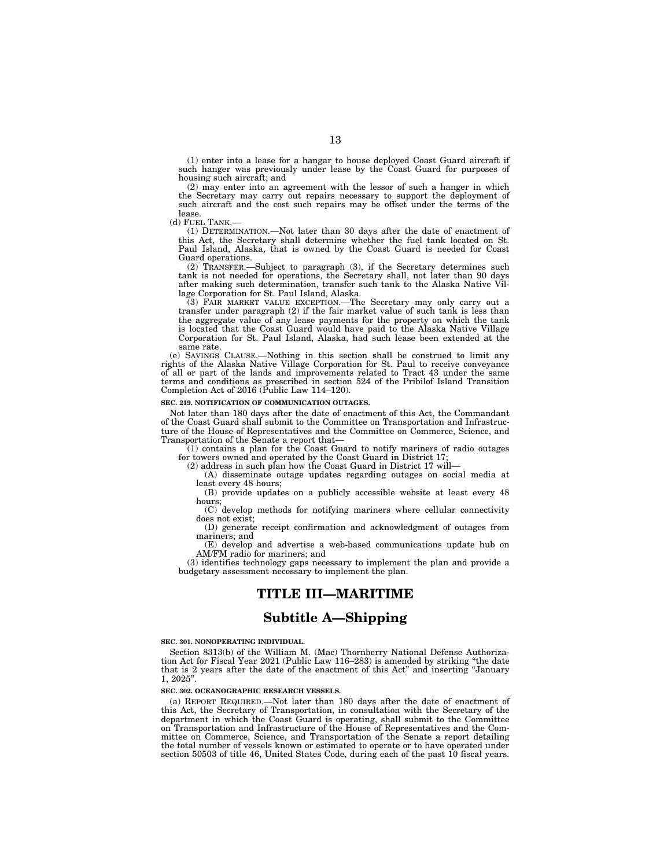(1) enter into a lease for a hangar to house deployed Coast Guard aircraft if such hanger was previously under lease by the Coast Guard for purposes of housing such aircraft; and

(2) may enter into an agreement with the lessor of such a hanger in which the Secretary may carry out repairs necessary to support the deployment of such aircraft and the cost such repairs may be offset under the terms of the lease.

(d) FUEL TANK.

(1) DETERMINATION.—Not later than 30 days after the date of enactment of this Act, the Secretary shall determine whether the fuel tank located on St. Paul Island, Alaska, that is owned by the Coast Guard is needed for Coast Guard operations.

(2) TRANSFER.—Subject to paragraph (3), if the Secretary determines such tank is not needed for operations, the Secretary shall, not later than 90 days after making such determination, transfer such tank to the Alaska Native Village Corporation for St. Paul Island, Alaska.

(3) FAIR MARKET VALUE EXCEPTION.—The Secretary may only carry out a transfer under paragraph (2) if the fair market value of such tank is less than the aggregate value of any lease payments for the property on which the tank is located that the Coast Guard would have paid to the Alaska Native Village Corporation for St. Paul Island, Alaska, had such lease been extended at the same rate.

(e) SAVINGS CLAUSE.—Nothing in this section shall be construed to limit any rights of the Alaska Native Village Corporation for St. Paul to receive conveyance of all or part of the lands and improvements related to Tract 43 under the same terms and conditions as prescribed in section 524 of the Pribilof Island Transition Completion Act of 2016 (Public Law 114–120).

### **SEC. 219. NOTIFICATION OF COMMUNICATION OUTAGES.**

Not later than 180 days after the date of enactment of this Act, the Commandant of the Coast Guard shall submit to the Committee on Transportation and Infrastructure of the House of Representatives and the Committee on Commerce, Science, and Transportation of the Senate a report that-

 $(1)$  contains a plan for the Coast Guard to notify mariners of radio outages for towers owned and operated by the Coast Guard in District 17;

(2) address in such plan how the Coast Guard in District 17 will—

(A) disseminate outage updates regarding outages on social media at least every 48 hours;

(B) provide updates on a publicly accessible website at least every 48 hours;

(C) develop methods for notifying mariners where cellular connectivity does not exist;

(D) generate receipt confirmation and acknowledgment of outages from mariners; and

(E) develop and advertise a web-based communications update hub on AM/FM radio for mariners; and

(3) identifies technology gaps necessary to implement the plan and provide a budgetary assessment necessary to implement the plan.

# **TITLE III—MARITIME**

# **Subtitle A—Shipping**

#### **SEC. 301. NONOPERATING INDIVIDUAL.**

Section 8313(b) of the William M. (Mac) Thornberry National Defense Authorization Act for Fiscal Year 2021 (Public Law 116–283) is amended by striking ''the date that is 2 years after the date of the enactment of this Act'' and inserting ''January 1, 2025''.

#### **SEC. 302. OCEANOGRAPHIC RESEARCH VESSELS.**

(a) REPORT REQUIRED.—Not later than 180 days after the date of enactment of this Act, the Secretary of Transportation, in consultation with the Secretary of the department in which the Coast Guard is operating, shall submit to the Committee on Transportation and Infrastructure of the House of Representatives and the Committee on Commerce, Science, and Transportation of the Senate a report detailing the total number of vessels known or estimated to operate or to have operated under section 50503 of title 46, United States Code, during each of the past 10 fiscal years.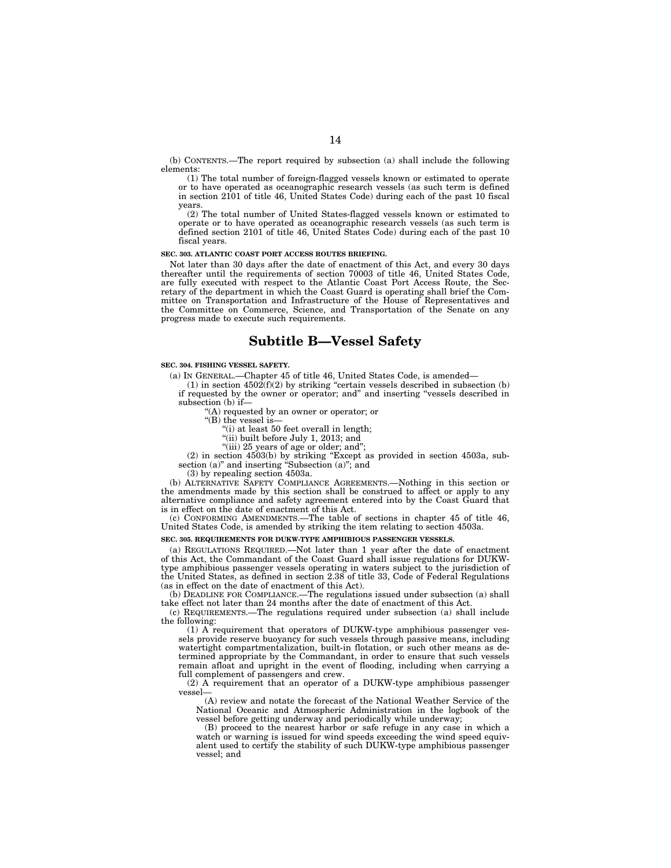(b) CONTENTS.—The report required by subsection (a) shall include the following elements:

(1) The total number of foreign-flagged vessels known or estimated to operate or to have operated as oceanographic research vessels (as such term is defined in section 2101 of title 46, United States Code) during each of the past 10 fiscal years.

(2) The total number of United States-flagged vessels known or estimated to operate or to have operated as oceanographic research vessels (as such term is defined section 2101 of title 46, United States Code) during each of the past 10 fiscal years.

#### **SEC. 303. ATLANTIC COAST PORT ACCESS ROUTES BRIEFING.**

Not later than 30 days after the date of enactment of this Act, and every 30 days thereafter until the requirements of section 70003 of title 46, United States Code, are fully executed with respect to the Atlantic Coast Port Access Route, the Secretary of the department in which the Coast Guard is operating shall brief the Committee on Transportation and Infrastructure of the House of Representatives and the Committee on Commerce, Science, and Transportation of the Senate on any progress made to execute such requirements.

# **Subtitle B—Vessel Safety**

### **SEC. 304. FISHING VESSEL SAFETY.**

(a) IN GENERAL.—Chapter 45 of title 46, United States Code, is amended—

(1) in section  $4502(f)(2)$  by striking "certain vessels described in subsection (b) if requested by the owner or operator; and'' and inserting ''vessels described in subsection (b) if-

 $(A)$  requested by an owner or operator; or

" $(B)$  the vessel is-

''(i) at least 50 feet overall in length;

"(ii) built before July 1, 2013; and

"(iii) 25 years of age or older; and";

 $(2)$  in section 4503(b) by striking "Except as provided in section 4503a, subsection (a)" and inserting "Subsection (a)"; and

(3) by repealing section 4503a.

(b) ALTERNATIVE SAFETY COMPLIANCE AGREEMENTS.—Nothing in this section or the amendments made by this section shall be construed to affect or apply to any alternative compliance and safety agreement entered into by the Coast Guard that is in effect on the date of enactment of this Act.

(c) CONFORMING AMENDMENTS.—The table of sections in chapter 45 of title 46, United States Code, is amended by striking the item relating to section 4503a.

# **SEC. 305. REQUIREMENTS FOR DUKW-TYPE AMPHIBIOUS PASSENGER VESSELS.**

(a) REGULATIONS REQUIRED.—Not later than 1 year after the date of enactment of this Act, the Commandant of the Coast Guard shall issue regulations for DUKWtype amphibious passenger vessels operating in waters subject to the jurisdiction of the United States, as defined in section 2.38 of title 33, Code of Federal Regulations (as in effect on the date of enactment of this Act).

(b) DEADLINE FOR COMPLIANCE.—The regulations issued under subsection (a) shall take effect not later than 24 months after the date of enactment of this Act.

(c) REQUIREMENTS.—The regulations required under subsection (a) shall include the following:

(1) A requirement that operators of DUKW-type amphibious passenger vessels provide reserve buoyancy for such vessels through passive means, including watertight compartmentalization, built-in flotation, or such other means as determined appropriate by the Commandant, in order to ensure that such vessels remain afloat and upright in the event of flooding, including when carrying a full complement of passengers and crew.

(2) A requirement that an operator of a DUKW-type amphibious passenger vessel—

(A) review and notate the forecast of the National Weather Service of the National Oceanic and Atmospheric Administration in the logbook of the vessel before getting underway and periodically while underway;

(B) proceed to the nearest harbor or safe refuge in any case in which a watch or warning is issued for wind speeds exceeding the wind speed equivalent used to certify the stability of such DUKW-type amphibious passenger vessel; and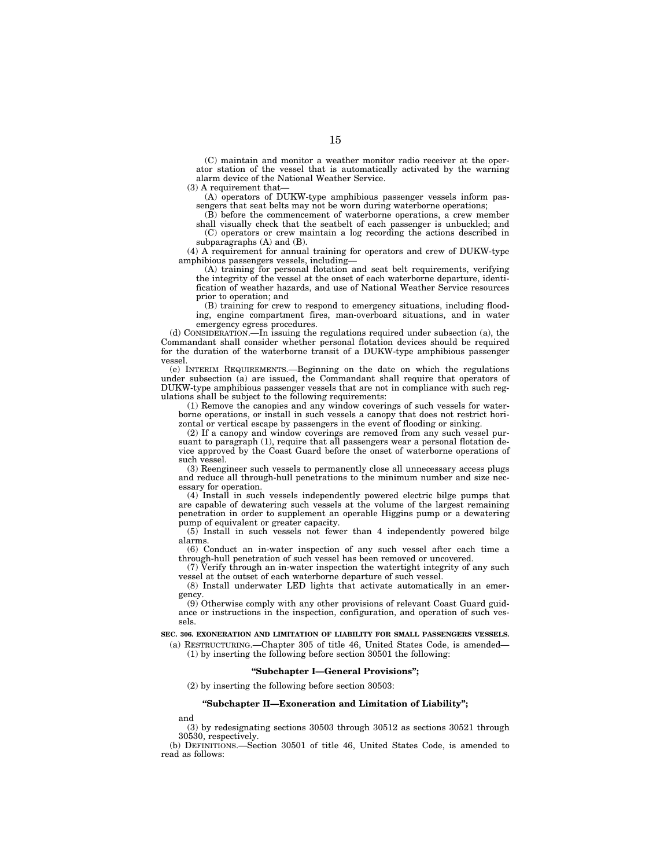(C) maintain and monitor a weather monitor radio receiver at the operator station of the vessel that is automatically activated by the warning alarm device of the National Weather Service.

(3) A requirement that—

(A) operators of DUKW-type amphibious passenger vessels inform passengers that seat belts may not be worn during waterborne operations;

(B) before the commencement of waterborne operations, a crew member shall visually check that the seatbelt of each passenger is unbuckled; and (C) operators or crew maintain a log recording the actions described in subparagraphs (A) and (B).

(4) A requirement for annual training for operators and crew of DUKW-type amphibious passengers vessels, including—

(A) training for personal flotation and seat belt requirements, verifying the integrity of the vessel at the onset of each waterborne departure, identification of weather hazards, and use of National Weather Service resources prior to operation; and

(B) training for crew to respond to emergency situations, including flooding, engine compartment fires, man-overboard situations, and in water emergency egress procedures.

(d) CONSIDERATION.—In issuing the regulations required under subsection (a), the Commandant shall consider whether personal flotation devices should be required for the duration of the waterborne transit of a DUKW-type amphibious passenger vessel.

(e) INTERIM REQUIREMENTS.—Beginning on the date on which the regulations under subsection (a) are issued, the Commandant shall require that operators of DUKW-type amphibious passenger vessels that are not in compliance with such regulations shall be subject to the following requirements:

(1) Remove the canopies and any window coverings of such vessels for waterborne operations, or install in such vessels a canopy that does not restrict horizontal or vertical escape by passengers in the event of flooding or sinking.

(2) If a canopy and window coverings are removed from any such vessel pursuant to paragraph (1), require that all passengers wear a personal flotation device approved by the Coast Guard before the onset of waterborne operations of

such vessel.

(3) Reengineer such vessels to permanently close all unnecessary access plugs and reduce all through-hull penetrations to the minimum number and size necessary for operation.

(4) Install in such vessels independently powered electric bilge pumps that are capable of dewatering such vessels at the volume of the largest remaining penetration in order to supplement an operable Higgins pump or a dewatering pump of equivalent or greater capacity.

(5) Install in such vessels not fewer than 4 independently powered bilge alarms.

(6) Conduct an in-water inspection of any such vessel after each time a through-hull penetration of such vessel has been removed or uncovered.

(7) Verify through an in-water inspection the watertight integrity of any such vessel at the outset of each waterborne departure of such vessel.

(8) Install underwater LED lights that activate automatically in an emergency.

(9) Otherwise comply with any other provisions of relevant Coast Guard guidance or instructions in the inspection, configuration, and operation of such vessels.

**SEC. 306. EXONERATION AND LIMITATION OF LIABILITY FOR SMALL PASSENGERS VESSELS.** 

(a) RESTRUCTURING.—Chapter 305 of title 46, United States Code, is amended— (1) by inserting the following before section 30501 the following:

# **''Subchapter I—General Provisions'';**

(2) by inserting the following before section 30503:

# **''Subchapter II—Exoneration and Limitation of Liability'';**

and

(3) by redesignating sections 30503 through 30512 as sections 30521 through 30530, respectively.

(b) DEFINITIONS.—Section 30501 of title 46, United States Code, is amended to read as follows: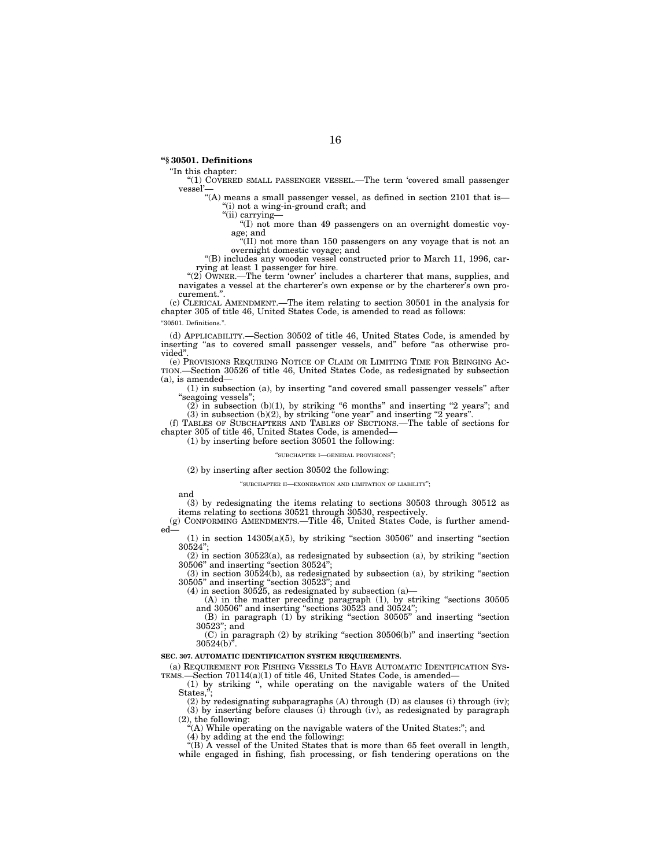**''§ 30501. Definitions** 

''In this chapter:

''(1) COVERED SMALL PASSENGER VESSEL.—The term 'covered small passenger vessel

''(A) means a small passenger vessel, as defined in section 2101 that is— ''(i) not a wing-in-ground craft; and

''(ii) carrying—

''(I) not more than 49 passengers on an overnight domestic voyage; and age; and <br>"(II) not more than 150 passengers on any voyage that is not an

overnight domestic voyage; and

''(B) includes any wooden vessel constructed prior to March 11, 1996, carrying at least 1 passenger for hire.

"(2) OWNER.—The term 'owner' includes a charterer that mans, supplies, and navigates a vessel at the charterer's own expense or by the charterer's own procurement.

(c) CLERICAL AMENDMENT.—The item relating to section 30501 in the analysis for chapter 305 of title 46, United States Code, is amended to read as follows:

''30501. Definitions.''.

(d) APPLICABILITY.—Section 30502 of title 46, United States Code, is amended by inserting "as to covered small passenger vessels, and" before "as otherwise provided<sup>'</sup>

(e) PROVISIONS REQUIRING NOTICE OF CLAIM OR LIMITING TIME FOR BRINGING AC-TION.—Section 30526 of title 46, United States Code, as redesignated by subsection (a), is amended—

(1) in subsection (a), by inserting ''and covered small passenger vessels'' after ''seagoing vessels'';

 $(2)$  in subsection  $(b)(1)$ , by striking "6 months" and inserting "2 years"; and  $(3)$  in subsection  $(b)(2)$ , by striking "one year" and inserting "2 years".

(f) TABLES OF SUBCHAPTERS AND TABLES OF SECTIONS.—The table of sections for chapter 305 of title 46, United States Code, is amended—

(1) by inserting before section 30501 the following:

### ''SUBCHAPTER I—GENERAL PROVISIONS'';

(2) by inserting after section 30502 the following:

''SUBCHAPTER II—EXONERATION AND LIMITATION OF LIABILITY'';

and

(3) by redesignating the items relating to sections 30503 through 30512 as items relating to sections 30521 through 30530, respectively.

(g) CONFORMING AMENDMENTS.—Title 46, United States Code, is further amended—

 $(1)$  in section  $14305(a)(5)$ , by striking "section 30506" and inserting "section 30524'';

 $(2)$  in section 30523(a), as redesignated by subsection (a), by striking "section 30506'' and inserting ''section 30524'';

(3) in section 30524(b), as redesignated by subsection (a), by striking ''section 30505'' and inserting ''section 30523''; and

 $(4)$  in section 30525, as redesignated by subsection  $(a)$ —

(A) in the matter preceding paragraph (1), by striking ''sections 30505 and 30506'' and inserting ''sections 30523 and 30524'';

(B) in paragraph (1) by striking ''section 30505'' and inserting ''section  $30523$  ; and

(C) in paragraph (2) by striking ''section 30506(b)'' and inserting ''section 30524(b)''.

### **SEC. 307. AUTOMATIC IDENTIFICATION SYSTEM REQUIREMENTS.**

(a) REQUIREMENT FOR FISHING VESSELS TO HAVE AUTOMATIC IDENTIFICATION SYS-TEMS.—Section 70114(a)(1) of title 46, United States Code, is amended—

(1) by striking '', while operating on the navigable waters of the United States,

(2) by redesignating subparagraphs (A) through (D) as clauses (i) through (iv); (3) by inserting before clauses (i) through (iv), as redesignated by paragraph

(2), the following: ''(A) While operating on the navigable waters of the United States:''; and

(4) by adding at the end the following:

''(B) A vessel of the United States that is more than 65 feet overall in length, while engaged in fishing, fish processing, or fish tendering operations on the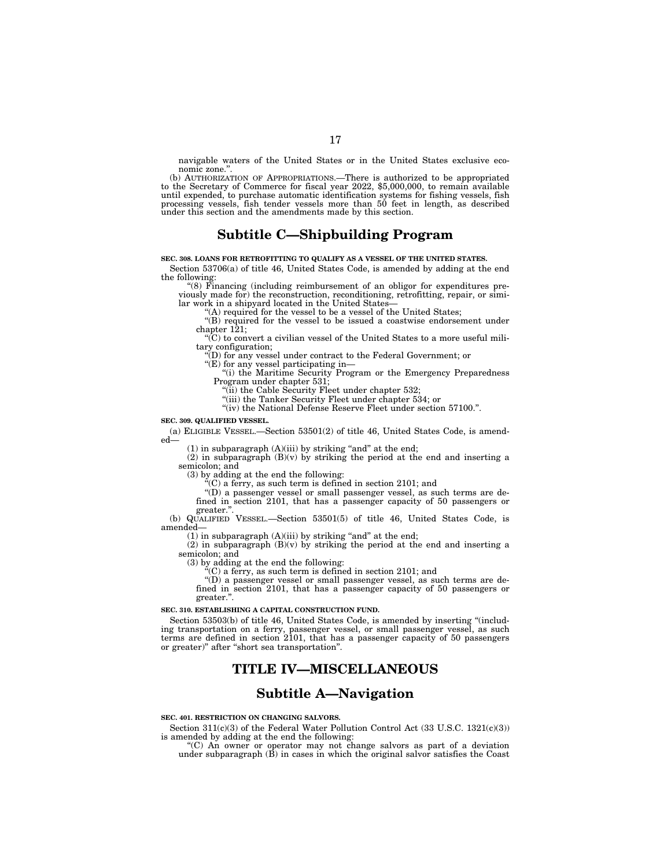navigable waters of the United States or in the United States exclusive economic zone.'

(b) AUTHORIZATION OF APPROPRIATIONS.—There is authorized to be appropriated to the Secretary of Commerce for fiscal year 2022, \$5,000,000, to remain available until expended, to purchase automatic identification systems for fishing vessels, fish processing vessels, fish tender vessels more than 50 feet in length, as described under this section and the amendments made by this section.

# **Subtitle C—Shipbuilding Program**

# **SEC. 308. LOANS FOR RETROFITTING TO QUALIFY AS A VESSEL OF THE UNITED STATES.**

Section 53706(a) of title 46, United States Code, is amended by adding at the end the following:

" $(8)$  Financing (including reimbursement of an obligor for expenditures previously made for) the reconstruction, reconditioning, retrofitting, repair, or similar work in a shipyard located in the United States

"(A) required for the vessel to be a vessel of the United States;

''(B) required for the vessel to be issued a coastwise endorsement under chapter 121;

''(C) to convert a civilian vessel of the United States to a more useful military configuration; ''(D) for any vessel under contract to the Federal Government; or

''(E) for any vessel participating in— "(i) the Maritime Security Program or the Emergency Preparedness Program under chapter 531;

"(ii) the Cable Security Fleet under chapter 532

"(iii) the Tanker Security Fleet under chapter 534; or

''(iv) the National Defense Reserve Fleet under section 57100.''.

# **SEC. 309. QUALIFIED VESSEL.**

(a) ELIGIBLE VESSEL.—Section 53501(2) of title 46, United States Code, is amended—

 $(1)$  in subparagraph  $(A)(iii)$  by striking "and" at the end;

 $(2)$  in subparagraph  $(B)(v)$  by striking the period at the end and inserting a semicolon; and

(3) by adding at the end the following:

 $E^2(C)$  a ferry, as such term is defined in section 2101; and

''(D) a passenger vessel or small passenger vessel, as such terms are defined in section 2101, that has a passenger capacity of 50 passengers or greater.''.

(b) QUALIFIED VESSEL.—Section 53501(5) of title 46, United States Code, is amended—

 $(1)$  in subparagraph  $(A)(iii)$  by striking "and" at the end;

 $(2)$  in subparagraph  $(B)(v)$  by striking the period at the end and inserting a semicolon; and

(3) by adding at the end the following:

 $\mathcal{E}(C)$  a ferry, as such term is defined in section 2101; and

''(D) a passenger vessel or small passenger vessel, as such terms are defined in section 2101, that has a passenger capacity of 50 passengers or greater.''.

**SEC. 310. ESTABLISHING A CAPITAL CONSTRUCTION FUND.** 

Section 53503(b) of title 46, United States Code, is amended by inserting ''(including transportation on a ferry, passenger vessel, or small passenger vessel, as such terms are defined in section 2101, that has a passenger capacity of 50 passengers or greater)'' after ''short sea transportation''.

# **TITLE IV—MISCELLANEOUS**

# **Subtitle A—Navigation**

**SEC. 401. RESTRICTION ON CHANGING SALVORS.** 

Section 311(c)(3) of the Federal Water Pollution Control Act (33 U.S.C. 1321(c)(3)) is amended by adding at the end the following:

''(C) An owner or operator may not change salvors as part of a deviation under subparagraph  $(B)$  in cases in which the original salvor satisfies the Coast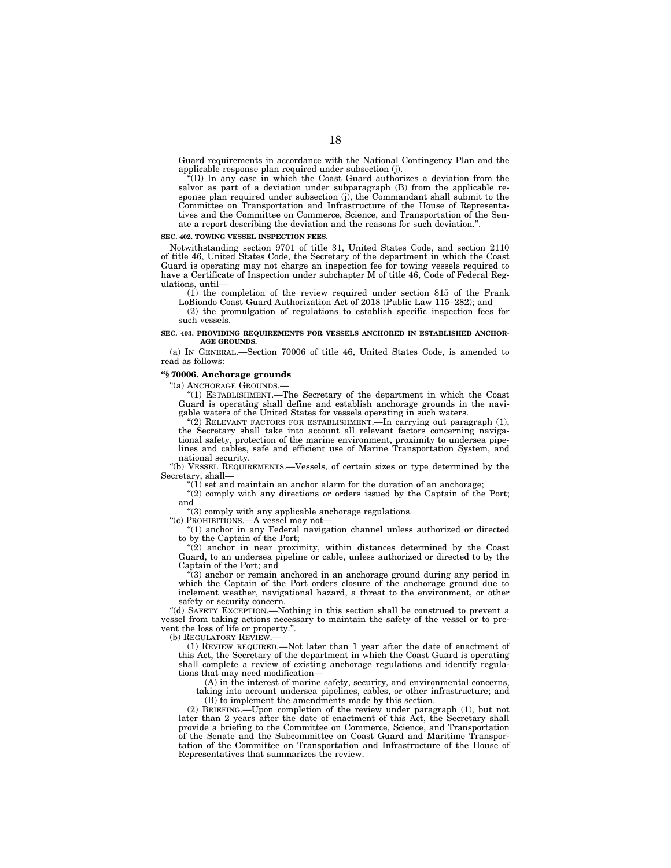Guard requirements in accordance with the National Contingency Plan and the applicable response plan required under subsection (j).

(D) In any case in which the Coast Guard authorizes a deviation from the salvor as part of a deviation under subparagraph (B) from the applicable response plan required under subsection  $(j)$ , the Commandant shall submit to the Committee on Transportation and Infrastructure of the House of Representatives and the Committee on Commerce, Science, and Transportation of the Senate a report describing the deviation and the reasons for such deviation.''.

#### **SEC. 402. TOWING VESSEL INSPECTION FEES.**

Notwithstanding section 9701 of title 31, United States Code, and section 2110 of title 46, United States Code, the Secretary of the department in which the Coast Guard is operating may not charge an inspection fee for towing vessels required to have a Certificate of Inspection under subchapter M of title 46, Code of Federal Regulations, until—

(1) the completion of the review required under section 815 of the Frank LoBiondo Coast Guard Authorization Act of 2018 (Public Law 115–282); and

(2) the promulgation of regulations to establish specific inspection fees for such vessels.

#### **SEC. 403. PROVIDING REQUIREMENTS FOR VESSELS ANCHORED IN ESTABLISHED ANCHOR-AGE GROUNDS.**

(a) IN GENERAL.—Section 70006 of title 46, United States Code, is amended to read as follows:

# **''§ 70006. Anchorage grounds**

''(a) ANCHORAGE GROUNDS.—

''(1) ESTABLISHMENT.—The Secretary of the department in which the Coast Guard is operating shall define and establish anchorage grounds in the navigable waters of the United States for vessels operating in such waters.

"(2) RELEVANT FACTORS FOR ESTABLISHMENT.—In carrying out paragraph (1), the Secretary shall take into account all relevant factors concerning navigational safety, protection of the marine environment, proximity to undersea pipelines and cables, safe and efficient use of Marine Transportation System, and national security.

''(b) VESSEL REQUIREMENTS.—Vessels, of certain sizes or type determined by the Secretary, shall—

''(1) set and maintain an anchor alarm for the duration of an anchorage;

"(2) comply with any directions or orders issued by the Captain of the Port; and

''(3) comply with any applicable anchorage regulations.

''(c) PROHIBITIONS.—A vessel may not—

''(1) anchor in any Federal navigation channel unless authorized or directed to by the Captain of the Port;

"(2) anchor in near proximity, within distances determined by the Coast Guard, to an undersea pipeline or cable, unless authorized or directed to by the Captain of the Port; and

''(3) anchor or remain anchored in an anchorage ground during any period in which the Captain of the Port orders closure of the anchorage ground due to inclement weather, navigational hazard, a threat to the environment, or other safety or security concern.

''(d) SAFETY EXCEPTION.—Nothing in this section shall be construed to prevent a vessel from taking actions necessary to maintain the safety of the vessel or to prevent the loss of life or property.''.

(b) REGULATORY REVIEW.—

(1) REVIEW REQUIRED.—Not later than 1 year after the date of enactment of this Act, the Secretary of the department in which the Coast Guard is operating shall complete a review of existing anchorage regulations and identify regulations that may need modification—

(A) in the interest of marine safety, security, and environmental concerns, taking into account undersea pipelines, cables, or other infrastructure; and (B) to implement the amendments made by this section.

(2) BRIEFING.—Upon completion of the review under paragraph (1), but not later than 2 years after the date of enactment of this Act, the Secretary shall provide a briefing to the Committee on Commerce, Science, and Transportation of the Senate and the Subcommittee on Coast Guard and Maritime Transportation of the Committee on Transportation and Infrastructure of the House of Representatives that summarizes the review.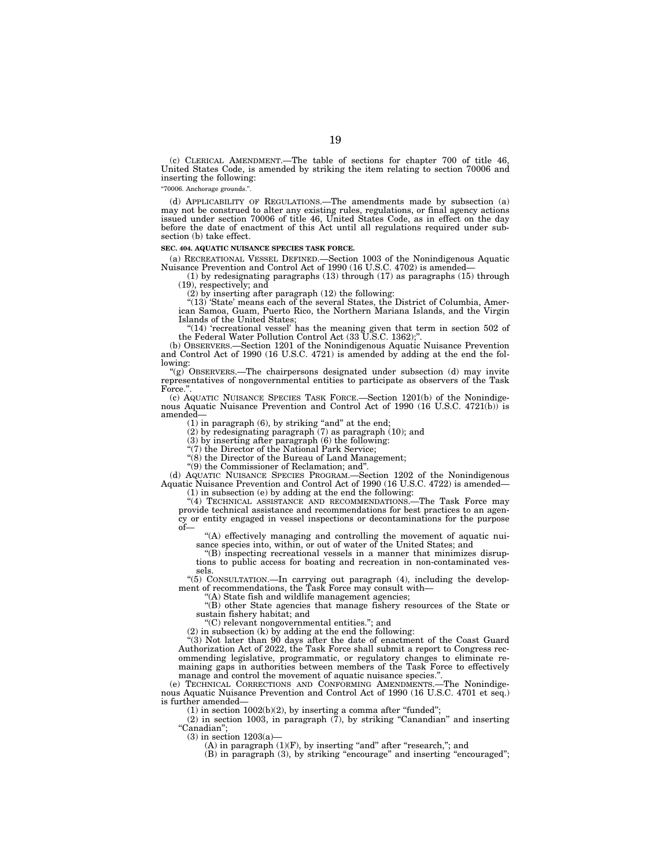(c) CLERICAL AMENDMENT.—The table of sections for chapter 700 of title 46, United States Code, is amended by striking the item relating to section 70006 and inserting the following:

#### ''70006. Anchorage grounds.''.

(d) APPLICABILITY OF REGULATIONS.—The amendments made by subsection (a) may not be construed to alter any existing rules, regulations, or final agency actions issued under section 70006 of title 46, United States Code, as in effect on the day before the date of enactment of this Act until all regulations required under subsection (b) take effect.

#### **SEC. 404. AQUATIC NUISANCE SPECIES TASK FORCE.**

(a) RECREATIONAL VESSEL DEFINED.—Section 1003 of the Nonindigenous Aquatic Nuisance Prevention and Control Act of 1990 (16 U.S.C. 4702) is amended—

(1) by redesignating paragraphs (13) through (17) as paragraphs (15) through (19), respectively; and

(2) by inserting after paragraph (12) the following:<br>"(13) 'State' means each of the several States, the District of Columbia, American Samoa, Guam, Puerto Rico, the Northern Mariana Islands, and the Virgin Islands of the United States;

"(14) 'recreational vessel' has the meaning given that term in section 502 of the Federal Water Pollution Control Act  $(33 \text{ U.S.C. } 1362)$ ,".

(b) OBSERVERS.—Section 1201 of the Nonindigenous Aquatic Nuisance Prevention and Control Act of 1990 (16 U.S.C. 4721) is amended by adding at the end the following:

"(g) OBSERVERS.—The chairpersons designated under subsection (d) may invite representatives of nongovernmental entities to participate as observers of the Task Force.

(c) AQUATIC NUISANCE SPECIES TASK FORCE.—Section 1201(b) of the Nonindigenous Aquatic Nuisance Prevention and Control Act of 1990 (16 U.S.C. 4721(b)) is amended—

(1) in paragraph (6), by striking "and" at the end;<br>(2) by redesignating paragraph (7) as paragraph (10); and

(3) by inserting after paragraph (6) the following: ''(7) the Director of the National Park Service;

''(8) the Director of the Bureau of Land Management; ''(9) the Commissioner of Reclamation; and''.

(d) AQUATIC NUISANCE SPECIES PROGRAM.—Section 1202 of the Nonindigenous Aquatic Nuisance Prevention and Control Act of 1990 (16 U.S.C. 4722) is amended—

(1) in subsection (e) by adding at the end the following: ''(4) TECHNICAL ASSISTANCE AND RECOMMENDATIONS.—The Task Force may provide technical assistance and recommendations for best practices to an agency or entity engaged in vessel inspections or decontaminations for the purpose of—

''(A) effectively managing and controlling the movement of aquatic nui-sance species into, within, or out of water of the United States; and

''(B) inspecting recreational vessels in a manner that minimizes disruptions to public access for boating and recreation in non-contaminated vessels.

''(5) CONSULTATION.—In carrying out paragraph (4), including the develop-ment of recommendations, the Task Force may consult with—

 $(A)$  State fish and wildlife management agencies;

''(B) other State agencies that manage fishery resources of the State or sustain fishery habitat; and

''(C) relevant nongovernmental entities.''; and

(2) in subsection (k) by adding at the end the following:

''(3) Not later than 90 days after the date of enactment of the Coast Guard Authorization Act of 2022, the Task Force shall submit a report to Congress recommending legislative, programmatic, or regulatory changes to eliminate remaining gaps in authorities between members of the Task Force to effectively manage and control the movement of aquatic nuisance species.'

(e) TECHNICAL CORRECTIONS AND CONFORMING AMENDMENTS.—The Nonindigenous Aquatic Nuisance Prevention and Control Act of 1990 (16 U.S.C. 4701 et seq.) is further amended—

 $(1)$  in section  $1002(b)(2)$ , by inserting a comma after "funded";

 $(2)$  in section 1003, in paragraph  $(7)$ , by striking "Canandian" and inserting ''Canadian'';

(3) in section 1203(a)—

 $(A)$  in paragraph  $(1)(F)$ , by inserting "and" after "research,"; and

(B) in paragraph (3), by striking ''encourage'' and inserting ''encouraged'';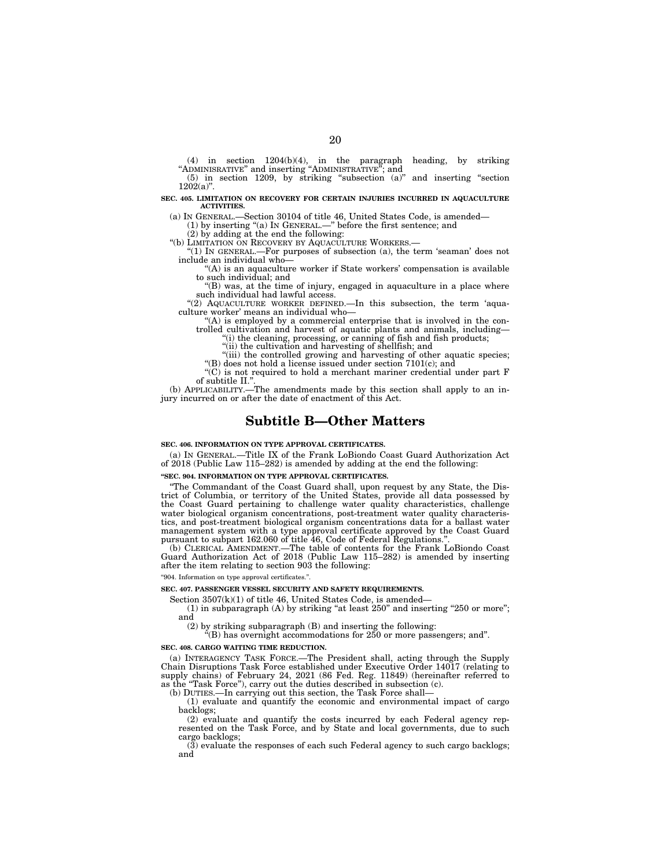(4) in section  $1204(b)(4)$ , in the paragraph heading, by striking "ADMINISRATIVE" and inserting "ADMINISTRATIVE"; and

(5) in section 1209, by striking ''subsection (a)'' and inserting ''section  $1202(a)$ ".

#### **SEC. 405. LIMITATION ON RECOVERY FOR CERTAIN INJURIES INCURRED IN AQUACULTURE ACTIVITIES.**

(a) IN GENERAL.—Section 30104 of title 46, United States Code, is amended— (1) by inserting ''(a) IN GENERAL.—'' before the first sentence; and

(2) by adding at the end the following:<br>"(b) LIMITATION ON RECOVERY BY AQUACULTURE WORKERS.

"(1) IN GENERAL.—For purposes of subsection (a), the term 'seaman' does not include an individual who—

''(A) is an aquaculture worker if State workers' compensation is available to such individual; and

''(B) was, at the time of injury, engaged in aquaculture in a place where such individual had lawful access.

" $(2)$  AQUACULTURE WORKER DEFINED.—In this subsection, the term 'aquaculture worker' means an individual who—

''(A) is employed by a commercial enterprise that is involved in the controlled cultivation and harvest of aquatic plants and animals, including—

"(i) the cleaning, processing, or canning of fish and fish products;

"(ii) the cultivation and harvesting of shellfish; and

"(iii) the controlled growing and harvesting of other aquatic species; "(B) does not hold a license issued under section  $7101(c)$ ; and

''(C) is not required to hold a merchant mariner credential under part F of subtitle II.'

(b) APPLICABILITY.—The amendments made by this section shall apply to an injury incurred on or after the date of enactment of this Act.

# **Subtitle B—Other Matters**

### **SEC. 406. INFORMATION ON TYPE APPROVAL CERTIFICATES.**

(a) IN GENERAL.—Title IX of the Frank LoBiondo Coast Guard Authorization Act of 2018 (Public Law 115–282) is amended by adding at the end the following:

#### **''SEC. 904. INFORMATION ON TYPE APPROVAL CERTIFICATES.**

''The Commandant of the Coast Guard shall, upon request by any State, the District of Columbia, or territory of the United States, provide all data possessed by the Coast Guard pertaining to challenge water quality characteristics, challenge water biological organism concentrations, post-treatment water quality characteristics, and post-treatment biological organism concentrations data for a ballast water management system with a type approval certificate approved by the Coast Guard pursuant to subpart 162.060 of title 46, Code of Federal Regulations.

(b) CLERICAL AMENDMENT.—The table of contents for the Frank LoBiondo Coast Guard Authorization Act of 2018 (Public Law 115–282) is amended by inserting after the item relating to section 903 the following:

''904. Information on type approval certificates.''.

# **SEC. 407. PASSENGER VESSEL SECURITY AND SAFETY REQUIREMENTS.**

Section 3507(k)(1) of title 46, United States Code, is amended—

 $(1)$  in subparagraph  $(A)$  by striking "at least  $250$ " and inserting "250 or more"; and

(2) by striking subparagraph (B) and inserting the following:

''(B) has overnight accommodations for 250 or more passengers; and''.

#### **SEC. 408. CARGO WAITING TIME REDUCTION.**

(a) INTERAGENCY TASK FORCE.—The President shall, acting through the Supply Chain Disruptions Task Force established under Executive Order 14017 (relating to supply chains) of February 24, 2021 (86 Fed. Reg. 11849) (hereinafter referred to as the ''Task Force''), carry out the duties described in subsection (c).

(b) DUTIES.—In carrying out this section, the Task Force shall—

(1) evaluate and quantify the economic and environmental impact of cargo backlogs;

(2) evaluate and quantify the costs incurred by each Federal agency represented on the Task Force, and by State and local governments, due to such cargo backlogs;

(3) evaluate the responses of each such Federal agency to such cargo backlogs; and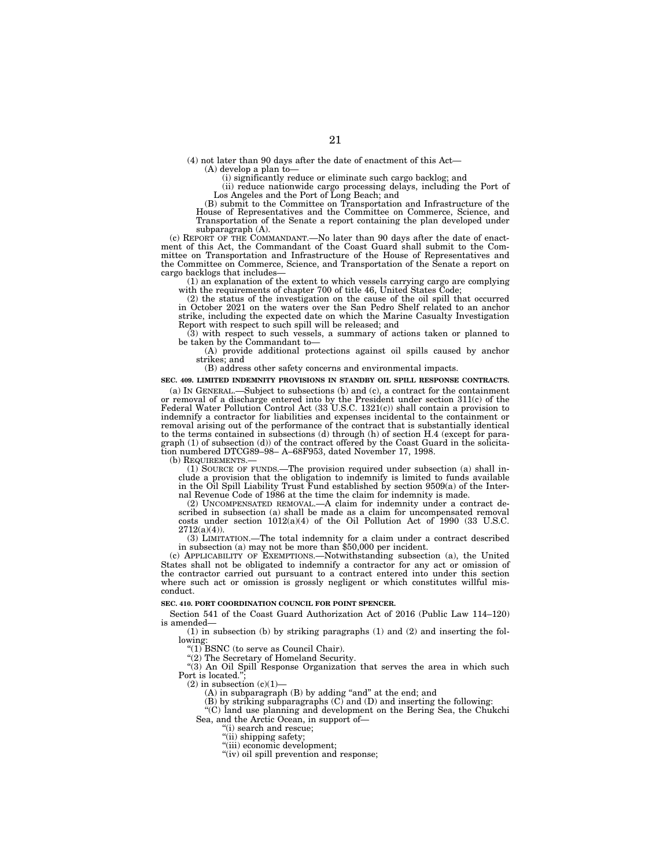(A) develop a plan to—

(i) significantly reduce or eliminate such cargo backlog; and (ii) reduce nationwide cargo processing delays, including the Port of Los Angeles and the Port of Long Beach; and

(B) submit to the Committee on Transportation and Infrastructure of the House of Representatives and the Committee on Commerce, Science, and Transportation of the Senate a report containing the plan developed under subparagraph (A).

(c) REPORT OF THE COMMANDANT.—No later than 90 days after the date of enact-ment of this Act, the Commandant of the Coast Guard shall submit to the Committee on Transportation and Infrastructure of the House of Representatives and the Committee on Commerce, Science, and Transportation of the Senate a report on cargo backlogs that includes—

(1) an explanation of the extent to which vessels carrying cargo are complying with the requirements of chapter 700 of title 46, United States Code;

(2) the status of the investigation on the cause of the oil spill that occurred in October 2021 on the waters over the San Pedro Shelf related to an anchor strike, including the expected date on which the Marine Casualty Investigation Report with respect to such spill will be released; and

(3) with respect to such vessels, a summary of actions taken or planned to be taken by the Commandant to—

(A) provide additional protections against oil spills caused by anchor strikes; and

(B) address other safety concerns and environmental impacts.

# **SEC. 409. LIMITED INDEMNITY PROVISIONS IN STANDBY OIL SPILL RESPONSE CONTRACTS.**

(a) IN GENERAL.—Subject to subsections (b) and (c), a contract for the containment or removal of a discharge entered into by the President under section 311(c) of the Federal Water Pollution Control Act (33 U.S.C. 1321(c)) shall contain a provision to indemnify a contractor for liabilities and expenses incidental to the containment or removal arising out of the performance of the contract that is substantially identical to the terms contained in subsections (d) through (h) of section H.4 (except for paragraph (1) of subsection (d)) of the contract offered by the Coast Guard in the solicitation numbered DTCG89–98– A–68F953, dated November 17, 1998.

 $(1)$  SOURCE OF FUNDS.—The provision required under subsection (a) shall include a provision that the obligation to indemnify is limited to funds available in the Oil Spill Liability Trust Fund established by section 9509(a) of the Internal Revenue Code of 1986 at the time the claim for indemnity is made.

(2) UNCOMPENSATED REMOVAL.—A claim for indemnity under a contract described in subsection (a) shall be made as a claim for uncompensated removal costs under section  $1012(a)(4)$  of the Oil Pollution Act of 1990 (33 U.S.C. 2712(a)(4)).

(3) LIMITATION.—The total indemnity for a claim under a contract described in subsection (a) may not be more than \$50,000 per incident.

(c) APPLICABILITY OF EXEMPTIONS.—Notwithstanding subsection (a), the United States shall not be obligated to indemnify a contractor for any act or omission of the contractor carried out pursuant to a contract entered into under this section where such act or omission is grossly negligent or which constitutes willful misconduct.

# **SEC. 410. PORT COORDINATION COUNCIL FOR POINT SPENCER.**

Section 541 of the Coast Guard Authorization Act of 2016 (Public Law 114–120) is amended—

(1) in subsection (b) by striking paragraphs (1) and (2) and inserting the following:

''(1) BSNC (to serve as Council Chair).

"(2) The Secretary of Homeland Security.

''(3) An Oil Spill Response Organization that serves the area in which such Port is located.

 $(2)$  in subsection  $(c)(1)$ —

(A) in subparagraph (B) by adding "and" at the end; and

(B) by striking subparagraphs (C) and (D) and inserting the following:

''(C) land use planning and development on the Bering Sea, the Chukchi Sea, and the Arctic Ocean, in support of—

''(i) search and rescue;

"(ii) shipping safety;

''(iii) economic development;

"(iv) oil spill prevention and response;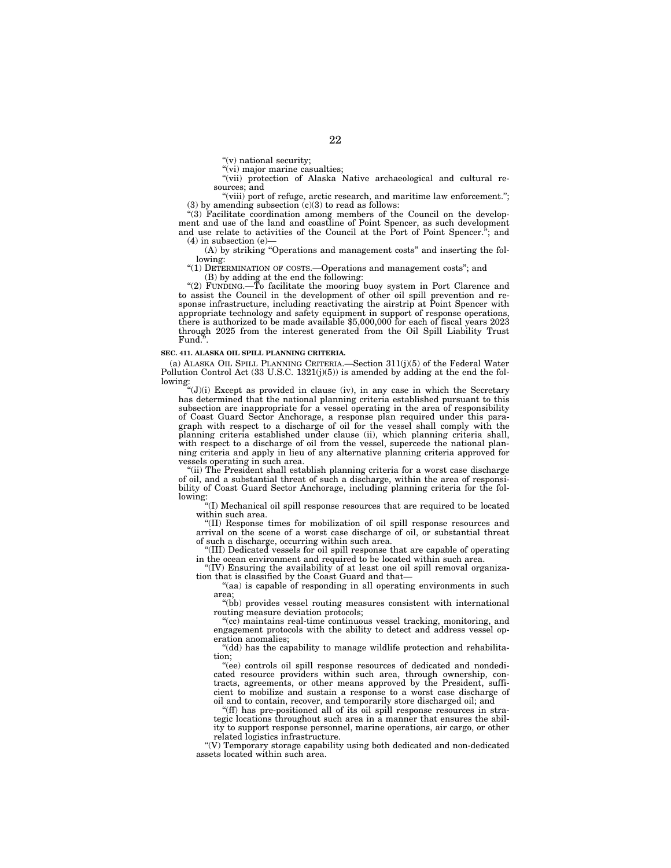''(v) national security;

"(vi) major marine casualties;

"(vii) protection of Alaska Native archaeological and cultural resources; and

"(viii) port of refuge, arctic research, and maritime law enforcement."; (3) by amending subsection  $(c)(3)$  to read as follows:

 $\cdot$ (3) Facilitate coordination among members of the Council on the development and use of the land and coastline of Point Spencer, as such development and use relate to activities of the Council at the Port of Point Spencer.''; and (4) in subsection (e)—

(A) by striking ''Operations and management costs'' and inserting the following:

''(1) DETERMINATION OF COSTS.—Operations and management costs''; and (B) by adding at the end the following:

''(2) FUNDING.—To facilitate the mooring buoy system in Port Clarence and to assist the Council in the development of other oil spill prevention and response infrastructure, including reactivating the airstrip at Point Spencer with appropriate technology and safety equipment in support of response operations, there is authorized to be made available \$5,000,000 for each of fiscal years 2023 through 2025 from the interest generated from the Oil Spill Liability Trust Fund.'

#### **SEC. 411. ALASKA OIL SPILL PLANNING CRITERIA.**

(a) ALASKA OIL SPILL PLANNING CRITERIA.—Section 311(j)(5) of the Federal Water Pollution Control Act (33 U.S.C. 1321(j)(5)) is amended by adding at the end the following:

''(J)(i) Except as provided in clause (iv), in any case in which the Secretary has determined that the national planning criteria established pursuant to this subsection are inappropriate for a vessel operating in the area of responsibility of Coast Guard Sector Anchorage, a response plan required under this paragraph with respect to a discharge of oil for the vessel shall comply with the planning criteria established under clause (ii), which planning criteria shall, with respect to a discharge of oil from the vessel, supercede the national planning criteria and apply in lieu of any alternative planning criteria approved for vessels operating in such area.

''(ii) The President shall establish planning criteria for a worst case discharge of oil, and a substantial threat of such a discharge, within the area of responsibility of Coast Guard Sector Anchorage, including planning criteria for the following:

''(I) Mechanical oil spill response resources that are required to be located within such area.

''(II) Response times for mobilization of oil spill response resources and arrival on the scene of a worst case discharge of oil, or substantial threat of such a discharge, occurring within such area.

''(III) Dedicated vessels for oil spill response that are capable of operating in the ocean environment and required to be located within such area.

"(IV) Ensuring the availability of at least one oil spill removal organization that is classified by the Coast Guard and that—

"(aa) is capable of responding in all operating environments in such area;

''(bb) provides vessel routing measures consistent with international routing measure deviation protocols;

"(cc) maintains real-time continuous vessel tracking, monitoring, and engagement protocols with the ability to detect and address vessel operation anomalies;

''(dd) has the capability to manage wildlife protection and rehabilitation;

''(ee) controls oil spill response resources of dedicated and nondedicated resource providers within such area, through ownership, contracts, agreements, or other means approved by the President, sufficient to mobilize and sustain a response to a worst case discharge of oil and to contain, recover, and temporarily store discharged oil; and

''(ff) has pre-positioned all of its oil spill response resources in strategic locations throughout such area in a manner that ensures the ability to support response personnel, marine operations, air cargo, or other related logistics infrastructure.

''(V) Temporary storage capability using both dedicated and non-dedicated assets located within such area.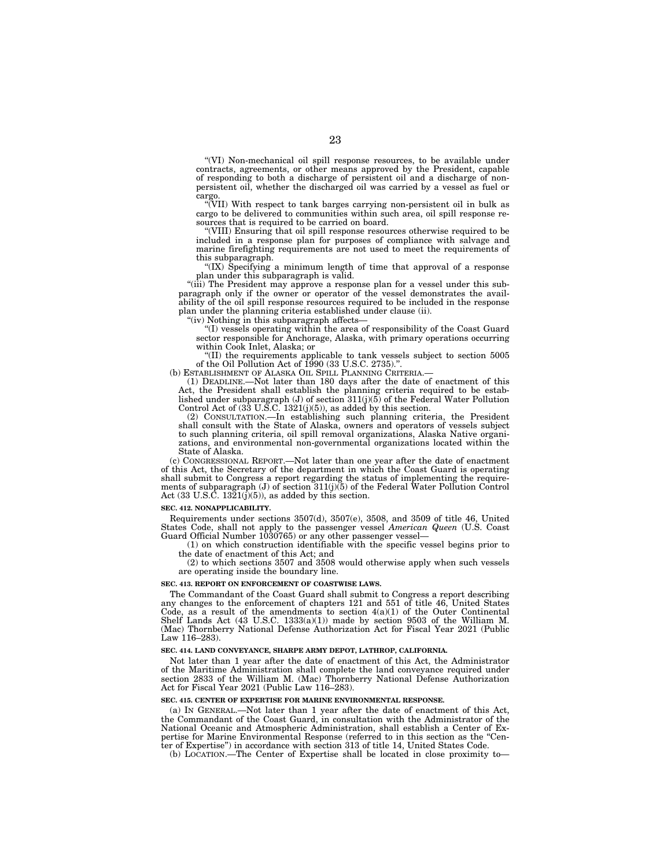''(VI) Non-mechanical oil spill response resources, to be available under contracts, agreements, or other means approved by the President, capable of responding to both a discharge of persistent oil and a discharge of nonpersistent oil, whether the discharged oil was carried by a vessel as fuel or cargo.

''(VII) With respect to tank barges carrying non-persistent oil in bulk as cargo to be delivered to communities within such area, oil spill response resources that is required to be carried on board.

''(VIII) Ensuring that oil spill response resources otherwise required to be included in a response plan for purposes of compliance with salvage and marine firefighting requirements are not used to meet the requirements of this subparagraph.

"(IX) Specifying a minimum length of time that approval of a response plan under this subparagraph is valid.

''(iii) The President may approve a response plan for a vessel under this subparagraph only if the owner or operator of the vessel demonstrates the availability of the oil spill response resources required to be included in the response plan under the planning criteria established under clause (ii).

"(iv) Nothing in this subparagraph affects-

''(I) vessels operating within the area of responsibility of the Coast Guard sector responsible for Anchorage, Alaska, with primary operations occurring within Cook Inlet, Alaska; or

''(II) the requirements applicable to tank vessels subject to section 5005 of the Oil Pollution Act of 1990 (33 U.S.C. 2735).''.

(b) ESTABLISHMENT OF ALASKA OIL SPILL PLANNING CRITERIA.

(1) DEADLINE.—Not later than 180 days after the date of enactment of this Act, the President shall establish the planning criteria required to be established under subparagraph (J) of section 311(j)(5) of the Federal Water Pollution Control Act of  $(3\overline{3} \text{ U.S.C.} \text{ 1321}(j)(5))$ , as added by this section.

(2) CONSULTATION.—In establishing such planning criteria, the President shall consult with the State of Alaska, owners and operators of vessels subject to such planning criteria, oil spill removal organizations, Alaska Native organizations, and environmental non-governmental organizations located within the State of Alaska.

(c) CONGRESSIONAL REPORT.—Not later than one year after the date of enactment of this Act, the Secretary of the department in which the Coast Guard is operating shall submit to Congress a report regarding the status of implementing the requirements of subparagraph (J) of section 311(j)(5) of the Federal Water Pollution Control Act (33 U.S.C.  $13\overline{2}1(j)(5)$ ), as added by this section.

#### **SEC. 412. NONAPPLICABILITY.**

Requirements under sections 3507(d), 3507(e), 3508, and 3509 of title 46, United States Code, shall not apply to the passenger vessel *American Queen* (U.S. Coast Guard Official Number 1030765) or any other passenger vessel—

(1) on which construction identifiable with the specific vessel begins prior to the date of enactment of this Act; and

(2) to which sections 3507 and 3508 would otherwise apply when such vessels are operating inside the boundary line.

#### **SEC. 413. REPORT ON ENFORCEMENT OF COASTWISE LAWS.**

The Commandant of the Coast Guard shall submit to Congress a report describing any changes to the enforcement of chapters 121 and 551 of title 46, United States Code, as a result of the amendments to section  $4(a)(1)$  of the Outer Continental Shelf Lands Act  $(43 \text{ U.S.C. } 1333(a)(1))$  made by section 9503 of the William M. (Mac) Thornberry National Defense Authorization Act for Fiscal Year 2021 (Public Law 116–283).

# **SEC. 414. LAND CONVEYANCE, SHARPE ARMY DEPOT, LATHROP, CALIFORNIA.**

Not later than 1 year after the date of enactment of this Act, the Administrator of the Maritime Administration shall complete the land conveyance required under section 2833 of the William M. (Mac) Thornberry National Defense Authorization Act for Fiscal Year 2021 (Public Law 116–283).

#### **SEC. 415. CENTER OF EXPERTISE FOR MARINE ENVIRONMENTAL RESPONSE.**

(a) IN GENERAL.—Not later than 1 year after the date of enactment of this Act, the Commandant of the Coast Guard, in consultation with the Administrator of the National Oceanic and Atmospheric Administration, shall establish a Center of Expertise for Marine Environmental Response (referred to in this section as the ''Center of Expertise'') in accordance with section 313 of title 14, United States Code.

(b) LOCATION.—The Center of Expertise shall be located in close proximity to—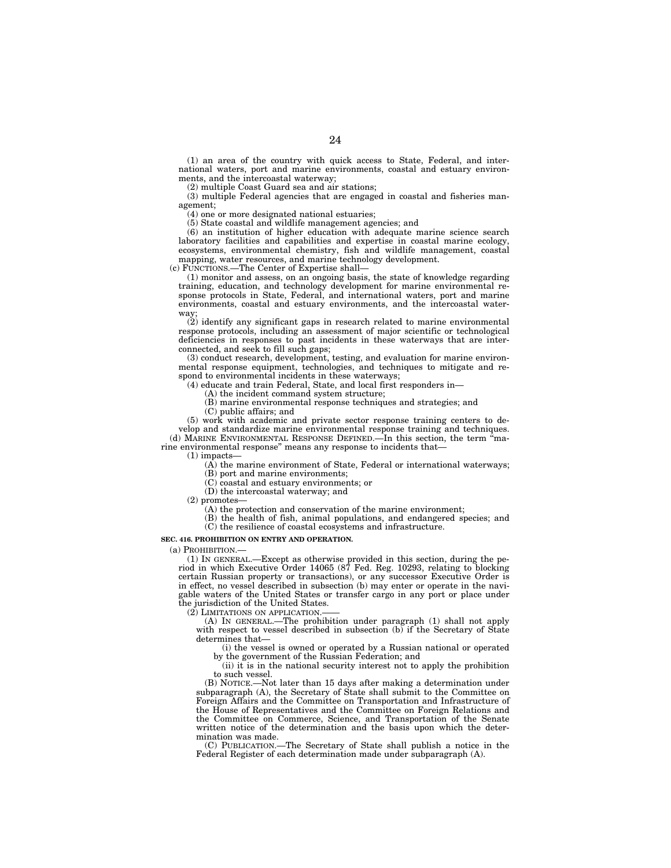(1) an area of the country with quick access to State, Federal, and international waters, port and marine environments, coastal and estuary environments, and the intercoastal waterway;

(2) multiple Coast Guard sea and air stations;

(3) multiple Federal agencies that are engaged in coastal and fisheries management;

(4) one or more designated national estuaries;

(5) State coastal and wildlife management agencies; and

(6) an institution of higher education with adequate marine science search laboratory facilities and capabilities and expertise in coastal marine ecology, ecosystems, environmental chemistry, fish and wildlife management, coastal mapping, water resources, and marine technology development.

(c) FUNCTIONS.—The Center of Expertise shall—

(1) monitor and assess, on an ongoing basis, the state of knowledge regarding training, education, and technology development for marine environmental response protocols in State, Federal, and international waters, port and marine environments, coastal and estuary environments, and the intercoastal waterway

 $(2)$  identify any significant gaps in research related to marine environmental response protocols, including an assessment of major scientific or technological deficiencies in responses to past incidents in these waterways that are interconnected, and seek to fill such gaps;

(3) conduct research, development, testing, and evaluation for marine environmental response equipment, technologies, and techniques to mitigate and respond to environmental incidents in these waterways;

(4) educate and train Federal, State, and local first responders in—

(A) the incident command system structure;

(B) marine environmental response techniques and strategies; and

(C) public affairs; and

(5) work with academic and private sector response training centers to develop and standardize marine environmental response training and techniques. (d) MARINE ENVIRONMENTAL RESPONSE DEFINED.—In this section, the term ''marine environmental response'' means any response to incidents that—

 $(1)$  impacts-

(A) the marine environment of State, Federal or international waterways;

(B) port and marine environments;

(C) coastal and estuary environments; or

(D) the intercoastal waterway; and

(2) promotes—

(A) the protection and conservation of the marine environment;

(B) the health of fish, animal populations, and endangered species; and (C) the resilience of coastal ecosystems and infrastructure.

#### **SEC. 416. PROHIBITION ON ENTRY AND OPERATION.**

(a) PROHIBITION.—

(1) IN GENERAL.—Except as otherwise provided in this section, during the period in which Executive Order 14065 (87 Fed. Reg. 10293, relating to blocking certain Russian property or transactions), or any successor Executive Order is in effect, no vessel described in subsection (b) may enter or operate in the navigable waters of the United States or transfer cargo in any port or place under the jurisdiction of the United States.

 $(2)$  LIMITATIONS ON APPLICATION.

(A) IN GENERAL.—The prohibition under paragraph (1) shall not apply with respect to vessel described in subsection (b) if the Secretary of State determines that—

(i) the vessel is owned or operated by a Russian national or operated by the government of the Russian Federation; and

(ii) it is in the national security interest not to apply the prohibition to such vessel.

(B) NOTICE.—Not later than 15 days after making a determination under subparagraph (A), the Secretary of State shall submit to the Committee on Foreign Affairs and the Committee on Transportation and Infrastructure of the House of Representatives and the Committee on Foreign Relations and the Committee on Commerce, Science, and Transportation of the Senate written notice of the determination and the basis upon which the determination was made.

(C) PUBLICATION.—The Secretary of State shall publish a notice in the Federal Register of each determination made under subparagraph (A).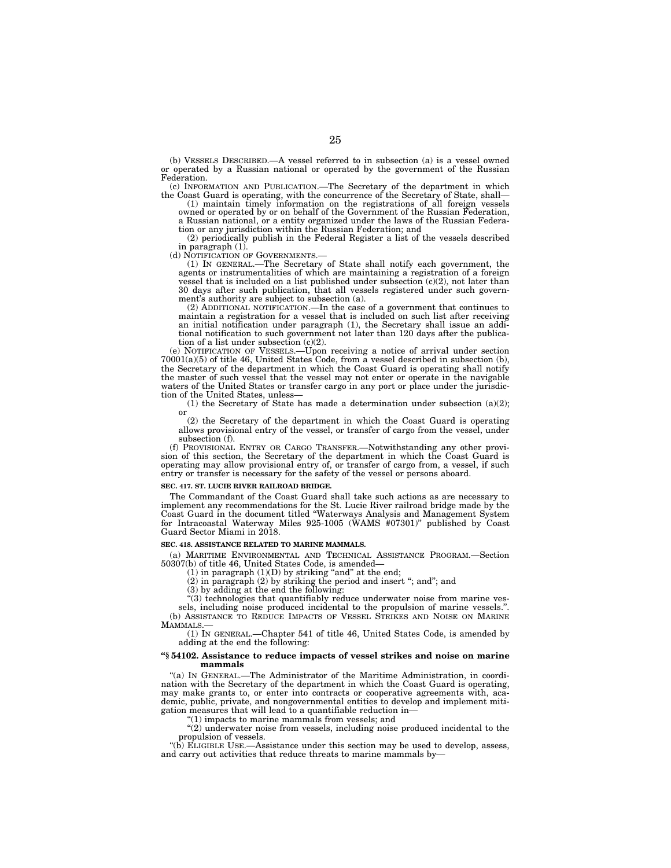(b) VESSELS DESCRIBED.—A vessel referred to in subsection (a) is a vessel owned or operated by a Russian national or operated by the government of the Russian Federation.

(c) INFORMATION AND PUBLICATION.—The Secretary of the department in which the Coast Guard is operating, with the concurrence of the Secretary of State, shall—

(1) maintain timely information on the registrations of all foreign vessels owned or operated by or on behalf of the Government of the Russian Federation, a Russian national, or a entity organized under the laws of the Russian Federation or any jurisdiction within the Russian Federation; and

(2) periodically publish in the Federal Register a list of the vessels described in paragraph (1).

(d) NOTIFICATION OF GOVERNMENTS.— (1) IN GENERAL.—The Secretary of State shall notify each government, the agents or instrumentalities of which are maintaining a registration of a foreign vessel that is included on a list published under subsection (c)(2), not later than 30 days after such publication, that all vessels registered under such govern-ment's authority are subject to subsection (a).

(2) ADDITIONAL NOTIFICATION.—In the case of a government that continues to maintain a registration for a vessel that is included on such list after receiving an initial notification under paragraph (1), the Secretary shall issue an addi-tional notification to such government not later than 120 days after the publication of a list under subsection (c)(2).

(e) NOTIFICATION OF VESSELS.—Upon receiving a notice of arrival under section 70001(a)(5) of title 46, United States Code, from a vessel described in subsection (b), the Secretary of the department in which the Coast Guard is operating shall notify the master of such vessel that the vessel may not enter or operate in the navigable waters of the United States or transfer cargo in any port or place under the jurisdiction of the United States, unless—

(1) the Secretary of State has made a determination under subsection  $(a)(2)$ ; or

(2) the Secretary of the department in which the Coast Guard is operating allows provisional entry of the vessel, or transfer of cargo from the vessel, under subsection (f).

(f) PROVISIONAL ENTRY OR CARGO TRANSFER.—Notwithstanding any other provision of this section, the Secretary of the department in which the Coast Guard is operating may allow provisional entry of, or transfer of cargo from, a vessel, if such entry or transfer is necessary for the safety of the vessel or persons aboard.

### **SEC. 417. ST. LUCIE RIVER RAILROAD BRIDGE.**

The Commandant of the Coast Guard shall take such actions as are necessary to implement any recommendations for the St. Lucie River railroad bridge made by the Coast Guard in the document titled ''Waterways Analysis and Management System for Intracoastal Waterway Miles 925-1005 (WAMS #07301)'' published by Coast Guard Sector Miami in 2018.

#### **SEC. 418. ASSISTANCE RELATED TO MARINE MAMMALS.**

(a) MARITIME ENVIRONMENTAL AND TECHNICAL ASSISTANCE PROGRAM.—Section 50307(b) of title 46, United States Code, is amended—

- $(1)$  in paragraph  $(1)(D)$  by striking "and" at the end;
- (2) in paragraph (2) by striking the period and insert ''; and''; and
- (3) by adding at the end the following:

 $\cdot$ (3) technologies that quantifiably reduce underwater noise from marine vessels, including noise produced incidental to the propulsion of marine vessels.''. (b) ASSISTANCE TO REDUCE IMPACTS OF VESSEL STRIKES AND NOISE ON MARINE MAMMALS.

(1) IN GENERAL.—Chapter 541 of title 46, United States Code, is amended by adding at the end the following:

#### **''§ 54102. Assistance to reduce impacts of vessel strikes and noise on marine mammals**

''(a) IN GENERAL.—The Administrator of the Maritime Administration, in coordination with the Secretary of the department in which the Coast Guard is operating, may make grants to, or enter into contracts or cooperative agreements with, academic, public, private, and nongovernmental entities to develop and implement mitigation measures that will lead to a quantifiable reduction in—

 $(1)$  impacts to marine mammals from vessels; and

"(2) underwater noise from vessels, including noise produced incidental to the propulsion of vessels.

''(b) ELIGIBLE USE.—Assistance under this section may be used to develop, assess, and carry out activities that reduce threats to marine mammals by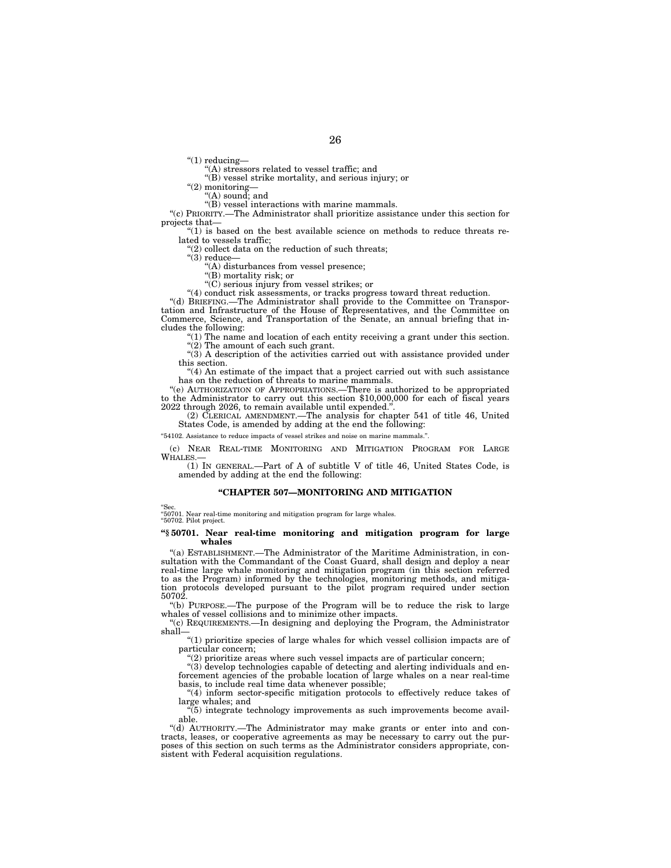''(1) reducing—

''(A) stressors related to vessel traffic; and

''(B) vessel strike mortality, and serious injury; or

''(2) monitoring—

''(A) sound; and

''(B) vessel interactions with marine mammals.

''(c) PRIORITY.—The Administrator shall prioritize assistance under this section for projects that—

''(1) is based on the best available science on methods to reduce threats related to vessels traffic;

 $f(2)$  collect data on the reduction of such threats;

 $\widetilde{''(3)}$  reduce-

''(A) disturbances from vessel presence;

''(B) mortality risk; or

''(C) serious injury from vessel strikes; or

''(4) conduct risk assessments, or tracks progress toward threat reduction.

''(d) BRIEFING.—The Administrator shall provide to the Committee on Transportation and Infrastructure of the House of Representatives, and the Committee on Commerce, Science, and Transportation of the Senate, an annual briefing that includes the following:

 $(1)$  The name and location of each entity receiving a grant under this section.  $\sqrt{\frac{2}{2}}$  The amount of each such grant.

 $(3)$  A description of the activities carried out with assistance provided under this section.

''(4) An estimate of the impact that a project carried out with such assistance has on the reduction of threats to marine mammals.

''(e) AUTHORIZATION OF APPROPRIATIONS.—There is authorized to be appropriated to the Administrator to carry out this section \$10,000,000 for each of fiscal years 2022 through 2026, to remain available until expended.''.

(2) CLERICAL AMENDMENT.—The analysis for chapter 541 of title 46, United States Code, is amended by adding at the end the following:

''54102. Assistance to reduce impacts of vessel strikes and noise on marine mammals.''.

(c) NEAR REAL-TIME MONITORING AND MITIGATION PROGRAM FOR LARGE WHALES.—

(1) IN GENERAL.—Part of A of subtitle V of title 46, United States Code, is amended by adding at the end the following:

# **''CHAPTER 507—MONITORING AND MITIGATION**

"Sec.<br>"50701. Near real-time monitoring and mitigation program for large whales. ''50702. Pilot project.

#### **''§ 50701. Near real-time monitoring and mitigation program for large whales**

''(a) ESTABLISHMENT.—The Administrator of the Maritime Administration, in consultation with the Commandant of the Coast Guard, shall design and deploy a near real-time large whale monitoring and mitigation program (in this section referred to as the Program) informed by the technologies, monitoring methods, and mitigation protocols developed pursuant to the pilot program required under section 50702.

''(b) PURPOSE.—The purpose of the Program will be to reduce the risk to large whales of vessel collisions and to minimize other impacts.

''(c) REQUIREMENTS.—In designing and deploying the Program, the Administrator shall—

" $(1)$  prioritize species of large whales for which vessel collision impacts are of particular concern;

"(2) prioritize areas where such vessel impacts are of particular concern;

''(3) develop technologies capable of detecting and alerting individuals and enforcement agencies of the probable location of large whales on a near real-time basis, to include real time data whenever possible;

''(4) inform sector-specific mitigation protocols to effectively reduce takes of large whales; and

''(5) integrate technology improvements as such improvements become available.

''(d) AUTHORITY.—The Administrator may make grants or enter into and contracts, leases, or cooperative agreements as may be necessary to carry out the purposes of this section on such terms as the Administrator considers appropriate, consistent with Federal acquisition regulations.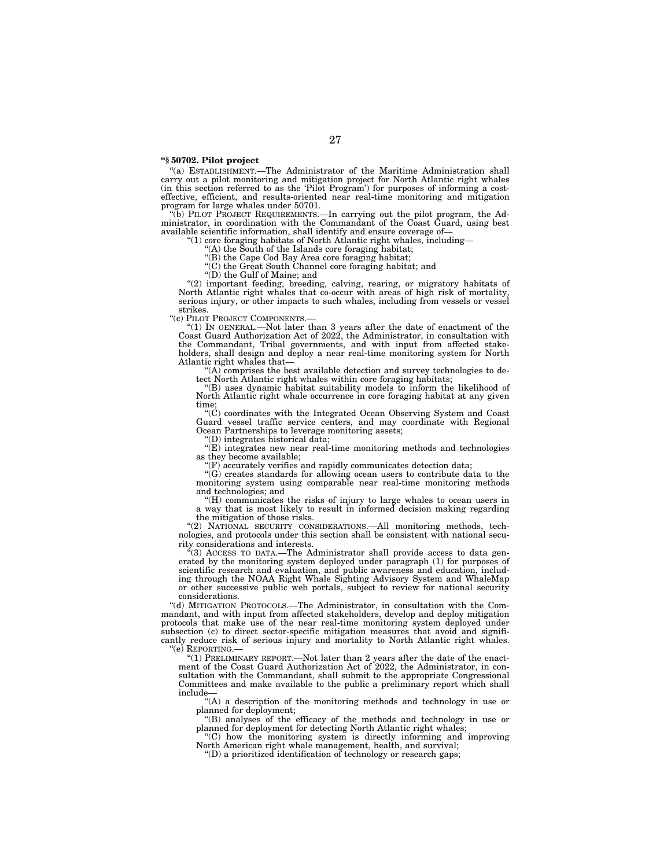# **''§ 50702. Pilot project**

''(a) ESTABLISHMENT.—The Administrator of the Maritime Administration shall carry out a pilot monitoring and mitigation project for North Atlantic right whales (in this section referred to as the 'Pilot Program') for purposes of informing a costeffective, efficient, and results-oriented near real-time monitoring and mitigation program for large whales under 50701.

''(b) PILOT PROJECT REQUIREMENTS.—In carrying out the pilot program, the Ad-ministrator, in coordination with the Commandant of the Coast Guard, using best available scientific information, shall identify and ensure coverage of—<br>"(1) core foraging habitats of North Atlantic right whales, including—

 $(A)$  the South of the Islands core foraging habitat;

''(B) the Cape Cod Bay Area core foraging habitat;

''(C) the Great South Channel core foraging habitat; and

''(D) the Gulf of Maine; and

''(2) important feeding, breeding, calving, rearing, or migratory habitats of North Atlantic right whales that co-occur with areas of high risk of mortality, serious injury, or other impacts to such whales, including from vessels or vessel strikes.<br>"(c) PILOT PROJECT COMPONENTS.-

''(c) PILOT PROJECT COMPONENTS.— ''(1) IN GENERAL.—Not later than 3 years after the date of enactment of the Coast Guard Authorization Act of 2022, the Administrator, in consultation with the Commandant, Tribal governments, and with input from affected stake-holders, shall design and deploy a near real-time monitoring system for North Atlantic right whales that—

 $(A)$  comprises the best available detection and survey technologies to de-

tect North Atlantic right whales within core foraging habitats; ''(B) uses dynamic habitat suitability models to inform the likelihood of North Atlantic right whale occurrence in core foraging habitat at any given time;

 $"(\acute{C})$  coordinates with the Integrated Ocean Observing System and Coast Guard vessel traffic service centers, and may coordinate with Regional Ocean Partnerships to leverage monitoring assets;

''(D) integrates historical data;

 $\mathcal{L}(E)$  integrates new near real-time monitoring methods and technologies as they become available;

 $\mathrm{``(F)}$  accurately verifies and rapidly communicates detection data;

''(G) creates standards for allowing ocean users to contribute data to the monitoring system using comparable near real-time monitoring methods and technologies; and

''(H) communicates the risks of injury to large whales to ocean users in a way that is most likely to result in informed decision making regarding the mitigation of those risks.

"(2) NATIONAL SECURITY CONSIDERATIONS.—All monitoring methods, technologies, and protocols under this section shall be consistent with national security considerations and interests.

 $^{4}(3)$  ACCESS TO DATA.—The Administrator shall provide access to data generated by the monitoring system deployed under paragraph (1) for purposes of scientific research and evaluation, and public awareness and education, including through the NOAA Right Whale Sighting Advisory System and WhaleMap or other successive public web portals, subject to review for national security considerations.

''(d) MITIGATION PROTOCOLS.—The Administrator, in consultation with the Commandant, and with input from affected stakeholders, develop and deploy mitigation protocols that make use of the near real-time monitoring system deployed under subsection (c) to direct sector-specific mitigation measures that avoid and significantly reduce risk of serious injury and mortality to North Atlantic right whales. ''(e) REPORTING.—

''(1) PRELIMINARY REPORT.—Not later than 2 years after the date of the enactment of the Coast Guard Authorization Act of 2022, the Administrator, in consultation with the Commandant, shall submit to the appropriate Congressional Committees and make available to the public a preliminary report which shall include—

''(A) a description of the monitoring methods and technology in use or planned for deployment;

''(B) analyses of the efficacy of the methods and technology in use or planned for deployment for detecting North Atlantic right whales;

''(C) how the monitoring system is directly informing and improving North American right whale management, health, and survival;

''(D) a prioritized identification of technology or research gaps;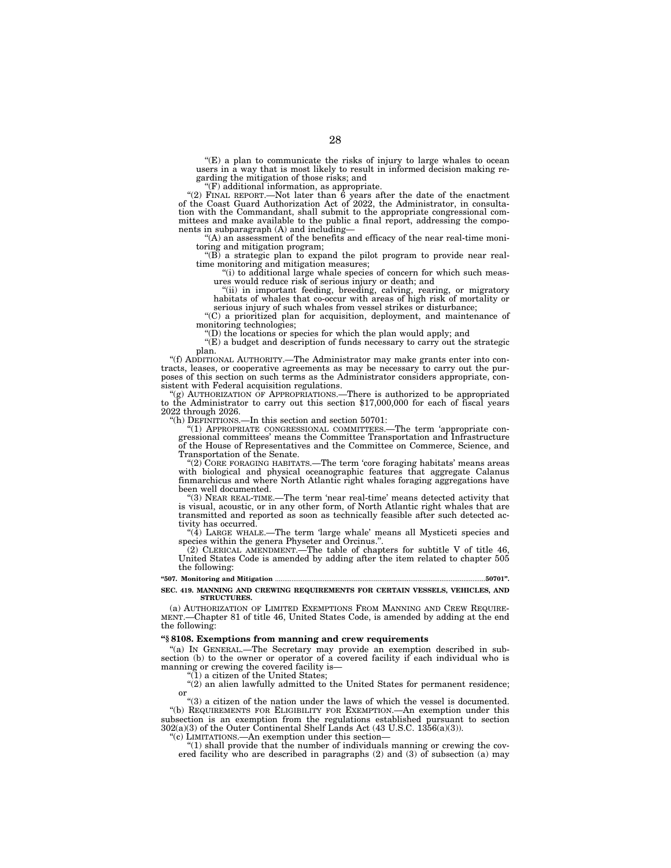"(E) a plan to communicate the risks of injury to large whales to ocean users in a way that is most likely to result in informed decision making regarding the mitigation of those risks; and

 $f(F)$  additional information, as appropriate.

''(2) FINAL REPORT.—Not later than 6 years after the date of the enactment of the Coast Guard Authorization Act of 2022, the Administrator, in consultation with the Commandant, shall submit to the appropriate congressional committees and make available to the public a final report, addressing the components in subparagraph (A) and including—

 $(1)$  an assessment of the benefits and efficacy of the near real-time monitoring and mitigation program;

''(B) a strategic plan to expand the pilot program to provide near realtime monitoring and mitigation measures;

''(i) to additional large whale species of concern for which such meas-ures would reduce risk of serious injury or death; and

''(ii) in important feeding, breeding, calving, rearing, or migratory habitats of whales that co-occur with areas of high risk of mortality or

serious injury of such whales from vessel strikes or disturbance;<br>"(C) a prioritized plan for acquisition, deployment, and maintenance of

monitoring technologies;<br>"(D) the locations or species for which the plan would apply; and

''(E) a budget and description of funds necessary to carry out the strategic plan.

''(f) ADDITIONAL AUTHORITY.—The Administrator may make grants enter into contracts, leases, or cooperative agreements as may be necessary to carry out the purposes of this section on such terms as the Administrator considers appropriate, con-

sistent with Federal acquisition regulations. ''(g) AUTHORIZATION OF APPROPRIATIONS.—There is authorized to be appropriated to the Administrator to carry out this section \$17,000,000 for each of fiscal years 2022 through 2026.

''(h) DEFINITIONS.—In this section and section 50701:

''(1) APPROPRIATE CONGRESSIONAL COMMITTEES.—The term 'appropriate congressional committees' means the Committee Transportation and Infrastructure of the House of Representatives and the Committee on Commerce, Science, and Transportation of the Senate.

" $(2)$  CORE FORAGING HABITATS.—The term 'core foraging habitats' means areas with biological and physical oceanographic features that aggregate Calanus finmarchicus and where North Atlantic right whales foraging aggregations have been well documented.

''(3) NEAR REAL-TIME.—The term 'near real-time' means detected activity that is visual, acoustic, or in any other form, of North Atlantic right whales that are transmitted and reported as soon as technically feasible after such detected activity has occurred.

''(4) LARGE WHALE.—The term 'large whale' means all Mysticeti species and species within the genera Physeter and Orcinus.''.

(2) CLERICAL AMENDMENT.—The table of chapters for subtitle V of title 46, United States Code is amended by adding after the item related to chapter 505 the following:

### **''507. Monitoring and Mitigation** ...................................................................................................................**50701''. SEC. 419. MANNING AND CREWING REQUIREMENTS FOR CERTAIN VESSELS, VEHICLES, AND STRUCTURES.**

(a) AUTHORIZATION OF LIMITED EXEMPTIONS FROM MANNING AND CREW REQUIREMENT.—Chapter 81 of title 46, United States Code, is amended by adding at the end the following:

# **''§ 8108. Exemptions from manning and crew requirements**

''(a) IN GENERAL.—The Secretary may provide an exemption described in subsection (b) to the owner or operator of a covered facility if each individual who is manning or crewing the covered facility is—

"(1) a citizen of the United States;<br>"(2) an alien lawfully admitted to the United States for permanent residence;  $\lq$  (2) an alien lawfully admitted to the United States for permanent residence; or

''(3) a citizen of the nation under the laws of which the vessel is documented. ''(b) REQUIREMENTS FOR ELIGIBILITY FOR EXEMPTION.—An exemption under this subsection is an exemption from the regulations established pursuant to section  $302(a)(3)$  of the Outer Continental Shelf Lands Act  $(43 \text{ U.S.C. } 1356(a)(3))$ .

''(c) LIMITATIONS.—An exemption under this section—

''(1) shall provide that the number of individuals manning or crewing the covered facility who are described in paragraphs (2) and (3) of subsection (a) may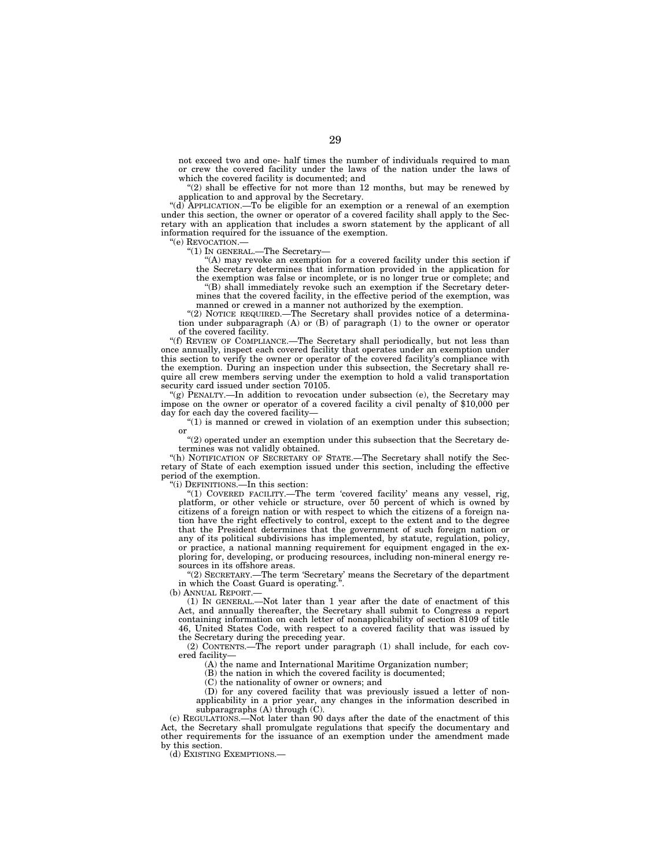not exceed two and one- half times the number of individuals required to man or crew the covered facility under the laws of the nation under the laws of which the covered facility is documented; and

"(2) shall be effective for not more than 12 months, but may be renewed by application to and approval by the Secretary.

''(d) APPLICATION.—To be eligible for an exemption or a renewal of an exemption under this section, the owner or operator of a covered facility shall apply to the Secretary with an application that includes a sworn statement by the applicant of all information required for the issuance of the exemption.

''(e) REVOCATION.—

''(1) IN GENERAL.—The Secretary—

"(A) may revoke an exemption for a covered facility under this section if the Secretary determines that information provided in the application for the exemption was false or incomplete, or is no longer true or complete; and ''(B) shall immediately revoke such an exemption if the Secretary deter-

mines that the covered facility, in the effective period of the exemption, was manned or crewed in a manner not authorized by the exemption.

''(2) NOTICE REQUIRED.—The Secretary shall provides notice of a determination under subparagraph (A) or (B) of paragraph (1) to the owner or operator of the covered facility.

''(f) REVIEW OF COMPLIANCE.—The Secretary shall periodically, but not less than once annually, inspect each covered facility that operates under an exemption under this section to verify the owner or operator of the covered facility's compliance with the exemption. During an inspection under this subsection, the Secretary shall require all crew members serving under the exemption to hold a valid transportation security card issued under section 70105.

''(g) PENALTY.—In addition to revocation under subsection (e), the Secretary may impose on the owner or operator of a covered facility a civil penalty of \$10,000 per day for each day the covered facility-

 $''(1)$  is manned or crewed in violation of an exemption under this subsection; or

"(2) operated under an exemption under this subsection that the Secretary determines was not validly obtained.

''(h) NOTIFICATION OF SECRETARY OF STATE.—The Secretary shall notify the Secretary of State of each exemption issued under this section, including the effective period of the exemption.

''(i) DEFINITIONS.—In this section:

"(1) COVERED FACILITY.—The term 'covered facility' means any vessel, rig, platform, or other vehicle or structure, over 50 percent of which is owned by citizens of a foreign nation or with respect to which the citizens of a foreign nation have the right effectively to control, except to the extent and to the degree that the President determines that the government of such foreign nation or any of its political subdivisions has implemented, by statute, regulation, policy, or practice, a national manning requirement for equipment engaged in the exploring for, developing, or producing resources, including non-mineral energy resources in its offshore areas.

''(2) SECRETARY.—The term 'Secretary' means the Secretary of the department in which the Coast Guard is operating.''.

(b) ANNUAL REPORT.—

(1) IN GENERAL.—Not later than 1 year after the date of enactment of this Act, and annually thereafter, the Secretary shall submit to Congress a report containing information on each letter of nonapplicability of section 8109 of title 46, United States Code, with respect to a covered facility that was issued by the Secretary during the preceding year.

(2) CONTENTS.—The report under paragraph (1) shall include, for each covered facility—

(A) the name and International Maritime Organization number;

(B) the nation in which the covered facility is documented;

(C) the nationality of owner or owners; and

(D) for any covered facility that was previously issued a letter of nonapplicability in a prior year, any changes in the information described in subparagraphs (A) through (C).

(c) REGULATIONS.—Not later than 90 days after the date of the enactment of this Act, the Secretary shall promulgate regulations that specify the documentary and other requirements for the issuance of an exemption under the amendment made by this section.

(d) EXISTING EXEMPTIONS.—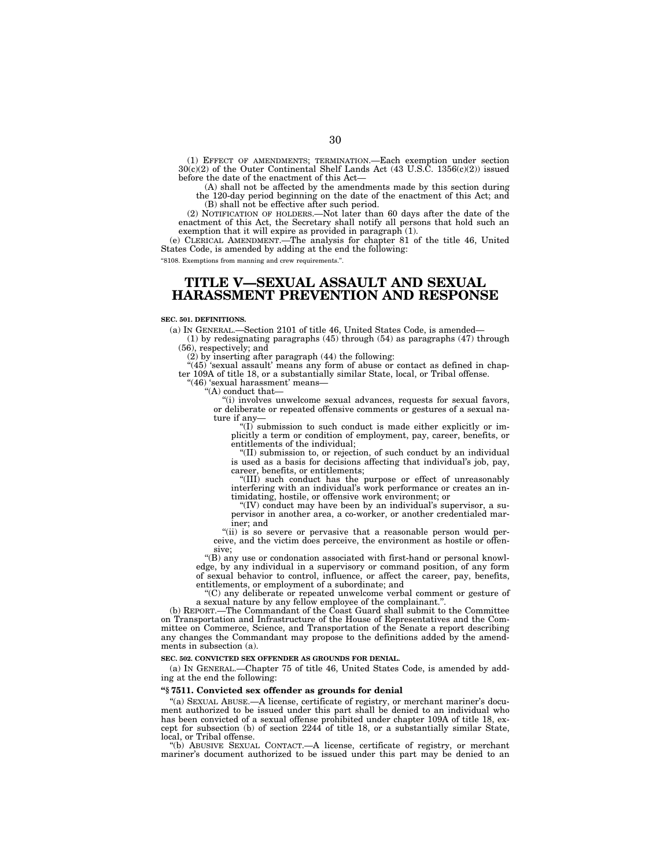(1) EFFECT OF AMENDMENTS; TERMINATION.—Each exemption under section  $30(c)(2)$  of the Outer Continental Shelf Lands Act (43 U.S.C. 1356 $(c)(2)$ ) issued before the date of the enactment of this Act—

(A) shall not be affected by the amendments made by this section during the 120-day period beginning on the date of the enactment of this Act; and (B) shall not be effective after such period.

(2) NOTIFICATION OF HOLDERS.—Not later than 60 days after the date of the enactment of this Act, the Secretary shall notify all persons that hold such an exemption that it will expire as provided in paragraph (1).

(e) CLERICAL AMENDMENT.—The analysis for chapter 81 of the title 46, United States Code, is amended by adding at the end the following:

''8108. Exemptions from manning and crew requirements.''.

# **TITLE V—SEXUAL ASSAULT AND SEXUAL HARASSMENT PREVENTION AND RESPONSE**

#### **SEC. 501. DEFINITIONS.**

(a) IN GENERAL.—Section 2101 of title 46, United States Code, is amended—

(1) by redesignating paragraphs (45) through (54) as paragraphs (47) through (56), respectively; and

 $(2)$  by inserting after paragraph  $(44)$  the following:

"(45) 'sexual assault' means any form of abuse or contact as defined in chapter 109A of title 18, or a substantially similar State, local, or Tribal offense.

''(46) 'sexual harassment' means— ''(A) conduct that—

''(i) involves unwelcome sexual advances, requests for sexual favors, or deliberate or repeated offensive comments or gestures of a sexual nature if any-

''(I) submission to such conduct is made either explicitly or implicitly a term or condition of employment, pay, career, benefits, or entitlements of the individual;

''(II) submission to, or rejection, of such conduct by an individual is used as a basis for decisions affecting that individual's job, pay, career, benefits, or entitlements;

''(III) such conduct has the purpose or effect of unreasonably interfering with an individual's work performance or creates an intimidating, hostile, or offensive work environment; or

"(IV) conduct may have been by an individual's supervisor, a supervisor in another area, a co-worker, or another credentialed mariner; and

"(ii) is so severe or pervasive that a reasonable person would perceive, and the victim does perceive, the environment as hostile or offensive;

''(B) any use or condonation associated with first-hand or personal knowledge, by any individual in a supervisory or command position, of any form of sexual behavior to control, influence, or affect the career, pay, benefits, entitlements, or employment of a subordinate; and

''(C) any deliberate or repeated unwelcome verbal comment or gesture of a sexual nature by any fellow employee of the complainant.''.

(b) REPORT.—The Commandant of the Coast Guard shall submit to the Committee on Transportation and Infrastructure of the House of Representatives and the Committee on Commerce, Science, and Transportation of the Senate a report describing any changes the Commandant may propose to the definitions added by the amendments in subsection (a).

#### **SEC. 502. CONVICTED SEX OFFENDER AS GROUNDS FOR DENIAL.**

(a) IN GENERAL.—Chapter 75 of title 46, United States Code, is amended by adding at the end the following:

### **''§ 7511. Convicted sex offender as grounds for denial**

''(a) SEXUAL ABUSE.—A license, certificate of registry, or merchant mariner's document authorized to be issued under this part shall be denied to an individual who has been convicted of a sexual offense prohibited under chapter 109A of title 18, except for subsection (b) of section  $2244$  of title 18, or a substantially similar State, local, or Tribal offense.

''(b) ABUSIVE SEXUAL CONTACT.—A license, certificate of registry, or merchant mariner's document authorized to be issued under this part may be denied to an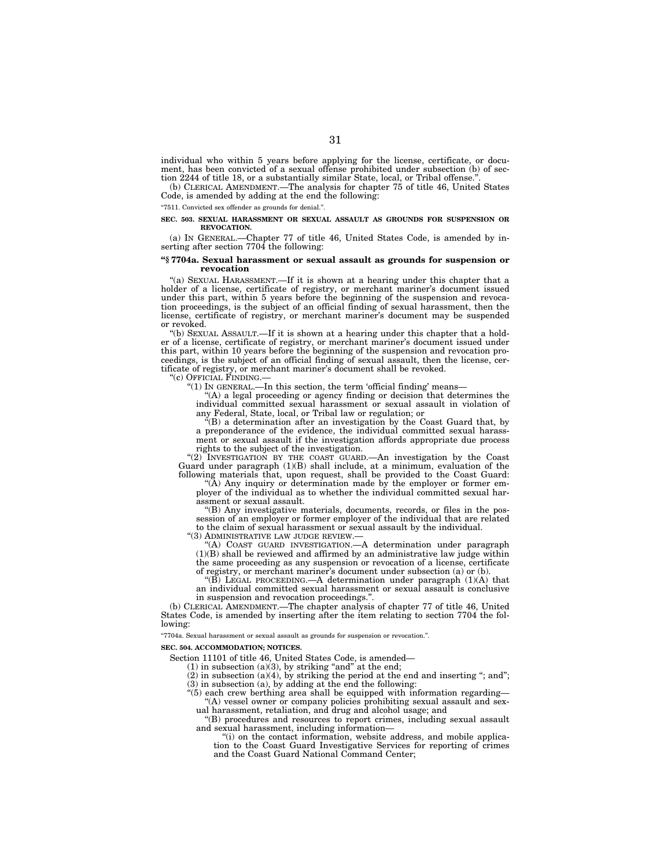individual who within 5 years before applying for the license, certificate, or document, has been convicted of a sexual offense prohibited under subsection (b) of section 2244 of title 18, or a substantially similar State, local, or Tribal offense."

(b) CLERICAL AMENDMENT.—The analysis for chapter 75 of title 46, United States Code, is amended by adding at the end the following:

''7511. Convicted sex offender as grounds for denial.''.

#### **SEC. 503. SEXUAL HARASSMENT OR SEXUAL ASSAULT AS GROUNDS FOR SUSPENSION OR REVOCATION.**

(a) IN GENERAL.—Chapter 77 of title 46, United States Code, is amended by inserting after section  $770\overline{4}$  the following:

### **''§ 7704a. Sexual harassment or sexual assault as grounds for suspension or revocation**

''(a) SEXUAL HARASSMENT.—If it is shown at a hearing under this chapter that a holder of a license, certificate of registry, or merchant mariner's document issued under this part, within 5 years before the beginning of the suspension and revocation proceedings, is the subject of an official finding of sexual harassment, then the license, certificate of registry, or merchant mariner's document may be suspended or revoked.

''(b) SEXUAL ASSAULT.—If it is shown at a hearing under this chapter that a holder of a license, certificate of registry, or merchant mariner's document issued under this part, within 10 years before the beginning of the suspension and revocation proceedings, is the subject of an official finding of sexual assault, then the license, certificate of registry, or merchant mariner's document shall be revoked.

"(c) OFFICIAL FINDING.

" $(1)$  In GENERAL.—In this section, the term 'official finding' means—

''(A) a legal proceeding or agency finding or decision that determines the individual committed sexual harassment or sexual assault in violation of any Federal, State, local, or Tribal law or regulation; or

''(B) a determination after an investigation by the Coast Guard that, by a preponderance of the evidence, the individual committed sexual harassment or sexual assault if the investigation affords appropriate due process rights to the subject of the investigation.

"(2) INVESTIGATION BY THE COAST GUARD.—An investigation by the Coast Guard under paragraph (1)(B) shall include, at a minimum, evaluation of the following materials that, upon request, shall be provided to the Coast Guard:

''(A) Any inquiry or determination made by the employer or former employer of the individual as to whether the individual committed sexual harassment or sexual assault.

''(B) Any investigative materials, documents, records, or files in the possession of an employer or former employer of the individual that are related to the claim of sexual harassment or sexual assault by the individual.

''(3) ADMINISTRATIVE LAW JUDGE REVIEW.—

''(A) COAST GUARD INVESTIGATION.—A determination under paragraph (1)(B) shall be reviewed and affirmed by an administrative law judge within the same proceeding as any suspension or revocation of a license, certificate of registry, or merchant mariner's document under subsection (a) or (b).

''(B) LEGAL PROCEEDING.—A determination under paragraph (1)(A) that an individual committed sexual harassment or sexual assault is conclusive in suspension and revocation proceedings.<sup>3</sup>

(b) CLERICAL AMENDMENT.—The chapter analysis of chapter 77 of title 46, United States Code, is amended by inserting after the item relating to section 7704 the following:

''7704a. Sexual harassment or sexual assault as grounds for suspension or revocation.''.

**SEC. 504. ACCOMMODATION; NOTICES.** 

Section 11101 of title 46, United States Code, is amended—

 $(1)$  in subsection  $(a)(3)$ , by striking "and" at the end;

 $(2)$  in subsection  $(a)(4)$ , by striking the period at the end and inserting "; and"; (3) in subsection (a), by adding at the end the following:

''(5) each crew berthing area shall be equipped with information regarding— "(A) vessel owner or company policies prohibiting sexual assault and sexual harassment, retaliation, and drug and alcohol usage; and

''(B) procedures and resources to report crimes, including sexual assault and sexual harassment, including information—

"(i) on the contact information, website address, and mobile application to the Coast Guard Investigative Services for reporting of crimes and the Coast Guard National Command Center;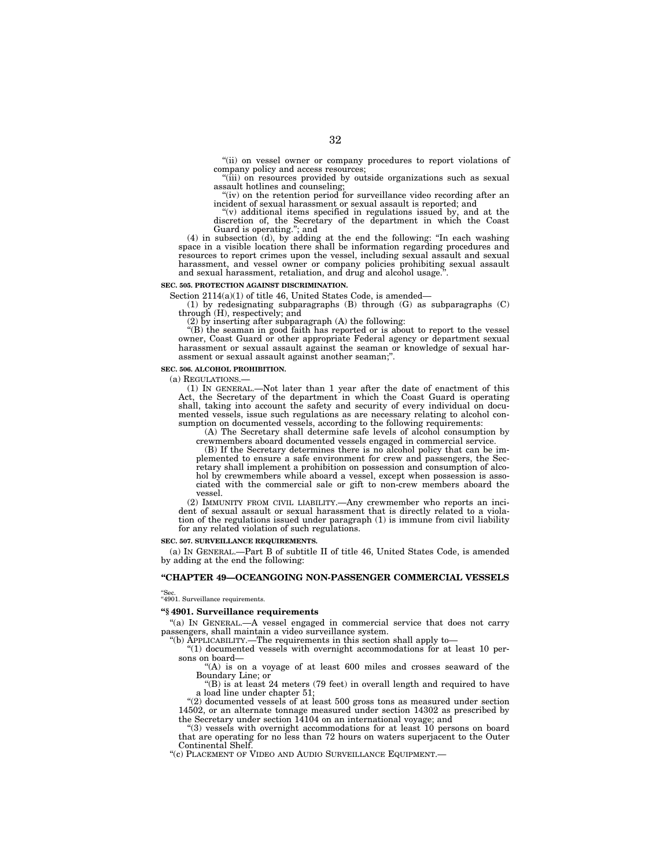"(ii) on vessel owner or company procedures to report violations of company policy and access resources;

''(iii) on resources provided by outside organizations such as sexual assault hotlines and counseling;<br>"(iv) on the retention period for surveillance video recording after an

incident of sexual harassment or sexual assault is reported; and

 $(v)$  additional items specified in regulations issued by, and at the discretion of, the Secretary of the department in which the Coast Guard is operating.''; and

(4) in subsection (d), by adding at the end the following: ''In each washing space in a visible location there shall be information regarding procedures and resources to report crimes upon the vessel, including sexual assault and sexual harassment, and vessel owner or company policies prohibiting sexual assault and sexual harassment, retaliation, and drug and alcohol usage.

#### **SEC. 505. PROTECTION AGAINST DISCRIMINATION.**

Section  $2114(a)(1)$  of title 46, United States Code, is amended—

(1) by redesignating subparagraphs (B) through (G) as subparagraphs (C) through (H), respectively; and

(2) by inserting after subparagraph (A) the following:

''(B) the seaman in good faith has reported or is about to report to the vessel owner, Coast Guard or other appropriate Federal agency or department sexual harassment or sexual assault against the seaman or knowledge of sexual harassment or sexual assault against another seaman;''.

## **SEC. 506. ALCOHOL PROHIBITION.**

(a) REGULATIONS.

(1) IN GENERAL.—Not later than 1 year after the date of enactment of this Act, the Secretary of the department in which the Coast Guard is operating shall, taking into account the safety and security of every individual on documented vessels, issue such regulations as are necessary relating to alcohol consumption on documented vessels, according to the following requirements:

(A) The Secretary shall determine safe levels of alcohol consumption by crewmembers aboard documented vessels engaged in commercial service.

(B) If the Secretary determines there is no alcohol policy that can be implemented to ensure a safe environment for crew and passengers, the Secretary shall implement a prohibition on possession and consumption of alcohol by crewmembers while aboard a vessel, except when possession is associated with the commercial sale or gift to non-crew members aboard the vessel.

(2) IMMUNITY FROM CIVIL LIABILITY.—Any crewmember who reports an incident of sexual assault or sexual harassment that is directly related to a violation of the regulations issued under paragraph (1) is immune from civil liability for any related violation of such regulations.

#### **SEC. 507. SURVEILLANCE REQUIREMENTS.**

(a) IN GENERAL.—Part B of subtitle II of title 46, United States Code, is amended by adding at the end the following:

# **''CHAPTER 49—OCEANGOING NON-PASSENGER COMMERCIAL VESSELS**

# "Sec.<br>"4901. Surveillance requirements.

# **''§ 4901. Surveillance requirements**

''(a) IN GENERAL.—A vessel engaged in commercial service that does not carry passengers, shall maintain a video surveillance system.

''(b) APPLICABILITY.—The requirements in this section shall apply to—

 $(1)$  documented vessels with overnight accommodations for at least 10 persons on board—

''(A) is on a voyage of at least 600 miles and crosses seaward of the Boundary Line; or

"(B) is at least 24 meters (79 feet) in overall length and required to have a load line under chapter 51;

''(2) documented vessels of at least 500 gross tons as measured under section 14502, or an alternate tonnage measured under section 14302 as prescribed by the Secretary under section 14104 on an international voyage; and

''(3) vessels with overnight accommodations for at least 10 persons on board that are operating for no less than 72 hours on waters superjacent to the Outer Continental Shelf.

''(c) PLACEMENT OF VIDEO AND AUDIO SURVEILLANCE EQUIPMENT.—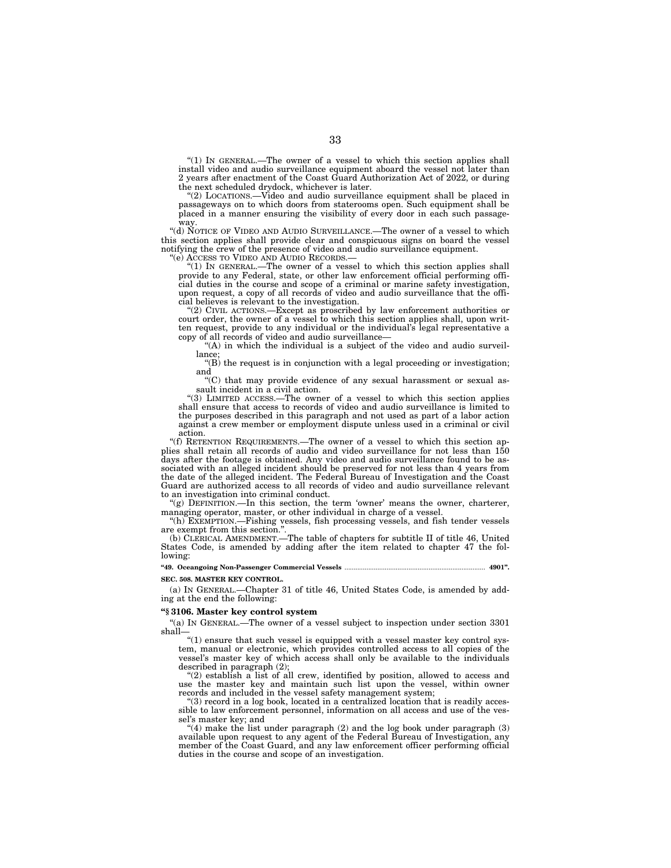"(1) IN GENERAL.—The owner of a vessel to which this section applies shall install video and audio surveillance equipment aboard the vessel not later than 2 years after enactment of the Coast Guard Authorization Act of 2022, or during the next scheduled drydock, whichever is later.

''(2) LOCATIONS.—Video and audio surveillance equipment shall be placed in passageways on to which doors from staterooms open. Such equipment shall be placed in a manner ensuring the visibility of every door in each such passageway.

''(d) NOTICE OF VIDEO AND AUDIO SURVEILLANCE.—The owner of a vessel to which this section applies shall provide clear and conspicuous signs on board the vessel notifying the crew of the presence of video and audio surveillance equipment.

''(e) ACCESS TO VIDEO AND AUDIO RECORDS.—

"(1) IN GENERAL.—The owner of a vessel to which this section applies shall provide to any Federal, state, or other law enforcement official performing official duties in the course and scope of a criminal or marine safety investigation, upon request, a copy of all records of video and audio surveillance that the official believes is relevant to the investigation.

''(2) CIVIL ACTIONS.—Except as proscribed by law enforcement authorities or court order, the owner of a vessel to which this section applies shall, upon written request, provide to any individual or the individual's legal representative a copy of all records of video and audio surveillance—

"(A) in which the individual is a subject of the video and audio surveillance;

''(B) the request is in conjunction with a legal proceeding or investigation; and

''(C) that may provide evidence of any sexual harassment or sexual assault incident in a civil action.

''(3) LIMITED ACCESS.—The owner of a vessel to which this section applies shall ensure that access to records of video and audio surveillance is limited to the purposes described in this paragraph and not used as part of a labor action against a crew member or employment dispute unless used in a criminal or civil action.

''(f) RETENTION REQUIREMENTS.—The owner of a vessel to which this section applies shall retain all records of audio and video surveillance for not less than 150 days after the footage is obtained. Any video and audio surveillance found to be associated with an alleged incident should be preserved for not less than 4 years from the date of the alleged incident. The Federal Bureau of Investigation and the Coast Guard are authorized access to all records of video and audio surveillance relevant to an investigation into criminal conduct.

''(g) DEFINITION.—In this section, the term 'owner' means the owner, charterer, managing operator, master, or other individual in charge of a vessel.

''(h) EXEMPTION.—Fishing vessels, fish processing vessels, and fish tender vessels are exempt from this section.''.

(b) CLERICAL AMENDMENT.—The table of chapters for subtitle II of title 46, United States Code, is amended by adding after the item related to chapter 47 the following:

# **''49. Oceangoing Non-Passenger Commercial Vessels** ............................................................................. **4901''. SEC. 508. MASTER KEY CONTROL.**

(a) IN GENERAL.—Chapter 31 of title 46, United States Code, is amended by adding at the end the following:

# **''§ 3106. Master key control system**

''(a) IN GENERAL.—The owner of a vessel subject to inspection under section 3301 shall—

''(1) ensure that such vessel is equipped with a vessel master key control system, manual or electronic, which provides controlled access to all copies of the vessel's master key of which access shall only be available to the individuals described in paragraph (2);

"(2) establish a list of all crew, identified by position, allowed to access and use the master key and maintain such list upon the vessel, within owner records and included in the vessel safety management system;

''(3) record in a log book, located in a centralized location that is readily accessible to law enforcement personnel, information on all access and use of the vessel's master key; and

"(4) make the list under paragraph  $(2)$  and the log book under paragraph  $(3)$ available upon request to any agent of the Federal Bureau of Investigation, any member of the Coast Guard, and any law enforcement officer performing official duties in the course and scope of an investigation.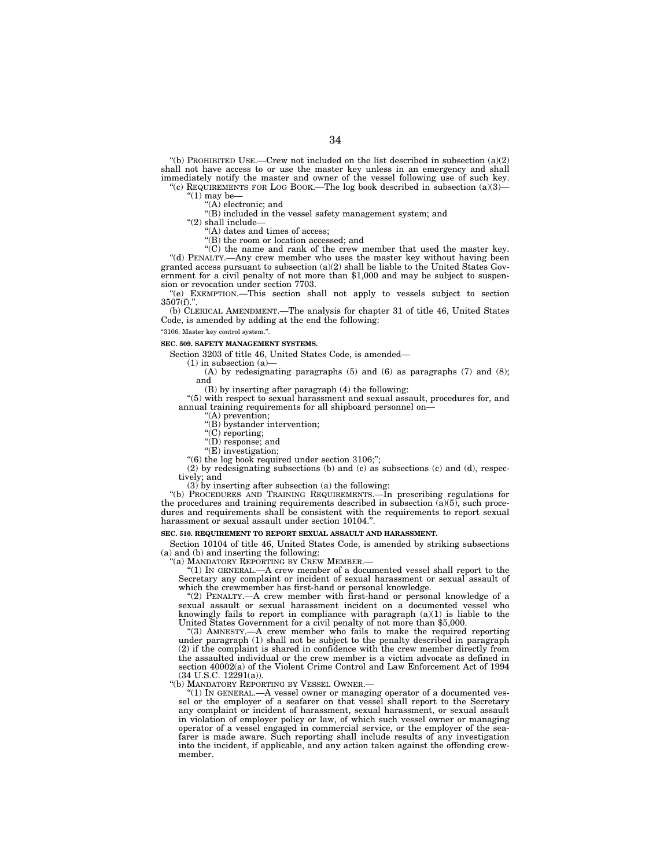''(b) PROHIBITED USE.—Crew not included on the list described in subsection (a)(2) shall not have access to or use the master key unless in an emergency and shall immediately notify the master and owner of the vessel following use of such key. "(c) REQUIREMENTS FOR LOG BOOK.—The log book described in subsection  $(a)(3)$ —

" $(1)$  may be-

''(A) electronic; and

''(B) included in the vessel safety management system; and

"(2) shall include-

''(A) dates and times of access;

''(B) the room or location accessed; and

''(C) the name and rank of the crew member that used the master key. ''(d) PENALTY.—Any crew member who uses the master key without having been granted access pursuant to subsection  $(a)(2)$  shall be liable to the United States Government for a civil penalty of not more than \$1,000 and may be subject to suspension or revocation under section 7703.

''(e) EXEMPTION.—This section shall not apply to vessels subject to section  $3507(f)$ .

(b) CLERICAL AMENDMENT.—The analysis for chapter 31 of title 46, United States Code, is amended by adding at the end the following:

''3106. Master key control system.''.

### **SEC. 509. SAFETY MANAGEMENT SYSTEMS.**

Section 3203 of title 46, United States Code, is amended—

 $(1)$  in subsection  $(a)$ 

(A) by redesignating paragraphs (5) and (6) as paragraphs (7) and (8); and

(B) by inserting after paragraph (4) the following:

''(5) with respect to sexual harassment and sexual assault, procedures for, and annual training requirements for all shipboard personnel on—

''(A) prevention;

''(B) bystander intervention;

''(C) reporting;

''(D) response; and

''(E) investigation;

 $(6)$  the log book required under section 3106;";

 $(2)$  by redesignating subsections (b) and (c) as subsections (c) and (d), respectively; and

(3) by inserting after subsection (a) the following: ''(b) PROCEDURES AND TRAINING REQUIREMENTS.—In prescribing regulations for the procedures and training requirements described in subsection  $(a)(5)$ , such procedures and requirements shall be consistent with the requirements to report sexual harassment or sexual assault under section 10104.'

### **SEC. 510. REQUIREMENT TO REPORT SEXUAL ASSAULT AND HARASSMENT.**

Section 10104 of title 46, United States Code, is amended by striking subsections (a) and (b) and inserting the following:

''(a) MANDATORY REPORTING BY CREW MEMBER.—

''(1) IN GENERAL.—A crew member of a documented vessel shall report to the Secretary any complaint or incident of sexual harassment or sexual assault of which the crewmember has first-hand or personal knowledge.

''(2) PENALTY.—A crew member with first-hand or personal knowledge of a sexual assault or sexual harassment incident on a documented vessel who knowingly fails to report in compliance with paragraph (a)(1) is liable to the United States Government for a civil penalty of not more than \$5,000.

''(3) AMNESTY.—A crew member who fails to make the required reporting under paragraph (1) shall not be subject to the penalty described in paragraph (2) if the complaint is shared in confidence with the crew member directly from the assaulted individual or the crew member is a victim advocate as defined in section 40002(a) of the Violent Crime Control and Law Enforcement Act of 1994 (34 U.S.C. 12291(a)).

''(b) MANDATORY REPORTING BY VESSEL OWNER.—

" $(1)$  IN GENERAL.—A vessel owner or managing operator of a documented vessel or the employer of a seafarer on that vessel shall report to the Secretary any complaint or incident of harassment, sexual harassment, or sexual assault in violation of employer policy or law, of which such vessel owner or managing operator of a vessel engaged in commercial service, or the employer of the seafarer is made aware. Such reporting shall include results of any investigation into the incident, if applicable, and any action taken against the offending crewmember.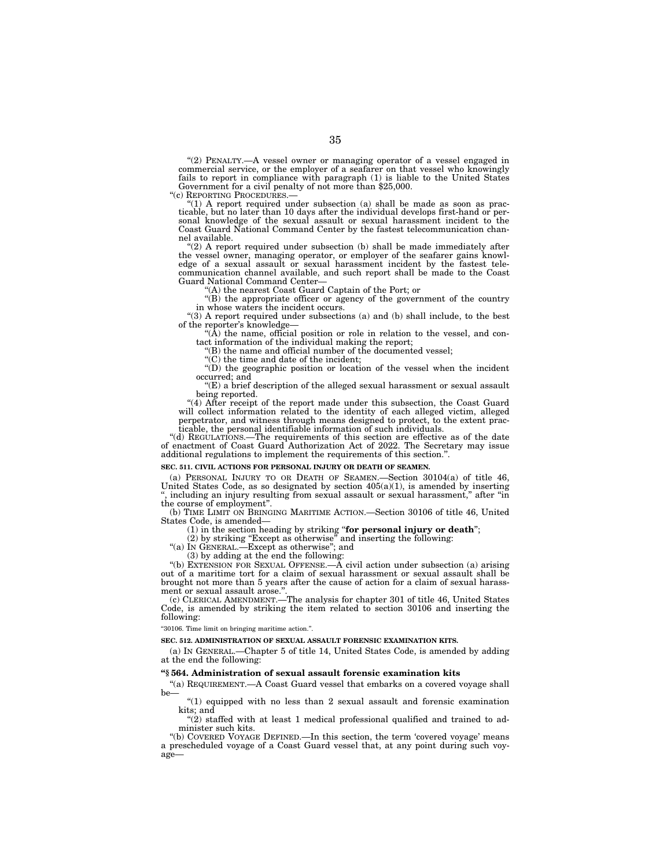''(2) PENALTY.—A vessel owner or managing operator of a vessel engaged in commercial service, or the employer of a seafarer on that vessel who knowingly fails to report in compliance with paragraph (1) is liable to the United States Government for a civil penalty of not more than \$25,000.<br>"(c) REPORTING PROCEDURES.—

 $(1)$  A report required under subsection (a) shall be made as soon as practicable, but no later than 10 days after the individual develops first-hand or personal knowledge of the sexual assault or sexual harassment incident to the Coast Guard National Command Center by the fastest telecommunication channel available.

''(2) A report required under subsection (b) shall be made immediately after the vessel owner, managing operator, or employer of the seafarer gains knowl-edge of a sexual assault or sexual harassment incident by the fastest telecommunication channel available, and such report shall be made to the Coast Guard National Command Center—

'(A) the nearest Coast Guard Captain of the Port; or

''(B) the appropriate officer or agency of the government of the country in whose waters the incident occurs.<br>"(3) A report required under subsections (a) and (b) shall include, to the best

of the reporter's knowledge—<br>"(A) the name, official position or role in relation to the vessel, and contact information of the individual making the report; ''(B) the name and official number of the documented vessel;

" $(C)$  the time and date of the incident:

''(D) the geographic position or location of the vessel when the incident

occurred; and  $\mathrm{``(E)}$  a brief description of the alleged sexual harassment or sexual assault

being reported. "(4) After receipt of the report made under this subsection, the Coast Guard will collect information related to the identity of each alleged victim, alleged perpetrator, and witness through means designed to protect, to the extent practicable, the personal identifiable information of such individuals.

''(d) REGULATIONS.—The requirements of this section are effective as of the date of enactment of Coast Guard Authorization Act of 2022. The Secretary may issue additional regulations to implement the requirements of this section.''.

# **SEC. 511. CIVIL ACTIONS FOR PERSONAL INJURY OR DEATH OF SEAMEN.**

(a) PERSONAL INJURY TO OR DEATH OF SEAMEN.—Section 30104(a) of title 46, United States Code, as so designated by section  $405(a)(1)$ , is amended by inserting , including an injury resulting from sexual assault or sexual harassment," after "in the course of employment''.

(b) TIME LIMIT ON BRINGING MARITIME ACTION.—Section 30106 of title 46, United States Code, is amended—

(1) in the section heading by striking ''**for personal injury or death**'';

(2) by striking ''Except as otherwise'' and inserting the following:

''(a) IN GENERAL.—Except as otherwise''; and

(3) by adding at the end the following:

"(b) EXTENSION FOR SEXUAL OFFENSE.— $\tilde{A}$  civil action under subsection (a) arising out of a maritime tort for a claim of sexual harassment or sexual assault shall be brought not more than 5 years after the cause of action for a claim of sexual harassment or sexual assault arose.''.

(c) CLERICAL AMENDMENT.—The analysis for chapter 301 of title 46, United States Code, is amended by striking the item related to section 30106 and inserting the following:

''30106. Time limit on bringing maritime action.''.

**SEC. 512. ADMINISTRATION OF SEXUAL ASSAULT FORENSIC EXAMINATION KITS.** 

(a) IN GENERAL.—Chapter 5 of title 14, United States Code, is amended by adding at the end the following:

**''§ 564. Administration of sexual assault forensic examination kits** 

''(a) REQUIREMENT.—A Coast Guard vessel that embarks on a covered voyage shall

be— ''(1) equipped with no less than 2 sexual assault and forensic examination

kits; and  $(2)$  staffed with at least 1 medical professional qualified and trained to administer such kits.

''(b) COVERED VOYAGE DEFINED.—In this section, the term 'covered voyage' means a prescheduled voyage of a Coast Guard vessel that, at any point during such voyage—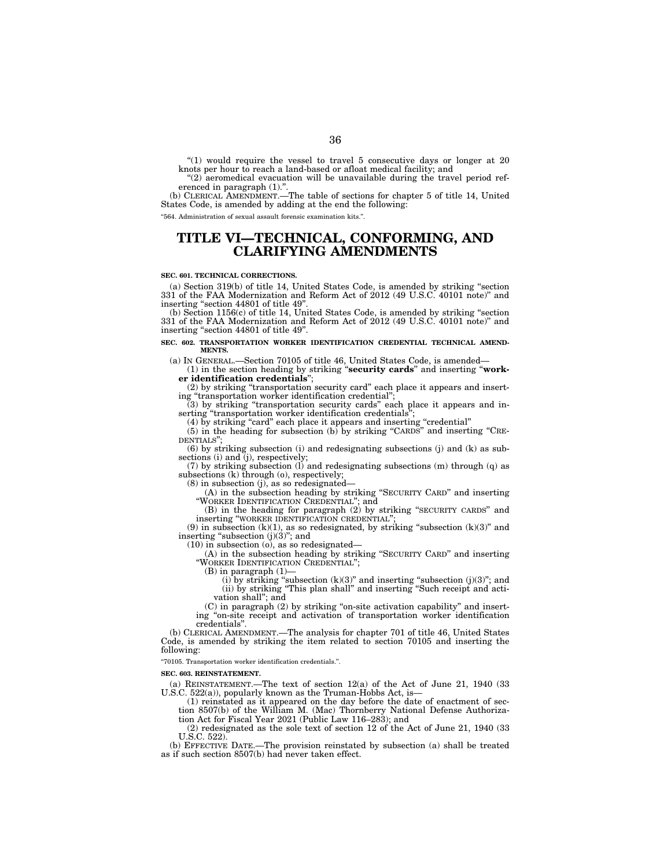" $(1)$  would require the vessel to travel 5 consecutive days or longer at 20 knots per hour to reach a land-based or afloat medical facility; and

 $(2)$  aeromedical evacuation will be unavailable during the travel period referenced in paragraph (1).".

(b) CLERICAL AMENDMENT.—The table of sections for chapter 5 of title 14, United States Code, is amended by adding at the end the following:

''564. Administration of sexual assault forensic examination kits.''.

# **TITLE VI—TECHNICAL, CONFORMING, AND CLARIFYING AMENDMENTS**

# **SEC. 601. TECHNICAL CORRECTIONS.**

(a) Section 319(b) of title 14, United States Code, is amended by striking ''section 331 of the FAA Modernization and Reform Act of 2012 (49 U.S.C. 40101 note)'' and inserting "section 44801 of title 49".

(b) Section 1156(c) of title 14, United States Code, is amended by striking ''section 331 of the FAA Modernization and Reform Act of 2012 (49 U.S.C. 40101 note)'' and inserting ''section 44801 of title 49''.

### **SEC. 602. TRANSPORTATION WORKER IDENTIFICATION CREDENTIAL TECHNICAL AMEND-MENTS.**

(a) IN GENERAL.—Section 70105 of title 46, United States Code, is amended— (1) in the section heading by striking ''**security cards**'' and inserting ''**work-**

**er identification credentials**'';

(2) by striking ''transportation security card'' each place it appears and inserting ''transportation worker identification credential'';

(3) by striking ''transportation security cards'' each place it appears and inserting "transportation worker identification credentials";

(4) by striking ''card'' each place it appears and inserting ''credential'' (5) in the heading for subsection (b) by striking ''CARDS'' and inserting ''CRE- $DEFIN$ 

(6) by striking subsection (i) and redesignating subsections (j) and (k) as subsections (i) and (j), respectively;

(7) by striking subsection (l) and redesignating subsections (m) through (q) as subsections (k) through (o), respectively;

(8) in subsection (j), as so redesignated—

(A) in the subsection heading by striking ''SECURITY CARD'' and inserting ''WORKER IDENTIFICATION CREDENTIAL''; and

(B) in the heading for paragraph (2) by striking ''SECURITY CARDS'' and inserting ''WORKER IDENTIFICATION CREDENTIAL'';

 $(9)$  in subsection  $(k)(1)$ , as so redesignated, by striking "subsection  $(k)(3)$ " and inserting "subsection (j)(3)"; and

(10) in subsection (o), as so redesignated—

(A) in the subsection heading by striking ''SECURITY CARD'' and inserting ''WORKER IDENTIFICATION CREDENTIAL'';

 $(B)$  in paragraph  $(1)$ -

(i) by striking "subsection  $(k)(3)$ " and inserting "subsection  $(j)(3)$ "; and (ii) by striking ''This plan shall'' and inserting ''Such receipt and activation shall''; and

 $(C)$  in paragraph  $(2)$  by striking "on-site activation capability" and inserting ''on-site receipt and activation of transportation worker identification credentials''.

(b) CLERICAL AMENDMENT.—The analysis for chapter 701 of title 46, United States Code, is amended by striking the item related to section 70105 and inserting the following:

''70105. Transportation worker identification credentials.''.

### **SEC. 603. REINSTATEMENT.**

(a) REINSTATEMENT.—The text of section 12(a) of the Act of June 21, 1940 (33 U.S.C. 522(a)), popularly known as the Truman-Hobbs Act, is—

(1) reinstated as it appeared on the day before the date of enactment of section 8507(b) of the William M. (Mac) Thornberry National Defense Authorization Act for Fiscal Year 2021 (Public Law 116–283); and

(2) redesignated as the sole text of section 12 of the Act of June 21, 1940 (33 U.S.C. 522).

(b) EFFECTIVE DATE.—The provision reinstated by subsection (a) shall be treated as if such section 8507(b) had never taken effect.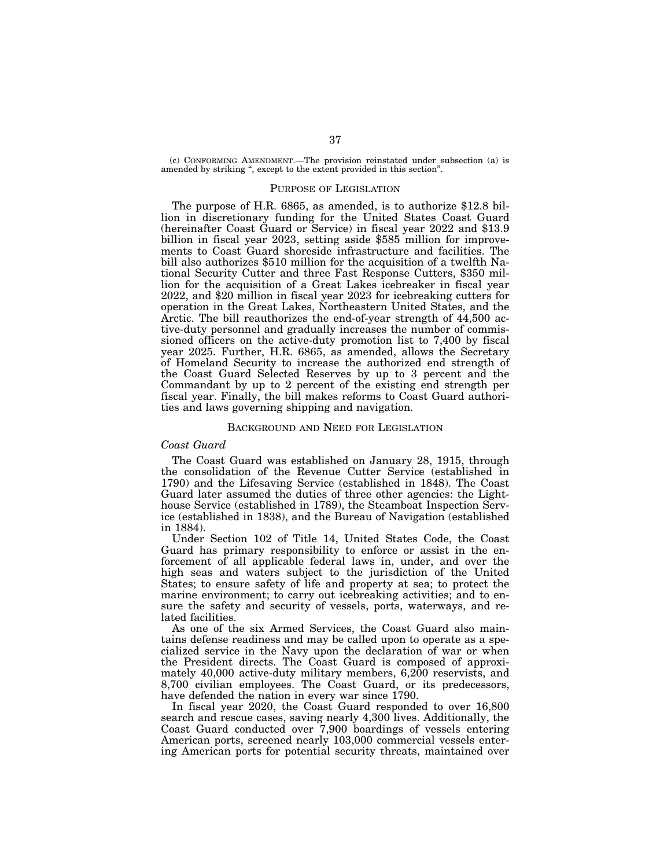(c) CONFORMING AMENDMENT.—The provision reinstated under subsection (a) is amended by striking '', except to the extent provided in this section''.

## PURPOSE OF LEGISLATION

The purpose of H.R. 6865, as amended, is to authorize \$12.8 billion in discretionary funding for the United States Coast Guard (hereinafter Coast Guard or Service) in fiscal year 2022 and \$13.9 billion in fiscal year 2023, setting aside \$585 million for improvements to Coast Guard shoreside infrastructure and facilities. The bill also authorizes \$510 million for the acquisition of a twelfth National Security Cutter and three Fast Response Cutters, \$350 million for the acquisition of a Great Lakes icebreaker in fiscal year 2022, and \$20 million in fiscal year 2023 for icebreaking cutters for operation in the Great Lakes, Northeastern United States, and the Arctic. The bill reauthorizes the end-of-year strength of 44,500 active-duty personnel and gradually increases the number of commissioned officers on the active-duty promotion list to 7,400 by fiscal year 2025. Further, H.R. 6865, as amended, allows the Secretary of Homeland Security to increase the authorized end strength of the Coast Guard Selected Reserves by up to 3 percent and the Commandant by up to 2 percent of the existing end strength per fiscal year. Finally, the bill makes reforms to Coast Guard authorities and laws governing shipping and navigation.

#### BACKGROUND AND NEED FOR LEGISLATION

#### *Coast Guard*

The Coast Guard was established on January 28, 1915, through the consolidation of the Revenue Cutter Service (established in 1790) and the Lifesaving Service (established in 1848). The Coast Guard later assumed the duties of three other agencies: the Lighthouse Service (established in 1789), the Steamboat Inspection Service (established in 1838), and the Bureau of Navigation (established in 1884).

Under Section 102 of Title 14, United States Code, the Coast Guard has primary responsibility to enforce or assist in the enforcement of all applicable federal laws in, under, and over the high seas and waters subject to the jurisdiction of the United States; to ensure safety of life and property at sea; to protect the marine environment; to carry out icebreaking activities; and to ensure the safety and security of vessels, ports, waterways, and related facilities.

As one of the six Armed Services, the Coast Guard also maintains defense readiness and may be called upon to operate as a specialized service in the Navy upon the declaration of war or when the President directs. The Coast Guard is composed of approximately 40,000 active-duty military members, 6,200 reservists, and 8,700 civilian employees. The Coast Guard, or its predecessors, have defended the nation in every war since 1790.

In fiscal year 2020, the Coast Guard responded to over 16,800 search and rescue cases, saving nearly 4,300 lives. Additionally, the Coast Guard conducted over 7,900 boardings of vessels entering American ports, screened nearly 103,000 commercial vessels entering American ports for potential security threats, maintained over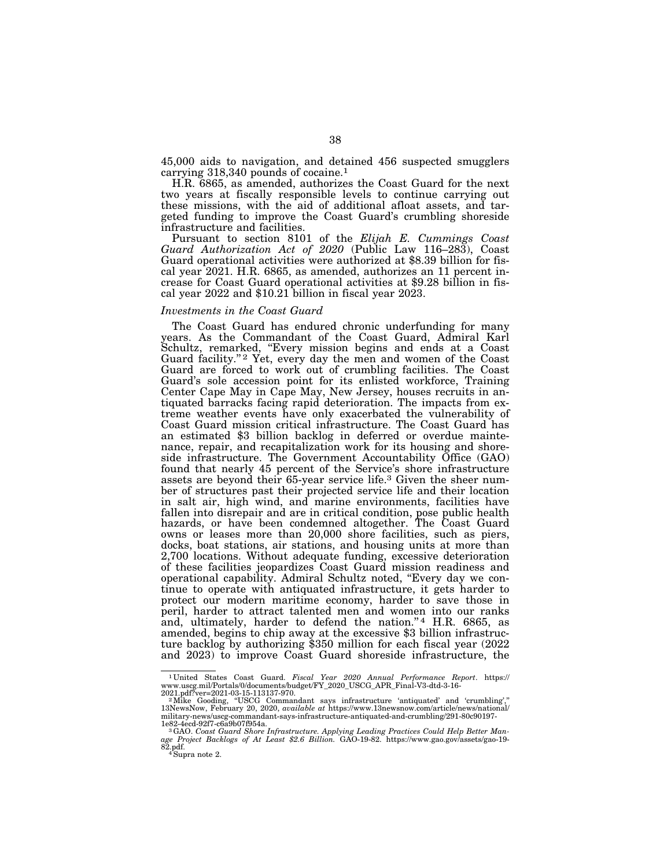45,000 aids to navigation, and detained 456 suspected smugglers carrying 318,340 pounds of cocaine.1

H.R. 6865, as amended, authorizes the Coast Guard for the next two years at fiscally responsible levels to continue carrying out these missions, with the aid of additional afloat assets, and targeted funding to improve the Coast Guard's crumbling shoreside infrastructure and facilities.

Pursuant to section 8101 of the *Elijah E. Cummings Coast Guard Authorization Act of 2020* (Public Law 116–283), Coast Guard operational activities were authorized at \$8.39 billion for fiscal year 2021. H.R. 6865, as amended, authorizes an 11 percent increase for Coast Guard operational activities at \$9.28 billion in fiscal year 2022 and \$10.21 billion in fiscal year 2023.

#### *Investments in the Coast Guard*

The Coast Guard has endured chronic underfunding for many years. As the Commandant of the Coast Guard, Admiral Karl Schultz, remarked, "Every mission begins and ends at a Coast Guard facility."<sup>2</sup> Yet, every day the men and women of the Coast Guard are forced to work out of crumbling facilities. The Coast Guard's sole accession point for its enlisted workforce, Training Center Cape May in Cape May, New Jersey, houses recruits in antiquated barracks facing rapid deterioration. The impacts from extreme weather events have only exacerbated the vulnerability of Coast Guard mission critical infrastructure. The Coast Guard has an estimated \$3 billion backlog in deferred or overdue maintenance, repair, and recapitalization work for its housing and shoreside infrastructure. The Government Accountability Office (GAO) found that nearly 45 percent of the Service's shore infrastructure assets are beyond their 65-year service life.3 Given the sheer number of structures past their projected service life and their location in salt air, high wind, and marine environments, facilities have fallen into disrepair and are in critical condition, pose public health hazards, or have been condemned altogether. The Coast Guard owns or leases more than 20,000 shore facilities, such as piers, docks, boat stations, air stations, and housing units at more than 2,700 locations. Without adequate funding, excessive deterioration of these facilities jeopardizes Coast Guard mission readiness and operational capability. Admiral Schultz noted, ''Every day we continue to operate with antiquated infrastructure, it gets harder to protect our modern maritime economy, harder to save those in peril, harder to attract talented men and women into our ranks and, ultimately, harder to defend the nation." $4$  H.R. 6865, as amended, begins to chip away at the excessive \$3 billion infrastructure backlog by authorizing \$350 million for each fiscal year (2022 and 2023) to improve Coast Guard shoreside infrastructure, the

<sup>1</sup> United States Coast Guard. *Fiscal Year 2020 Annual Performance Report*. https:// www.uscg.mil/Portals/0/documents/budget/FY\_2020\_USCG\_APR\_Final-V3-dtd-3-16-

<sup>2021.</sup>pdf?ver=2021-03-15-113137-970.<br>2 Mike Gooding, "USCG Commandant says infrastructure 'antiquated' and 'crumbling',"<br>13NewsNow, February 20, 2020, *available at* https://www.13newsnow.com/article/news/national/ military-news/uscg-commandant-says-infrastructure-antiquated-and-crumbling/291-80c90197-

<sup>&</sup>lt;sup>3</sup> GAO. *Coast Guard Shore Infrastructure. Applying Leading Practices Could Help Better Manage Project Backlogs of At Least \$2.6 Billion*. GAO-19-82. https://www.gao.gov/assets/gao-19-82.<br>82.pdf.<br>- <sup>4</sup>Supra note 2.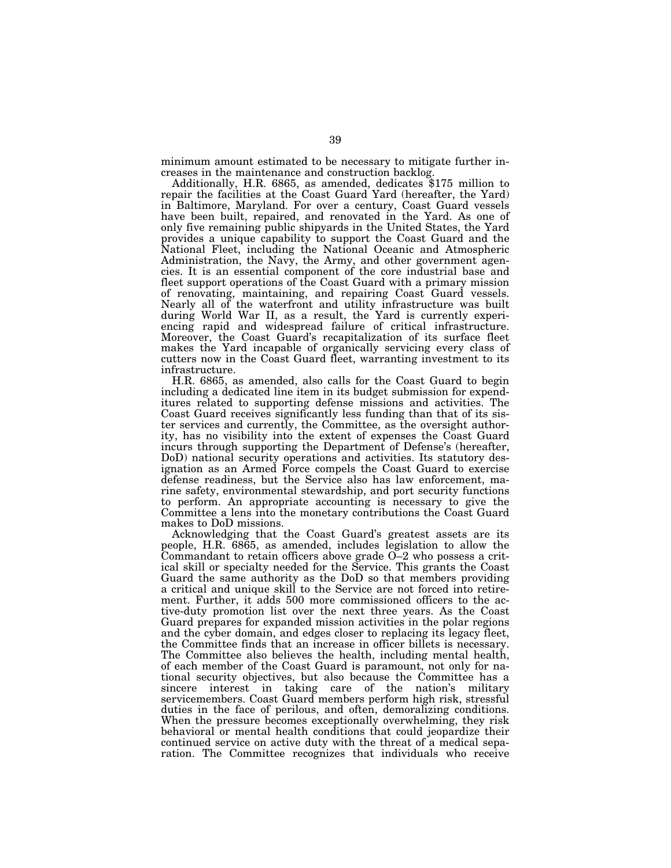minimum amount estimated to be necessary to mitigate further increases in the maintenance and construction backlog.

creases in the maintenance and construction backlog. Additionally, H.R. 6865, as amended, dedicates \$175 million to repair the facilities at the Coast Guard Yard (hereafter, the Yard) in Baltimore, Maryland. For over a century, Coast Guard vessels have been built, repaired, and renovated in the Yard. As one of only five remaining public shipyards in the United States, the Yard provides a unique capability to support the Coast Guard and the National Fleet, including the National Oceanic and Atmospheric Administration, the Navy, the Army, and other government agencies. It is an essential component of the core industrial base and fleet support operations of the Coast Guard with a primary mission of renovating, maintaining, and repairing Coast Guard vessels. Nearly all of the waterfront and utility infrastructure was built during World War II, as a result, the Yard is currently experiencing rapid and widespread failure of critical infrastructure. Moreover, the Coast Guard's recapitalization of its surface fleet makes the Yard incapable of organically servicing every class of cutters now in the Coast Guard fleet, warranting investment to its infrastructure.

H.R. 6865, as amended, also calls for the Coast Guard to begin including a dedicated line item in its budget submission for expenditures related to supporting defense missions and activities. The Coast Guard receives significantly less funding than that of its sister services and currently, the Committee, as the oversight authority, has no visibility into the extent of expenses the Coast Guard incurs through supporting the Department of Defense's (hereafter, DoD) national security operations and activities. Its statutory designation as an Armed Force compels the Coast Guard to exercise defense readiness, but the Service also has law enforcement, marine safety, environmental stewardship, and port security functions to perform. An appropriate accounting is necessary to give the Committee a lens into the monetary contributions the Coast Guard makes to DoD missions.

Acknowledging that the Coast Guard's greatest assets are its people, H.R. 6865, as amended, includes legislation to allow the Commandant to retain officers above grade O–2 who possess a critical skill or specialty needed for the Service. This grants the Coast Guard the same authority as the DoD so that members providing a critical and unique skill to the Service are not forced into retirement. Further, it adds 500 more commissioned officers to the active-duty promotion list over the next three years. As the Coast Guard prepares for expanded mission activities in the polar regions and the cyber domain, and edges closer to replacing its legacy fleet, the Committee finds that an increase in officer billets is necessary. The Committee also believes the health, including mental health, of each member of the Coast Guard is paramount, not only for national security objectives, but also because the Committee has a sincere interest in taking care of the nation's military servicemembers. Coast Guard members perform high risk, stressful duties in the face of perilous, and often, demoralizing conditions. When the pressure becomes exceptionally overwhelming, they risk behavioral or mental health conditions that could jeopardize their continued service on active duty with the threat of a medical separation. The Committee recognizes that individuals who receive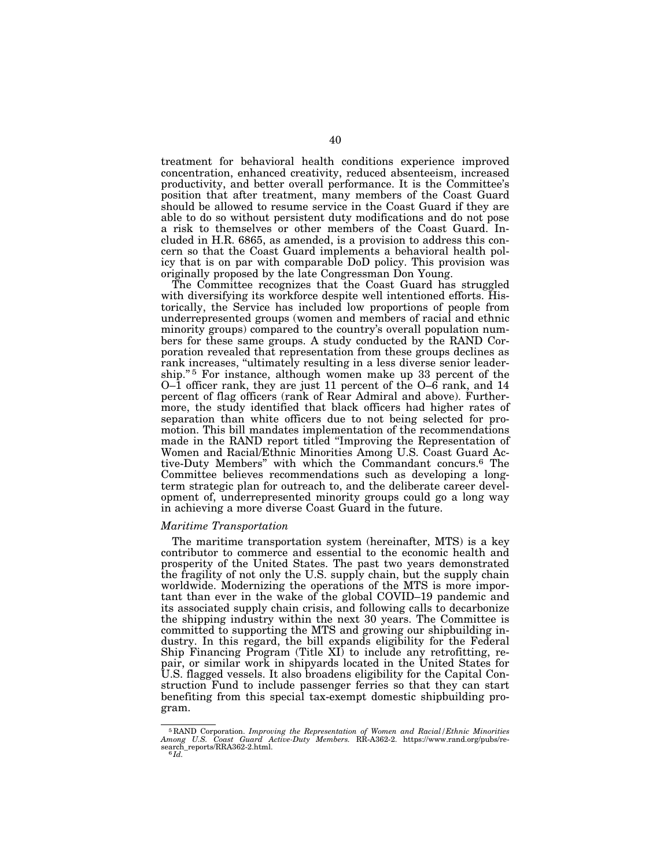treatment for behavioral health conditions experience improved concentration, enhanced creativity, reduced absenteeism, increased productivity, and better overall performance. It is the Committee's position that after treatment, many members of the Coast Guard should be allowed to resume service in the Coast Guard if they are able to do so without persistent duty modifications and do not pose a risk to themselves or other members of the Coast Guard. Included in H.R. 6865, as amended, is a provision to address this concern so that the Coast Guard implements a behavioral health policy that is on par with comparable DoD policy. This provision was originally proposed by the late Congressman Don Young.

The Committee recognizes that the Coast Guard has struggled with diversifying its workforce despite well intentioned efforts. Historically, the Service has included low proportions of people from underrepresented groups (women and members of racial and ethnic minority groups) compared to the country's overall population numbers for these same groups. A study conducted by the RAND Corporation revealed that representation from these groups declines as rank increases, "ultimately resulting in a less diverse senior leadership."<sup>5</sup> For instance, although women make up 33 percent of the O–1 officer rank, they are just 11 percent of the O–6 rank, and 14 percent of flag officers (rank of Rear Admiral and above). Furthermore, the study identified that black officers had higher rates of separation than white officers due to not being selected for promotion. This bill mandates implementation of the recommendations made in the RAND report titled ''Improving the Representation of Women and Racial/Ethnic Minorities Among U.S. Coast Guard Active-Duty Members'' with which the Commandant concurs.6 The Committee believes recommendations such as developing a longterm strategic plan for outreach to, and the deliberate career development of, underrepresented minority groups could go a long way in achieving a more diverse Coast Guard in the future.

## *Maritime Transportation*

The maritime transportation system (hereinafter, MTS) is a key contributor to commerce and essential to the economic health and prosperity of the United States. The past two years demonstrated the fragility of not only the U.S. supply chain, but the supply chain worldwide. Modernizing the operations of the MTS is more important than ever in the wake of the global COVID–19 pandemic and its associated supply chain crisis, and following calls to decarbonize the shipping industry within the next 30 years. The Committee is committed to supporting the MTS and growing our shipbuilding industry. In this regard, the bill expands eligibility for the Federal Ship Financing Program (Title XI) to include any retrofitting, repair, or similar work in shipyards located in the United States for U.S. flagged vessels. It also broadens eligibility for the Capital Construction Fund to include passenger ferries so that they can start benefiting from this special tax-exempt domestic shipbuilding program.

<sup>5</sup> RAND Corporation. *Improving the Representation of Women and Racial/Ethnic Minorities Among U.S. Coast Guard Active-Duty Members.* RR-A362-2. https://www.rand.org/pubs/re-search\_reports/RRA362-2.html. 6 *Id.*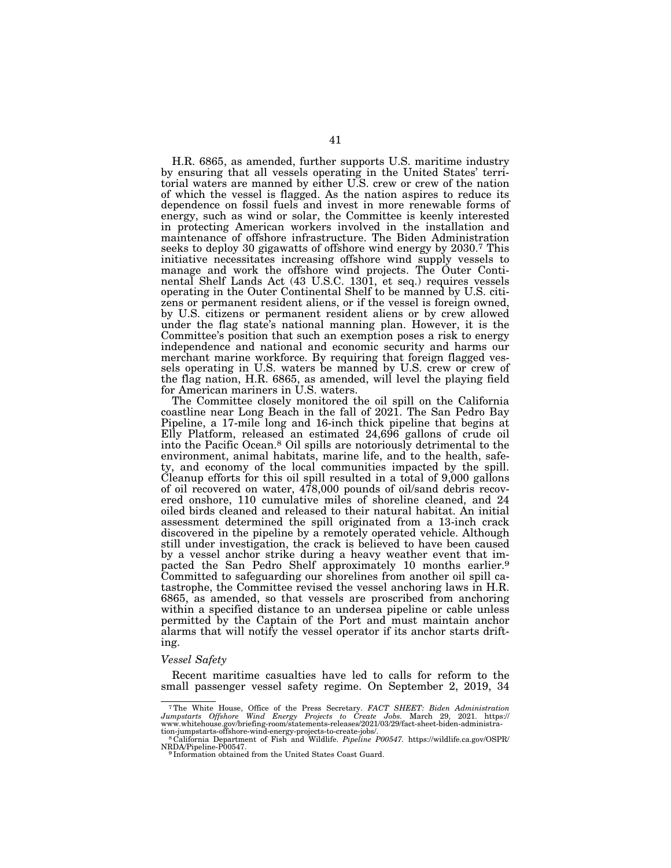H.R. 6865, as amended, further supports U.S. maritime industry by ensuring that all vessels operating in the United States' territorial waters are manned by either U.S. crew or crew of the nation of which the vessel is flagged. As the nation aspires to reduce its dependence on fossil fuels and invest in more renewable forms of energy, such as wind or solar, the Committee is keenly interested in protecting American workers involved in the installation and maintenance of offshore infrastructure. The Biden Administration seeks to deploy 30 gigawatts of offshore wind energy by 2030.7 This initiative necessitates increasing offshore wind supply vessels to manage and work the offshore wind projects. The Outer Continental Shelf Lands Act (43 U.S.C. 1301, et seq.) requires vessels operating in the Outer Continental Shelf to be manned by U.S. citizens or permanent resident aliens, or if the vessel is foreign owned, by U.S. citizens or permanent resident aliens or by crew allowed under the flag state's national manning plan. However, it is the Committee's position that such an exemption poses a risk to energy independence and national and economic security and harms our merchant marine workforce. By requiring that foreign flagged vessels operating in U.S. waters be manned by U.S. crew or crew of the flag nation, H.R. 6865, as amended, will level the playing field for American mariners in U.S. waters.

The Committee closely monitored the oil spill on the California coastline near Long Beach in the fall of 2021. The San Pedro Bay Pipeline, a 17-mile long and 16-inch thick pipeline that begins at Elly Platform, released an estimated 24,696 gallons of crude oil into the Pacific Ocean.8 Oil spills are notoriously detrimental to the environment, animal habitats, marine life, and to the health, safety, and economy of the local communities impacted by the spill. Cleanup efforts for this oil spill resulted in a total of  $9,000$  gallons of oil recovered on water, 478,000 pounds of oil/sand debris recovered onshore, 110 cumulative miles of shoreline cleaned, and 24 oiled birds cleaned and released to their natural habitat. An initial assessment determined the spill originated from a 13-inch crack discovered in the pipeline by a remotely operated vehicle. Although still under investigation, the crack is believed to have been caused by a vessel anchor strike during a heavy weather event that impacted the San Pedro Shelf approximately 10 months earlier.<sup>9</sup> Committed to safeguarding our shorelines from another oil spill catastrophe, the Committee revised the vessel anchoring laws in H.R. 6865, as amended, so that vessels are proscribed from anchoring within a specified distance to an undersea pipeline or cable unless permitted by the Captain of the Port and must maintain anchor alarms that will notify the vessel operator if its anchor starts drifting.

## *Vessel Safety*

Recent maritime casualties have led to calls for reform to the small passenger vessel safety regime. On September 2, 2019, 34

<sup>&</sup>lt;sup>7</sup>The White House, Office of the Press Secretary. FACT SHEET: Biden Administration Jumpstarts Offshore Wind Energy Projects to Create Jobs. March 29, 2021. https://www.whitehouse.gov/briefing-room/statements-releases/202

NRDA/Pipeline-P00547. 9 Information obtained from the United States Coast Guard.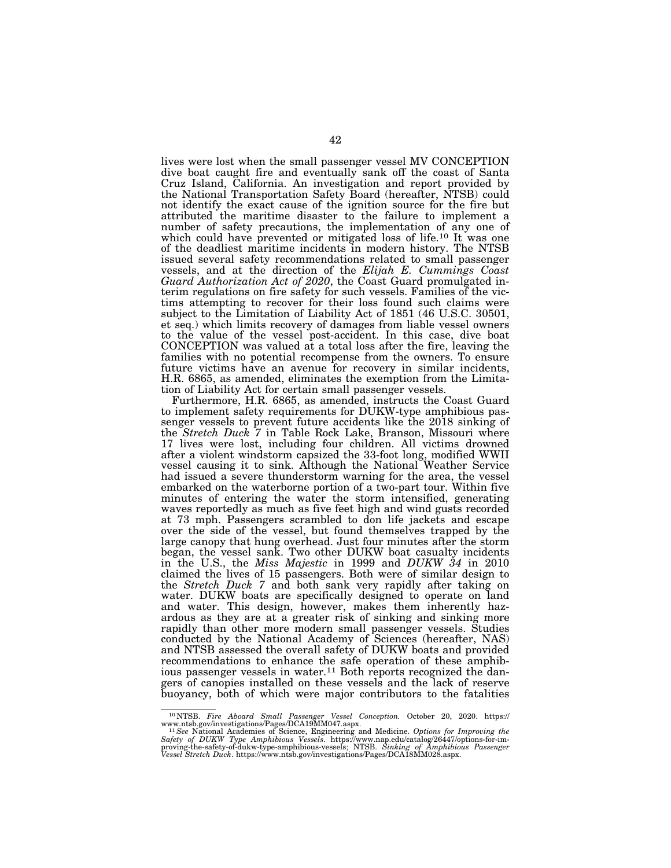lives were lost when the small passenger vessel MV CONCEPTION dive boat caught fire and eventually sank off the coast of Santa Cruz Island, California. An investigation and report provided by the National Transportation Safety Board (hereafter, NTSB) could not identify the exact cause of the ignition source for the fire but attributed the maritime disaster to the failure to implement a number of safety precautions, the implementation of any one of which could have prevented or mitigated loss of life.<sup>10</sup> It was one of the deadliest maritime incidents in modern history. The NTSB issued several safety recommendations related to small passenger vessels, and at the direction of the *Elijah E. Cummings Coast Guard Authorization Act of 2020*, the Coast Guard promulgated interim regulations on fire safety for such vessels. Families of the victims attempting to recover for their loss found such claims were subject to the Limitation of Liability Act of 1851 (46 U.S.C. 30501, et seq.) which limits recovery of damages from liable vessel owners to the value of the vessel post-accident. In this case, dive boat CONCEPTION was valued at a total loss after the fire, leaving the families with no potential recompense from the owners. To ensure future victims have an avenue for recovery in similar incidents, H.R. 6865, as amended, eliminates the exemption from the Limitation of Liability Act for certain small passenger vessels.

Furthermore, H.R. 6865, as amended, instructs the Coast Guard to implement safety requirements for DUKW-type amphibious passenger vessels to prevent future accidents like the 2018 sinking of the *Stretch Duck 7* in Table Rock Lake, Branson, Missouri where 17 lives were lost, including four children. All victims drowned after a violent windstorm capsized the 33-foot long, modified WWII vessel causing it to sink. Although the National Weather Service had issued a severe thunderstorm warning for the area, the vessel embarked on the waterborne portion of a two-part tour. Within five minutes of entering the water the storm intensified, generating waves reportedly as much as five feet high and wind gusts recorded at 73 mph. Passengers scrambled to don life jackets and escape over the side of the vessel, but found themselves trapped by the large canopy that hung overhead. Just four minutes after the storm began, the vessel sank. Two other DUKW boat casualty incidents in the U.S., the *Miss Majestic* in 1999 and *DUKW 34* in 2010 claimed the lives of 15 passengers. Both were of similar design to the *Stretch Duck 7* and both sank very rapidly after taking on water. DUKW boats are specifically designed to operate on land and water. This design, however, makes them inherently hazardous as they are at a greater risk of sinking and sinking more rapidly than other more modern small passenger vessels. Studies conducted by the National Academy of Sciences (hereafter, NAS) and NTSB assessed the overall safety of DUKW boats and provided recommendations to enhance the safe operation of these amphibious passenger vessels in water.<sup>11</sup> Both reports recognized the dangers of canopies installed on these vessels and the lack of reserve buoyancy, both of which were major contributors to the fatalities

<sup>&</sup>lt;sup>10</sup>NTSB. *Fire Aboard Small Passenger Vessel Conception*. October 20, 2020. https://<br>www.ntsb.gov/investigations/Pages/DCA19MM047.aspx.<br><sup>11</sup>*See* National Academies of Science, Engineering and Medicine. *Options for Impr* 

Safety of DUKW Type Amphibious Vessels. https://www.nap.edu/catalog/26447/options-for-im-<br>proving-the-safety-of-dukw-type-amphibious-vessels; NTSB. Sinking of Amphibious *Passenger*<br>Vessel Stretch Duck.https://www.ntsb.gov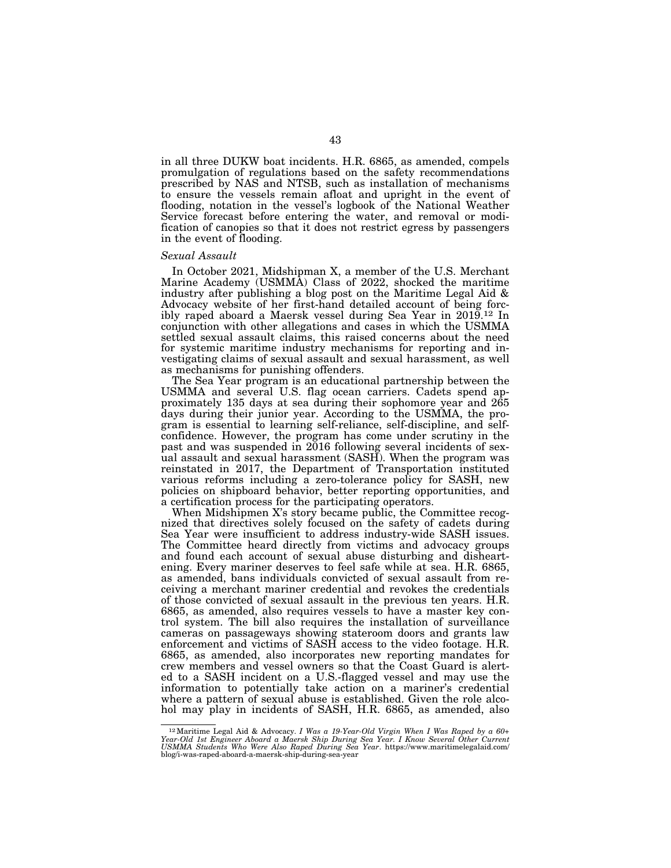in all three DUKW boat incidents. H.R. 6865, as amended, compels promulgation of regulations based on the safety recommendations prescribed by NAS and NTSB, such as installation of mechanisms to ensure the vessels remain afloat and upright in the event of flooding, notation in the vessel's logbook of the National Weather Service forecast before entering the water, and removal or modification of canopies so that it does not restrict egress by passengers in the event of flooding.

#### *Sexual Assault*

In October 2021, Midshipman X, a member of the U.S. Merchant Marine Academy (USMMA) Class of 2022, shocked the maritime industry after publishing a blog post on the Maritime Legal Aid & Advocacy website of her first-hand detailed account of being forcibly raped aboard a Maersk vessel during Sea Year in 2019.12 In conjunction with other allegations and cases in which the USMMA settled sexual assault claims, this raised concerns about the need for systemic maritime industry mechanisms for reporting and investigating claims of sexual assault and sexual harassment, as well as mechanisms for punishing offenders.

The Sea Year program is an educational partnership between the USMMA and several U.S. flag ocean carriers. Cadets spend approximately 135 days at sea during their sophomore year and 265 days during their junior year. According to the USMMA, the program is essential to learning self-reliance, self-discipline, and selfconfidence. However, the program has come under scrutiny in the past and was suspended in 2016 following several incidents of sexual assault and sexual harassment (SASH). When the program was reinstated in 2017, the Department of Transportation instituted various reforms including a zero-tolerance policy for SASH, new policies on shipboard behavior, better reporting opportunities, and a certification process for the participating operators.

When Midshipmen X's story became public, the Committee recognized that directives solely focused on the safety of cadets during Sea Year were insufficient to address industry-wide SASH issues. The Committee heard directly from victims and advocacy groups and found each account of sexual abuse disturbing and disheartening. Every mariner deserves to feel safe while at sea. H.R. 6865, as amended, bans individuals convicted of sexual assault from receiving a merchant mariner credential and revokes the credentials of those convicted of sexual assault in the previous ten years. H.R. 6865, as amended, also requires vessels to have a master key control system. The bill also requires the installation of surveillance cameras on passageways showing stateroom doors and grants law enforcement and victims of SASH access to the video footage. H.R. 6865, as amended, also incorporates new reporting mandates for crew members and vessel owners so that the Coast Guard is alerted to a SASH incident on a U.S.-flagged vessel and may use the information to potentially take action on a mariner's credential where a pattern of sexual abuse is established. Given the role alcohol may play in incidents of SASH, H.R. 6865, as amended, also

<sup>12</sup>Maritime Legal Aid & Advocacy. *I Was a 19-Year-Old Virgin When I Was Raped by a 60+*  Year-Old 1st Engineer Aboard a Maersk Ship During Sea Year. I Know Several Other Current<br>USMMA Students Who Were Also Raped During Sea Year. https://www.maritimelegalaid.com/<br>blog/i-was-raped-aboard-a-maersk-ship-during-se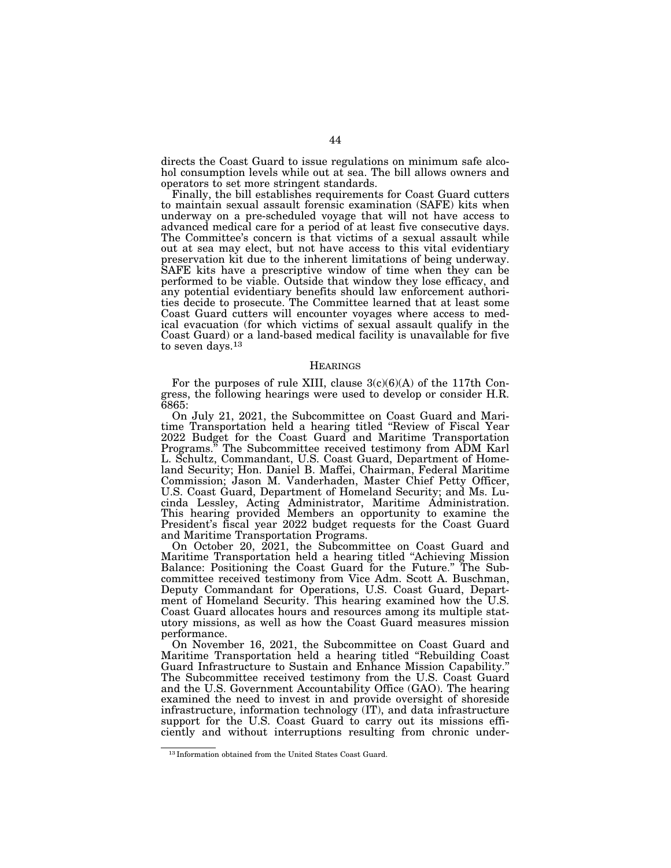directs the Coast Guard to issue regulations on minimum safe alcohol consumption levels while out at sea. The bill allows owners and operators to set more stringent standards.

Finally, the bill establishes requirements for Coast Guard cutters to maintain sexual assault forensic examination (SAFE) kits when underway on a pre-scheduled voyage that will not have access to advanced medical care for a period of at least five consecutive days. The Committee's concern is that victims of a sexual assault while out at sea may elect, but not have access to this vital evidentiary preservation kit due to the inherent limitations of being underway. SAFE kits have a prescriptive window of time when they can be performed to be viable. Outside that window they lose efficacy, and any potential evidentiary benefits should law enforcement authorities decide to prosecute. The Committee learned that at least some Coast Guard cutters will encounter voyages where access to medical evacuation (for which victims of sexual assault qualify in the Coast Guard) or a land-based medical facility is unavailable for five to seven days.13

## **HEARINGS**

For the purposes of rule XIII, clause  $3(c)(6)(A)$  of the 117th Congress, the following hearings were used to develop or consider H.R. 6865:

On July 21, 2021, the Subcommittee on Coast Guard and Maritime Transportation held a hearing titled ''Review of Fiscal Year 2022 Budget for the Coast Guard and Maritime Transportation Programs.'' The Subcommittee received testimony from ADM Karl L. Schultz, Commandant, U.S. Coast Guard, Department of Homeland Security; Hon. Daniel B. Maffei, Chairman, Federal Maritime Commission; Jason M. Vanderhaden, Master Chief Petty Officer, U.S. Coast Guard, Department of Homeland Security; and Ms. Lucinda Lessley, Acting Administrator, Maritime Administration. This hearing provided Members an opportunity to examine the President's fiscal year 2022 budget requests for the Coast Guard and Maritime Transportation Programs.

On October 20, 2021, the Subcommittee on Coast Guard and Maritime Transportation held a hearing titled ''Achieving Mission Balance: Positioning the Coast Guard for the Future.'' The Subcommittee received testimony from Vice Adm. Scott A. Buschman, Deputy Commandant for Operations, U.S. Coast Guard, Department of Homeland Security. This hearing examined how the U.S. Coast Guard allocates hours and resources among its multiple statutory missions, as well as how the Coast Guard measures mission performance.

On November 16, 2021, the Subcommittee on Coast Guard and Maritime Transportation held a hearing titled ''Rebuilding Coast Guard Infrastructure to Sustain and Enhance Mission Capability.'' The Subcommittee received testimony from the U.S. Coast Guard and the U.S. Government Accountability Office (GAO). The hearing examined the need to invest in and provide oversight of shoreside infrastructure, information technology (IT), and data infrastructure support for the U.S. Coast Guard to carry out its missions efficiently and without interruptions resulting from chronic under-

<sup>13</sup> Information obtained from the United States Coast Guard.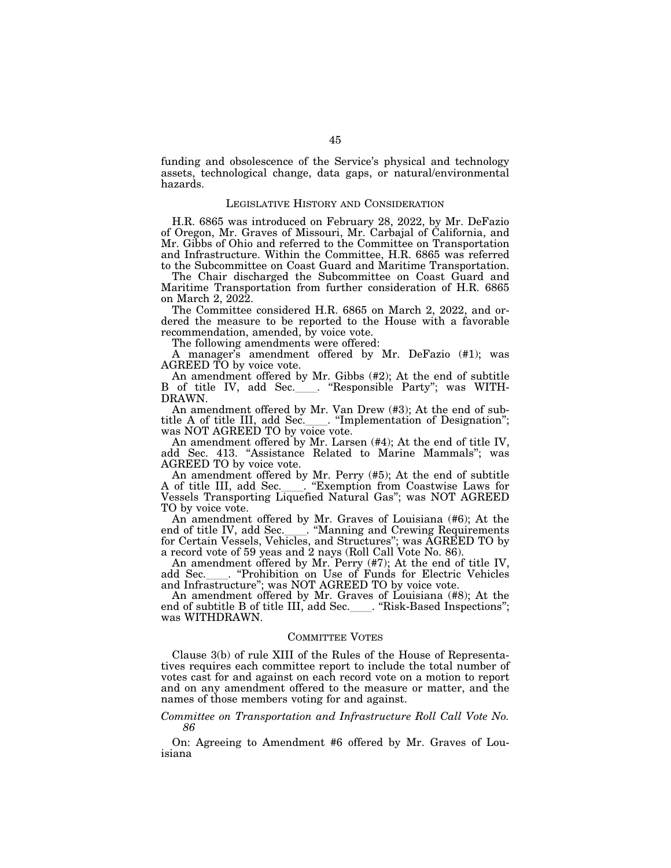funding and obsolescence of the Service's physical and technology assets, technological change, data gaps, or natural/environmental hazards.

## LEGISLATIVE HISTORY AND CONSIDERATION

H.R. 6865 was introduced on February 28, 2022, by Mr. DeFazio of Oregon, Mr. Graves of Missouri, Mr. Carbajal of California, and Mr. Gibbs of Ohio and referred to the Committee on Transportation and Infrastructure. Within the Committee, H.R. 6865 was referred to the Subcommittee on Coast Guard and Maritime Transportation.

The Chair discharged the Subcommittee on Coast Guard and Maritime Transportation from further consideration of H.R. 6865 on March 2, 2022.

The Committee considered H.R. 6865 on March 2, 2022, and ordered the measure to be reported to the House with a favorable recommendation, amended, by voice vote.

The following amendments were offered:

A manager's amendment offered by Mr. DeFazio (#1); was AGREED TO by voice vote.

An amendment offered by Mr. Gibbs (#2); At the end of subtitle B of title IV, add Sec. . "Responsible Party"; was WITH-DRAWN.

An amendment offered by Mr. Van Drew (#3); At the end of subtitle A of title III, add Sec.<sub>ll.</sub> ''Implementation of Designation'';<br>was NOT AGREED TO by voice vote. was NOT AGREED TO by voice vote.

An amendment offered by Mr. Larsen (#4); At the end of title IV, add Sec. 413. "Assistance Related to Marine Mammals"; was AGREED TO by voice vote.

An amendment offered by Mr. Perry (#5); At the end of subtitle A of title III, add Sec.\_\_\_\_. "Exemption from Coastwise Laws for<br>Vessels Transporting Liquefied Natural Gas": was NOT AGREED Vessels Transporting Liquefied Natural Gas''; was NOT AGREED TO by voice vote.

An amendment offered by Mr. Graves of Louisiana (#6); At the end of title IV, add Sec.\_\_\_\_. "Manning and Crewing Requirements<br>for Certain Vessels. Vehicles. and Structures": was AGREED TO by for Certain Vessels, Vehicles, and Structures''; was AGREED TO by a record vote of 59 yeas and 2 nays (Roll Call Vote No. 86).

An amendment offered by Mr. Perry (#7); At the end of title IV, add Sec. . "Prohibition on Use of Funds for Electric Vehicles . "Prohibition on Use of Funds for Electric Vehicles and Infrastructure''; was NOT AGREED TO by voice vote.

An amendment offered by Mr. Graves of Louisiana (#8); At the end of subtitle B of title III, add Sec. . "Risk-Based Inspections"; was WITHDRAWN.

#### COMMITTEE VOTES

Clause 3(b) of rule XIII of the Rules of the House of Representatives requires each committee report to include the total number of votes cast for and against on each record vote on a motion to report and on any amendment offered to the measure or matter, and the names of those members voting for and against.

## *Committee on Transportation and Infrastructure Roll Call Vote No. 86*

On: Agreeing to Amendment #6 offered by Mr. Graves of Louisiana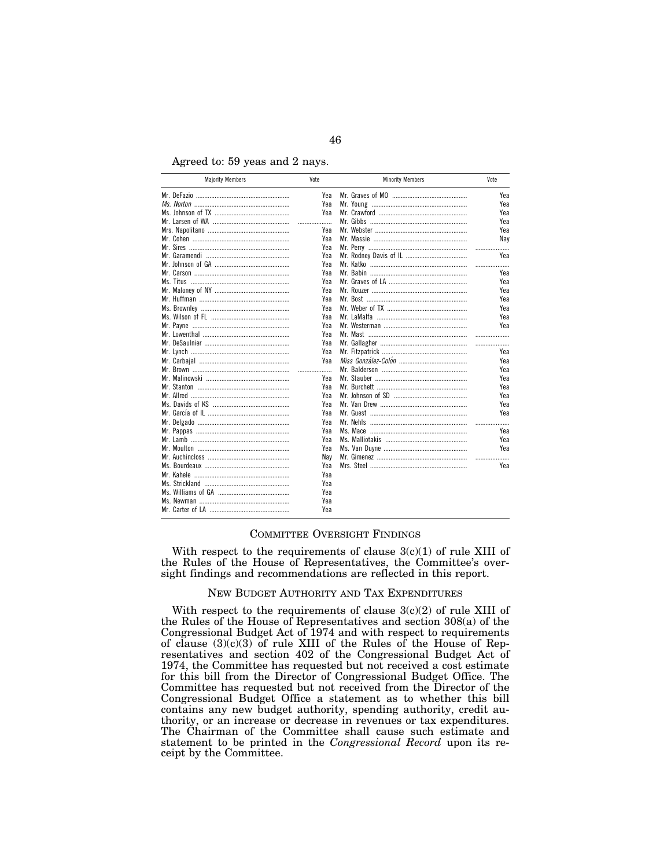Agreed to: 59 yeas and 2 nays.

| <b>Majority Members</b> | Vote | <b>Minority Members</b> | Vote |
|-------------------------|------|-------------------------|------|
|                         | Yea  |                         | Yea  |
|                         | Yea  |                         | Yea  |
|                         | Yea  |                         | Yea  |
|                         |      |                         | Yea  |
|                         | Yea  |                         | Yea  |
|                         | Yea  |                         | Nay  |
|                         | Yea  |                         |      |
|                         | Yea  |                         | Yea  |
|                         | Yea  |                         |      |
|                         | Yea  |                         | Yea  |
|                         | Yea  |                         | Yea  |
|                         | Yea  |                         | Yea  |
|                         | Yea  |                         | Yea  |
|                         | Yea  |                         | Yea  |
|                         | Yea  |                         | Yea  |
|                         | Yea  |                         | Yea  |
|                         | Yea  |                         | .    |
|                         | Yea  |                         | .    |
|                         | Yea  |                         | Yea  |
|                         | Yea  |                         | Yea  |
|                         | .    |                         | Yea  |
|                         | Yea  |                         | Yea  |
|                         | Yea  |                         | Yea  |
|                         | Yea  |                         | Yea  |
|                         | Yea  |                         | Yea  |
|                         | Yea  |                         | Yea  |
|                         | Yea  |                         | .    |
|                         | Yea  |                         | Yea  |
|                         | Yea  |                         | Yea  |
|                         | Yea  |                         | Yea  |
|                         | Nay  |                         | .    |
|                         | Yea  |                         | Yea  |
|                         | Yea  |                         |      |
|                         | Yea  |                         |      |
|                         | Yea  |                         |      |
|                         | Yea  |                         |      |
|                         | Yea  |                         |      |

#### COMMITTEE OVERSIGHT FINDINGS

With respect to the requirements of clause  $3(c)(1)$  of rule XIII of the Rules of the House of Representatives, the Committee's oversight findings and recommendations are reflected in this report.

#### NEW BUDGET AUTHORITY AND TAX EXPENDITURES

With respect to the requirements of clause  $3(c)(2)$  of rule XIII of the Rules of the House of Representatives and section 308(a) of the Congressional Budget Act of 1974 and with respect to requirements of clause  $(3)(c)(3)$  of rule XIII of the Rules of the House of Representatives and section 402 of the Congressional Budget Act of 1974, the Committee has requested but not received a cost estimate for this bill from the Director of Congressional Budget Office. The Committee has requested but not received from the Director of the Congressional Budget Office a statement as to whether this bill contains any new budget authority, spending authority, credit authority, or an increase or decrease in revenues or tax expenditures. The Chairman of the Committee shall cause such estimate and statement to be printed in the *Congressional Record* upon its receipt by the Committee.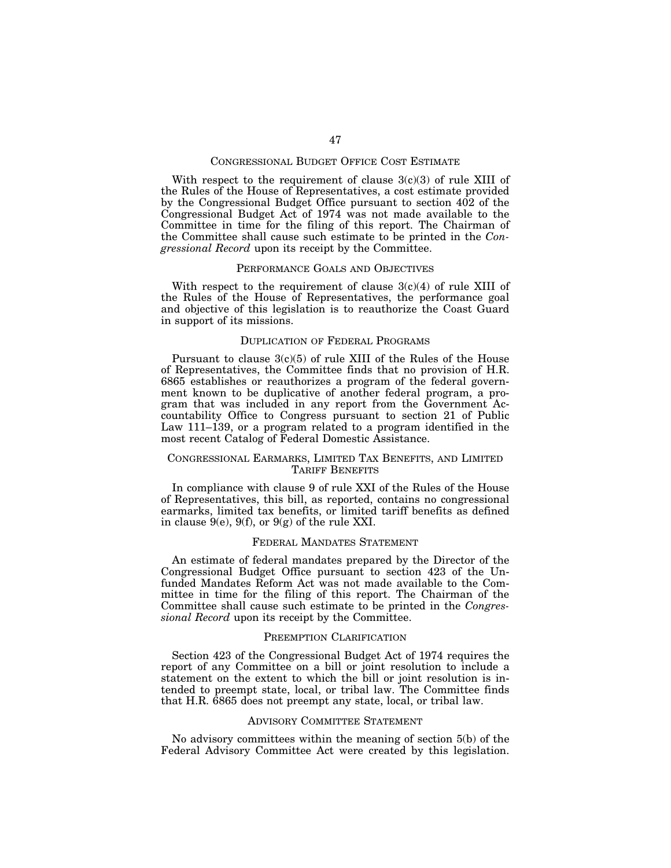#### CONGRESSIONAL BUDGET OFFICE COST ESTIMATE

With respect to the requirement of clause  $3(c)(3)$  of rule XIII of the Rules of the House of Representatives, a cost estimate provided by the Congressional Budget Office pursuant to section 402 of the Congressional Budget Act of 1974 was not made available to the Committee in time for the filing of this report. The Chairman of the Committee shall cause such estimate to be printed in the *Congressional Record* upon its receipt by the Committee.

#### PERFORMANCE GOALS AND OBJECTIVES

With respect to the requirement of clause  $3(c)(4)$  of rule XIII of the Rules of the House of Representatives, the performance goal and objective of this legislation is to reauthorize the Coast Guard in support of its missions.

#### DUPLICATION OF FEDERAL PROGRAMS

Pursuant to clause  $3(c)(5)$  of rule XIII of the Rules of the House of Representatives, the Committee finds that no provision of H.R. 6865 establishes or reauthorizes a program of the federal government known to be duplicative of another federal program, a program that was included in any report from the Government Accountability Office to Congress pursuant to section 21 of Public Law 111–139, or a program related to a program identified in the most recent Catalog of Federal Domestic Assistance.

## CONGRESSIONAL EARMARKS, LIMITED TAX BENEFITS, AND LIMITED TARIFF BENEFITS

In compliance with clause 9 of rule XXI of the Rules of the House of Representatives, this bill, as reported, contains no congressional earmarks, limited tax benefits, or limited tariff benefits as defined in clause 9(e), 9(f), or 9(g) of the rule XXI.

## FEDERAL MANDATES STATEMENT

An estimate of federal mandates prepared by the Director of the Congressional Budget Office pursuant to section 423 of the Unfunded Mandates Reform Act was not made available to the Committee in time for the filing of this report. The Chairman of the Committee shall cause such estimate to be printed in the *Congressional Record* upon its receipt by the Committee.

#### PREEMPTION CLARIFICATION

Section 423 of the Congressional Budget Act of 1974 requires the report of any Committee on a bill or joint resolution to include a statement on the extent to which the bill or joint resolution is intended to preempt state, local, or tribal law. The Committee finds that H.R. 6865 does not preempt any state, local, or tribal law.

### ADVISORY COMMITTEE STATEMENT

No advisory committees within the meaning of section 5(b) of the Federal Advisory Committee Act were created by this legislation.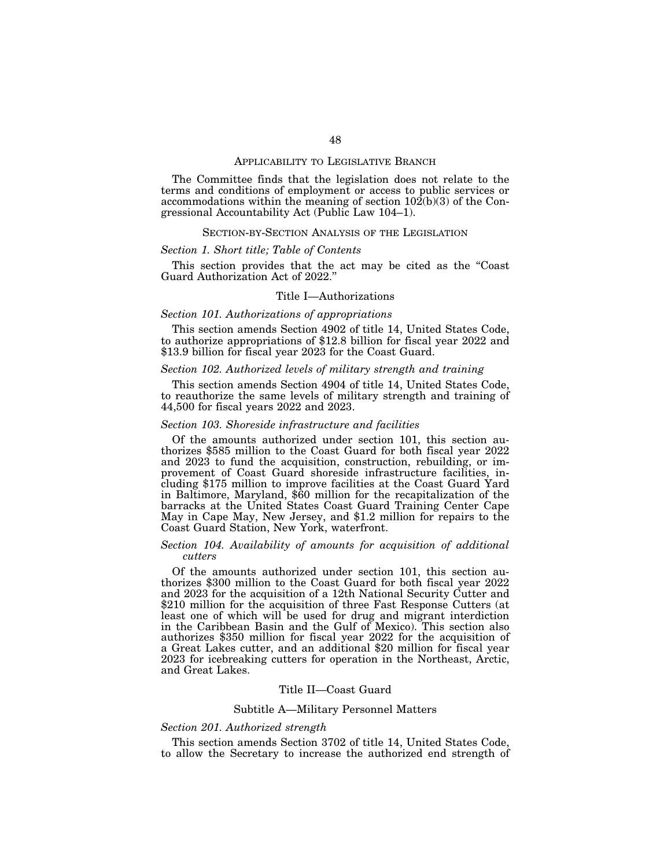## APPLICABILITY TO LEGISLATIVE BRANCH

The Committee finds that the legislation does not relate to the terms and conditions of employment or access to public services or accommodations within the meaning of section  $102(b)(3)$  of the Congressional Accountability Act (Public Law 104–1).

#### SECTION-BY-SECTION ANALYSIS OF THE LEGISLATION

#### *Section 1. Short title; Table of Contents*

This section provides that the act may be cited as the ''Coast Guard Authorization Act of 2022.''

## Title I—Authorizations

#### *Section 101. Authorizations of appropriations*

This section amends Section 4902 of title 14, United States Code, to authorize appropriations of \$12.8 billion for fiscal year 2022 and \$13.9 billion for fiscal year 2023 for the Coast Guard.

#### *Section 102. Authorized levels of military strength and training*

This section amends Section 4904 of title 14, United States Code, to reauthorize the same levels of military strength and training of 44,500 for fiscal years 2022 and 2023.

#### *Section 103. Shoreside infrastructure and facilities*

Of the amounts authorized under section 101, this section authorizes \$585 million to the Coast Guard for both fiscal year 2022 and 2023 to fund the acquisition, construction, rebuilding, or improvement of Coast Guard shoreside infrastructure facilities, including \$175 million to improve facilities at the Coast Guard Yard in Baltimore, Maryland, \$60 million for the recapitalization of the barracks at the United States Coast Guard Training Center Cape May in Cape May, New Jersey, and \$1.2 million for repairs to the Coast Guard Station, New York, waterfront.

#### *Section 104. Availability of amounts for acquisition of additional cutters*

Of the amounts authorized under section 101, this section authorizes \$300 million to the Coast Guard for both fiscal year 2022 and 2023 for the acquisition of a 12th National Security Cutter and \$210 million for the acquisition of three Fast Response Cutters (at least one of which will be used for drug and migrant interdiction in the Caribbean Basin and the Gulf of Mexico). This section also authorizes \$350 million for fiscal year 2022 for the acquisition of a Great Lakes cutter, and an additional \$20 million for fiscal year 2023 for icebreaking cutters for operation in the Northeast, Arctic, and Great Lakes.

## Title II—Coast Guard

## Subtitle A—Military Personnel Matters

#### *Section 201. Authorized strength*

This section amends Section 3702 of title 14, United States Code, to allow the Secretary to increase the authorized end strength of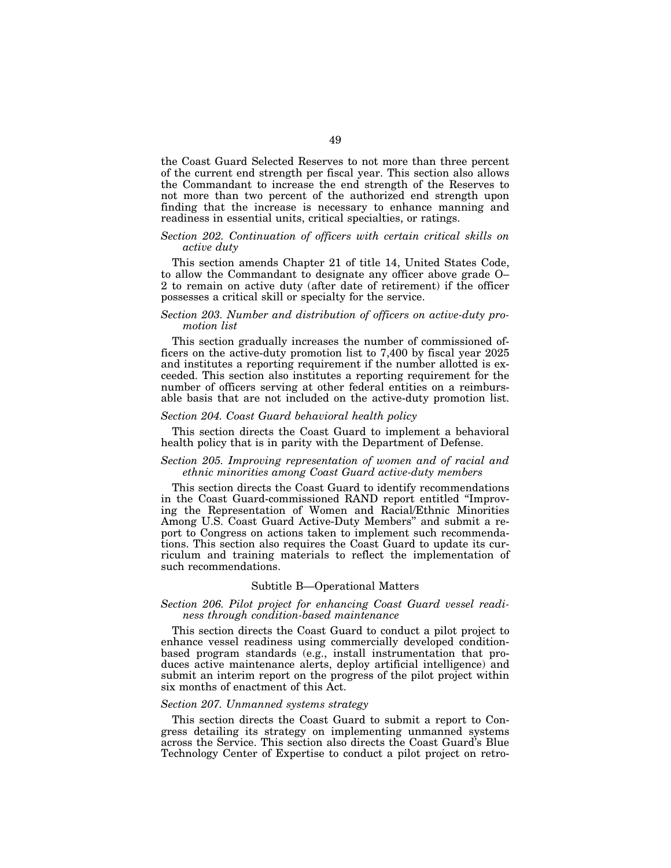the Coast Guard Selected Reserves to not more than three percent of the current end strength per fiscal year. This section also allows the Commandant to increase the end strength of the Reserves to not more than two percent of the authorized end strength upon finding that the increase is necessary to enhance manning and readiness in essential units, critical specialties, or ratings.

## *Section 202. Continuation of officers with certain critical skills on active duty*

This section amends Chapter 21 of title 14, United States Code, to allow the Commandant to designate any officer above grade O– 2 to remain on active duty (after date of retirement) if the officer possesses a critical skill or specialty for the service.

## *Section 203. Number and distribution of officers on active-duty promotion list*

This section gradually increases the number of commissioned officers on the active-duty promotion list to 7,400 by fiscal year 2025 and institutes a reporting requirement if the number allotted is exceeded. This section also institutes a reporting requirement for the number of officers serving at other federal entities on a reimbursable basis that are not included on the active-duty promotion list.

## *Section 204. Coast Guard behavioral health policy*

This section directs the Coast Guard to implement a behavioral health policy that is in parity with the Department of Defense.

## *Section 205. Improving representation of women and of racial and ethnic minorities among Coast Guard active-duty members*

This section directs the Coast Guard to identify recommendations in the Coast Guard-commissioned RAND report entitled ''Improving the Representation of Women and Racial/Ethnic Minorities Among U.S. Coast Guard Active-Duty Members'' and submit a report to Congress on actions taken to implement such recommendations. This section also requires the Coast Guard to update its curriculum and training materials to reflect the implementation of such recommendations.

### Subtitle B—Operational Matters

## *Section 206. Pilot project for enhancing Coast Guard vessel readiness through condition-based maintenance*

This section directs the Coast Guard to conduct a pilot project to enhance vessel readiness using commercially developed conditionbased program standards (e.g., install instrumentation that produces active maintenance alerts, deploy artificial intelligence) and submit an interim report on the progress of the pilot project within six months of enactment of this Act.

#### *Section 207. Unmanned systems strategy*

This section directs the Coast Guard to submit a report to Congress detailing its strategy on implementing unmanned systems across the Service. This section also directs the Coast Guard's Blue Technology Center of Expertise to conduct a pilot project on retro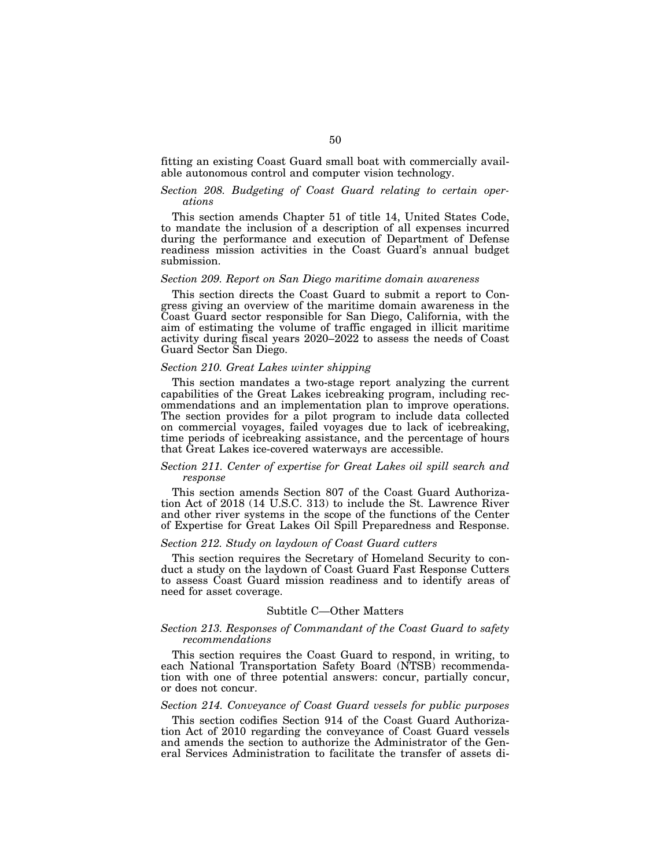fitting an existing Coast Guard small boat with commercially available autonomous control and computer vision technology.

## *Section 208. Budgeting of Coast Guard relating to certain operations*

This section amends Chapter 51 of title 14, United States Code, to mandate the inclusion of a description of all expenses incurred during the performance and execution of Department of Defense readiness mission activities in the Coast Guard's annual budget submission.

#### *Section 209. Report on San Diego maritime domain awareness*

This section directs the Coast Guard to submit a report to Congress giving an overview of the maritime domain awareness in the Coast Guard sector responsible for San Diego, California, with the aim of estimating the volume of traffic engaged in illicit maritime activity during fiscal years 2020–2022 to assess the needs of Coast Guard Sector San Diego.

## *Section 210. Great Lakes winter shipping*

This section mandates a two-stage report analyzing the current capabilities of the Great Lakes icebreaking program, including recommendations and an implementation plan to improve operations. The section provides for a pilot program to include data collected on commercial voyages, failed voyages due to lack of icebreaking, time periods of icebreaking assistance, and the percentage of hours that Great Lakes ice-covered waterways are accessible.

## *Section 211. Center of expertise for Great Lakes oil spill search and response*

This section amends Section 807 of the Coast Guard Authorization Act of 2018 (14 U.S.C. 313) to include the St. Lawrence River and other river systems in the scope of the functions of the Center of Expertise for Great Lakes Oil Spill Preparedness and Response.

## *Section 212. Study on laydown of Coast Guard cutters*

This section requires the Secretary of Homeland Security to conduct a study on the laydown of Coast Guard Fast Response Cutters to assess Coast Guard mission readiness and to identify areas of need for asset coverage.

## Subtitle C—Other Matters

## *Section 213. Responses of Commandant of the Coast Guard to safety recommendations*

This section requires the Coast Guard to respond, in writing, to each National Transportation Safety Board (NTSB) recommendation with one of three potential answers: concur, partially concur, or does not concur.

## *Section 214. Conveyance of Coast Guard vessels for public purposes*

This section codifies Section 914 of the Coast Guard Authorization Act of 2010 regarding the conveyance of Coast Guard vessels and amends the section to authorize the Administrator of the General Services Administration to facilitate the transfer of assets di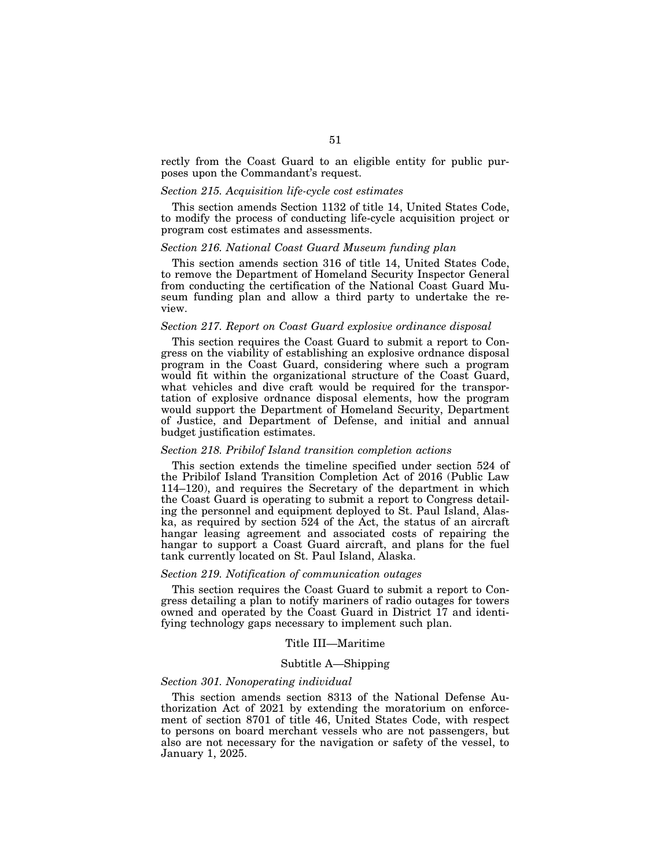rectly from the Coast Guard to an eligible entity for public purposes upon the Commandant's request.

## *Section 215. Acquisition life-cycle cost estimates*

This section amends Section 1132 of title 14, United States Code, to modify the process of conducting life-cycle acquisition project or program cost estimates and assessments.

## *Section 216. National Coast Guard Museum funding plan*

This section amends section 316 of title 14, United States Code, to remove the Department of Homeland Security Inspector General from conducting the certification of the National Coast Guard Museum funding plan and allow a third party to undertake the review.

## *Section 217. Report on Coast Guard explosive ordinance disposal*

This section requires the Coast Guard to submit a report to Congress on the viability of establishing an explosive ordnance disposal program in the Coast Guard, considering where such a program would fit within the organizational structure of the Coast Guard, what vehicles and dive craft would be required for the transportation of explosive ordnance disposal elements, how the program would support the Department of Homeland Security, Department of Justice, and Department of Defense, and initial and annual budget justification estimates.

## *Section 218. Pribilof Island transition completion actions*

This section extends the timeline specified under section 524 of the Pribilof Island Transition Completion Act of 2016 (Public Law 114–120), and requires the Secretary of the department in which the Coast Guard is operating to submit a report to Congress detailing the personnel and equipment deployed to St. Paul Island, Alaska, as required by section 524 of the Act, the status of an aircraft hangar leasing agreement and associated costs of repairing the hangar to support a Coast Guard aircraft, and plans for the fuel tank currently located on St. Paul Island, Alaska.

## *Section 219. Notification of communication outages*

This section requires the Coast Guard to submit a report to Congress detailing a plan to notify mariners of radio outages for towers owned and operated by the Coast Guard in District 17 and identifying technology gaps necessary to implement such plan.

## Title III—Maritime

## Subtitle A—Shipping

## *Section 301. Nonoperating individual*

This section amends section 8313 of the National Defense Authorization Act of 2021 by extending the moratorium on enforcement of section 8701 of title 46, United States Code, with respect to persons on board merchant vessels who are not passengers, but also are not necessary for the navigation or safety of the vessel, to January 1, 2025.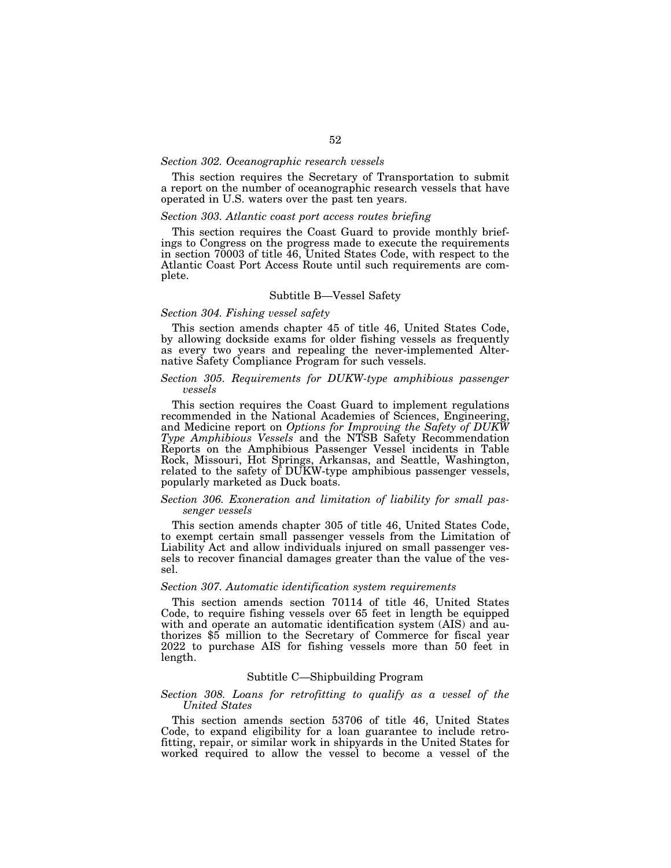#### *Section 302. Oceanographic research vessels*

This section requires the Secretary of Transportation to submit a report on the number of oceanographic research vessels that have operated in U.S. waters over the past ten years.

## *Section 303. Atlantic coast port access routes briefing*

This section requires the Coast Guard to provide monthly briefings to Congress on the progress made to execute the requirements in section 70003 of title 46, United States Code, with respect to the Atlantic Coast Port Access Route until such requirements are complete.

## Subtitle B—Vessel Safety

## *Section 304. Fishing vessel safety*

This section amends chapter 45 of title 46, United States Code, by allowing dockside exams for older fishing vessels as frequently as every two years and repealing the never-implemented Alternative Safety Compliance Program for such vessels.

## *Section 305. Requirements for DUKW-type amphibious passenger vessels*

This section requires the Coast Guard to implement regulations recommended in the National Academies of Sciences, Engineering, and Medicine report on *Options for Improving the Safety of DUKW Type Amphibious Vessels* and the NTSB Safety Recommendation Reports on the Amphibious Passenger Vessel incidents in Table Rock, Missouri, Hot Springs, Arkansas, and Seattle, Washington, related to the safety of DUKW-type amphibious passenger vessels, popularly marketed as Duck boats.

## *Section 306. Exoneration and limitation of liability for small passenger vessels*

This section amends chapter 305 of title 46, United States Code, to exempt certain small passenger vessels from the Limitation of Liability Act and allow individuals injured on small passenger vessels to recover financial damages greater than the value of the vessel.

#### *Section 307. Automatic identification system requirements*

This section amends section 70114 of title 46, United States Code, to require fishing vessels over 65 feet in length be equipped with and operate an automatic identification system (AIS) and authorizes \$5 million to the Secretary of Commerce for fiscal year 2022 to purchase AIS for fishing vessels more than 50 feet in length.

## Subtitle C—Shipbuilding Program

## *Section 308. Loans for retrofitting to qualify as a vessel of the United States*

This section amends section 53706 of title 46, United States Code, to expand eligibility for a loan guarantee to include retrofitting, repair, or similar work in shipyards in the United States for worked required to allow the vessel to become a vessel of the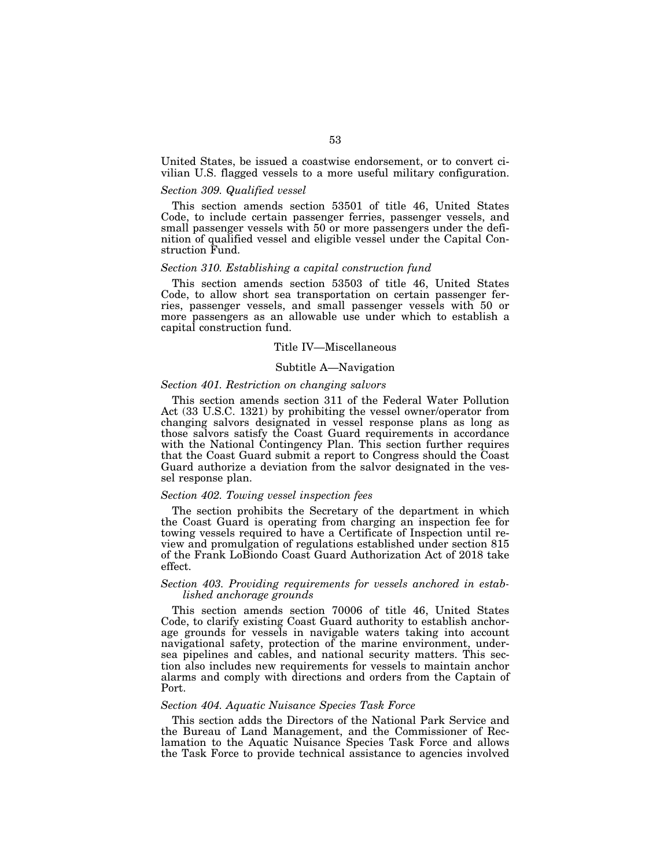United States, be issued a coastwise endorsement, or to convert civilian U.S. flagged vessels to a more useful military configuration.

#### *Section 309. Qualified vessel*

This section amends section 53501 of title 46, United States Code, to include certain passenger ferries, passenger vessels, and small passenger vessels with 50 or more passengers under the definition of qualified vessel and eligible vessel under the Capital Construction Fund.

#### *Section 310. Establishing a capital construction fund*

This section amends section 53503 of title 46, United States Code, to allow short sea transportation on certain passenger ferries, passenger vessels, and small passenger vessels with 50 or more passengers as an allowable use under which to establish a capital construction fund.

## Title IV—Miscellaneous

## Subtitle A—Navigation

## *Section 401. Restriction on changing salvors*

This section amends section 311 of the Federal Water Pollution Act (33 U.S.C. 1321) by prohibiting the vessel owner/operator from changing salvors designated in vessel response plans as long as those salvors satisfy the Coast Guard requirements in accordance with the National Contingency Plan. This section further requires that the Coast Guard submit a report to Congress should the Coast Guard authorize a deviation from the salvor designated in the vessel response plan.

## *Section 402. Towing vessel inspection fees*

The section prohibits the Secretary of the department in which the Coast Guard is operating from charging an inspection fee for towing vessels required to have a Certificate of Inspection until review and promulgation of regulations established under section 815 of the Frank LoBiondo Coast Guard Authorization Act of 2018 take effect.

## *Section 403. Providing requirements for vessels anchored in established anchorage grounds*

This section amends section 70006 of title 46, United States Code, to clarify existing Coast Guard authority to establish anchorage grounds for vessels in navigable waters taking into account navigational safety, protection of the marine environment, undersea pipelines and cables, and national security matters. This section also includes new requirements for vessels to maintain anchor alarms and comply with directions and orders from the Captain of Port.

## *Section 404. Aquatic Nuisance Species Task Force*

This section adds the Directors of the National Park Service and the Bureau of Land Management, and the Commissioner of Reclamation to the Aquatic Nuisance Species Task Force and allows the Task Force to provide technical assistance to agencies involved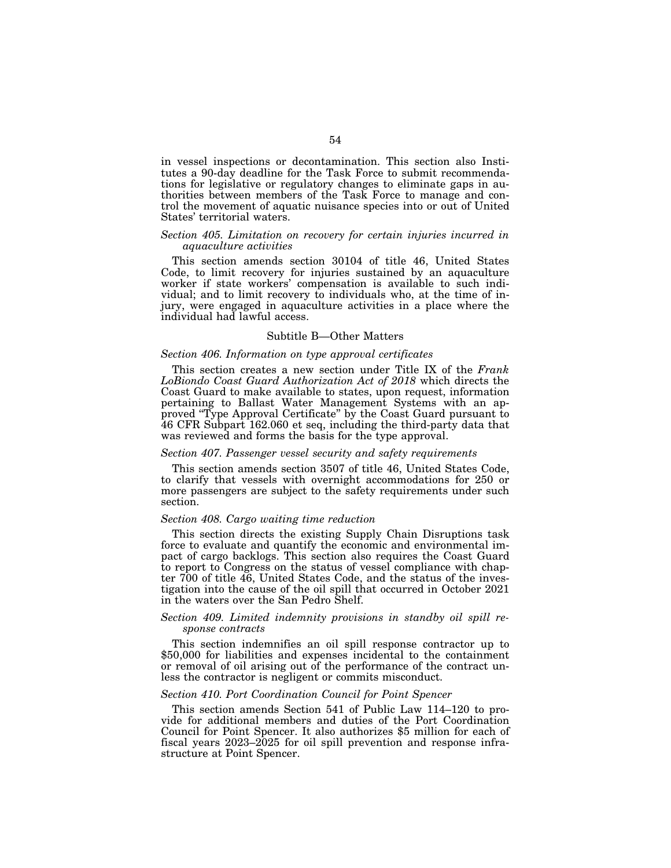in vessel inspections or decontamination. This section also Institutes a 90-day deadline for the Task Force to submit recommendations for legislative or regulatory changes to eliminate gaps in authorities between members of the Task Force to manage and control the movement of aquatic nuisance species into or out of United States' territorial waters.

## *Section 405. Limitation on recovery for certain injuries incurred in aquaculture activities*

This section amends section 30104 of title 46, United States Code, to limit recovery for injuries sustained by an aquaculture worker if state workers' compensation is available to such individual; and to limit recovery to individuals who, at the time of injury, were engaged in aquaculture activities in a place where the individual had lawful access.

## Subtitle B—Other Matters

## *Section 406. Information on type approval certificates*

This section creates a new section under Title IX of the *Frank LoBiondo Coast Guard Authorization Act of 2018* which directs the Coast Guard to make available to states, upon request, information pertaining to Ballast Water Management Systems with an approved ''Type Approval Certificate'' by the Coast Guard pursuant to 46 CFR Subpart 162.060 et seq, including the third-party data that was reviewed and forms the basis for the type approval.

#### *Section 407. Passenger vessel security and safety requirements*

This section amends section 3507 of title 46, United States Code, to clarify that vessels with overnight accommodations for 250 or more passengers are subject to the safety requirements under such section.

## *Section 408. Cargo waiting time reduction*

This section directs the existing Supply Chain Disruptions task force to evaluate and quantify the economic and environmental impact of cargo backlogs. This section also requires the Coast Guard to report to Congress on the status of vessel compliance with chapter 700 of title 46, United States Code, and the status of the investigation into the cause of the oil spill that occurred in October 2021 in the waters over the San Pedro Shelf.

#### *Section 409. Limited indemnity provisions in standby oil spill response contracts*

This section indemnifies an oil spill response contractor up to \$50,000 for liabilities and expenses incidental to the containment or removal of oil arising out of the performance of the contract unless the contractor is negligent or commits misconduct.

## *Section 410. Port Coordination Council for Point Spencer*

This section amends Section 541 of Public Law 114–120 to provide for additional members and duties of the Port Coordination Council for Point Spencer. It also authorizes \$5 million for each of fiscal years 2023–2025 for oil spill prevention and response infrastructure at Point Spencer.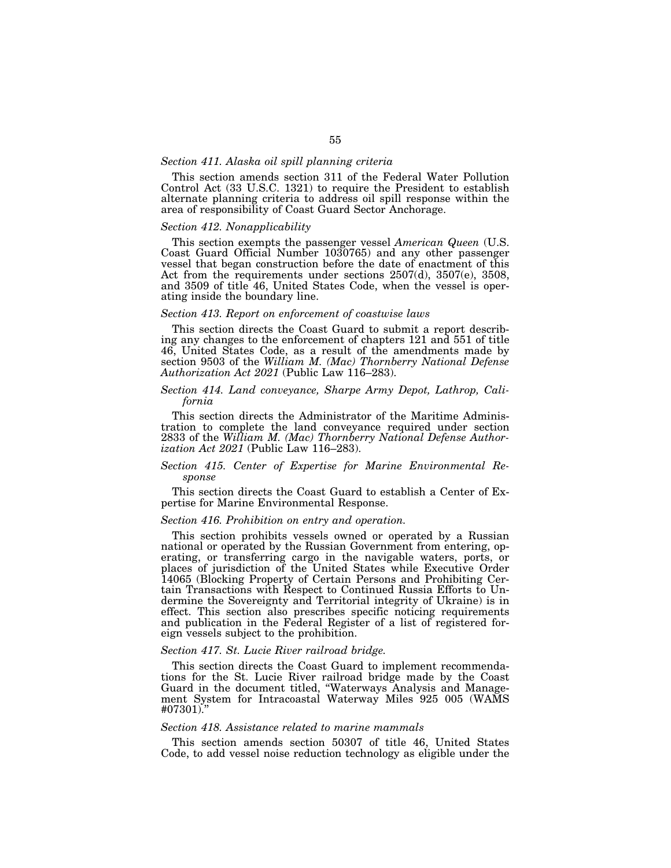## *Section 411. Alaska oil spill planning criteria*

This section amends section 311 of the Federal Water Pollution Control Act (33 U.S.C. 1321) to require the President to establish alternate planning criteria to address oil spill response within the area of responsibility of Coast Guard Sector Anchorage.

#### *Section 412. Nonapplicability*

This section exempts the passenger vessel *American Queen* (U.S. Coast Guard Official Number 1030765) and any other passenger vessel that began construction before the date of enactment of this Act from the requirements under sections 2507(d), 3507(e), 3508, and 3509 of title 46, United States Code, when the vessel is operating inside the boundary line.

#### *Section 413. Report on enforcement of coastwise laws*

This section directs the Coast Guard to submit a report describing any changes to the enforcement of chapters 121 and 551 of title 46, United States Code, as a result of the amendments made by section 9503 of the *William M. (Mac) Thornberry National Defense Authorization Act 2021* (Public Law 116–283).

## *Section 414. Land conveyance, Sharpe Army Depot, Lathrop, California*

This section directs the Administrator of the Maritime Administration to complete the land conveyance required under section 2833 of the *William M. (Mac) Thornberry National Defense Authorization Act 2021* (Public Law 116–283).

## *Section 415. Center of Expertise for Marine Environmental Response*

This section directs the Coast Guard to establish a Center of Expertise for Marine Environmental Response.

#### *Section 416. Prohibition on entry and operation.*

This section prohibits vessels owned or operated by a Russian national or operated by the Russian Government from entering, operating, or transferring cargo in the navigable waters, ports, or places of jurisdiction of the United States while Executive Order 14065 (Blocking Property of Certain Persons and Prohibiting Certain Transactions with Respect to Continued Russia Efforts to Undermine the Sovereignty and Territorial integrity of Ukraine) is in effect. This section also prescribes specific noticing requirements and publication in the Federal Register of a list of registered foreign vessels subject to the prohibition.

## *Section 417. St. Lucie River railroad bridge.*

This section directs the Coast Guard to implement recommendations for the St. Lucie River railroad bridge made by the Coast Guard in the document titled, ''Waterways Analysis and Management System for Intracoastal Waterway Miles 925 005 (WAMS #07301).''

## *Section 418. Assistance related to marine mammals*

This section amends section 50307 of title 46, United States Code, to add vessel noise reduction technology as eligible under the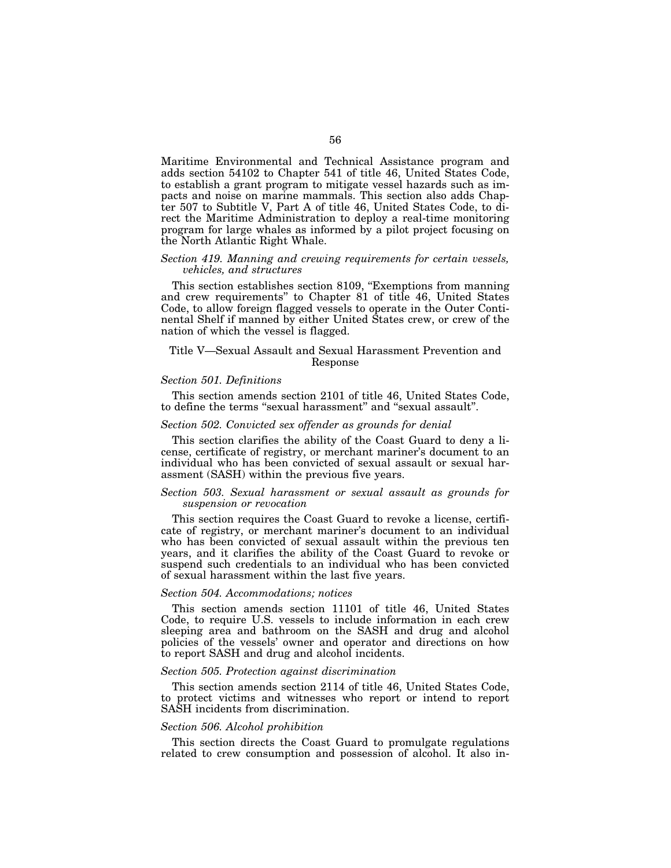Maritime Environmental and Technical Assistance program and adds section 54102 to Chapter 541 of title 46, United States Code, to establish a grant program to mitigate vessel hazards such as impacts and noise on marine mammals. This section also adds Chapter 507 to Subtitle V, Part A of title 46, United States Code, to direct the Maritime Administration to deploy a real-time monitoring program for large whales as informed by a pilot project focusing on the North Atlantic Right Whale.

## *Section 419. Manning and crewing requirements for certain vessels, vehicles, and structures*

This section establishes section 8109, "Exemptions from manning" and crew requirements'' to Chapter 81 of title 46, United States Code, to allow foreign flagged vessels to operate in the Outer Continental Shelf if manned by either United States crew, or crew of the nation of which the vessel is flagged.

## Title V—Sexual Assault and Sexual Harassment Prevention and Response

## *Section 501. Definitions*

This section amends section 2101 of title 46, United States Code, to define the terms ''sexual harassment'' and ''sexual assault''.

#### *Section 502. Convicted sex offender as grounds for denial*

This section clarifies the ability of the Coast Guard to deny a license, certificate of registry, or merchant mariner's document to an individual who has been convicted of sexual assault or sexual harassment (SASH) within the previous five years.

## *Section 503. Sexual harassment or sexual assault as grounds for suspension or revocation*

This section requires the Coast Guard to revoke a license, certificate of registry, or merchant mariner's document to an individual who has been convicted of sexual assault within the previous ten years, and it clarifies the ability of the Coast Guard to revoke or suspend such credentials to an individual who has been convicted of sexual harassment within the last five years.

#### *Section 504. Accommodations; notices*

This section amends section 11101 of title 46, United States Code, to require U.S. vessels to include information in each crew sleeping area and bathroom on the SASH and drug and alcohol policies of the vessels' owner and operator and directions on how to report SASH and drug and alcohol incidents.

#### *Section 505. Protection against discrimination*

This section amends section 2114 of title 46, United States Code, to protect victims and witnesses who report or intend to report SASH incidents from discrimination.

## *Section 506. Alcohol prohibition*

This section directs the Coast Guard to promulgate regulations related to crew consumption and possession of alcohol. It also in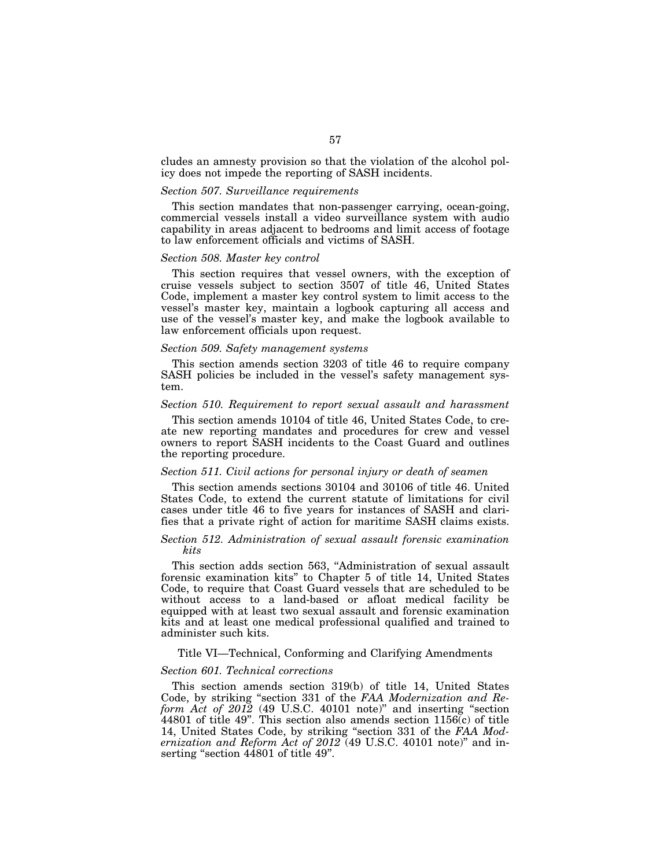cludes an amnesty provision so that the violation of the alcohol policy does not impede the reporting of SASH incidents.

## *Section 507. Surveillance requirements*

This section mandates that non-passenger carrying, ocean-going, commercial vessels install a video surveillance system with audio capability in areas adjacent to bedrooms and limit access of footage to law enforcement officials and victims of SASH.

## *Section 508. Master key control*

This section requires that vessel owners, with the exception of cruise vessels subject to section 3507 of title 46, United States Code, implement a master key control system to limit access to the vessel's master key, maintain a logbook capturing all access and use of the vessel's master key, and make the logbook available to law enforcement officials upon request.

## *Section 509. Safety management systems*

This section amends section 3203 of title 46 to require company SASH policies be included in the vessel's safety management system.

## *Section 510. Requirement to report sexual assault and harassment*

This section amends 10104 of title 46, United States Code, to create new reporting mandates and procedures for crew and vessel owners to report SASH incidents to the Coast Guard and outlines the reporting procedure.

## *Section 511. Civil actions for personal injury or death of seamen*

This section amends sections 30104 and 30106 of title 46. United States Code, to extend the current statute of limitations for civil cases under title 46 to five years for instances of SASH and clarifies that a private right of action for maritime SASH claims exists.

## *Section 512. Administration of sexual assault forensic examination kits*

This section adds section 563, ''Administration of sexual assault forensic examination kits'' to Chapter 5 of title 14, United States Code, to require that Coast Guard vessels that are scheduled to be without access to a land-based or afloat medical facility be equipped with at least two sexual assault and forensic examination kits and at least one medical professional qualified and trained to administer such kits.

#### Title VI—Technical, Conforming and Clarifying Amendments

## *Section 601. Technical corrections*

This section amends section 319(b) of title 14, United States Code, by striking ''section 331 of the *FAA Modernization and Reform Act of 2012* (49 U.S.C. 40101 note)" and inserting "section  $44801$  of title 49". This section also amends section  $1156(c)$  of title 14, United States Code, by striking ''section 331 of the *FAA Modernization and Reform Act of 2012* (49 U.S.C. 40101 note)'' and inserting "section 44801 of title 49".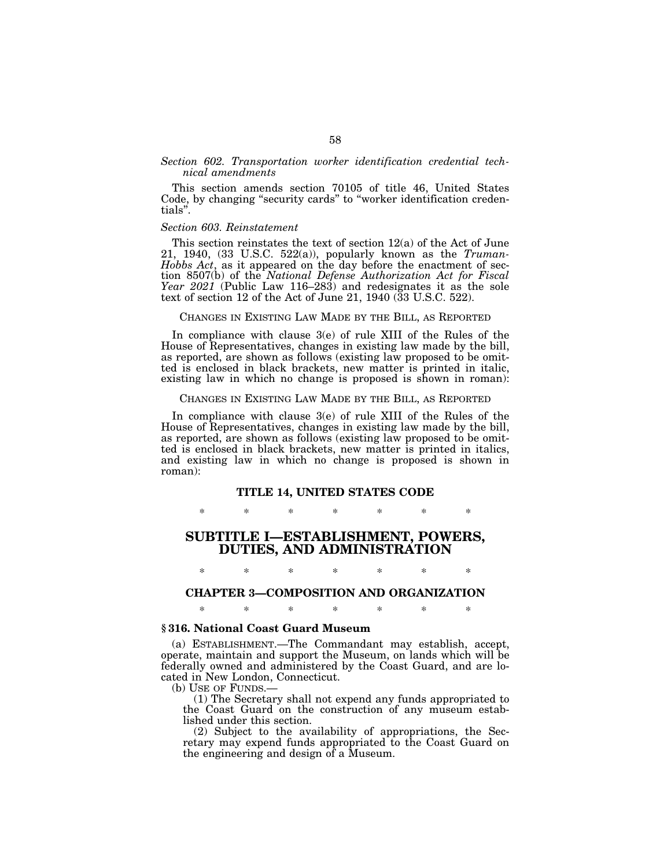## *Section 602. Transportation worker identification credential technical amendments*

This section amends section 70105 of title 46, United States Code, by changing "security cards" to "worker identification credentials''.

## *Section 603. Reinstatement*

This section reinstates the text of section 12(a) of the Act of June 21, 1940, (33 U.S.C. 522(a)), popularly known as the *Truman-Hobbs Act*, as it appeared on the day before the enactment of section 8507(b) of the *National Defense Authorization Act for Fiscal Year 2021* (Public Law 116–283) and redesignates it as the sole text of section 12 of the Act of June 21, 1940 (33 U.S.C. 522).

#### CHANGES IN EXISTING LAW MADE BY THE BILL, AS REPORTED

In compliance with clause 3(e) of rule XIII of the Rules of the House of Representatives, changes in existing law made by the bill, as reported, are shown as follows (existing law proposed to be omitted is enclosed in black brackets, new matter is printed in italic, existing law in which no change is proposed is shown in roman):

## CHANGES IN EXISTING LAW MADE BY THE BILL, AS REPORTED

In compliance with clause 3(e) of rule XIII of the Rules of the House of Representatives, changes in existing law made by the bill, as reported, are shown as follows (existing law proposed to be omitted is enclosed in black brackets, new matter is printed in italics, and existing law in which no change is proposed is shown in roman):

## **TITLE 14, UNITED STATES CODE**

\* \* \* \* \* \* \*

# **SUBTITLE I—ESTABLISHMENT, POWERS, DUTIES, AND ADMINISTRATION**

\* \* \* \* \* \* \*

## **CHAPTER 3—COMPOSITION AND ORGANIZATION**

\* \* \* \* \* \* \*

## **§ 316. National Coast Guard Museum**

(a) ESTABLISHMENT.—The Commandant may establish, accept, operate, maintain and support the Museum, on lands which will be federally owned and administered by the Coast Guard, and are located in New London, Connecticut.

(b) USE OF FUNDS.—

(1) The Secretary shall not expend any funds appropriated to the Coast Guard on the construction of any museum established under this section.

(2) Subject to the availability of appropriations, the Secretary may expend funds appropriated to the Coast Guard on the engineering and design of a Museum.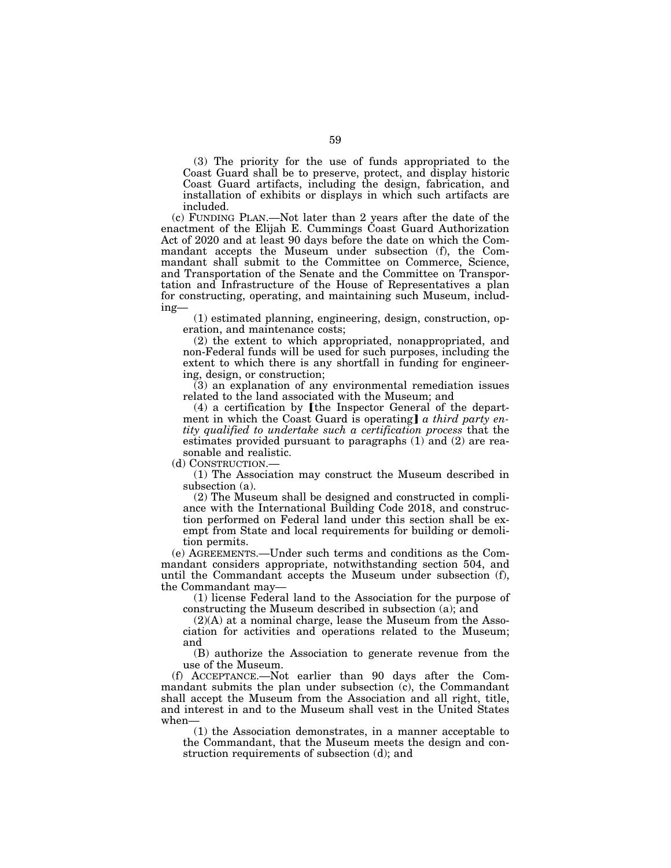(3) The priority for the use of funds appropriated to the Coast Guard shall be to preserve, protect, and display historic Coast Guard artifacts, including the design, fabrication, and installation of exhibits or displays in which such artifacts are included.

(c) FUNDING PLAN.—Not later than 2 years after the date of the enactment of the Elijah E. Cummings Coast Guard Authorization Act of 2020 and at least 90 days before the date on which the Commandant accepts the Museum under subsection (f), the Commandant shall submit to the Committee on Commerce, Science, and Transportation of the Senate and the Committee on Transportation and Infrastructure of the House of Representatives a plan for constructing, operating, and maintaining such Museum, including—

(1) estimated planning, engineering, design, construction, operation, and maintenance costs;

(2) the extent to which appropriated, nonappropriated, and non-Federal funds will be used for such purposes, including the extent to which there is any shortfall in funding for engineering, design, or construction;

(3) an explanation of any environmental remediation issues related to the land associated with the Museum; and

 $(4)$  a certification by [the Inspector General of the department in which the Coast Guard is operating a *third party entity qualified to undertake such a certification process* that the estimates provided pursuant to paragraphs (1) and (2) are reasonable and realistic.

(d) CONSTRUCTION.—

(1) The Association may construct the Museum described in subsection (a).

(2) The Museum shall be designed and constructed in compliance with the International Building Code 2018, and construction performed on Federal land under this section shall be exempt from State and local requirements for building or demolition permits.

(e) AGREEMENTS.—Under such terms and conditions as the Commandant considers appropriate, notwithstanding section 504, and until the Commandant accepts the Museum under subsection (f), the Commandant may—

(1) license Federal land to the Association for the purpose of constructing the Museum described in subsection (a); and

(2)(A) at a nominal charge, lease the Museum from the Association for activities and operations related to the Museum; and

(B) authorize the Association to generate revenue from the use of the Museum.

(f) ACCEPTANCE.—Not earlier than 90 days after the Commandant submits the plan under subsection (c), the Commandant shall accept the Museum from the Association and all right, title, and interest in and to the Museum shall vest in the United States when—

(1) the Association demonstrates, in a manner acceptable to the Commandant, that the Museum meets the design and construction requirements of subsection (d); and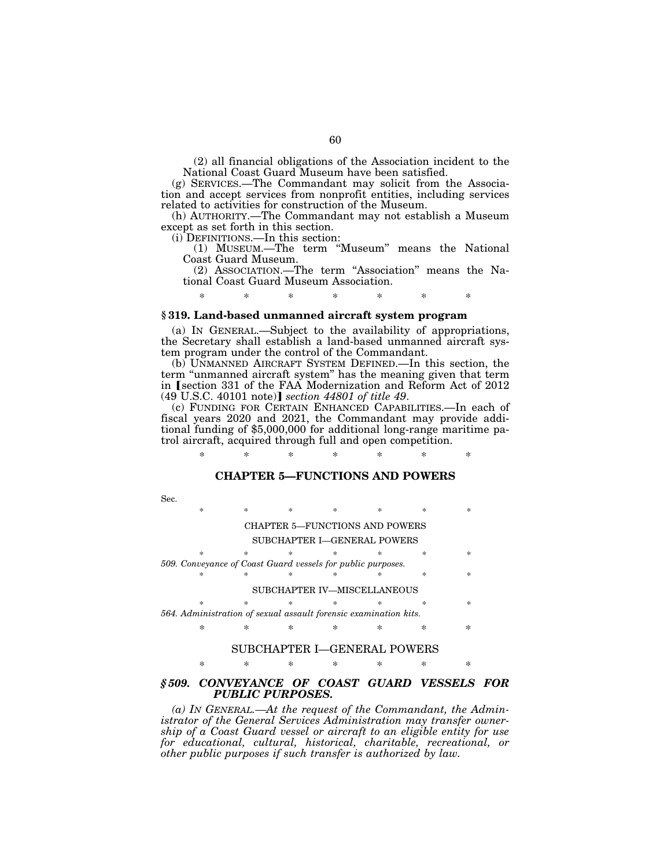(2) all financial obligations of the Association incident to the National Coast Guard Museum have been satisfied.

(g) SERVICES.—The Commandant may solicit from the Association and accept services from nonprofit entities, including services related to activities for construction of the Museum.

(h) AUTHORITY.—The Commandant may not establish a Museum except as set forth in this section.

(i) DEFINITIONS.—In this section:

(1) MUSEUM.—The term ''Museum'' means the National Coast Guard Museum.

(2) ASSOCIATION.—The term ''Association'' means the National Coast Guard Museum Association.

\* \* \* \* \* \* \*

## **§ 319. Land-based unmanned aircraft system program**

(a) IN GENERAL.—Subject to the availability of appropriations, the Secretary shall establish a land-based unmanned aircraft system program under the control of the Commandant.

(b) UNMANNED AIRCRAFT SYSTEM DEFINED.—In this section, the term "unmanned aircraft system" has the meaning given that term in [section 331 of the FAA Modernization and Reform Act of 2012 (49 U.S.C. 40101 note)] *section 44801 of title 49*.

(c) FUNDING FOR CERTAIN ENHANCED CAPABILITIES.—In each of fiscal years 2020 and 2021, the Commandant may provide additional funding of \$5,000,000 for additional long-range maritime patrol aircraft, acquired through full and open competition.

# \* \* \* \* \* \* \* **CHAPTER 5—FUNCTIONS AND POWERS**

Sec.

## \* \* \* \* \* \* \* \* CHAPTER 5—FUNCTIONS AND POWERS

SUBCHAPTER I—GENERAL POWERS

\* \* \* \* \* \* \* \* *509. Conveyance of Coast Guard vessels for public purposes.* 

\* \* \* \* \* \* \* \*

## SUBCHAPTER IV—MISCELLANEOUS

\* \* \* \* \* \* \* \* *564. Administration of sexual assault forensic examination kits.* 

\* \* \* \* \* \* \*

## SUBCHAPTER I—GENERAL POWERS

\* \* \* \* \* \* \*

## *§ 509. CONVEYANCE OF COAST GUARD VESSELS FOR PUBLIC PURPOSES.*

*(a) IN GENERAL.—At the request of the Commandant, the Administrator of the General Services Administration may transfer ownership of a Coast Guard vessel or aircraft to an eligible entity for use for educational, cultural, historical, charitable, recreational, or other public purposes if such transfer is authorized by law.*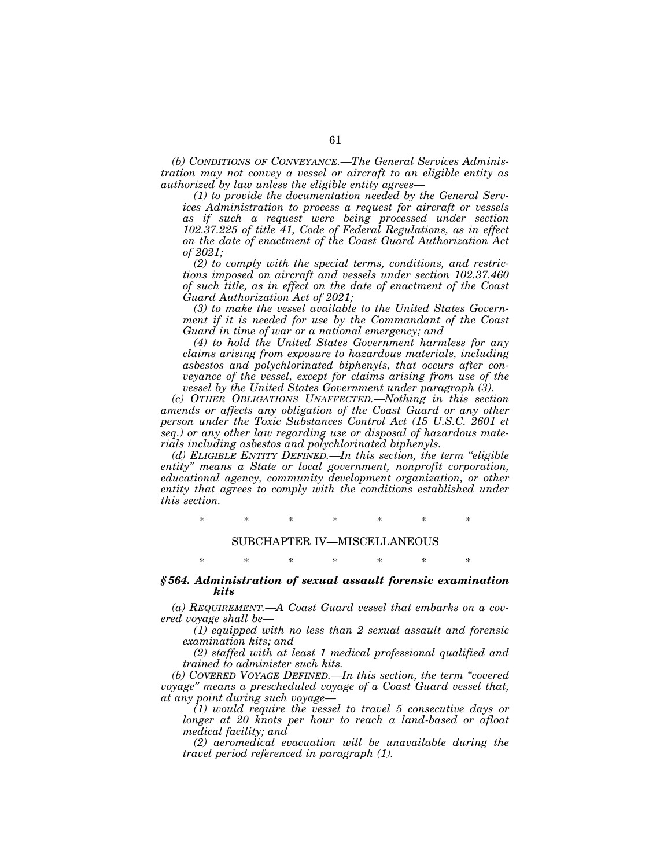*(b) CONDITIONS OF CONVEYANCE.—The General Services Administration may not convey a vessel or aircraft to an eligible entity as authorized by law unless the eligible entity agrees—* 

*(1) to provide the documentation needed by the General Services Administration to process a request for aircraft or vessels as if such a request were being processed under section 102.37.225 of title 41, Code of Federal Regulations, as in effect on the date of enactment of the Coast Guard Authorization Act of 2021;* 

*(2) to comply with the special terms, conditions, and restrictions imposed on aircraft and vessels under section 102.37.460 of such title, as in effect on the date of enactment of the Coast Guard Authorization Act of 2021;* 

*(3) to make the vessel available to the United States Government if it is needed for use by the Commandant of the Coast Guard in time of war or a national emergency; and* 

*(4) to hold the United States Government harmless for any claims arising from exposure to hazardous materials, including asbestos and polychlorinated biphenyls, that occurs after conveyance of the vessel, except for claims arising from use of the vessel by the United States Government under paragraph (3).* 

*(c) OTHER OBLIGATIONS UNAFFECTED.—Nothing in this section amends or affects any obligation of the Coast Guard or any other person under the Toxic Substances Control Act (15 U.S.C. 2601 et seq.) or any other law regarding use or disposal of hazardous materials including asbestos and polychlorinated biphenyls.* 

*(d) ELIGIBLE ENTITY DEFINED.—In this section, the term ''eligible entity'' means a State or local government, nonprofit corporation, educational agency, community development organization, or other*  entity that agrees to comply with the conditions established under *this section.* 

\* \* \* \* \* \* \*

#### SUBCHAPTER IV—MISCELLANEOUS

\* \* \* \* \* \* \*

## *§ 564. Administration of sexual assault forensic examination kits*

*(a) REQUIREMENT.—A Coast Guard vessel that embarks on a covered voyage shall be—* 

*(1) equipped with no less than 2 sexual assault and forensic examination kits; and* 

*(2) staffed with at least 1 medical professional qualified and trained to administer such kits.* 

*(b) COVERED VOYAGE DEFINED.—In this section, the term ''covered voyage'' means a prescheduled voyage of a Coast Guard vessel that, at any point during such voyage—* 

*(1) would require the vessel to travel 5 consecutive days or longer at 20 knots per hour to reach a land-based or afloat medical facility; and* 

*(2) aeromedical evacuation will be unavailable during the travel period referenced in paragraph (1).*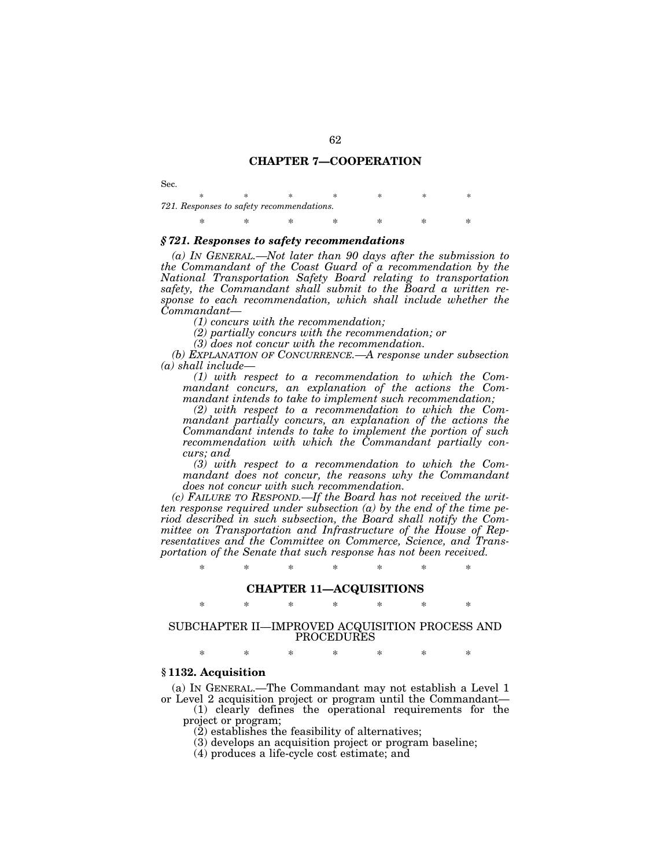## **CHAPTER 7—COOPERATION**

Sec. \* \* \* \* \* \* \* \* *721. Responses to safety recommendations.* 

## *§ 721. Responses to safety recommendations*

*(a) IN GENERAL.—Not later than 90 days after the submission to the Commandant of the Coast Guard of a recommendation by the National Transportation Safety Board relating to transportation safety, the Commandant shall submit to the Board a written response to each recommendation, which shall include whether the Commandant—* 

\* \* \* \* \* \* \*

*(1) concurs with the recommendation;* 

*(2) partially concurs with the recommendation; or* 

*(3) does not concur with the recommendation.* 

*(b) EXPLANATION OF CONCURRENCE.—A response under subsection (a) shall include—* 

*(1) with respect to a recommendation to which the Commandant concurs, an explanation of the actions the Commandant intends to take to implement such recommendation;* 

*(2) with respect to a recommendation to which the Commandant partially concurs, an explanation of the actions the Commandant intends to take to implement the portion of such recommendation with which the Commandant partially concurs; and* 

*(3) with respect to a recommendation to which the Commandant does not concur, the reasons why the Commandant does not concur with such recommendation.* 

*(c) FAILURE TO RESPOND.—If the Board has not received the written response required under subsection (a) by the end of the time period described in such subsection, the Board shall notify the Committee on Transportation and Infrastructure of the House of Representatives and the Committee on Commerce, Science, and Transportation of the Senate that such response has not been received.* 

\* \* \* \* \* \* \*

## **CHAPTER 11—ACQUISITIONS**

\* \* \* \* \* \* \*

## SUBCHAPTER II—IMPROVED ACQUISITION PROCESS AND PROCEDURES

\* \* \* \* \* \* \*

## **§ 1132. Acquisition**

(a) IN GENERAL.—The Commandant may not establish a Level 1 or Level 2 acquisition project or program until the Commandant—

(1) clearly defines the operational requirements for the project or program;

(2) establishes the feasibility of alternatives;

(3) develops an acquisition project or program baseline;

(4) produces a life-cycle cost estimate; and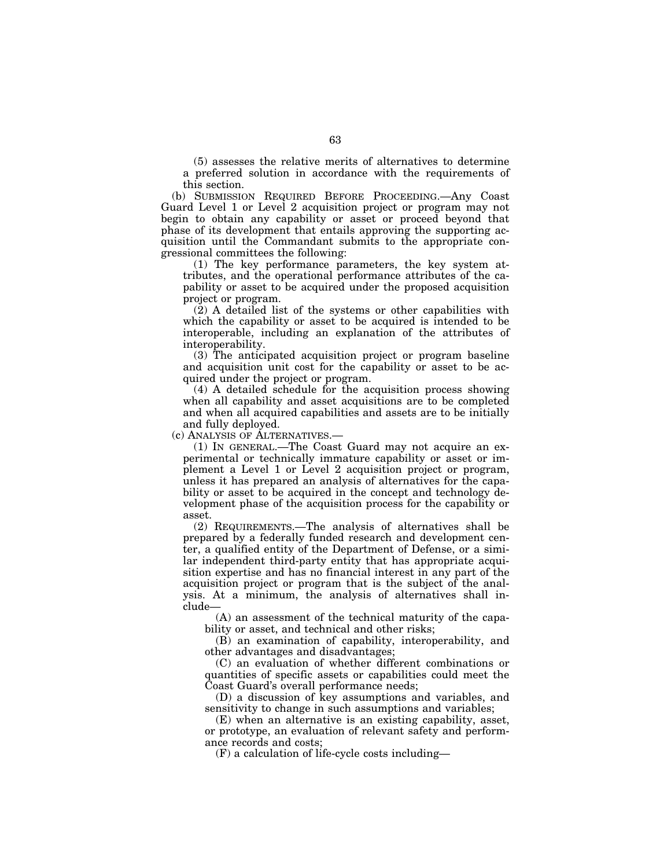(5) assesses the relative merits of alternatives to determine a preferred solution in accordance with the requirements of this section.

(b) SUBMISSION REQUIRED BEFORE PROCEEDING.—Any Coast Guard Level 1 or Level 2 acquisition project or program may not begin to obtain any capability or asset or proceed beyond that phase of its development that entails approving the supporting acquisition until the Commandant submits to the appropriate congressional committees the following:

(1) The key performance parameters, the key system attributes, and the operational performance attributes of the capability or asset to be acquired under the proposed acquisition project or program.

(2) A detailed list of the systems or other capabilities with which the capability or asset to be acquired is intended to be interoperable, including an explanation of the attributes of interoperability.

(3) The anticipated acquisition project or program baseline and acquisition unit cost for the capability or asset to be acquired under the project or program.

(4) A detailed schedule for the acquisition process showing when all capability and asset acquisitions are to be completed and when all acquired capabilities and assets are to be initially and fully deployed.

(c) ANALYSIS OF ALTERNATIVES.—

(1) IN GENERAL.—The Coast Guard may not acquire an experimental or technically immature capability or asset or implement a Level 1 or Level 2 acquisition project or program, unless it has prepared an analysis of alternatives for the capability or asset to be acquired in the concept and technology development phase of the acquisition process for the capability or asset.

(2) REQUIREMENTS.—The analysis of alternatives shall be prepared by a federally funded research and development center, a qualified entity of the Department of Defense, or a similar independent third-party entity that has appropriate acquisition expertise and has no financial interest in any part of the acquisition project or program that is the subject of the analysis. At a minimum, the analysis of alternatives shall include—

(A) an assessment of the technical maturity of the capability or asset, and technical and other risks;

(B) an examination of capability, interoperability, and other advantages and disadvantages;

(C) an evaluation of whether different combinations or quantities of specific assets or capabilities could meet the Coast Guard's overall performance needs;

(D) a discussion of key assumptions and variables, and sensitivity to change in such assumptions and variables;

(E) when an alternative is an existing capability, asset, or prototype, an evaluation of relevant safety and performance records and costs;

(F) a calculation of life-cycle costs including—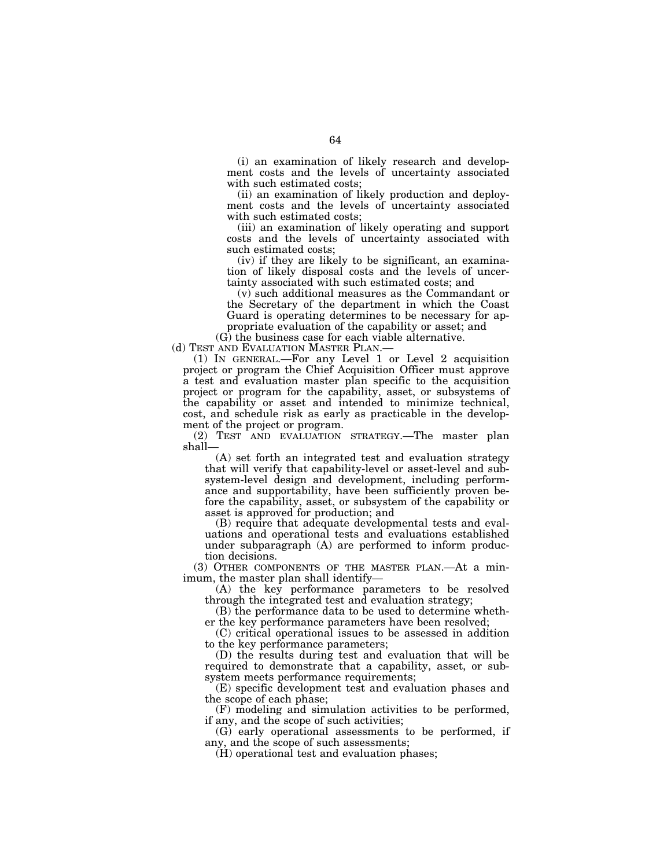(i) an examination of likely research and development costs and the levels of uncertainty associated with such estimated costs;

(ii) an examination of likely production and deployment costs and the levels of uncertainty associated with such estimated costs;

(iii) an examination of likely operating and support costs and the levels of uncertainty associated with such estimated costs;

(iv) if they are likely to be significant, an examination of likely disposal costs and the levels of uncertainty associated with such estimated costs; and

(v) such additional measures as the Commandant or the Secretary of the department in which the Coast Guard is operating determines to be necessary for appropriate evaluation of the capability or asset; and

(G) the business case for each viable alternative.<br>(d) TEST AND EVALUATION MASTER PLAN.—

(1) IN GENERAL.—For any Level 1 or Level 2 acquisition project or program the Chief Acquisition Officer must approve a test and evaluation master plan specific to the acquisition project or program for the capability, asset, or subsystems of the capability or asset and intended to minimize technical, cost, and schedule risk as early as practicable in the development of the project or program.

(2) TEST AND EVALUATION STRATEGY.—The master plan shall—

(A) set forth an integrated test and evaluation strategy that will verify that capability-level or asset-level and subsystem-level design and development, including performance and supportability, have been sufficiently proven before the capability, asset, or subsystem of the capability or asset is approved for production; and

(B) require that adequate developmental tests and evaluations and operational tests and evaluations established under subparagraph (A) are performed to inform production decisions.

(3) OTHER COMPONENTS OF THE MASTER PLAN.—At a minimum, the master plan shall identify—

(A) the key performance parameters to be resolved through the integrated test and evaluation strategy;

(B) the performance data to be used to determine whether the key performance parameters have been resolved;

(C) critical operational issues to be assessed in addition to the key performance parameters;

(D) the results during test and evaluation that will be required to demonstrate that a capability, asset, or subsystem meets performance requirements;

(E) specific development test and evaluation phases and the scope of each phase;

(F) modeling and simulation activities to be performed, if any, and the scope of such activities;

(G) early operational assessments to be performed, if any, and the scope of such assessments;

(H) operational test and evaluation phases;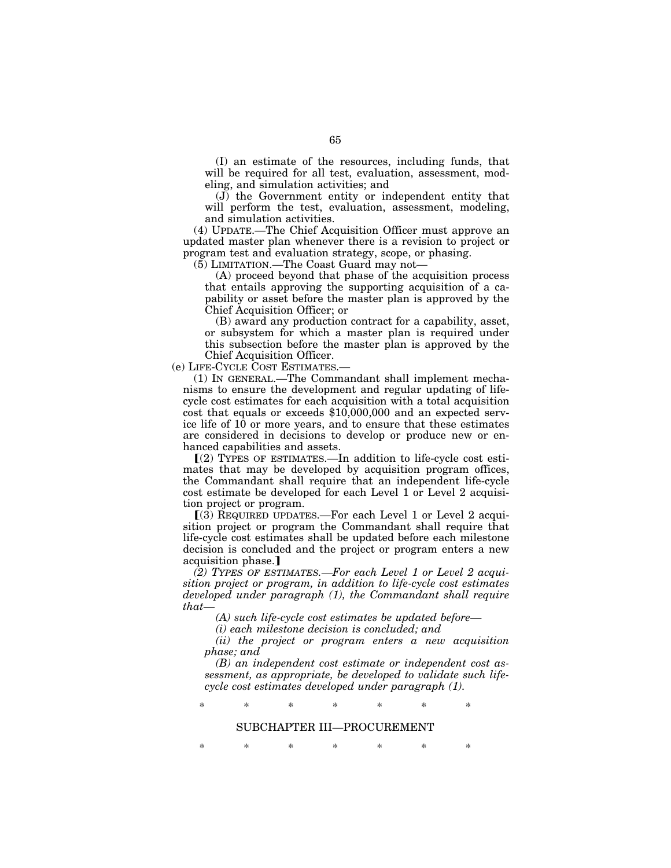(I) an estimate of the resources, including funds, that will be required for all test, evaluation, assessment, modeling, and simulation activities; and

(J) the Government entity or independent entity that will perform the test, evaluation, assessment, modeling, and simulation activities.

(4) UPDATE.—The Chief Acquisition Officer must approve an updated master plan whenever there is a revision to project or program test and evaluation strategy, scope, or phasing.

(5) LIMITATION.—The Coast Guard may not—

(A) proceed beyond that phase of the acquisition process that entails approving the supporting acquisition of a capability or asset before the master plan is approved by the Chief Acquisition Officer; or

(B) award any production contract for a capability, asset, or subsystem for which a master plan is required under this subsection before the master plan is approved by the Chief Acquisition Officer.

(e) LIFE-CYCLE COST ESTIMATES.—

(1) IN GENERAL.—The Commandant shall implement mechanisms to ensure the development and regular updating of lifecycle cost estimates for each acquisition with a total acquisition cost that equals or exceeds \$10,000,000 and an expected service life of 10 or more years, and to ensure that these estimates are considered in decisions to develop or produce new or enhanced capabilities and assets.

 $(2)$  TYPES OF ESTIMATES.—In addition to life-cycle cost estimates that may be developed by acquisition program offices, the Commandant shall require that an independent life-cycle cost estimate be developed for each Level 1 or Level 2 acquisition project or program.

 $(3)$  REQUIRED UPDATES.—For each Level 1 or Level 2 acquisition project or program the Commandant shall require that life-cycle cost estimates shall be updated before each milestone decision is concluded and the project or program enters a new acquisition phase.]

*(2) TYPES OF ESTIMATES.—For each Level 1 or Level 2 acquisition project or program, in addition to life-cycle cost estimates developed under paragraph (1), the Commandant shall require that—* 

*(A) such life-cycle cost estimates be updated before—* 

*(i) each milestone decision is concluded; and* 

*(ii) the project or program enters a new acquisition phase; and* 

*(B) an independent cost estimate or independent cost assessment, as appropriate, be developed to validate such lifecycle cost estimates developed under paragraph (1).* 

\* \* \* \* \* \* \*

## SUBCHAPTER III—PROCUREMENT

\* \* \* \* \* \* \*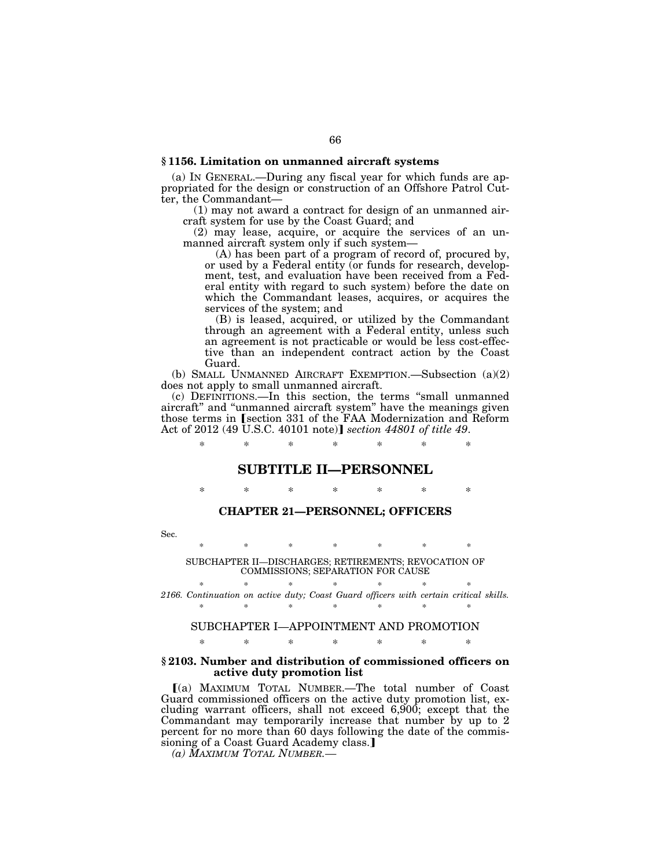### **§ 1156. Limitation on unmanned aircraft systems**

(a) IN GENERAL.—During any fiscal year for which funds are appropriated for the design or construction of an Offshore Patrol Cutter, the Commandant—

(1) may not award a contract for design of an unmanned aircraft system for use by the Coast Guard; and

(2) may lease, acquire, or acquire the services of an unmanned aircraft system only if such system—

(A) has been part of a program of record of, procured by, or used by a Federal entity (or funds for research, development, test, and evaluation have been received from a Federal entity with regard to such system) before the date on which the Commandant leases, acquires, or acquires the services of the system; and

(B) is leased, acquired, or utilized by the Commandant through an agreement with a Federal entity, unless such an agreement is not practicable or would be less cost-effective than an independent contract action by the Coast Guard.

(b) SMALL UNMANNED AIRCRAFT EXEMPTION.—Subsection (a)(2) does not apply to small unmanned aircraft.

(c) DEFINITIONS.—In this section, the terms ''small unmanned aircraft'' and ''unmanned aircraft system'' have the meanings given those terms in [section 331 of the FAA Modernization and Reform Act of 2012 (49 U.S.C. 40101 note)] *section 44801 of title 49*.

\* \* \* \* \* \* \*

## **SUBTITLE II—PERSONNEL**

# \* \* \* \* \* \* \* **CHAPTER 21—PERSONNEL; OFFICERS**

Sec.

\* \* \* \* \* \* \* \*

#### SUBCHAPTER II—DISCHARGES; RETIREMENTS; REVOCATION OF COMMISSIONS; SEPARATION FOR CAUSE

\* \* \* \* \* \* \* \* *2166. Continuation on active duty; Coast Guard officers with certain critical skills.*  \* \* \* \* \* \* \* \*

# SUBCHAPTER I—APPOINTMENT AND PROMOTION \* \* \* \* \* \* \*

## **§ 2103. Number and distribution of commissioned officers on active duty promotion list**

ø(a) MAXIMUM TOTAL NUMBER.—The total number of Coast Guard commissioned officers on the active duty promotion list, excluding warrant officers, shall not exceed 6,900; except that the Commandant may temporarily increase that number by up to 2 percent for no more than 60 days following the date of the commissioning of a Coast Guard Academy class.

*(a) MAXIMUM TOTAL NUMBER.—*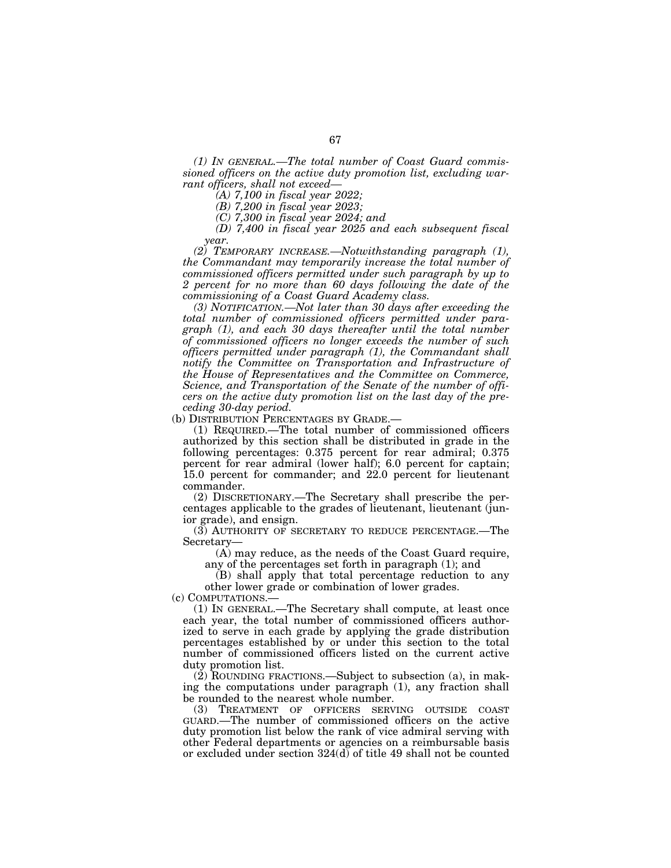*(1) IN GENERAL.—The total number of Coast Guard commissioned officers on the active duty promotion list, excluding warrant officers, shall not exceed—* 

*(A) 7,100 in fiscal year 2022;* 

*(B) 7,200 in fiscal year 2023;* 

*(C) 7,300 in fiscal year 2024; and* 

*(D) 7,400 in fiscal year 2025 and each subsequent fiscal year.* 

*(2) TEMPORARY INCREASE.—Notwithstanding paragraph (1), the Commandant may temporarily increase the total number of commissioned officers permitted under such paragraph by up to 2 percent for no more than 60 days following the date of the commissioning of a Coast Guard Academy class.* 

*(3) NOTIFICATION.—Not later than 30 days after exceeding the total number of commissioned officers permitted under paragraph (1), and each 30 days thereafter until the total number of commissioned officers no longer exceeds the number of such officers permitted under paragraph (1), the Commandant shall notify the Committee on Transportation and Infrastructure of the House of Representatives and the Committee on Commerce, Science, and Transportation of the Senate of the number of officers on the active duty promotion list on the last day of the preceding 30-day period.* 

(b) DISTRIBUTION PERCENTAGES BY GRADE.—

(1) REQUIRED.—The total number of commissioned officers authorized by this section shall be distributed in grade in the following percentages: 0.375 percent for rear admiral; 0.375 percent for rear admiral (lower half); 6.0 percent for captain; 15.0 percent for commander; and 22.0 percent for lieutenant commander.

(2) DISCRETIONARY.—The Secretary shall prescribe the percentages applicable to the grades of lieutenant, lieutenant (junior grade), and ensign.

(3) AUTHORITY OF SECRETARY TO REDUCE PERCENTAGE.—The Secretary—

(A) may reduce, as the needs of the Coast Guard require, any of the percentages set forth in paragraph (1); and

(B) shall apply that total percentage reduction to any other lower grade or combination of lower grades.

(c) COMPUTATIONS.—

(1) IN GENERAL.—The Secretary shall compute, at least once each year, the total number of commissioned officers authorized to serve in each grade by applying the grade distribution percentages established by or under this section to the total number of commissioned officers listed on the current active duty promotion list.

(2) ROUNDING FRACTIONS.—Subject to subsection (a), in making the computations under paragraph (1), any fraction shall be rounded to the nearest whole number.

(3) TREATMENT OF OFFICERS SERVING OUTSIDE COAST GUARD.—The number of commissioned officers on the active duty promotion list below the rank of vice admiral serving with other Federal departments or agencies on a reimbursable basis or excluded under section 324(d) of title 49 shall not be counted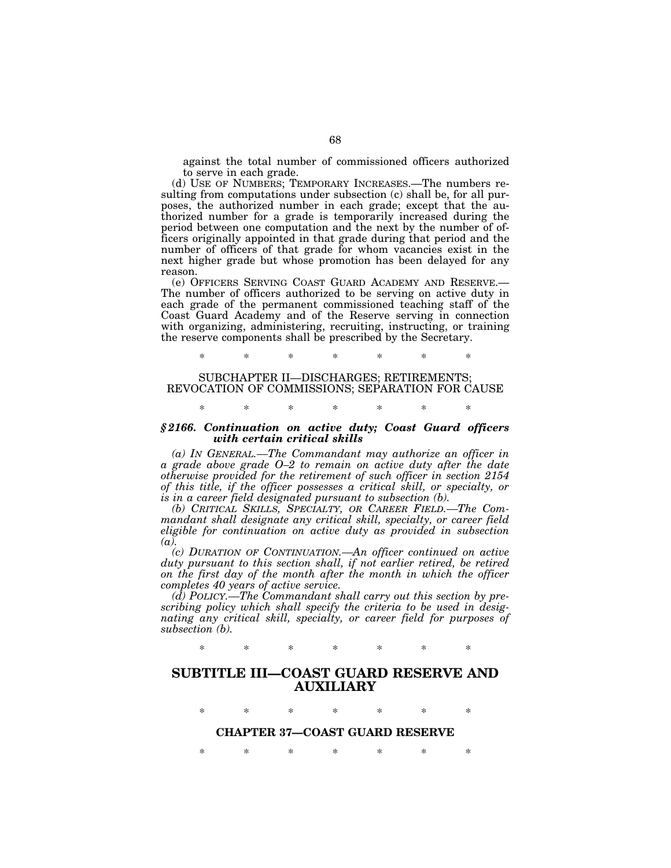against the total number of commissioned officers authorized to serve in each grade.

(d) USE OF NUMBERS; TEMPORARY INCREASES.—The numbers resulting from computations under subsection (c) shall be, for all purposes, the authorized number in each grade; except that the authorized number for a grade is temporarily increased during the period between one computation and the next by the number of officers originally appointed in that grade during that period and the number of officers of that grade for whom vacancies exist in the next higher grade but whose promotion has been delayed for any reason.

(e) OFFICERS SERVING COAST GUARD ACADEMY AND RESERVE.— The number of officers authorized to be serving on active duty in each grade of the permanent commissioned teaching staff of the Coast Guard Academy and of the Reserve serving in connection with organizing, administering, recruiting, instructing, or training the reserve components shall be prescribed by the Secretary.

SUBCHAPTER II—DISCHARGES; RETIREMENTS; REVOCATION OF COMMISSIONS; SEPARATION FOR CAUSE

\* \* \* \* \* \* \*

## *§ 2166. Continuation on active duty; Coast Guard officers with certain critical skills*

\* \* \* \* \* \* \*

*(a) IN GENERAL.—The Commandant may authorize an officer in a grade above grade O–2 to remain on active duty after the date otherwise provided for the retirement of such officer in section 2154 of this title, if the officer possesses a critical skill, or specialty, or is in a career field designated pursuant to subsection (b).* 

*(b) CRITICAL SKILLS, SPECIALTY, OR CAREER FIELD.—The Commandant shall designate any critical skill, specialty, or career field eligible for continuation on active duty as provided in subsection*   $(a)$ .

*(c) DURATION OF CONTINUATION.—An officer continued on active duty pursuant to this section shall, if not earlier retired, be retired on the first day of the month after the month in which the officer completes 40 years of active service.* 

*(d) POLICY.—The Commandant shall carry out this section by prescribing policy which shall specify the criteria to be used in designating any critical skill, specialty, or career field for purposes of subsection (b).* 

\* \* \* \* \* \* \*

## **SUBTITLE III—COAST GUARD RESERVE AND AUXILIARY**

\* \* \* \* \* \* \*

## **CHAPTER 37—COAST GUARD RESERVE**

\* \* \* \* \* \* \*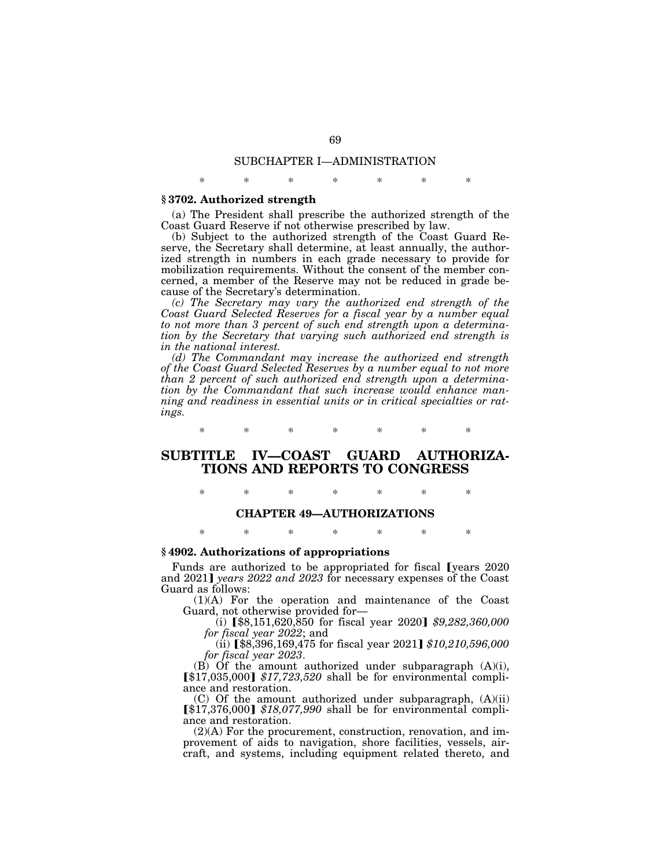# SUBCHAPTER I—ADMINISTRATION \* \* \* \* \* \* \*

## **§ 3702. Authorized strength**

(a) The President shall prescribe the authorized strength of the Coast Guard Reserve if not otherwise prescribed by law.

(b) Subject to the authorized strength of the Coast Guard Reserve, the Secretary shall determine, at least annually, the authorized strength in numbers in each grade necessary to provide for mobilization requirements. Without the consent of the member concerned, a member of the Reserve may not be reduced in grade because of the Secretary's determination.

*(c) The Secretary may vary the authorized end strength of the Coast Guard Selected Reserves for a fiscal year by a number equal to not more than 3 percent of such end strength upon a determination by the Secretary that varying such authorized end strength is in the national interest.* 

*(d) The Commandant may increase the authorized end strength of the Coast Guard Selected Reserves by a number equal to not more than 2 percent of such authorized end strength upon a determination by the Commandant that such increase would enhance manning and readiness in essential units or in critical specialties or ratings.* 

\* \* \* \* \* \* \*

## **SUBTITLE IV—COAST GUARD AUTHORIZA-TIONS AND REPORTS TO CONGRESS**

\* \* \* \* \* \* \*

#### **CHAPTER 49—AUTHORIZATIONS**

\* \* \* \* \* \* \*

#### **§ 4902. Authorizations of appropriations**

Funds are authorized to be appropriated for fiscal [years 2020] and 2021] *years 2022 and 2023* for necessary expenses of the Coast Guard as follows:

(1)(A) For the operation and maintenance of the Coast Guard, not otherwise provided for—

(i) **[**\$8,151,620,850 for fiscal year 2020**]** \$9,282,360,000 *for fiscal year 2022*; and

(ii) **[**\$8,396,169,475 for fiscal year 2021] \$10,210,596,000 *for fiscal year 2023*.

(B) Of the amount authorized under subparagraph (A)(i),  $\left[ $17,035,000 \right] $17,723,520$  shall be for environmental compliance and restoration.

(C) Of the amount authorized under subparagraph, (A)(ii) [\$17,376,000] \$18,077,990 shall be for environmental compliance and restoration.

(2)(A) For the procurement, construction, renovation, and improvement of aids to navigation, shore facilities, vessels, aircraft, and systems, including equipment related thereto, and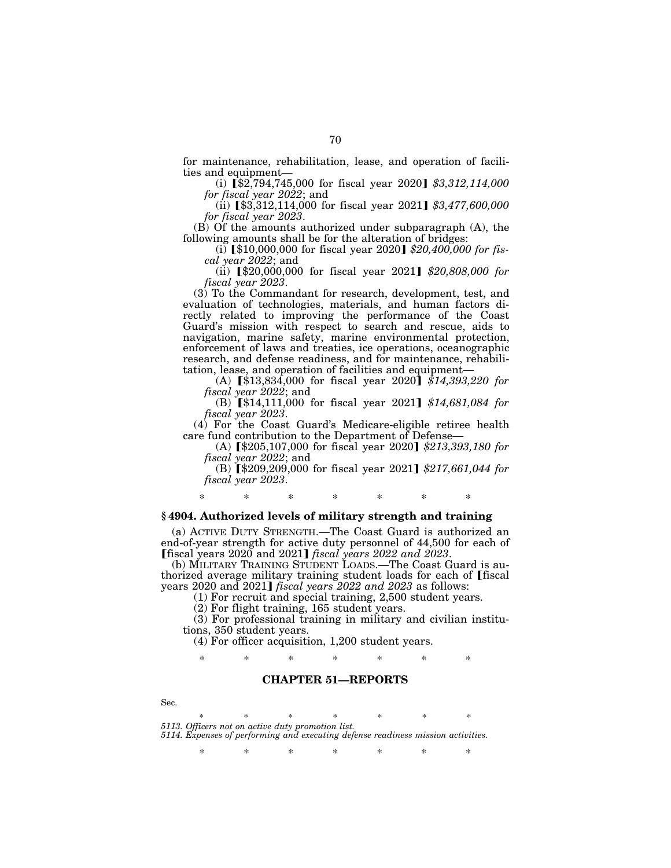for maintenance, rehabilitation, lease, and operation of facilities and equipment—

(i) [\$2,794,745,000 for fiscal year 2020] \$3,312,114,000 *for fiscal year 2022*; and

(ii)  $\frac{\$3,312,114,000}{\$6}$  for fiscal year 2021] \$3,477,600,000 for fiscal year 2023.

*for fiscal year 2023*. (B) Of the amounts authorized under subparagraph (A), the following amounts shall be for the alteration of bridges:

(i) **[**\$10,000,000 for fiscal year 2020] \$20,400,000 for fis*cal year 2022*; and

(ii) **[**\$20,000,000 for fiscal year 2021**]** \$20,808,000 for *fiscal year 2023*.

*fiscal year 2023*. (3) To the Commandant for research, development, test, and evaluation of technologies, materials, and human factors directly related to improving the performance of the Coast Guard's mission with respect to search and rescue, aids to navigation, marine safety, marine environmental protection, enforcement of laws and treaties, ice operations, oceanographic research, and defense readiness, and for maintenance, rehabilitation, lease, and operation of facilities and equipment—

 $(A)$  **[**\$13,834,000 for fiscal year 2020**]**  $$14,393,220$  for *fiscal year 2022*; and

(B) **[**\$14,111,000 for fiscal year 2021**]** \$14,681,084 for *fiscal year 2023*.

*fiscal year 2023*. (4) For the Coast Guard's Medicare-eligible retiree health care fund contribution to the Department of Defense—

(A) [\$205,107,000 for fiscal year 2020] \$213,393,180 for *fiscal year 2022*; and

(B) [\$209,209,000 for fiscal year 2021] \$217,661,044 for *fiscal year 2023*.

\* \* \* \* \* \* \*

## **§ 4904. Authorized levels of military strength and training**

(a) ACTIVE DUTY STRENGTH.—The Coast Guard is authorized an end-of-year strength for active duty personnel of 44,500 for each of [fiscal years 2020 and 2021] *fiscal years 2022 and 2023*.

(b) MILITARY TRAINING STUDENT LOADS.—The Coast Guard is authorized average military training student loads for each of [fiscal] years 2020 and 2021] *fiscal years 2022 and 2023* as follows:

(1) For recruit and special training, 2,500 student years.

(2) For flight training, 165 student years.

(3) For professional training in military and civilian institutions, 350 student years.

(4) For officer acquisition, 1,200 student years.

\* \* \* \* \* \* \*

## **CHAPTER 51—REPORTS**

Sec.

\* \* \* \* \* \* \* *5113. Officers not on active duty promotion list.* 

*5114. Expenses of performing and executing defense readiness mission activities.* 

\* \* \* \* \* \* \*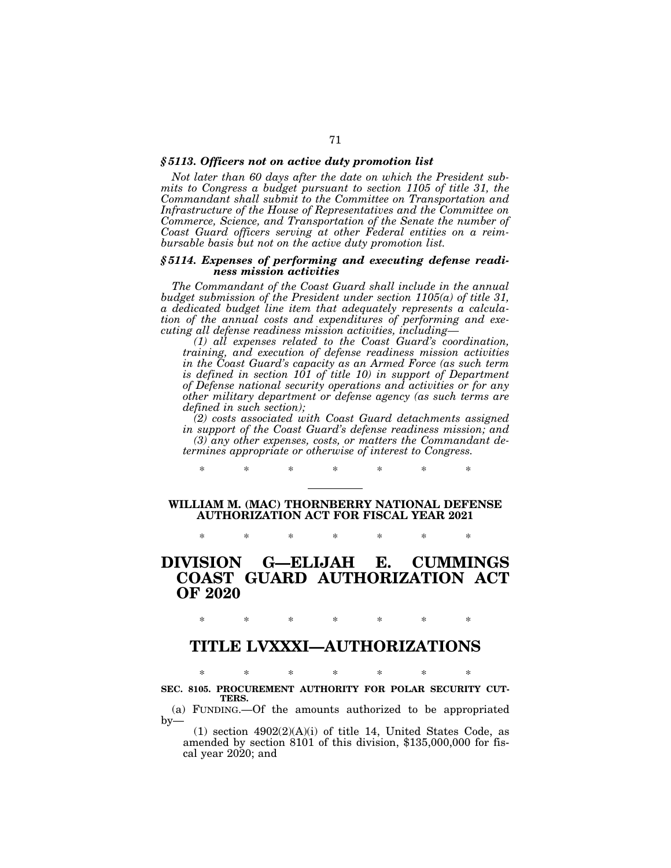## *§ 5113. Officers not on active duty promotion list*

*Not later than 60 days after the date on which the President sub*mits to Congress a budget pursuant to section 1105 of title 31, the *Commandant shall submit to the Committee on Transportation and Infrastructure of the House of Representatives and the Committee on Commerce, Science, and Transportation of the Senate the number of Coast Guard officers serving at other Federal entities on a reimbursable basis but not on the active duty promotion list.* 

## *§ 5114. Expenses of performing and executing defense readiness mission activities*

*The Commandant of the Coast Guard shall include in the annual budget submission of the President under section 1105(a) of title 31, a dedicated budget line item that adequately represents a calculation of the annual costs and expenditures of performing and executing all defense readiness mission activities, including—* 

*(1) all expenses related to the Coast Guard's coordination, training, and execution of defense readiness mission activities in the Coast Guard's capacity as an Armed Force (as such term is defined in section 101 of title 10) in support of Department of Defense national security operations and activities or for any other military department or defense agency (as such terms are defined in such section);* 

*(2) costs associated with Coast Guard detachments assigned in support of the Coast Guard's defense readiness mission; and (3) any other expenses, costs, or matters the Commandant determines appropriate or otherwise of interest to Congress.* 

## **WILLIAM M. (MAC) THORNBERRY NATIONAL DEFENSE AUTHORIZATION ACT FOR FISCAL YEAR 2021**

\* \* \* \* \* \* \*

\* \* \* \* \* \* \* **DIVISION G—ELIJAH E. CUMMINGS COAST GUARD AUTHORIZATION ACT OF 2020** 

\* \* \* \* \* \* \*

# **TITLE LVXXXI—AUTHORIZATIONS**

\* \* \* \* \* \* \* **SEC. 8105. PROCUREMENT AUTHORITY FOR POLAR SECURITY CUT-TERS.** 

(a) FUNDING.—Of the amounts authorized to be appropriated by—

 $(1)$  section  $4902(2)(A)(i)$  of title 14, United States Code, as amended by section 8101 of this division, \$135,000,000 for fiscal year 2020; and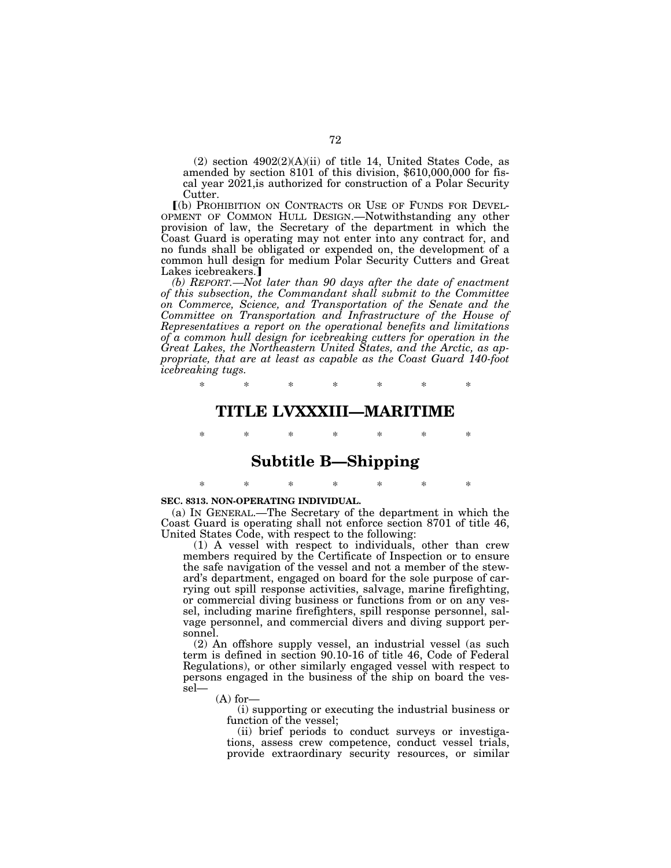$(2)$  section  $4902(2)(A)(ii)$  of title 14, United States Code, as amended by section 8101 of this division, \$610,000,000 for fiscal year 2021,is authorized for construction of a Polar Security Cutter.

ø(b) PROHIBITION ON CONTRACTS OR USE OF FUNDS FOR DEVEL- OPMENT OF COMMON HULL DESIGN.—Notwithstanding any other provision of law, the Secretary of the department in which the Coast Guard is operating may not enter into any contract for, and no funds shall be obligated or expended on, the development of a common hull design for medium Polar Security Cutters and Great Lakes icebreakers.]

*(b) REPORT.—Not later than 90 days after the date of enactment of this subsection, the Commandant shall submit to the Committee on Commerce, Science, and Transportation of the Senate and the Committee on Transportation and Infrastructure of the House of Representatives a report on the operational benefits and limitations of a common hull design for icebreaking cutters for operation in the Great Lakes, the Northeastern United States, and the Arctic, as appropriate, that are at least as capable as the Coast Guard 140-foot icebreaking tugs.* 

\* \* \* \* \* \* \*

## **TITLE LVXXXIII—MARITIME**

\* \* \* \* \* \* \*

# **Subtitle B—Shipping**

## \* \* \* \* \* \* \* **SEC. 8313. NON-OPERATING INDIVIDUAL.**

(a) IN GENERAL.—The Secretary of the department in which the Coast Guard is operating shall not enforce section 8701 of title 46,

United States Code, with respect to the following:

(1) A vessel with respect to individuals, other than crew members required by the Certificate of Inspection or to ensure the safe navigation of the vessel and not a member of the steward's department, engaged on board for the sole purpose of carrying out spill response activities, salvage, marine firefighting, or commercial diving business or functions from or on any vessel, including marine firefighters, spill response personnel, salvage personnel, and commercial divers and diving support personnel.

(2) An offshore supply vessel, an industrial vessel (as such term is defined in section 90.10-16 of title 46, Code of Federal Regulations), or other similarly engaged vessel with respect to persons engaged in the business of the ship on board the vessel—

 $(A)$  for

(i) supporting or executing the industrial business or function of the vessel;

(ii) brief periods to conduct surveys or investigations, assess crew competence, conduct vessel trials, provide extraordinary security resources, or similar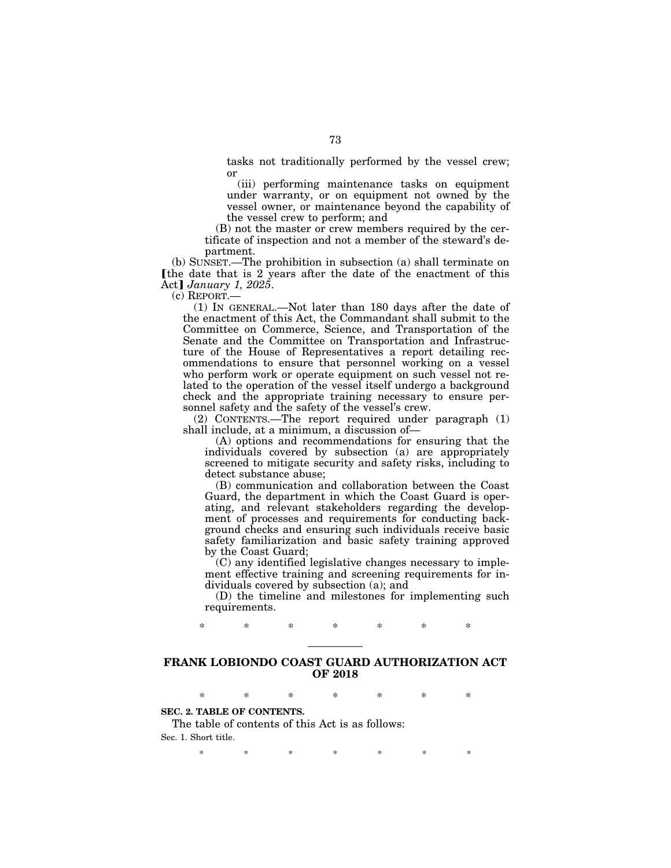tasks not traditionally performed by the vessel crew; or

(iii) performing maintenance tasks on equipment under warranty, or on equipment not owned by the vessel owner, or maintenance beyond the capability of the vessel crew to perform; and

(B) not the master or crew members required by the certificate of inspection and not a member of the steward's department.

(b) SUNSET.—The prohibition in subsection (a) shall terminate on The date that is  $2$  years after the date of the enactment of this Act] *January 1, 2025.* 

(c) REPORT.—

(1) IN GENERAL.—Not later than 180 days after the date of the enactment of this Act, the Commandant shall submit to the Committee on Commerce, Science, and Transportation of the Senate and the Committee on Transportation and Infrastructure of the House of Representatives a report detailing recommendations to ensure that personnel working on a vessel who perform work or operate equipment on such vessel not related to the operation of the vessel itself undergo a background check and the appropriate training necessary to ensure personnel safety and the safety of the vessel's crew.

(2) CONTENTS.—The report required under paragraph (1) shall include, at a minimum, a discussion of—

(A) options and recommendations for ensuring that the individuals covered by subsection (a) are appropriately screened to mitigate security and safety risks, including to detect substance abuse;

(B) communication and collaboration between the Coast Guard, the department in which the Coast Guard is operating, and relevant stakeholders regarding the development of processes and requirements for conducting background checks and ensuring such individuals receive basic safety familiarization and basic safety training approved by the Coast Guard;

(C) any identified legislative changes necessary to implement effective training and screening requirements for individuals covered by subsection (a); and

(D) the timeline and milestones for implementing such requirements.

\* \* \* \* \* \* \*

### **FRANK LOBIONDO COAST GUARD AUTHORIZATION ACT OF 2018**

\* \* \* \* \* \* \*

### **SEC. 2. TABLE OF CONTENTS.**

The table of contents of this Act is as follows:

Sec. 1. Short title.

\* \* \* \* \* \* \* \*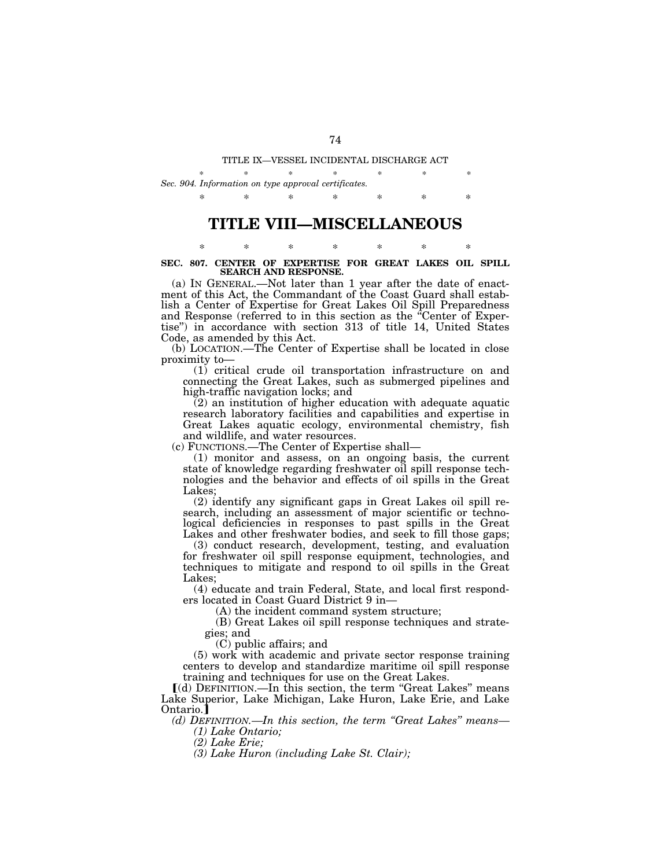### TITLE IX—VESSEL INCIDENTAL DISCHARGE ACT

\* \* \* \* \* \* \* \* *Sec. 904. Information on type approval certificates.*  \* \* \* \* \* \* \*

# **TITLE VIII—MISCELLANEOUS**

\* \* \* \* \* \* \* **SEC. 807. CENTER OF EXPERTISE FOR GREAT LAKES OIL SPILL SEARCH AND RESPONSE.** 

(a) IN GENERAL.—Not later than 1 year after the date of enactment of this Act, the Commandant of the Coast Guard shall establish a Center of Expertise for Great Lakes Oil Spill Preparedness and Response (referred to in this section as the ''Center of Expertise'') in accordance with section 313 of title 14, United States Code, as amended by this Act.

(b) LOCATION.—The Center of Expertise shall be located in close proximity to—

(1) critical crude oil transportation infrastructure on and connecting the Great Lakes, such as submerged pipelines and high-traffic navigation locks; and

 $(2)$  an institution of higher education with adequate aquatic research laboratory facilities and capabilities and expertise in Great Lakes aquatic ecology, environmental chemistry, fish and wildlife, and water resources.

(c) FUNCTIONS.—The Center of Expertise shall—

(1) monitor and assess, on an ongoing basis, the current state of knowledge regarding freshwater oil spill response technologies and the behavior and effects of oil spills in the Great Lakes;

(2) identify any significant gaps in Great Lakes oil spill research, including an assessment of major scientific or technological deficiencies in responses to past spills in the Great Lakes and other freshwater bodies, and seek to fill those gaps;

(3) conduct research, development, testing, and evaluation for freshwater oil spill response equipment, technologies, and techniques to mitigate and respond to oil spills in the Great Lakes;

(4) educate and train Federal, State, and local first responders located in Coast Guard District 9 in—

(A) the incident command system structure;

(B) Great Lakes oil spill response techniques and strategies; and

(C) public affairs; and

(5) work with academic and private sector response training centers to develop and standardize maritime oil spill response training and techniques for use on the Great Lakes.

ø(d) DEFINITION.—In this section, the term ''Great Lakes'' means Lake Superior, Lake Michigan, Lake Huron, Lake Erie, and Lake Ontario.]

*(d) DEFINITION.—In this section, the term ''Great Lakes'' means— (1) Lake Ontario;* 

*(2) Lake Erie;* 

*(3) Lake Huron (including Lake St. Clair);*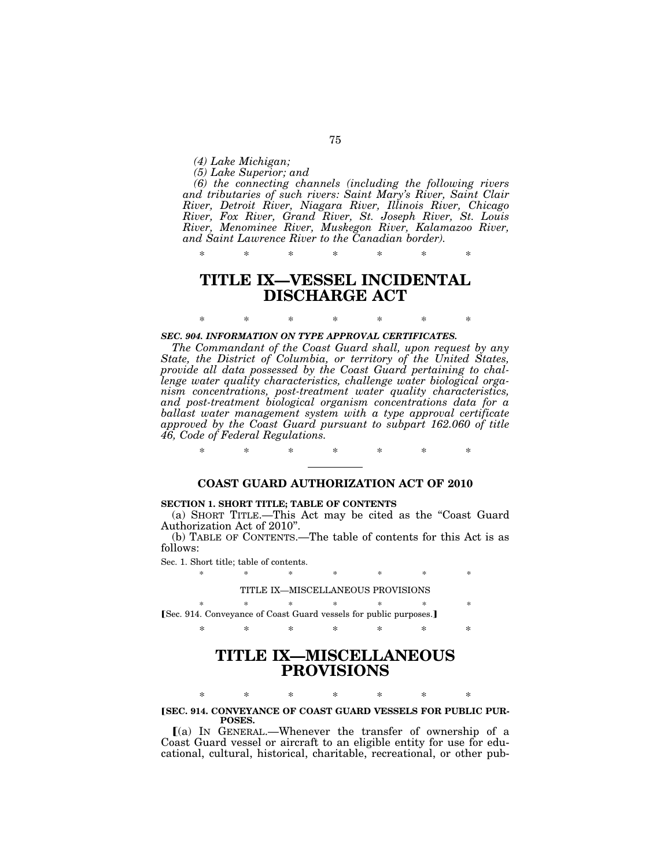*(4) Lake Michigan;* 

*(5) Lake Superior; and* 

*(6) the connecting channels (including the following rivers and tributaries of such rivers: Saint Mary's River, Saint Clair River, Detroit River, Niagara River, Illinois River, Chicago River, Fox River, Grand River, St. Joseph River, St. Louis River, Menominee River, Muskegon River, Kalamazoo River, and Saint Lawrence River to the Canadian border).* 

\* \* \* \* \* \* \*

# **TITLE IX—VESSEL INCIDENTAL DISCHARGE ACT**

# \* \* \* \* \* \* \*

### *SEC. 904. INFORMATION ON TYPE APPROVAL CERTIFICATES.*

*The Commandant of the Coast Guard shall, upon request by any State, the District of Columbia, or territory of the United States, provide all data possessed by the Coast Guard pertaining to challenge water quality characteristics, challenge water biological organism concentrations, post-treatment water quality characteristics, and post-treatment biological organism concentrations data for a ballast water management system with a type approval certificate approved by the Coast Guard pursuant to subpart 162.060 of title 46, Code of Federal Regulations.* 

\* \* \* \* \* \* \*

### **COAST GUARD AUTHORIZATION ACT OF 2010**

#### **SECTION 1. SHORT TITLE; TABLE OF CONTENTS**

(a) SHORT TITLE.—This Act may be cited as the ''Coast Guard Authorization Act of 2010''.

(b) TABLE OF CONTENTS.—The table of contents for this Act is as follows:

Sec. 1. Short title; table of contents.

\* \* \* \* \* \* \*

### TITLE IX—MISCELLANEOUS PROVISIONS

\* \* \* \* \* \* \* øSec. 914. Conveyance of Coast Guard vessels for public purposes.¿

\* \* \* \* \* \* \*

# **TITLE IX—MISCELLANEOUS PROVISIONS**

\* \* \* \* \* \* \*

### **[SEC. 914. CONVEYANCE OF COAST GUARD VESSELS FOR PUBLIC PUR-POSES.**

 $(a)$  In GENERAL.—Whenever the transfer of ownership of a Coast Guard vessel or aircraft to an eligible entity for use for educational, cultural, historical, charitable, recreational, or other pub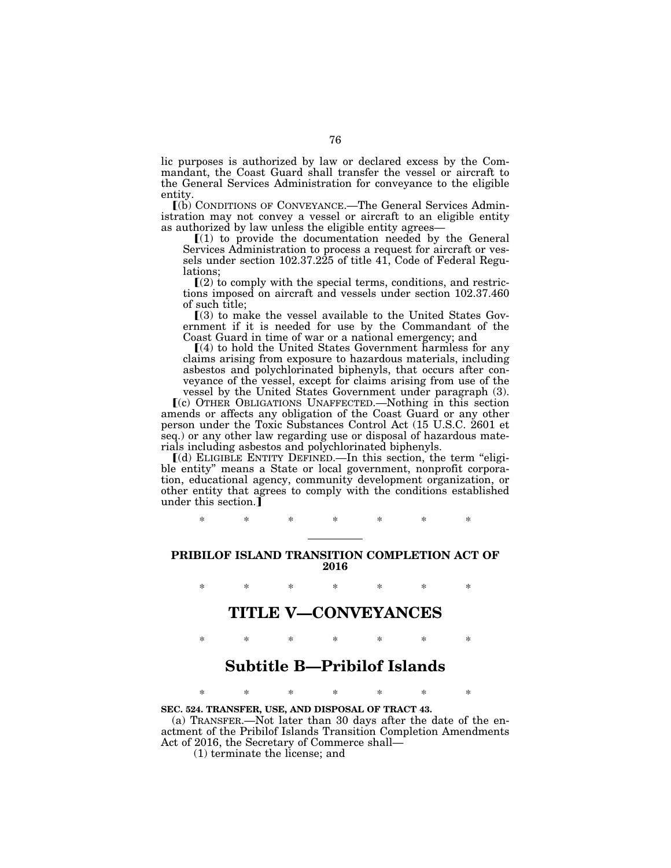lic purposes is authorized by law or declared excess by the Commandant, the Coast Guard shall transfer the vessel or aircraft to the General Services Administration for conveyance to the eligible entity.

ø(b) CONDITIONS OF CONVEYANCE.—The General Services Administration may not convey a vessel or aircraft to an eligible entity as authorized by law unless the eligible entity agrees—

 $(1)$  to provide the documentation needed by the General Services Administration to process a request for aircraft or vessels under section 102.37.225 of title 41, Code of Federal Regulations;

 $(2)$  to comply with the special terms, conditions, and restrictions imposed on aircraft and vessels under section 102.37.460 of such title;

 $\Gamma(3)$  to make the vessel available to the United States Government if it is needed for use by the Commandant of the Coast Guard in time of war or a national emergency; and

 $(4)$  to hold the United States Government harmless for any claims arising from exposure to hazardous materials, including asbestos and polychlorinated biphenyls, that occurs after conveyance of the vessel, except for claims arising from use of the vessel by the United States Government under paragraph (3).

ø(c) OTHER OBLIGATIONS UNAFFECTED.—Nothing in this section amends or affects any obligation of the Coast Guard or any other person under the Toxic Substances Control Act (15 U.S.C. 2601 et seq.) or any other law regarding use or disposal of hazardous materials including asbestos and polychlorinated biphenyls.

ø(d) ELIGIBLE ENTITY DEFINED.—In this section, the term ''eligible entity'' means a State or local government, nonprofit corporation, educational agency, community development organization, or other entity that agrees to comply with the conditions established under this section.

\* \* \* \* \* \* \*

### **PRIBILOF ISLAND TRANSITION COMPLETION ACT OF 2016**

\* \* \* \* \* \* \*

# **TITLE V—CONVEYANCES**

\* \* \* \* \* \* \*

# **Subtitle B—Pribilof Islands**

\* \* \* \* \* \* \*

**SEC. 524. TRANSFER, USE, AND DISPOSAL OF TRACT 43.** 

(a) TRANSFER.—Not later than 30 days after the date of the enactment of the Pribilof Islands Transition Completion Amendments Act of 2016, the Secretary of Commerce shall—

(1) terminate the license; and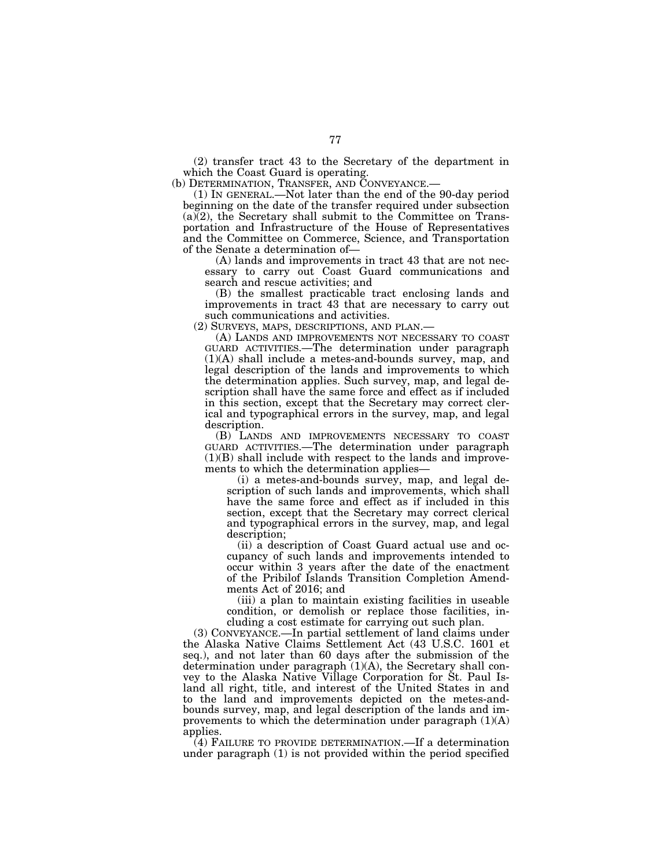(2) transfer tract 43 to the Secretary of the department in which the Coast Guard is operating.<br>(b) DETERMINATION, TRANSFER, AND CONVEYANCE.—

(1) IN GENERAL.—Not later than the end of the 90-day period beginning on the date of the transfer required under subsection  $(a)$ (a)(2), the Secretary shall submit to the Committee on Transportation and Infrastructure of the House of Representatives and the Committee on Commerce, Science, and Transportation of the Senate a determination of—

(A) lands and improvements in tract 43 that are not necessary to carry out Coast Guard communications and search and rescue activities; and

(B) the smallest practicable tract enclosing lands and improvements in tract 43 that are necessary to carry out such communications and activities.

(2) SURVEYS, MAPS, DESCRIPTIONS, AND PLAN.—

(A) LANDS AND IMPROVEMENTS NOT NECESSARY TO COAST GUARD ACTIVITIES.—The determination under paragraph (1)(A) shall include a metes-and-bounds survey, map, and legal description of the lands and improvements to which the determination applies. Such survey, map, and legal description shall have the same force and effect as if included in this section, except that the Secretary may correct clerical and typographical errors in the survey, map, and legal description.

(B) LANDS AND IMPROVEMENTS NECESSARY TO COAST GUARD ACTIVITIES.—The determination under paragraph  $(1)(B)$  shall include with respect to the lands and improvements to which the determination applies—

(i) a metes-and-bounds survey, map, and legal description of such lands and improvements, which shall have the same force and effect as if included in this section, except that the Secretary may correct clerical and typographical errors in the survey, map, and legal description;

(ii) a description of Coast Guard actual use and occupancy of such lands and improvements intended to occur within 3 years after the date of the enactment of the Pribilof Islands Transition Completion Amendments Act of 2016; and

(iii) a plan to maintain existing facilities in useable condition, or demolish or replace those facilities, including a cost estimate for carrying out such plan.

(3) CONVEYANCE.—In partial settlement of land claims under the Alaska Native Claims Settlement Act (43 U.S.C. 1601 et seq.), and not later than 60 days after the submission of the determination under paragraph (1)(A), the Secretary shall convey to the Alaska Native Village Corporation for St. Paul Island all right, title, and interest of the United States in and to the land and improvements depicted on the metes-andbounds survey, map, and legal description of the lands and improvements to which the determination under paragraph  $(1)(A)$ applies.

(4) FAILURE TO PROVIDE DETERMINATION.—If a determination under paragraph (1) is not provided within the period specified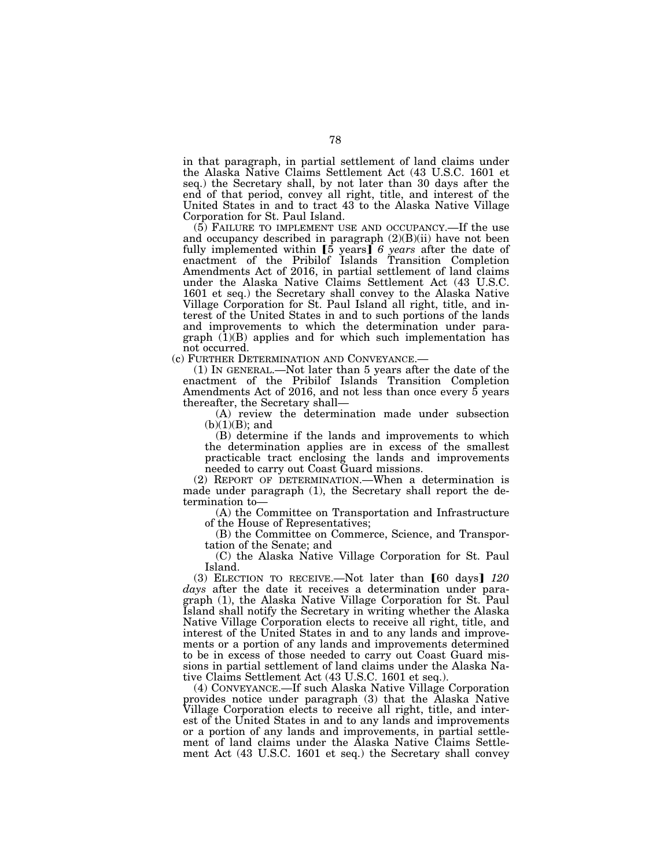in that paragraph, in partial settlement of land claims under the Alaska Native Claims Settlement Act (43 U.S.C. 1601 et seq.) the Secretary shall, by not later than 30 days after the end of that period, convey all right, title, and interest of the United States in and to tract 43 to the Alaska Native Village Corporation for St. Paul Island.

(5) FAILURE TO IMPLEMENT USE AND OCCUPANCY.—If the use and occupancy described in paragraph  $(2)(B)(ii)$  have not been fully implemented within [5 years] 6 years after the date of enactment of the Pribilof Islands Transition Completion Amendments Act of 2016, in partial settlement of land claims under the Alaska Native Claims Settlement Act (43 U.S.C. 1601 et seq.) the Secretary shall convey to the Alaska Native Village Corporation for St. Paul Island all right, title, and interest of the United States in and to such portions of the lands and improvements to which the determination under paragraph (1)(B) applies and for which such implementation has not occurred.

(c) FURTHER DETERMINATION AND CONVEYANCE.—

(1) IN GENERAL.—Not later than 5 years after the date of the enactment of the Pribilof Islands Transition Completion Amendments Act of 2016, and not less than once every 5 years thereafter, the Secretary shall—

(A) review the determination made under subsection  $(b)(1)(B)$ ; and

(B) determine if the lands and improvements to which the determination applies are in excess of the smallest practicable tract enclosing the lands and improvements needed to carry out Coast Guard missions.

(2) REPORT OF DETERMINATION.—When a determination is made under paragraph (1), the Secretary shall report the determination to—

(A) the Committee on Transportation and Infrastructure of the House of Representatives;

(B) the Committee on Commerce, Science, and Transportation of the Senate; and

(C) the Alaska Native Village Corporation for St. Paul Island.

(3) ELECTION TO RECEIVE.—Not later than  $[60 \text{ days}]$   $120$ *days* after the date it receives a determination under paragraph (1), the Alaska Native Village Corporation for St. Paul Island shall notify the Secretary in writing whether the Alaska Native Village Corporation elects to receive all right, title, and interest of the United States in and to any lands and improvements or a portion of any lands and improvements determined to be in excess of those needed to carry out Coast Guard missions in partial settlement of land claims under the Alaska Native Claims Settlement Act (43 U.S.C. 1601 et seq.).

(4) CONVEYANCE.—If such Alaska Native Village Corporation provides notice under paragraph (3) that the Alaska Native Village Corporation elects to receive all right, title, and interest of the United States in and to any lands and improvements or a portion of any lands and improvements, in partial settlement of land claims under the Alaska Native Claims Settlement Act (43 U.S.C. 1601 et seq.) the Secretary shall convey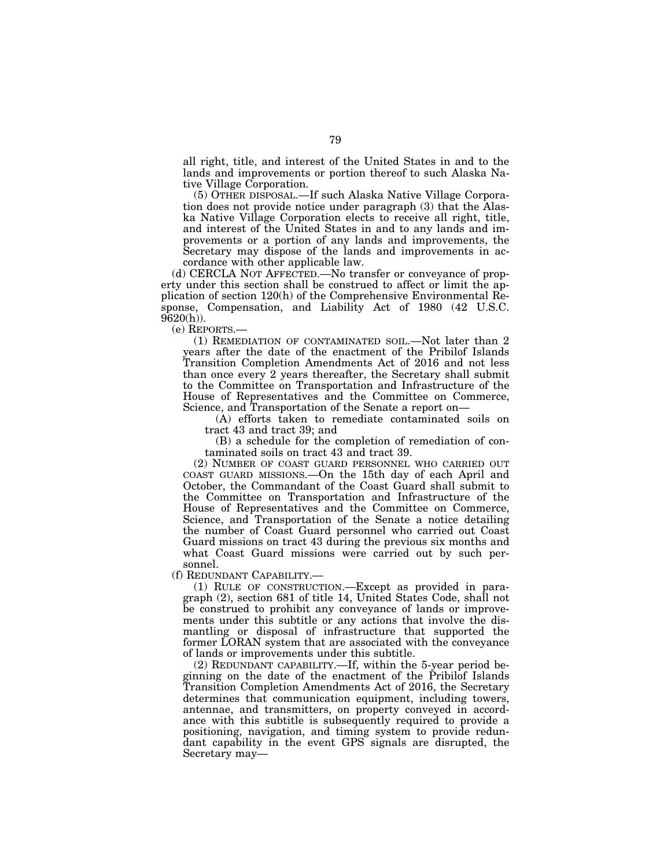all right, title, and interest of the United States in and to the lands and improvements or portion thereof to such Alaska Native Village Corporation.

(5) OTHER DISPOSAL.—If such Alaska Native Village Corporation does not provide notice under paragraph (3) that the Alaska Native Village Corporation elects to receive all right, title, and interest of the United States in and to any lands and improvements or a portion of any lands and improvements, the Secretary may dispose of the lands and improvements in accordance with other applicable law.

(d) CERCLA NOT AFFECTED.—No transfer or conveyance of property under this section shall be construed to affect or limit the application of section 120(h) of the Comprehensive Environmental Response, Compensation, and Liability Act of 1980 (42 U.S.C. 9620(h)).

(e) REPORTS.—

(1) REMEDIATION OF CONTAMINATED SOIL.—Not later than 2 years after the date of the enactment of the Pribilof Islands Transition Completion Amendments Act of 2016 and not less than once every 2 years thereafter, the Secretary shall submit to the Committee on Transportation and Infrastructure of the House of Representatives and the Committee on Commerce, Science, and Transportation of the Senate a report on—

(A) efforts taken to remediate contaminated soils on tract 43 and tract 39; and

(B) a schedule for the completion of remediation of contaminated soils on tract 43 and tract 39.

(2) NUMBER OF COAST GUARD PERSONNEL WHO CARRIED OUT COAST GUARD MISSIONS.—On the 15th day of each April and October, the Commandant of the Coast Guard shall submit to the Committee on Transportation and Infrastructure of the House of Representatives and the Committee on Commerce, Science, and Transportation of the Senate a notice detailing the number of Coast Guard personnel who carried out Coast Guard missions on tract 43 during the previous six months and what Coast Guard missions were carried out by such personnel.

(f) REDUNDANT CAPABILITY.—

(1) RULE OF CONSTRUCTION.—Except as provided in paragraph (2), section 681 of title 14, United States Code, shall not be construed to prohibit any conveyance of lands or improvements under this subtitle or any actions that involve the dismantling or disposal of infrastructure that supported the former LORAN system that are associated with the conveyance of lands or improvements under this subtitle.

(2) REDUNDANT CAPABILITY.—If, within the 5-year period beginning on the date of the enactment of the Pribilof Islands Transition Completion Amendments Act of 2016, the Secretary determines that communication equipment, including towers, antennae, and transmitters, on property conveyed in accordance with this subtitle is subsequently required to provide a positioning, navigation, and timing system to provide redundant capability in the event GPS signals are disrupted, the Secretary may—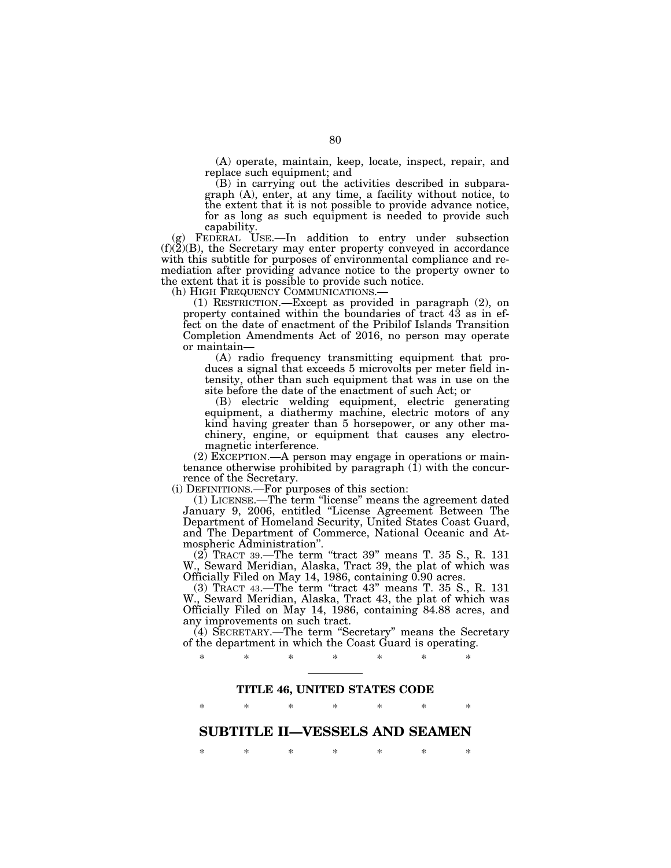(A) operate, maintain, keep, locate, inspect, repair, and replace such equipment; and

(B) in carrying out the activities described in subparagraph (A), enter, at any time, a facility without notice, to the extent that it is not possible to provide advance notice, for as long as such equipment is needed to provide such capability.

(g) FEDERAL USE.—In addition to entry under subsection  $(f)(\tilde{2})(B)$ , the Secretary may enter property conveyed in accordance with this subtitle for purposes of environmental compliance and remediation after providing advance notice to the property owner to the extent that it is possible to provide such notice.

(h) HIGH FREQUENCY COMMUNICATIONS.—

(1) RESTRICTION.—Except as provided in paragraph (2), on property contained within the boundaries of tract 43 as in effect on the date of enactment of the Pribilof Islands Transition Completion Amendments Act of 2016, no person may operate or maintain—

(A) radio frequency transmitting equipment that produces a signal that exceeds 5 microvolts per meter field intensity, other than such equipment that was in use on the site before the date of the enactment of such Act; or

(B) electric welding equipment, electric generating equipment, a diathermy machine, electric motors of any kind having greater than 5 horsepower, or any other machinery, engine, or equipment that causes any electromagnetic interference.

(2) EXCEPTION.—A person may engage in operations or maintenance otherwise prohibited by paragraph (1) with the concurrence of the Secretary.

(i) DEFINITIONS.—For purposes of this section:

(1) LICENSE.—The term ''license'' means the agreement dated January 9, 2006, entitled ''License Agreement Between The Department of Homeland Security, United States Coast Guard, and The Department of Commerce, National Oceanic and Atmospheric Administration''.

 $(2)$  TRACT 39.—The term "tract 39" means T. 35 S., R. 131 W., Seward Meridian, Alaska, Tract 39, the plat of which was Officially Filed on May 14, 1986, containing 0.90 acres.

(3) TRACT 43.—The term "tract 43" means T. 35 S., R. 131 W., Seward Meridian, Alaska, Tract 43, the plat of which was Officially Filed on May 14, 1986, containing 84.88 acres, and any improvements on such tract.

(4) SECRETARY.—The term ''Secretary'' means the Secretary of the department in which the Coast Guard is operating.

\* \* \* \* \* \* \*

#### **TITLE 46, UNITED STATES CODE**

\* \* \* \* \* \* \*

### **SUBTITLE II—VESSELS AND SEAMEN**

\* \* \* \* \* \* \*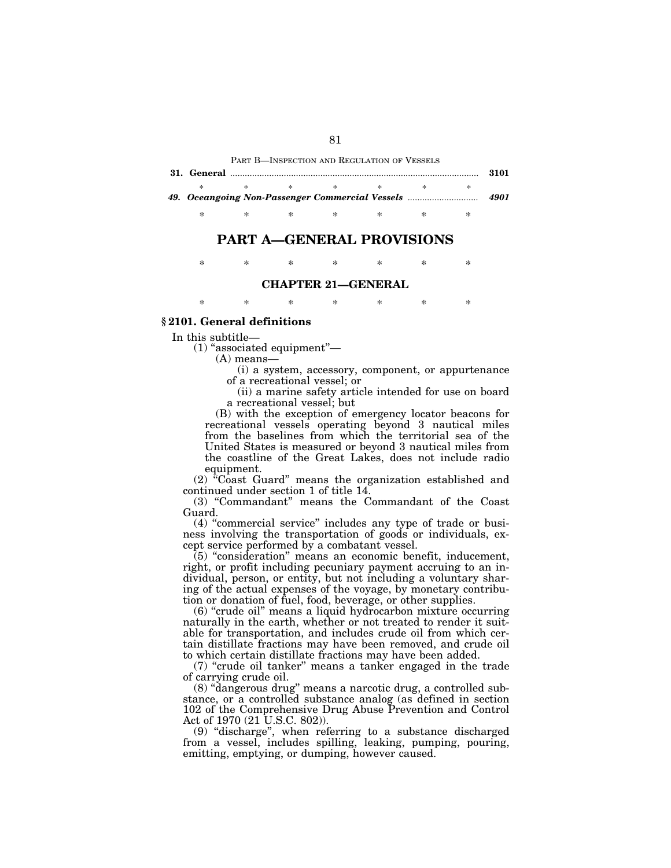PART B—INSPECTION AND REGULATION OF VESSELS

**31. General** ...................................................................................................... **3101**  \* \* \* \* \* \* \* \* *49. Oceangoing Non-Passenger Commercial Vessels ............................. 4901* 

### **PART A—GENERAL PROVISIONS**

\* \* \* \* \* \* \*

\* \* \* \* \* \* \*

### **CHAPTER 21—GENERAL**

\* \* \* \* \* \* \*

### **§ 2101. General definitions**

In this subtitle—

(1) ''associated equipment''—

(A) means—

(i) a system, accessory, component, or appurtenance of a recreational vessel; or

(ii) a marine safety article intended for use on board a recreational vessel; but

(B) with the exception of emergency locator beacons for recreational vessels operating beyond 3 nautical miles from the baselines from which the territorial sea of the United States is measured or beyond 3 nautical miles from the coastline of the Great Lakes, does not include radio equipment.

(2) ''Coast Guard'' means the organization established and continued under section 1 of title 14.

(3) ''Commandant'' means the Commandant of the Coast Guard.

(4) ''commercial service'' includes any type of trade or business involving the transportation of goods or individuals, except service performed by a combatant vessel.

(5) ''consideration'' means an economic benefit, inducement, right, or profit including pecuniary payment accruing to an individual, person, or entity, but not including a voluntary sharing of the actual expenses of the voyage, by monetary contribution or donation of fuel, food, beverage, or other supplies.

(6) "crude oil" means a liquid hydrocarbon mixture occurring naturally in the earth, whether or not treated to render it suitable for transportation, and includes crude oil from which certain distillate fractions may have been removed, and crude oil to which certain distillate fractions may have been added.

(7) ''crude oil tanker'' means a tanker engaged in the trade of carrying crude oil.

(8) ''dangerous drug'' means a narcotic drug, a controlled substance, or a controlled substance analog (as defined in section 102 of the Comprehensive Drug Abuse Prevention and Control Act of 1970 (21 U.S.C. 802)).

(9) ''discharge'', when referring to a substance discharged from a vessel, includes spilling, leaking, pumping, pouring, emitting, emptying, or dumping, however caused.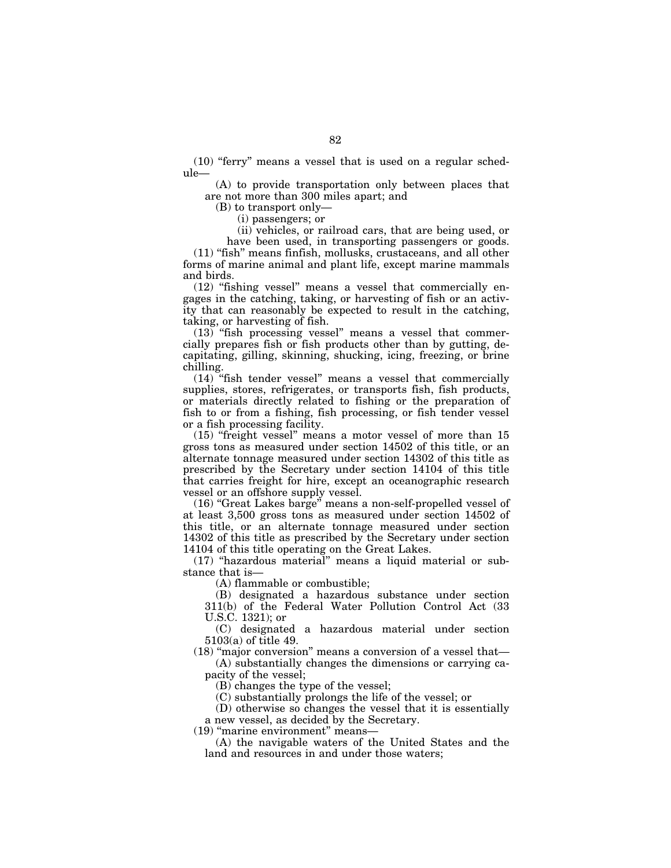$(10)$  "ferry" means a vessel that is used on a regular schedule—

(A) to provide transportation only between places that are not more than 300 miles apart; and

(B) to transport only—

(i) passengers; or

(ii) vehicles, or railroad cars, that are being used, or have been used, in transporting passengers or goods.

(11) ''fish'' means finfish, mollusks, crustaceans, and all other forms of marine animal and plant life, except marine mammals and birds.

(12) ''fishing vessel'' means a vessel that commercially engages in the catching, taking, or harvesting of fish or an activity that can reasonably be expected to result in the catching, taking, or harvesting of fish.

(13) ''fish processing vessel'' means a vessel that commercially prepares fish or fish products other than by gutting, decapitating, gilling, skinning, shucking, icing, freezing, or brine chilling.

(14) ''fish tender vessel'' means a vessel that commercially supplies, stores, refrigerates, or transports fish, fish products, or materials directly related to fishing or the preparation of fish to or from a fishing, fish processing, or fish tender vessel or a fish processing facility.

(15) ''freight vessel'' means a motor vessel of more than 15 gross tons as measured under section 14502 of this title, or an alternate tonnage measured under section 14302 of this title as prescribed by the Secretary under section 14104 of this title that carries freight for hire, except an oceanographic research vessel or an offshore supply vessel.

(16) ''Great Lakes barge'' means a non-self-propelled vessel of at least 3,500 gross tons as measured under section 14502 of this title, or an alternate tonnage measured under section 14302 of this title as prescribed by the Secretary under section 14104 of this title operating on the Great Lakes.

(17) ''hazardous material'' means a liquid material or substance that is—

(A) flammable or combustible;

(B) designated a hazardous substance under section 311(b) of the Federal Water Pollution Control Act (33

U.S.C. 1321); or

(C) designated a hazardous material under section 5103(a) of title 49.

(18) "major conversion" means a conversion of a vessel that— (A) substantially changes the dimensions or carrying capacity of the vessel;

(B) changes the type of the vessel;

(C) substantially prolongs the life of the vessel; or

(D) otherwise so changes the vessel that it is essentially a new vessel, as decided by the Secretary.

(19) ''marine environment'' means—

(A) the navigable waters of the United States and the land and resources in and under those waters;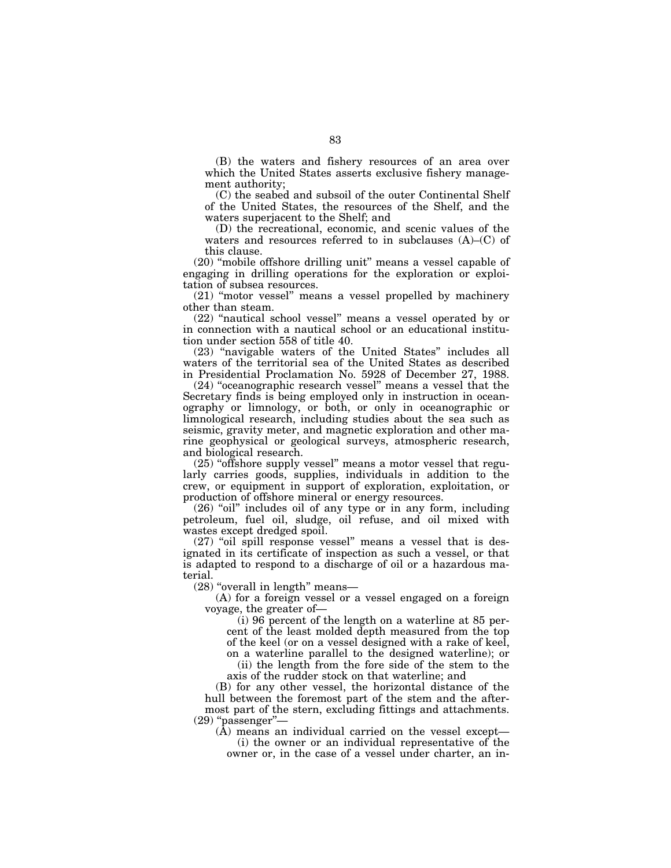(B) the waters and fishery resources of an area over which the United States asserts exclusive fishery management authority;

(C) the seabed and subsoil of the outer Continental Shelf of the United States, the resources of the Shelf, and the waters superjacent to the Shelf; and

(D) the recreational, economic, and scenic values of the waters and resources referred to in subclauses  $(A)$ – $(C)$  of this clause.

(20) ''mobile offshore drilling unit'' means a vessel capable of engaging in drilling operations for the exploration or exploitation of subsea resources.

(21) ''motor vessel'' means a vessel propelled by machinery other than steam.

(22) "nautical school vessel" means a vessel operated by or in connection with a nautical school or an educational institution under section 558 of title 40.

(23) ''navigable waters of the United States'' includes all waters of the territorial sea of the United States as described in Presidential Proclamation No. 5928 of December 27, 1988.

(24) ''oceanographic research vessel'' means a vessel that the Secretary finds is being employed only in instruction in oceanography or limnology, or both, or only in oceanographic or limnological research, including studies about the sea such as seismic, gravity meter, and magnetic exploration and other marine geophysical or geological surveys, atmospheric research, and biological research.

(25) "offshore supply vessel" means a motor vessel that regularly carries goods, supplies, individuals in addition to the crew, or equipment in support of exploration, exploitation, or production of offshore mineral or energy resources.

 $(26)$  "oil" includes oil of any type or in any form, including petroleum, fuel oil, sludge, oil refuse, and oil mixed with wastes except dredged spoil.

(27) "oil spill response vessel" means a vessel that is designated in its certificate of inspection as such a vessel, or that is adapted to respond to a discharge of oil or a hazardous material.

(28) "overall in length" means—

(A) for a foreign vessel or a vessel engaged on a foreign voyage, the greater of—

(i) 96 percent of the length on a waterline at 85 percent of the least molded depth measured from the top of the keel (or on a vessel designed with a rake of keel,

on a waterline parallel to the designed waterline); or

(ii) the length from the fore side of the stem to the axis of the rudder stock on that waterline; and

(B) for any other vessel, the horizontal distance of the hull between the foremost part of the stem and the aftermost part of the stern, excluding fittings and attachments. (29) ''passenger''—

 $(\tilde{A})$  means an individual carried on the vessel except—

(i) the owner or an individual representative of the owner or, in the case of a vessel under charter, an in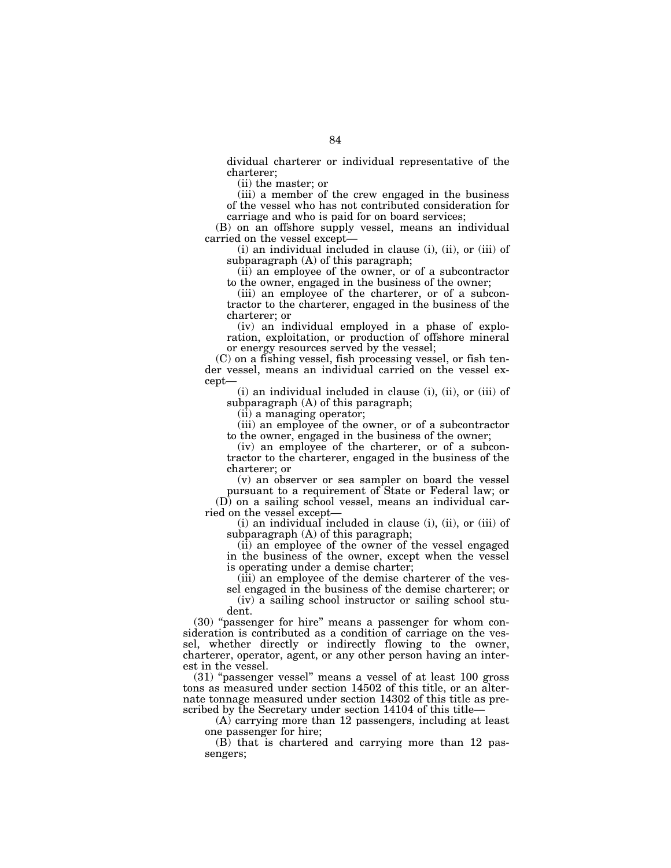dividual charterer or individual representative of the charterer;

(ii) the master; or

(iii) a member of the crew engaged in the business of the vessel who has not contributed consideration for carriage and who is paid for on board services;

(B) on an offshore supply vessel, means an individual carried on the vessel except—

(i) an individual included in clause (i), (ii), or (iii) of subparagraph (A) of this paragraph;

(ii) an employee of the owner, or of a subcontractor to the owner, engaged in the business of the owner;

(iii) an employee of the charterer, or of a subcontractor to the charterer, engaged in the business of the charterer; or

(iv) an individual employed in a phase of exploration, exploitation, or production of offshore mineral or energy resources served by the vessel;

(C) on a fishing vessel, fish processing vessel, or fish tender vessel, means an individual carried on the vessel except—

(i) an individual included in clause (i), (ii), or (iii) of subparagraph (A) of this paragraph;

(ii) a managing operator;

(iii) an employee of the owner, or of a subcontractor to the owner, engaged in the business of the owner;

(iv) an employee of the charterer, or of a subcontractor to the charterer, engaged in the business of the charterer; or

(v) an observer or sea sampler on board the vessel pursuant to a requirement of State or Federal law; or (D) on a sailing school vessel, means an individual carried on the vessel except—

 $(i)$  an individual included in clause  $(i)$ ,  $(ii)$ , or  $(iii)$  of subparagraph (A) of this paragraph;

(ii) an employee of the owner of the vessel engaged in the business of the owner, except when the vessel is operating under a demise charter;

(iii) an employee of the demise charterer of the vessel engaged in the business of the demise charterer; or

(iv) a sailing school instructor or sailing school student.

(30) ''passenger for hire'' means a passenger for whom consideration is contributed as a condition of carriage on the vessel, whether directly or indirectly flowing to the owner, charterer, operator, agent, or any other person having an interest in the vessel.

(31) ''passenger vessel'' means a vessel of at least 100 gross tons as measured under section 14502 of this title, or an alternate tonnage measured under section 14302 of this title as prescribed by the Secretary under section 14104 of this title—

(A) carrying more than 12 passengers, including at least one passenger for hire;

(B) that is chartered and carrying more than 12 passengers;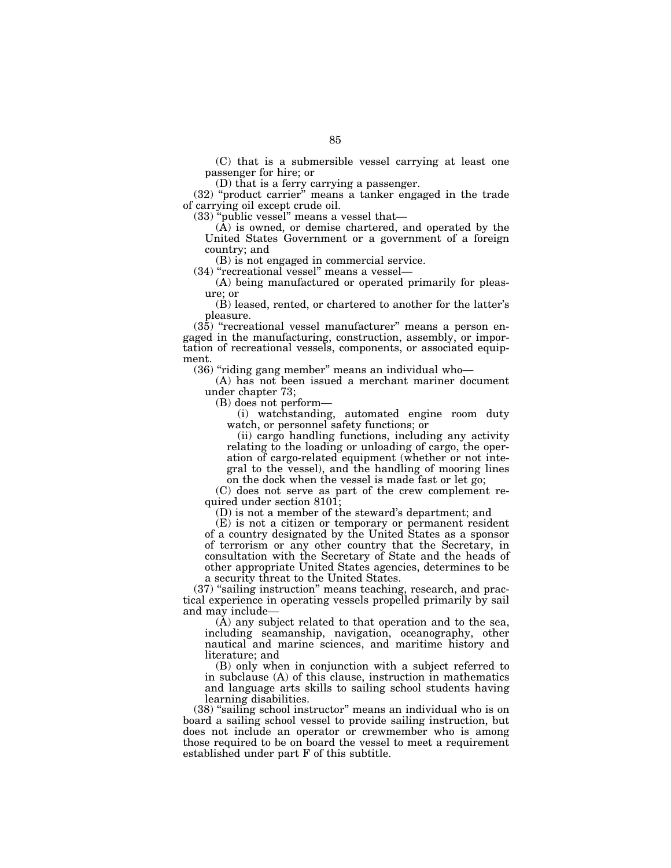(C) that is a submersible vessel carrying at least one passenger for hire; or

(D) that is a ferry carrying a passenger.

(32) ''product carrier'' means a tanker engaged in the trade of carrying oil except crude oil.

(33) ''public vessel'' means a vessel that—

 $(\tilde{A})$  is owned, or demise chartered, and operated by the United States Government or a government of a foreign country; and

(B) is not engaged in commercial service.

(34) "recreational vessel" means a vessel-

(A) being manufactured or operated primarily for pleasure; or

(B) leased, rented, or chartered to another for the latter's pleasure.

 $(35)$  "recreational vessel manufacturer" means a person engaged in the manufacturing, construction, assembly, or importation of recreational vessels, components, or associated equipment.

(36) ''riding gang member'' means an individual who—

(A) has not been issued a merchant mariner document under chapter 73;

(B) does not perform—

(i) watchstanding, automated engine room duty watch, or personnel safety functions; or

(ii) cargo handling functions, including any activity relating to the loading or unloading of cargo, the operation of cargo-related equipment (whether or not integral to the vessel), and the handling of mooring lines on the dock when the vessel is made fast or let go;

(C) does not serve as part of the crew complement required under section 8101;

(D) is not a member of the steward's department; and

(E) is not a citizen or temporary or permanent resident of a country designated by the United States as a sponsor of terrorism or any other country that the Secretary, in consultation with the Secretary of State and the heads of other appropriate United States agencies, determines to be a security threat to the United States.

(37) ''sailing instruction'' means teaching, research, and practical experience in operating vessels propelled primarily by sail and may include—

(A) any subject related to that operation and to the sea, including seamanship, navigation, oceanography, other nautical and marine sciences, and maritime history and literature; and

(B) only when in conjunction with a subject referred to in subclause (A) of this clause, instruction in mathematics and language arts skills to sailing school students having learning disabilities.

(38) ''sailing school instructor'' means an individual who is on board a sailing school vessel to provide sailing instruction, but does not include an operator or crewmember who is among those required to be on board the vessel to meet a requirement established under part F of this subtitle.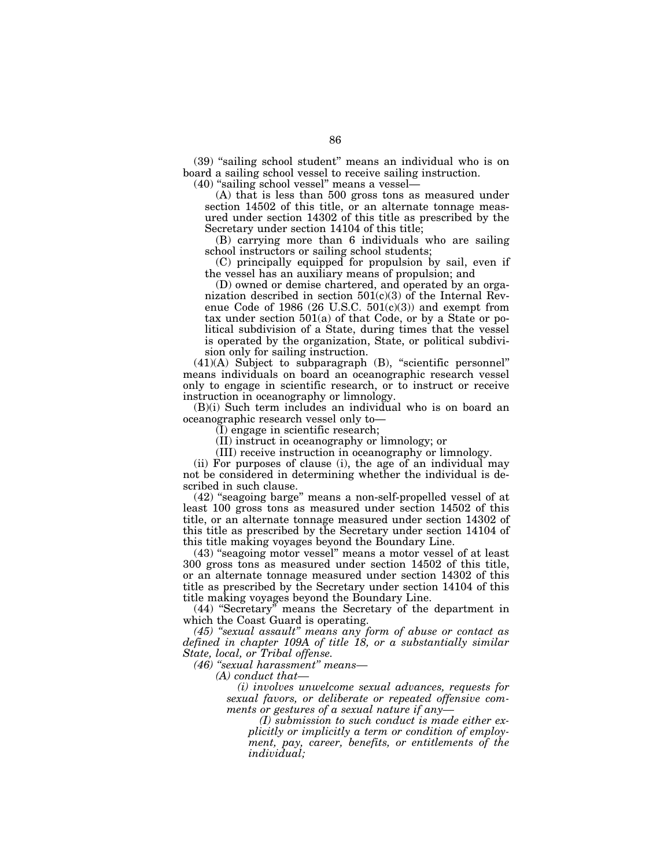(39) ''sailing school student'' means an individual who is on board a sailing school vessel to receive sailing instruction.

(40) ''sailing school vessel'' means a vessel—

(A) that is less than 500 gross tons as measured under section 14502 of this title, or an alternate tonnage measured under section 14302 of this title as prescribed by the Secretary under section 14104 of this title;

(B) carrying more than 6 individuals who are sailing school instructors or sailing school students;

(C) principally equipped for propulsion by sail, even if the vessel has an auxiliary means of propulsion; and

(D) owned or demise chartered, and operated by an organization described in section  $501(c)(3)$  of the Internal Revenue Code of 1986 (26 U.S.C. 501(c)(3)) and exempt from tax under section 501(a) of that Code, or by a State or political subdivision of a State, during times that the vessel is operated by the organization, State, or political subdivision only for sailing instruction.

(41)(A) Subject to subparagraph (B), ''scientific personnel'' means individuals on board an oceanographic research vessel only to engage in scientific research, or to instruct or receive instruction in oceanography or limnology.

(B)(i) Such term includes an individual who is on board an oceanographic research vessel only to—

(I) engage in scientific research;

(II) instruct in oceanography or limnology; or

(III) receive instruction in oceanography or limnology.

(ii) For purposes of clause (i), the age of an individual may not be considered in determining whether the individual is described in such clause.

(42) ''seagoing barge'' means a non-self-propelled vessel of at least 100 gross tons as measured under section 14502 of this title, or an alternate tonnage measured under section 14302 of this title as prescribed by the Secretary under section 14104 of this title making voyages beyond the Boundary Line.

(43) "seagoing motor vessel" means a motor vessel of at least 300 gross tons as measured under section 14502 of this title, or an alternate tonnage measured under section 14302 of this title as prescribed by the Secretary under section 14104 of this title making voyages beyond the Boundary Line.

(44) ''Secretary'' means the Secretary of the department in which the Coast Guard is operating.

*(45) ''sexual assault'' means any form of abuse or contact as defined in chapter 109A of title 18, or a substantially similar State, local, or Tribal offense.* 

*(46) ''sexual harassment'' means—* 

*(A) conduct that—* 

*(i) involves unwelcome sexual advances, requests for sexual favors, or deliberate or repeated offensive comments or gestures of a sexual nature if any—* 

*(I) submission to such conduct is made either explicitly or implicitly a term or condition of employment, pay, career, benefits, or entitlements of the individual;*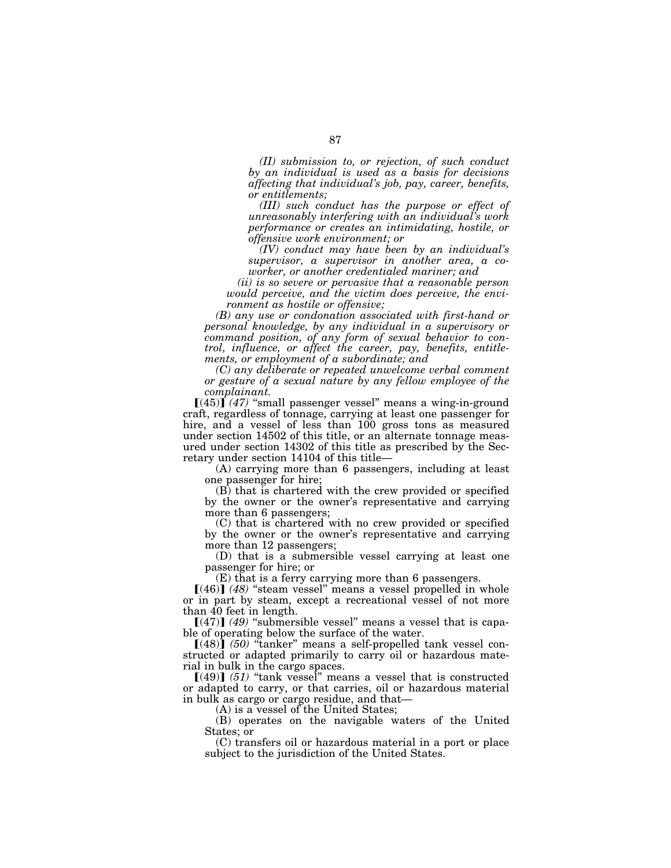*(II) submission to, or rejection, of such conduct by an individual is used as a basis for decisions affecting that individual's job, pay, career, benefits, or entitlements;* 

*(III) such conduct has the purpose or effect of unreasonably interfering with an individual's work performance or creates an intimidating, hostile, or offensive work environment; or* 

*(IV) conduct may have been by an individual's supervisor, a supervisor in another area, a coworker, or another credentialed mariner; and* 

*(ii) is so severe or pervasive that a reasonable person would perceive, and the victim does perceive, the environment as hostile or offensive;* 

*(B) any use or condonation associated with first-hand or personal knowledge, by any individual in a supervisory or command position, of any form of sexual behavior to control, influence, or affect the career, pay, benefits, entitlements, or employment of a subordinate; and* 

*(C) any deliberate or repeated unwelcome verbal comment or gesture of a sexual nature by any fellow employee of the complainant.* 

 $[(45)]$   $(47)$  "small passenger vessel" means a wing-in-ground craft, regardless of tonnage, carrying at least one passenger for hire, and a vessel of less than 100 gross tons as measured under section 14502 of this title, or an alternate tonnage measured under section 14302 of this title as prescribed by the Secretary under section 14104 of this title—

(A) carrying more than 6 passengers, including at least one passenger for hire;

(B) that is chartered with the crew provided or specified by the owner or the owner's representative and carrying more than 6 passengers;

(C) that is chartered with no crew provided or specified by the owner or the owner's representative and carrying more than 12 passengers;

(D) that is a submersible vessel carrying at least one passenger for hire; or

(E) that is a ferry carrying more than 6 passengers.

 $[(46)]$   $(48)$  "steam vessel" means a vessel propelled in whole or in part by steam, except a recreational vessel of not more than 40 feet in length.

 $[(47)]$  (49) "submersible vessel" means a vessel that is capable of operating below the surface of the water.

 $(48)$  (50) "tanker" means a self-propelled tank vessel constructed or adapted primarily to carry oil or hazardous material in bulk in the cargo spaces.<br>
[(49)] (51) "tank vessel" means a vessel that is constructed

or adapted to carry, or that carries, oil or hazardous material in bulk as cargo or cargo residue, and that—

(A) is a vessel of the United States;

(B) operates on the navigable waters of the United States; or

(C) transfers oil or hazardous material in a port or place subject to the jurisdiction of the United States.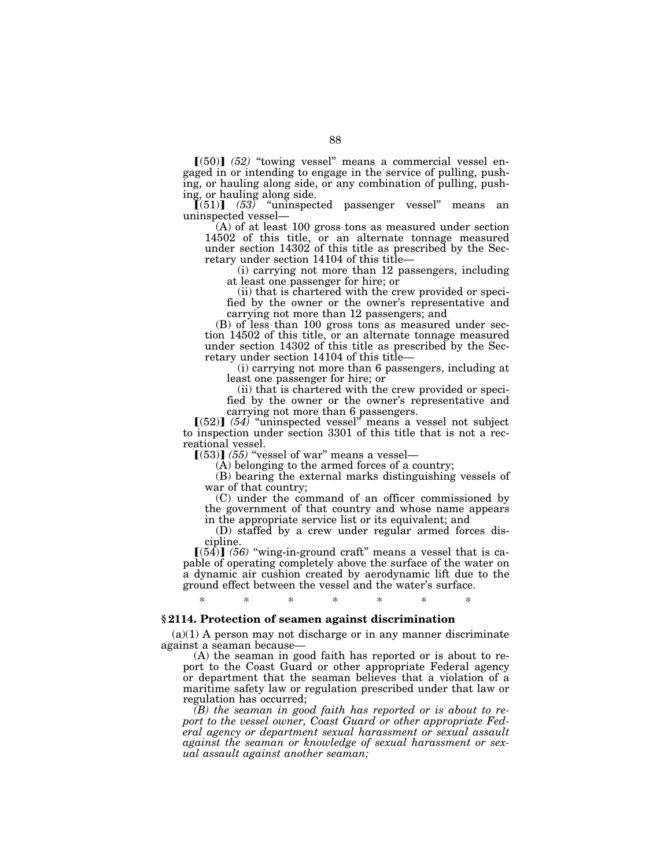$[(50)]$   $(52)$  "towing vessel" means a commercial vessel engaged in or intending to engage in the service of pulling, pushing, or hauling along side, or any combination of pulling, pushing, or hauling along side.

 $\overline{[(51)]}$  (53) "uninspected passenger vessel" means an uninspected vessel—

(A) of at least 100 gross tons as measured under section 14502 of this title, or an alternate tonnage measured under section 14302 of this title as prescribed by the Secretary under section 14104 of this title—

(i) carrying not more than 12 passengers, including at least one passenger for hire; or

(ii) that is chartered with the crew provided or specified by the owner or the owner's representative and carrying not more than 12 passengers; and

(B) of less than 100 gross tons as measured under section 14502 of this title, or an alternate tonnage measured under section 14302 of this title as prescribed by the Secretary under section 14104 of this title—

(i) carrying not more than 6 passengers, including at least one passenger for hire; or

(ii) that is chartered with the crew provided or specified by the owner or the owner's representative and

carrying not more than 6 passengers.<br>[(52)] (54) "uninspected vessel" means a vessel not subject to inspection under section 3301 of this title that is not a recreational vessel.

 $[(53)]$   $(55)$  "vessel of war" means a vessel—

(A) belonging to the armed forces of a country;

(B) bearing the external marks distinguishing vessels of war of that country;

(C) under the command of an officer commissioned by the government of that country and whose name appears in the appropriate service list or its equivalent; and

(D) staffed by a crew under regular armed forces discipline.

 $[(54)]$  (56) "wing-in-ground craft" means a vessel that is capable of operating completely above the surface of the water on a dynamic air cushion created by aerodynamic lift due to the ground effect between the vessel and the water's surface.

\* \* \* \* \* \* \*

### **§ 2114. Protection of seamen against discrimination**

 $(a)(1)$  A person may not discharge or in any manner discriminate against a seaman because—

(A) the seaman in good faith has reported or is about to report to the Coast Guard or other appropriate Federal agency or department that the seaman believes that a violation of a maritime safety law or regulation prescribed under that law or regulation has occurred;

*(B) the seaman in good faith has reported or is about to report to the vessel owner, Coast Guard or other appropriate Federal agency or department sexual harassment or sexual assault against the seaman or knowledge of sexual harassment or sexual assault against another seaman;*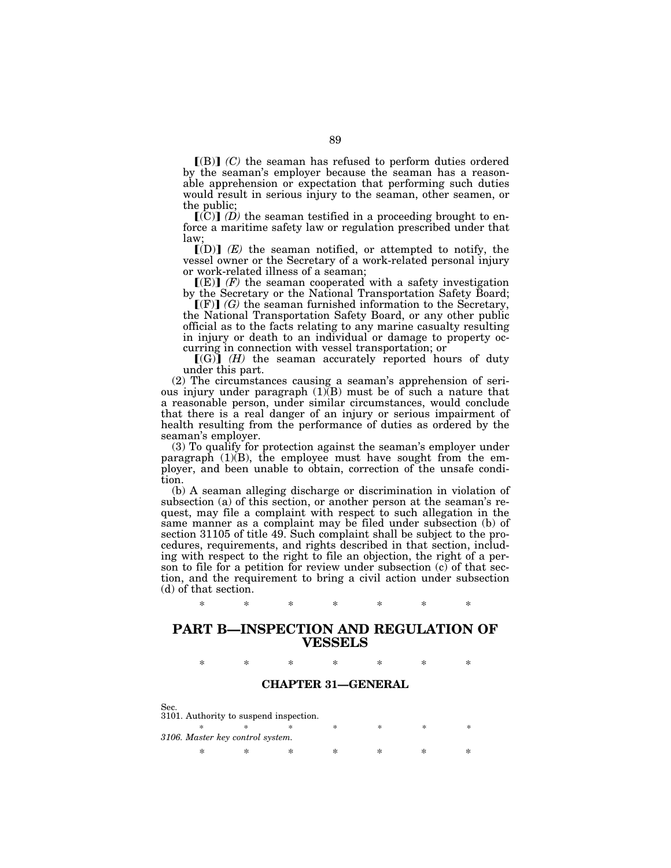$\Gamma(B)$  *(C)* the seaman has refused to perform duties ordered by the seaman's employer because the seaman has a reasonable apprehension or expectation that performing such duties would result in serious injury to the seaman, other seamen, or the public;

 $\left[\left(\overline{C}\right)\right]$  *(D)* the seaman testified in a proceeding brought to enforce a maritime safety law or regulation prescribed under that law;

 $[(D)]$   $(E)$  the seaman notified, or attempted to notify, the vessel owner or the Secretary of a work-related personal injury or work-related illness of a seaman;

 $[(E)]$  *(F)* the seaman cooperated with a safety investigation by the Secretary or the National Transportation Safety Board;

 $\Gamma(F)$  *(G)* the seaman furnished information to the Secretary, the National Transportation Safety Board, or any other public official as to the facts relating to any marine casualty resulting in injury or death to an individual or damage to property occurring in connection with vessel transportation; or

 $[(G)]$  *(H)* the seaman accurately reported hours of duty under this part.

(2) The circumstances causing a seaman's apprehension of serious injury under paragraph (1)(B) must be of such a nature that a reasonable person, under similar circumstances, would conclude that there is a real danger of an injury or serious impairment of health resulting from the performance of duties as ordered by the seaman's employer.

(3) To qualify for protection against the seaman's employer under paragraph (1)(B), the employee must have sought from the employer, and been unable to obtain, correction of the unsafe condition.

(b) A seaman alleging discharge or discrimination in violation of subsection (a) of this section, or another person at the seaman's request, may file a complaint with respect to such allegation in the same manner as a complaint may be filed under subsection (b) of section 31105 of title 49. Such complaint shall be subject to the procedures, requirements, and rights described in that section, including with respect to the right to file an objection, the right of a person to file for a petition for review under subsection (c) of that section, and the requirement to bring a civil action under subsection (d) of that section.

\* \* \* \* \* \* \*

## **PART B—INSPECTION AND REGULATION OF VESSELS**

\* \* \* \* \* \* \*

### **CHAPTER 31—GENERAL**

| Sec.<br>3101. Authority to suspend inspection. |                                  |   |  |  |   |   |   |
|------------------------------------------------|----------------------------------|---|--|--|---|---|---|
|                                                |                                  |   |  |  | × | × | × |
|                                                | 3106. Master key control system. |   |  |  |   |   |   |
|                                                |                                  | × |  |  | × | × | × |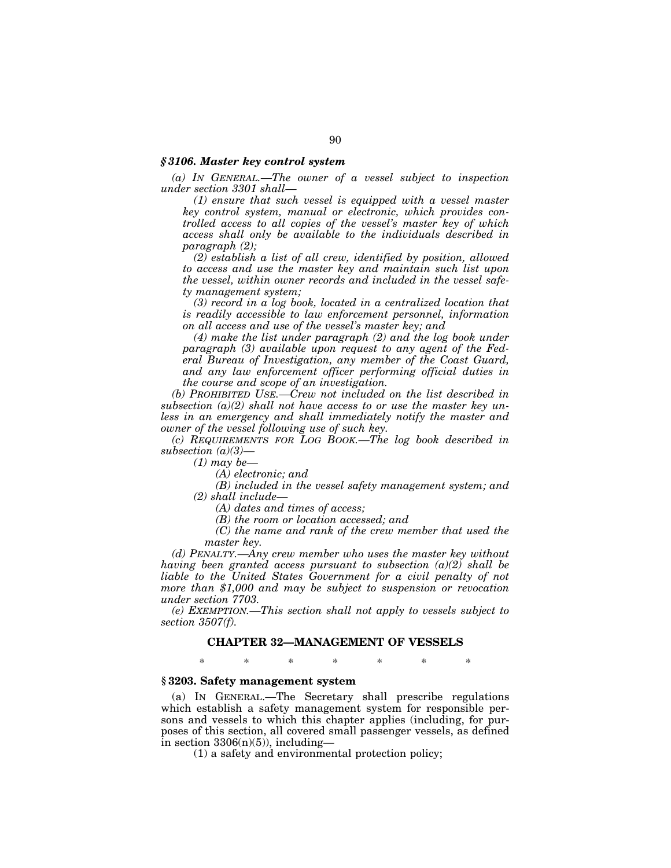### *§ 3106. Master key control system*

*(a) IN GENERAL.—The owner of a vessel subject to inspection under section 3301 shall—* 

*(1) ensure that such vessel is equipped with a vessel master key control system, manual or electronic, which provides controlled access to all copies of the vessel's master key of which access shall only be available to the individuals described in paragraph (2);* 

*(2) establish a list of all crew, identified by position, allowed to access and use the master key and maintain such list upon the vessel, within owner records and included in the vessel safety management system;* 

*(3) record in a log book, located in a centralized location that is readily accessible to law enforcement personnel, information on all access and use of the vessel's master key; and* 

*(4) make the list under paragraph (2) and the log book under paragraph (3) available upon request to any agent of the Federal Bureau of Investigation, any member of the Coast Guard, and any law enforcement officer performing official duties in the course and scope of an investigation.* 

*(b) PROHIBITED USE.—Crew not included on the list described in subsection (a)(2) shall not have access to or use the master key unless in an emergency and shall immediately notify the master and owner of the vessel following use of such key.* 

*(c) REQUIREMENTS FOR LOG BOOK.—The log book described in subsection (a)(3)—* 

*(1) may be—* 

*(A) electronic; and* 

*(B) included in the vessel safety management system; and (2) shall include—* 

*(A) dates and times of access;* 

*(B) the room or location accessed; and* 

*(C) the name and rank of the crew member that used the master key.* 

*(d) PENALTY.—Any crew member who uses the master key without having been granted access pursuant to subsection (a)(2) shall be liable to the United States Government for a civil penalty of not more than \$1,000 and may be subject to suspension or revocation under section 7703.* 

*(e) EXEMPTION.—This section shall not apply to vessels subject to section 3507(f).* 

#### **CHAPTER 32—MANAGEMENT OF VESSELS**

\* \* \* \* \* \* \*

### **§ 3203. Safety management system**

(a) IN GENERAL.—The Secretary shall prescribe regulations which establish a safety management system for responsible persons and vessels to which this chapter applies (including, for purposes of this section, all covered small passenger vessels, as defined in section  $3306(n)(5)$ , including—

(1) a safety and environmental protection policy;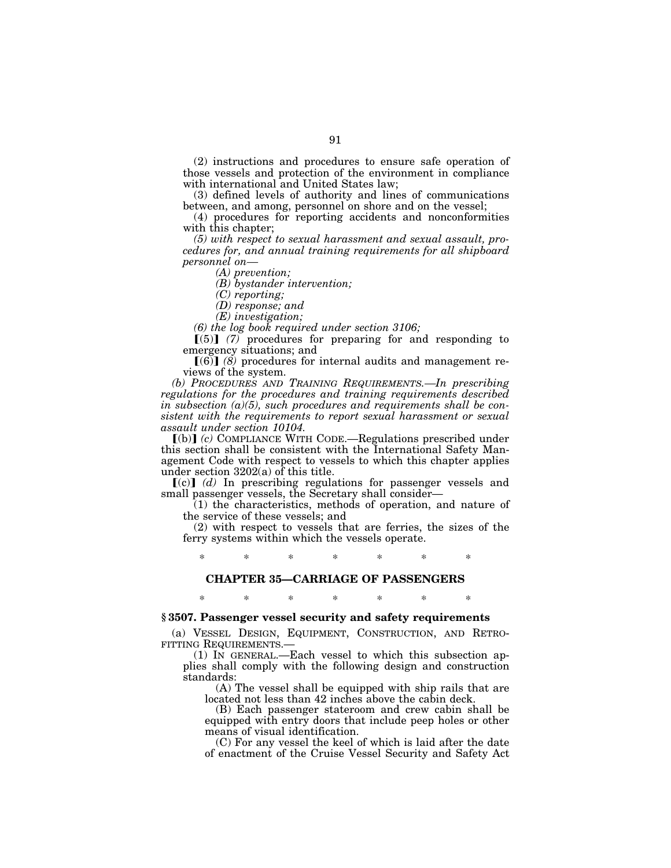(2) instructions and procedures to ensure safe operation of those vessels and protection of the environment in compliance with international and United States law;

(3) defined levels of authority and lines of communications between, and among, personnel on shore and on the vessel;

(4) procedures for reporting accidents and nonconformities with this chapter;

*(5) with respect to sexual harassment and sexual assault, procedures for, and annual training requirements for all shipboard personnel on—* 

*(A) prevention;* 

*(B) bystander intervention;* 

*(C) reporting;* 

*(D) response; and* 

*(E) investigation;* 

*(6) the log book required under section 3106;* 

 $[(5)]$  (7) procedures for preparing for and responding to emergency situations; and

 $[(6)]$   $(8)$  procedures for internal audits and management reviews of the system.

*(b) PROCEDURES AND TRAINING REQUIREMENTS.—In prescribing regulations for the procedures and training requirements described in subsection (a)(5), such procedures and requirements shall be consistent with the requirements to report sexual harassment or sexual assault under section 10104.* 

[(b)] (c) COMPLIANCE WITH CODE.—Regulations prescribed under this section shall be consistent with the International Safety Management Code with respect to vessels to which this chapter applies under section 3202(a) of this title.

 $(c)$  *(d)* In prescribing regulations for passenger vessels and small passenger vessels, the Secretary shall consider—

(1) the characteristics, methods of operation, and nature of the service of these vessels; and

(2) with respect to vessels that are ferries, the sizes of the ferry systems within which the vessels operate.

\* \* \* \* \* \* \*

# **CHAPTER 35—CARRIAGE OF PASSENGERS**  \* \* \* \* \* \* \*

### **§ 3507. Passenger vessel security and safety requirements**

(a) VESSEL DESIGN, EQUIPMENT, CONSTRUCTION, AND RETRO- FITTING REQUIREMENTS.—

(1) IN GENERAL.—Each vessel to which this subsection applies shall comply with the following design and construction standards:

(A) The vessel shall be equipped with ship rails that are located not less than 42 inches above the cabin deck.

(B) Each passenger stateroom and crew cabin shall be equipped with entry doors that include peep holes or other means of visual identification.

(C) For any vessel the keel of which is laid after the date of enactment of the Cruise Vessel Security and Safety Act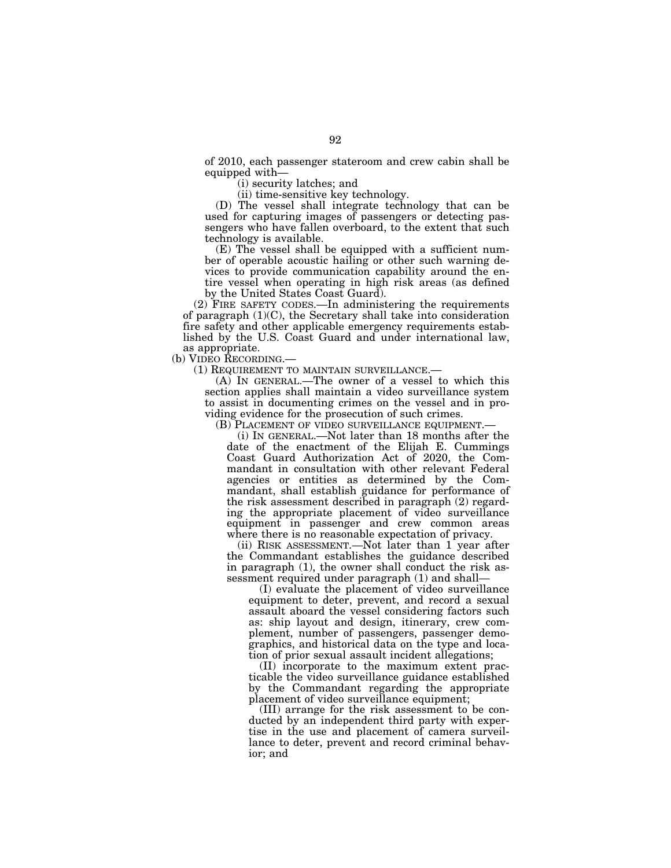of 2010, each passenger stateroom and crew cabin shall be equipped with—

(i) security latches; and

(ii) time-sensitive key technology.

(D) The vessel shall integrate technology that can be used for capturing images of passengers or detecting passengers who have fallen overboard, to the extent that such technology is available.

(E) The vessel shall be equipped with a sufficient number of operable acoustic hailing or other such warning devices to provide communication capability around the entire vessel when operating in high risk areas (as defined by the United States Coast Guard).

(2) FIRE SAFETY CODES.—In administering the requirements of paragraph  $(1)(C)$ , the Secretary shall take into consideration fire safety and other applicable emergency requirements established by the U.S. Coast Guard and under international law, as appropriate.

(b) VIDEO RECORDING.—

(1) REQUIREMENT TO MAINTAIN SURVEILLANCE.—

(A) IN GENERAL.—The owner of a vessel to which this section applies shall maintain a video surveillance system to assist in documenting crimes on the vessel and in providing evidence for the prosecution of such crimes.

(B) PLACEMENT OF VIDEO SURVEILLANCE EQUIPMENT.— (i) IN GENERAL.—Not later than 18 months after the

date of the enactment of the Elijah E. Cummings Coast Guard Authorization Act of 2020, the Commandant in consultation with other relevant Federal agencies or entities as determined by the Commandant, shall establish guidance for performance of the risk assessment described in paragraph (2) regarding the appropriate placement of video surveillance equipment in passenger and crew common areas where there is no reasonable expectation of privacy.

(ii) RISK ASSESSMENT.—Not later than 1 year after the Commandant establishes the guidance described in paragraph (1), the owner shall conduct the risk assessment required under paragraph (1) and shall—

(I) evaluate the placement of video surveillance equipment to deter, prevent, and record a sexual assault aboard the vessel considering factors such as: ship layout and design, itinerary, crew complement, number of passengers, passenger demographics, and historical data on the type and location of prior sexual assault incident allegations;

(II) incorporate to the maximum extent practicable the video surveillance guidance established by the Commandant regarding the appropriate placement of video surveillance equipment;

(III) arrange for the risk assessment to be conducted by an independent third party with expertise in the use and placement of camera surveillance to deter, prevent and record criminal behavior; and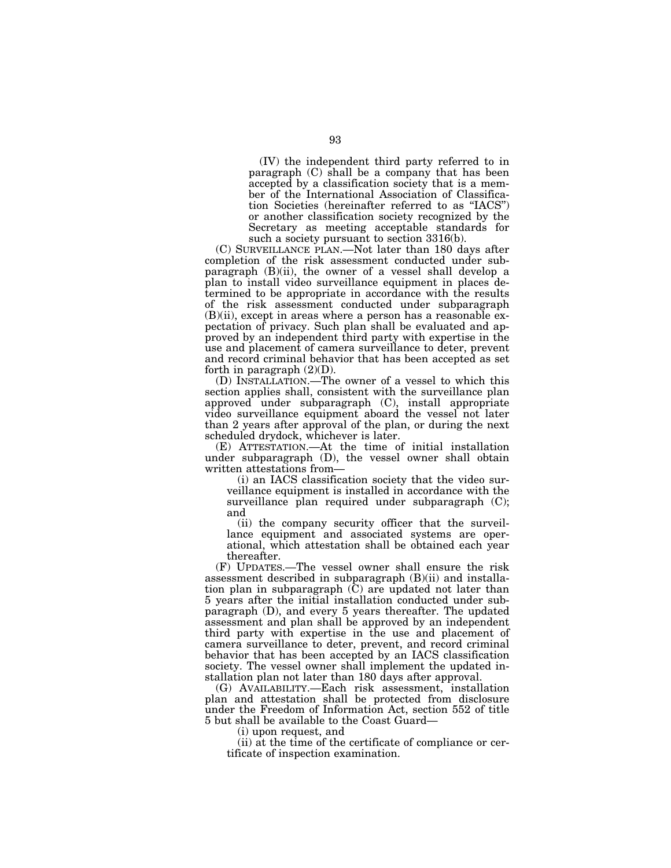(IV) the independent third party referred to in paragraph (C) shall be a company that has been accepted by a classification society that is a member of the International Association of Classification Societies (hereinafter referred to as ''IACS'') or another classification society recognized by the Secretary as meeting acceptable standards for such a society pursuant to section 3316(b).

(C) SURVEILLANCE PLAN.—Not later than 180 days after completion of the risk assessment conducted under subparagraph (B)(ii), the owner of a vessel shall develop a plan to install video surveillance equipment in places determined to be appropriate in accordance with the results of the risk assessment conducted under subparagraph (B)(ii), except in areas where a person has a reasonable expectation of privacy. Such plan shall be evaluated and approved by an independent third party with expertise in the use and placement of camera surveillance to deter, prevent and record criminal behavior that has been accepted as set forth in paragraph  $(2)(D)$ .

(D) INSTALLATION.—The owner of a vessel to which this section applies shall, consistent with the surveillance plan approved under subparagraph  $(C)$ , install appropriate video surveillance equipment aboard the vessel not later than 2 years after approval of the plan, or during the next scheduled drydock, whichever is later.

(E) ATTESTATION.—At the time of initial installation under subparagraph (D), the vessel owner shall obtain written attestations from—

(i) an IACS classification society that the video surveillance equipment is installed in accordance with the surveillance plan required under subparagraph (C); and

(ii) the company security officer that the surveillance equipment and associated systems are operational, which attestation shall be obtained each year thereafter.

(F) UPDATES.—The vessel owner shall ensure the risk assessment described in subparagraph (B)(ii) and installation plan in subparagraph  $(C)$  are updated not later than 5 years after the initial installation conducted under subparagraph (D), and every 5 years thereafter. The updated assessment and plan shall be approved by an independent third party with expertise in the use and placement of camera surveillance to deter, prevent, and record criminal behavior that has been accepted by an IACS classification society. The vessel owner shall implement the updated installation plan not later than 180 days after approval.

(G) AVAILABILITY.—Each risk assessment, installation plan and attestation shall be protected from disclosure under the Freedom of Information Act, section 552 of title 5 but shall be available to the Coast Guard—

(i) upon request, and

(ii) at the time of the certificate of compliance or certificate of inspection examination.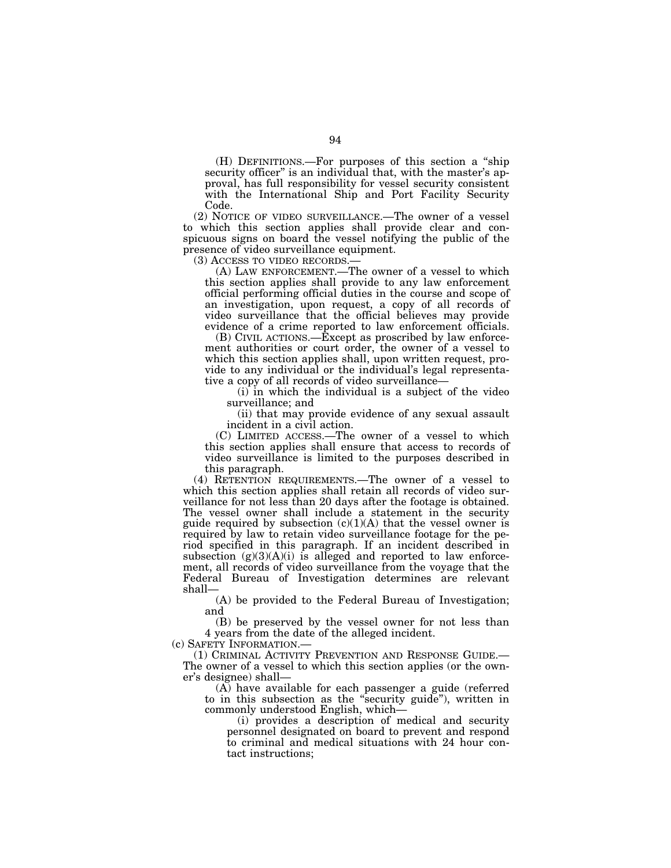(H) DEFINITIONS.—For purposes of this section a ''ship security officer" is an individual that, with the master's approval, has full responsibility for vessel security consistent with the International Ship and Port Facility Security Code.

(2) NOTICE OF VIDEO SURVEILLANCE.—The owner of a vessel to which this section applies shall provide clear and conspicuous signs on board the vessel notifying the public of the presence of video surveillance equipment.

(3) ACCESS TO VIDEO RECORDS.— (A) LAW ENFORCEMENT.—The owner of a vessel to which this section applies shall provide to any law enforcement official performing official duties in the course and scope of an investigation, upon request, a copy of all records of video surveillance that the official believes may provide evidence of a crime reported to law enforcement officials.

(B) CIVIL ACTIONS.—Except as proscribed by law enforcement authorities or court order, the owner of a vessel to which this section applies shall, upon written request, provide to any individual or the individual's legal representative a copy of all records of video surveillance—

(i) in which the individual is a subject of the video surveillance; and

(ii) that may provide evidence of any sexual assault incident in a civil action.

(C) LIMITED ACCESS.—The owner of a vessel to which this section applies shall ensure that access to records of video surveillance is limited to the purposes described in this paragraph.

(4) RETENTION REQUIREMENTS.—The owner of a vessel to which this section applies shall retain all records of video surveillance for not less than 20 days after the footage is obtained. The vessel owner shall include a statement in the security guide required by subsection  $(c)(1)(A)$  that the vessel owner is required by law to retain video surveillance footage for the period specified in this paragraph. If an incident described in subsection  $(g)(3)(A)(i)$  is alleged and reported to law enforcement, all records of video surveillance from the voyage that the Federal Bureau of Investigation determines are relevant shall—

(A) be provided to the Federal Bureau of Investigation; and

(B) be preserved by the vessel owner for not less than 4 years from the date of the alleged incident.

(c) SAFETY INFORMATION.—

(1) CRIMINAL ACTIVITY PREVENTION AND RESPONSE GUIDE.— The owner of a vessel to which this section applies (or the owner's designee) shall—

(A) have available for each passenger a guide (referred to in this subsection as the ''security guide''), written in commonly understood English, which—

(i) provides a description of medical and security personnel designated on board to prevent and respond to criminal and medical situations with 24 hour contact instructions;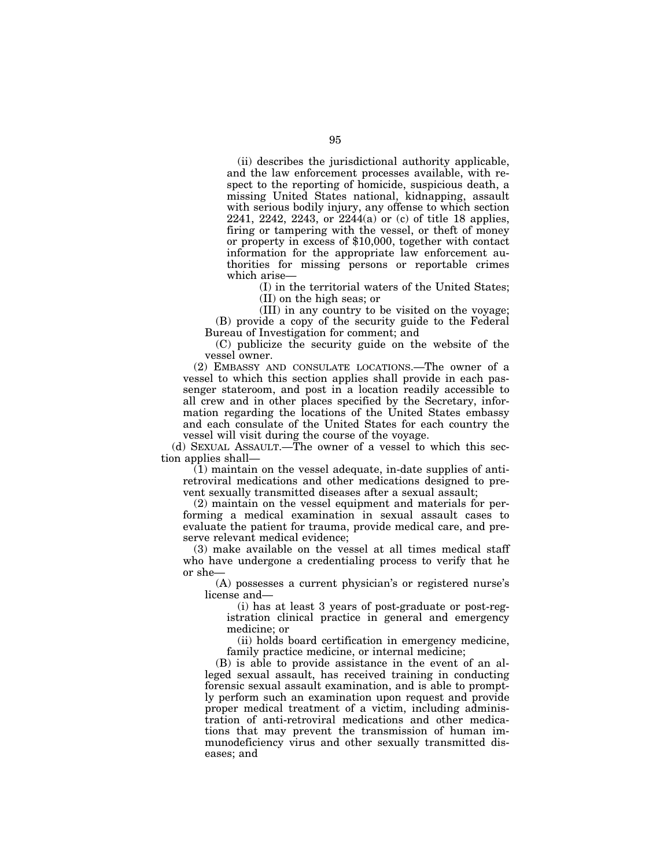(ii) describes the jurisdictional authority applicable, and the law enforcement processes available, with respect to the reporting of homicide, suspicious death, a missing United States national, kidnapping, assault with serious bodily injury, any offense to which section 2241, 2242, 2243, or 2244(a) or (c) of title 18 applies, firing or tampering with the vessel, or theft of money or property in excess of \$10,000, together with contact information for the appropriate law enforcement authorities for missing persons or reportable crimes which arise-

(I) in the territorial waters of the United States; (II) on the high seas; or

(III) in any country to be visited on the voyage; (B) provide a copy of the security guide to the Federal Bureau of Investigation for comment; and

(C) publicize the security guide on the website of the vessel owner.

(2) EMBASSY AND CONSULATE LOCATIONS.—The owner of a vessel to which this section applies shall provide in each passenger stateroom, and post in a location readily accessible to all crew and in other places specified by the Secretary, information regarding the locations of the United States embassy and each consulate of the United States for each country the vessel will visit during the course of the voyage.

(d) SEXUAL ASSAULT.—The owner of a vessel to which this section applies shall—

(1) maintain on the vessel adequate, in-date supplies of antiretroviral medications and other medications designed to prevent sexually transmitted diseases after a sexual assault;

(2) maintain on the vessel equipment and materials for performing a medical examination in sexual assault cases to evaluate the patient for trauma, provide medical care, and preserve relevant medical evidence;

(3) make available on the vessel at all times medical staff who have undergone a credentialing process to verify that he or she—

(A) possesses a current physician's or registered nurse's license and—

(i) has at least 3 years of post-graduate or post-registration clinical practice in general and emergency medicine; or

(ii) holds board certification in emergency medicine, family practice medicine, or internal medicine;

(B) is able to provide assistance in the event of an alleged sexual assault, has received training in conducting forensic sexual assault examination, and is able to promptly perform such an examination upon request and provide proper medical treatment of a victim, including administration of anti-retroviral medications and other medications that may prevent the transmission of human immunodeficiency virus and other sexually transmitted diseases; and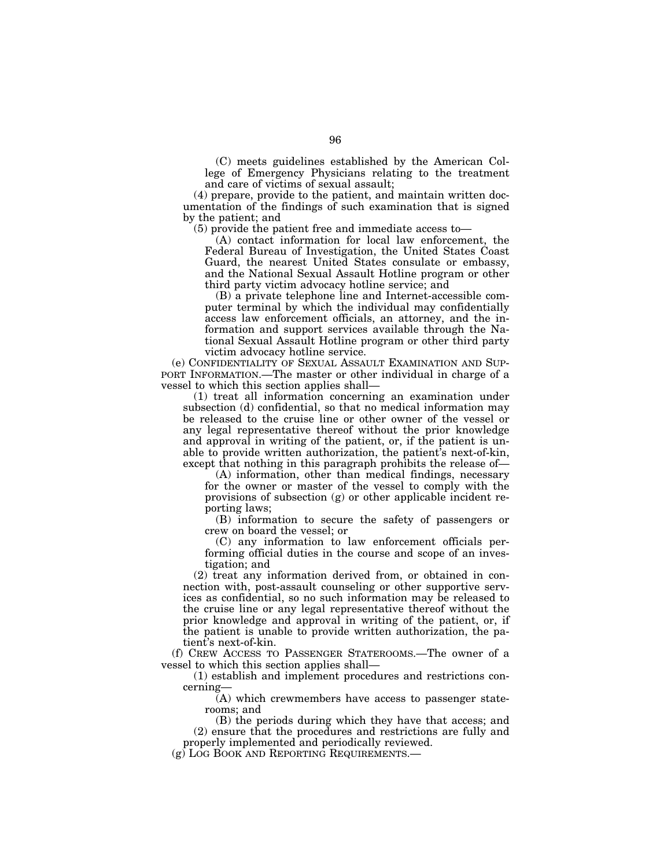(C) meets guidelines established by the American College of Emergency Physicians relating to the treatment and care of victims of sexual assault;

(4) prepare, provide to the patient, and maintain written documentation of the findings of such examination that is signed by the patient; and

(5) provide the patient free and immediate access to—

(A) contact information for local law enforcement, the Federal Bureau of Investigation, the United States Coast Guard, the nearest United States consulate or embassy, and the National Sexual Assault Hotline program or other third party victim advocacy hotline service; and

(B) a private telephone line and Internet-accessible computer terminal by which the individual may confidentially access law enforcement officials, an attorney, and the information and support services available through the National Sexual Assault Hotline program or other third party victim advocacy hotline service.

(e) CONFIDENTIALITY OF SEXUAL ASSAULT EXAMINATION AND SUP-PORT INFORMATION.—The master or other individual in charge of a vessel to which this section applies shall—

(1) treat all information concerning an examination under subsection (d) confidential, so that no medical information may be released to the cruise line or other owner of the vessel or any legal representative thereof without the prior knowledge and approval in writing of the patient, or, if the patient is unable to provide written authorization, the patient's next-of-kin, except that nothing in this paragraph prohibits the release of—

(A) information, other than medical findings, necessary for the owner or master of the vessel to comply with the provisions of subsection (g) or other applicable incident reporting laws;

(B) information to secure the safety of passengers or crew on board the vessel; or

(C) any information to law enforcement officials performing official duties in the course and scope of an investigation; and

(2) treat any information derived from, or obtained in connection with, post-assault counseling or other supportive services as confidential, so no such information may be released to the cruise line or any legal representative thereof without the prior knowledge and approval in writing of the patient, or, if the patient is unable to provide written authorization, the patient's next-of-kin.

(f) CREW ACCESS TO PASSENGER STATEROOMS.—The owner of a vessel to which this section applies shall—

(1) establish and implement procedures and restrictions concerning—

(A) which crewmembers have access to passenger staterooms; and

(B) the periods during which they have that access; and (2) ensure that the procedures and restrictions are fully and properly implemented and periodically reviewed.

(g) LOG BOOK AND REPORTING REQUIREMENTS.—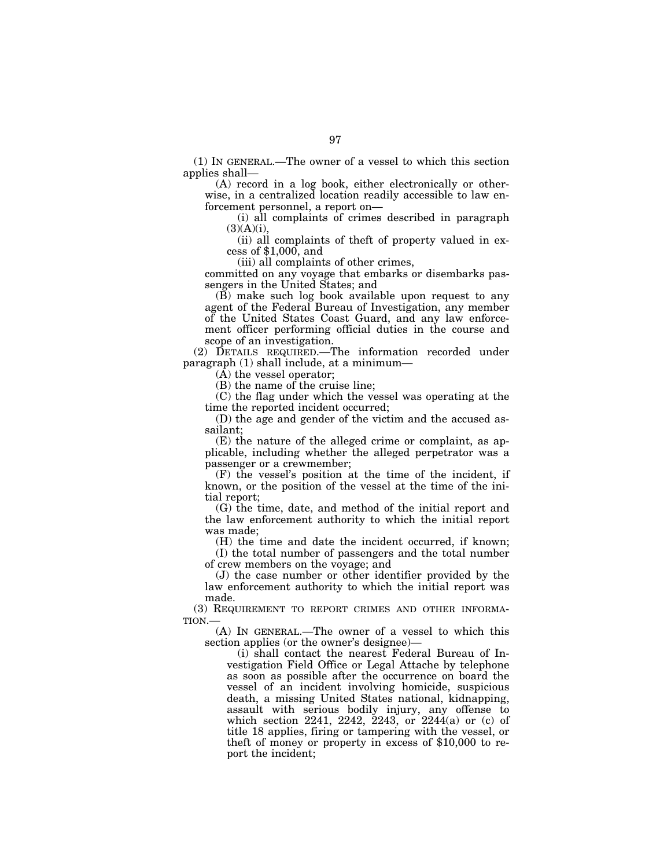(1) IN GENERAL.—The owner of a vessel to which this section applies shall—

(A) record in a log book, either electronically or otherwise, in a centralized location readily accessible to law enforcement personnel, a report on—

(i) all complaints of crimes described in paragraph  $(3)(A)(i),$ 

(ii) all complaints of theft of property valued in excess of \$1,000, and

(iii) all complaints of other crimes,

committed on any voyage that embarks or disembarks passengers in the United States; and

 $(\overline{B})$  make such log book available upon request to any agent of the Federal Bureau of Investigation, any member of the United States Coast Guard, and any law enforcement officer performing official duties in the course and scope of an investigation.

(2) DETAILS REQUIRED.—The information recorded under paragraph (1) shall include, at a minimum—

(A) the vessel operator;

(B) the name of the cruise line;

(C) the flag under which the vessel was operating at the time the reported incident occurred;

(D) the age and gender of the victim and the accused assailant;

(E) the nature of the alleged crime or complaint, as applicable, including whether the alleged perpetrator was a passenger or a crewmember;

(F) the vessel's position at the time of the incident, if known, or the position of the vessel at the time of the initial report;

(G) the time, date, and method of the initial report and the law enforcement authority to which the initial report was made;

(H) the time and date the incident occurred, if known; (I) the total number of passengers and the total number of crew members on the voyage; and

(J) the case number or other identifier provided by the law enforcement authority to which the initial report was made.

(3) REQUIREMENT TO REPORT CRIMES AND OTHER INFORMA-TION.—

(A) IN GENERAL.—The owner of a vessel to which this section applies (or the owner's designee)—

(i) shall contact the nearest Federal Bureau of Investigation Field Office or Legal Attache by telephone as soon as possible after the occurrence on board the vessel of an incident involving homicide, suspicious death, a missing United States national, kidnapping, assault with serious bodily injury, any offense to which section 2241, 2242, 2243, or  $2244(a)$  or (c) of title 18 applies, firing or tampering with the vessel, or theft of money or property in excess of \$10,000 to report the incident;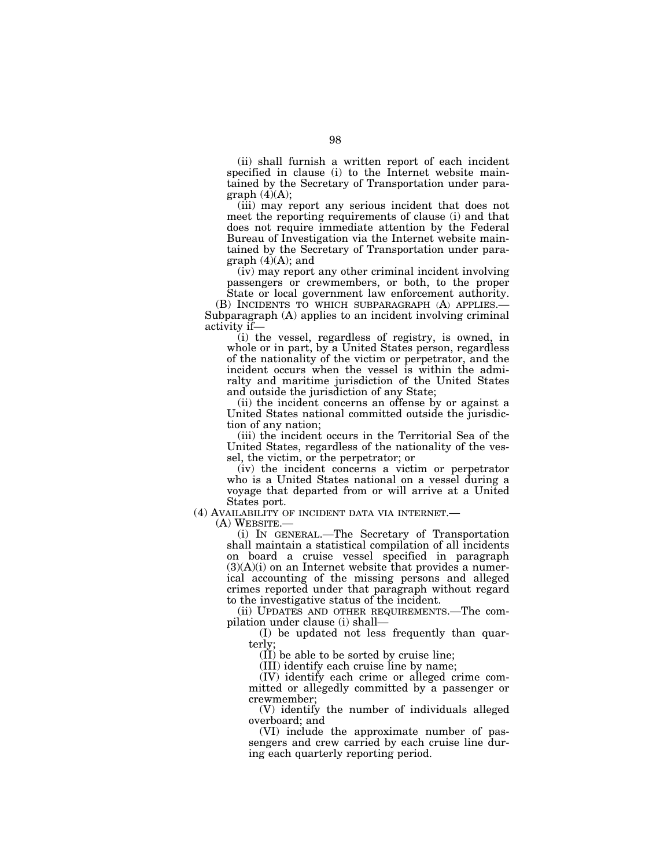(ii) shall furnish a written report of each incident specified in clause (i) to the Internet website maintained by the Secretary of Transportation under paragraph  $(4)(A)$ ;

(iii) may report any serious incident that does not meet the reporting requirements of clause (i) and that does not require immediate attention by the Federal Bureau of Investigation via the Internet website maintained by the Secretary of Transportation under paragraph  $(4)$  $(A)$ ; and

(iv) may report any other criminal incident involving passengers or crewmembers, or both, to the proper

State or local government law enforcement authority. (B) INCIDENTS TO WHICH SUBPARAGRAPH (A) APPLIES.— Subparagraph (A) applies to an incident involving criminal activity if—

(i) the vessel, regardless of registry, is owned, in whole or in part, by a United States person, regardless of the nationality of the victim or perpetrator, and the incident occurs when the vessel is within the admiralty and maritime jurisdiction of the United States and outside the jurisdiction of any State;

(ii) the incident concerns an offense by or against a United States national committed outside the jurisdiction of any nation;

(iii) the incident occurs in the Territorial Sea of the United States, regardless of the nationality of the vessel, the victim, or the perpetrator; or

(iv) the incident concerns a victim or perpetrator who is a United States national on a vessel during a voyage that departed from or will arrive at a United States port.

(4) AVAILABILITY OF INCIDENT DATA VIA INTERNET.— (A) WEBSITE.—

(i) IN GENERAL.—The Secretary of Transportation shall maintain a statistical compilation of all incidents on board a cruise vessel specified in paragraph  $(3)(A)(i)$  on an Internet website that provides a numerical accounting of the missing persons and alleged crimes reported under that paragraph without regard to the investigative status of the incident.

(ii) UPDATES AND OTHER REQUIREMENTS.—The compilation under clause (i) shall—

(I) be updated not less frequently than quarterly;

(II) be able to be sorted by cruise line;

(III) identify each cruise line by name;

(IV) identify each crime or alleged crime committed or allegedly committed by a passenger or crewmember;

(V) identify the number of individuals alleged overboard; and

(VI) include the approximate number of passengers and crew carried by each cruise line during each quarterly reporting period.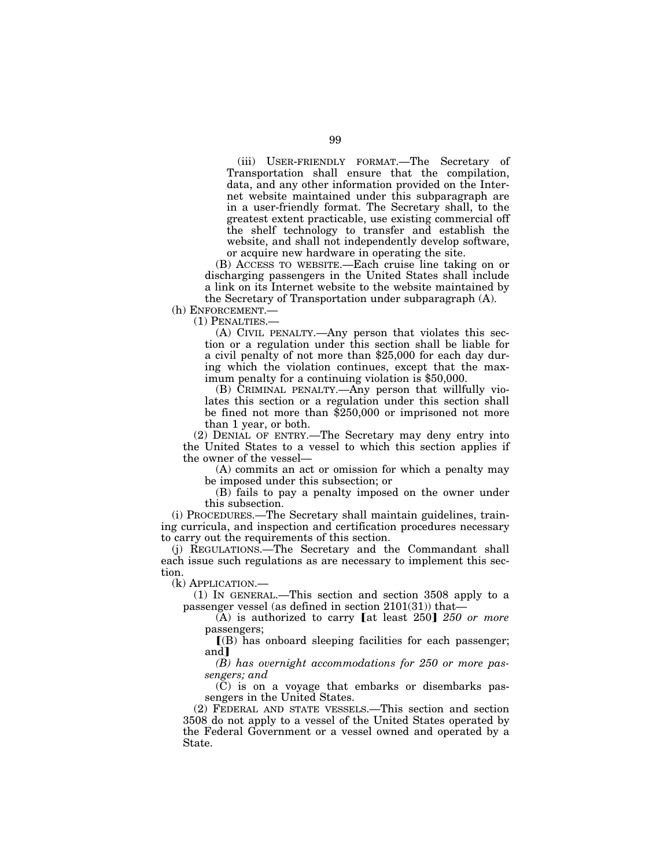(iii) USER-FRIENDLY FORMAT.—The Secretary of Transportation shall ensure that the compilation, data, and any other information provided on the Internet website maintained under this subparagraph are in a user-friendly format. The Secretary shall, to the greatest extent practicable, use existing commercial off the shelf technology to transfer and establish the website, and shall not independently develop software, or acquire new hardware in operating the site.

(B) ACCESS TO WEBSITE.—Each cruise line taking on or discharging passengers in the United States shall include a link on its Internet website to the website maintained by the Secretary of Transportation under subparagraph (A).

(h) ENFORCEMENT.—

(1) PENALTIES.—

(A) CIVIL PENALTY.—Any person that violates this section or a regulation under this section shall be liable for a civil penalty of not more than \$25,000 for each day during which the violation continues, except that the maximum penalty for a continuing violation is \$50,000.

(B) CRIMINAL PENALTY.—Any person that willfully violates this section or a regulation under this section shall be fined not more than \$250,000 or imprisoned not more than 1 year, or both.

(2) DENIAL OF ENTRY.—The Secretary may deny entry into the United States to a vessel to which this section applies if the owner of the vessel—

(A) commits an act or omission for which a penalty may be imposed under this subsection; or

(B) fails to pay a penalty imposed on the owner under this subsection.

(i) PROCEDURES.—The Secretary shall maintain guidelines, training curricula, and inspection and certification procedures necessary to carry out the requirements of this section.

(j) REGULATIONS.—The Secretary and the Commandant shall each issue such regulations as are necessary to implement this section.

(k) APPLICATION.—

(1) IN GENERAL.—This section and section 3508 apply to a passenger vessel (as defined in section 2101(31)) that—

 $(A)$  is authorized to carry  $[at$  least 250 $]$  250 or more passengers;

 $($ B) has onboard sleeping facilities for each passenger; and]

*(B) has overnight accommodations for 250 or more passengers; and* 

 $(C)$  is on a voyage that embarks or disembarks passengers in the United States.

(2) FEDERAL AND STATE VESSELS.—This section and section 3508 do not apply to a vessel of the United States operated by the Federal Government or a vessel owned and operated by a State.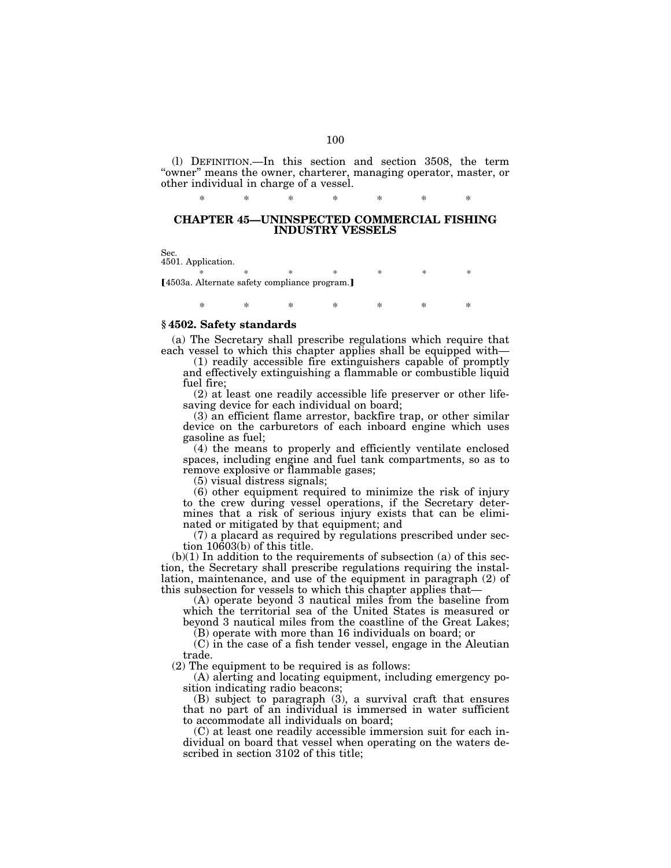(l) DEFINITION.—In this section and section 3508, the term "owner" means the owner, charterer, managing operator, master, or other individual in charge of a vessel.

\* \* \* \* \* \* \*

### **CHAPTER 45—UNINSPECTED COMMERCIAL FISHING INDUSTRY VESSELS**

Sec. 4501. Application.

\* \* \* \* \* \* \* \* [4503a. Alternate safety compliance program.]

\* \* \* \* \* \* \*

#### **§ 4502. Safety standards**

(a) The Secretary shall prescribe regulations which require that each vessel to which this chapter applies shall be equipped with—

(1) readily accessible fire extinguishers capable of promptly and effectively extinguishing a flammable or combustible liquid fuel fire;

(2) at least one readily accessible life preserver or other lifesaving device for each individual on board;

(3) an efficient flame arrestor, backfire trap, or other similar device on the carburetors of each inboard engine which uses gasoline as fuel;

(4) the means to properly and efficiently ventilate enclosed spaces, including engine and fuel tank compartments, so as to remove explosive or flammable gases;

(5) visual distress signals;

(6) other equipment required to minimize the risk of injury to the crew during vessel operations, if the Secretary determines that a risk of serious injury exists that can be eliminated or mitigated by that equipment; and

(7) a placard as required by regulations prescribed under section 10603(b) of this title.

 $(b)(1)$  In addition to the requirements of subsection (a) of this section, the Secretary shall prescribe regulations requiring the installation, maintenance, and use of the equipment in paragraph (2) of this subsection for vessels to which this chapter applies that—

(A) operate beyond 3 nautical miles from the baseline from which the territorial sea of the United States is measured or beyond 3 nautical miles from the coastline of the Great Lakes;

(B) operate with more than 16 individuals on board; or

(C) in the case of a fish tender vessel, engage in the Aleutian trade.

(2) The equipment to be required is as follows:

(A) alerting and locating equipment, including emergency position indicating radio beacons;

(B) subject to paragraph (3), a survival craft that ensures that no part of an individual is immersed in water sufficient to accommodate all individuals on board;

(C) at least one readily accessible immersion suit for each individual on board that vessel when operating on the waters described in section 3102 of this title;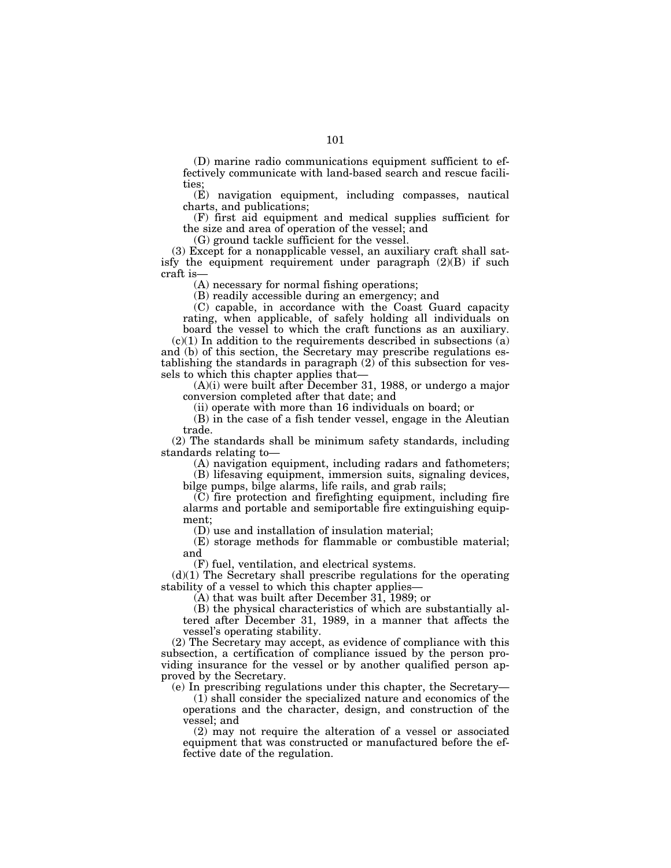(D) marine radio communications equipment sufficient to effectively communicate with land-based search and rescue facilities;

(E) navigation equipment, including compasses, nautical charts, and publications;

(F) first aid equipment and medical supplies sufficient for the size and area of operation of the vessel; and

(G) ground tackle sufficient for the vessel.

(3) Except for a nonapplicable vessel, an auxiliary craft shall satisfy the equipment requirement under paragraph (2)(B) if such craft is—

(A) necessary for normal fishing operations;

(B) readily accessible during an emergency; and

(C) capable, in accordance with the Coast Guard capacity rating, when applicable, of safely holding all individuals on

board the vessel to which the craft functions as an auxiliary.  $(c)(1)$  In addition to the requirements described in subsections (a) and (b) of this section, the Secretary may prescribe regulations establishing the standards in paragraph (2) of this subsection for vessels to which this chapter applies that—

(A)(i) were built after December 31, 1988, or undergo a major conversion completed after that date; and

(ii) operate with more than 16 individuals on board; or

(B) in the case of a fish tender vessel, engage in the Aleutian trade.

(2) The standards shall be minimum safety standards, including standards relating to—

(A) navigation equipment, including radars and fathometers;

(B) lifesaving equipment, immersion suits, signaling devices, bilge pumps, bilge alarms, life rails, and grab rails;

(C) fire protection and firefighting equipment, including fire alarms and portable and semiportable fire extinguishing equipment;

(D) use and installation of insulation material;

(E) storage methods for flammable or combustible material; and

(F) fuel, ventilation, and electrical systems.

 $(d)(1)$  The Secretary shall prescribe regulations for the operating stability of a vessel to which this chapter applies—

(A) that was built after December 31, 1989; or

(B) the physical characteristics of which are substantially altered after December 31, 1989, in a manner that affects the vessel's operating stability.

(2) The Secretary may accept, as evidence of compliance with this subsection, a certification of compliance issued by the person providing insurance for the vessel or by another qualified person approved by the Secretary.

(e) In prescribing regulations under this chapter, the Secretary—

(1) shall consider the specialized nature and economics of the operations and the character, design, and construction of the vessel; and

(2) may not require the alteration of a vessel or associated equipment that was constructed or manufactured before the effective date of the regulation.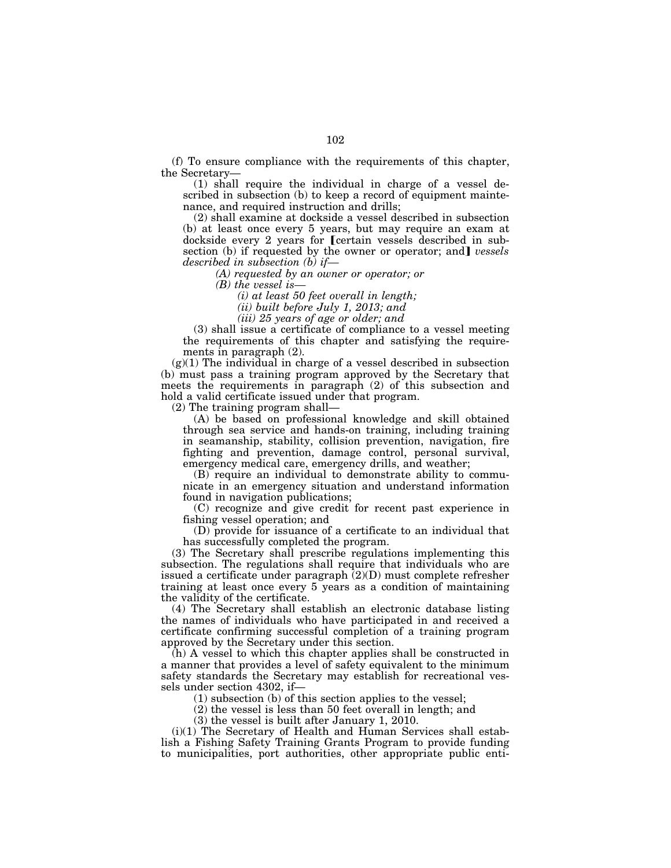(f) To ensure compliance with the requirements of this chapter, the Secretary—

(1) shall require the individual in charge of a vessel described in subsection (b) to keep a record of equipment maintenance, and required instruction and drills;

(2) shall examine at dockside a vessel described in subsection (b) at least once every 5 years, but may require an exam at dockside every 2 years for *[certain vessels described in sub*section (b) if requested by the owner or operator; and] *vessels described in subsection (b) if—* 

*(A) requested by an owner or operator; or* 

*(B) the vessel is—* 

*(i) at least 50 feet overall in length;* 

*(ii) built before July 1, 2013; and* 

*(iii) 25 years of age or older; and* 

(3) shall issue a certificate of compliance to a vessel meeting the requirements of this chapter and satisfying the requirements in paragraph (2).

 $(g)(1)$  The individual in charge of a vessel described in subsection (b) must pass a training program approved by the Secretary that meets the requirements in paragraph (2) of this subsection and hold a valid certificate issued under that program.

(2) The training program shall—

(A) be based on professional knowledge and skill obtained through sea service and hands-on training, including training in seamanship, stability, collision prevention, navigation, fire fighting and prevention, damage control, personal survival, emergency medical care, emergency drills, and weather;

(B) require an individual to demonstrate ability to communicate in an emergency situation and understand information found in navigation publications;

(C) recognize and give credit for recent past experience in fishing vessel operation; and

(D) provide for issuance of a certificate to an individual that has successfully completed the program.

(3) The Secretary shall prescribe regulations implementing this subsection. The regulations shall require that individuals who are issued a certificate under paragraph (2)(D) must complete refresher training at least once every 5 years as a condition of maintaining the validity of the certificate.

(4) The Secretary shall establish an electronic database listing the names of individuals who have participated in and received a certificate confirming successful completion of a training program approved by the Secretary under this section.

(h) A vessel to which this chapter applies shall be constructed in a manner that provides a level of safety equivalent to the minimum safety standards the Secretary may establish for recreational vessels under section 4302, if—

(1) subsection (b) of this section applies to the vessel;

(2) the vessel is less than 50 feet overall in length; and

(3) the vessel is built after January 1, 2010.

(i)(1) The Secretary of Health and Human Services shall establish a Fishing Safety Training Grants Program to provide funding to municipalities, port authorities, other appropriate public enti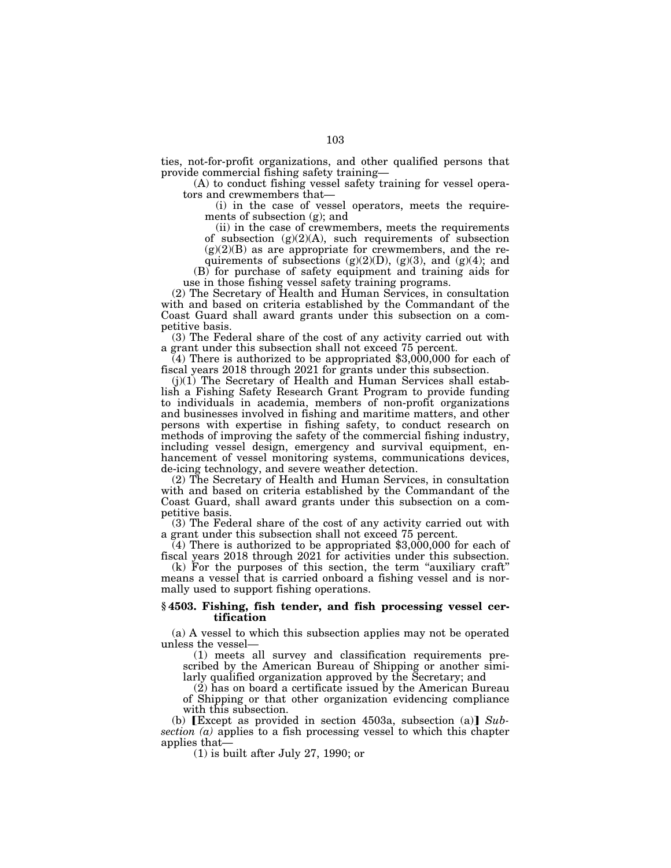ties, not-for-profit organizations, and other qualified persons that provide commercial fishing safety training—

(A) to conduct fishing vessel safety training for vessel operators and crewmembers that—

(i) in the case of vessel operators, meets the requirements of subsection (g); and

(ii) in the case of crewmembers, meets the requirements of subsection  $(g)(2)(A)$ , such requirements of subsection  $(g)(2)(B)$  as are appropriate for crewmembers, and the re-

quirements of subsections  $(g)(2)(D)$ ,  $(g)(3)$ , and  $(g)(4)$ ; and (B) for purchase of safety equipment and training aids for use in those fishing vessel safety training programs.

(2) The Secretary of Health and Human Services, in consultation with and based on criteria established by the Commandant of the Coast Guard shall award grants under this subsection on a competitive basis.

(3) The Federal share of the cost of any activity carried out with a grant under this subsection shall not exceed 75 percent.

(4) There is authorized to be appropriated  $$3,000,000$  for each of fiscal years 2018 through 2021 for grants under this subsection.

(j)(1) The Secretary of Health and Human Services shall establish a Fishing Safety Research Grant Program to provide funding to individuals in academia, members of non-profit organizations and businesses involved in fishing and maritime matters, and other persons with expertise in fishing safety, to conduct research on methods of improving the safety of the commercial fishing industry, including vessel design, emergency and survival equipment, enhancement of vessel monitoring systems, communications devices, de-icing technology, and severe weather detection.

(2) The Secretary of Health and Human Services, in consultation with and based on criteria established by the Commandant of the Coast Guard, shall award grants under this subsection on a competitive basis.

(3) The Federal share of the cost of any activity carried out with a grant under this subsection shall not exceed 75 percent.

(4) There is authorized to be appropriated  $$3,000,000$  for each of fiscal years 2018 through 2021 for activities under this subsection.

(k) For the purposes of this section, the term ''auxiliary craft'' means a vessel that is carried onboard a fishing vessel and is normally used to support fishing operations.

### **§ 4503. Fishing, fish tender, and fish processing vessel certification**

(a) A vessel to which this subsection applies may not be operated unless the vessel—

(1) meets all survey and classification requirements prescribed by the American Bureau of Shipping or another similarly qualified organization approved by the Secretary; and

(2) has on board a certificate issued by the American Bureau of Shipping or that other organization evidencing compliance with this subsection.

(b) [Except as provided in section  $4503a$ , subsection  $(a)$ ] *Subsection (a)* applies to a fish processing vessel to which this chapter applies that—

(1) is built after July 27, 1990; or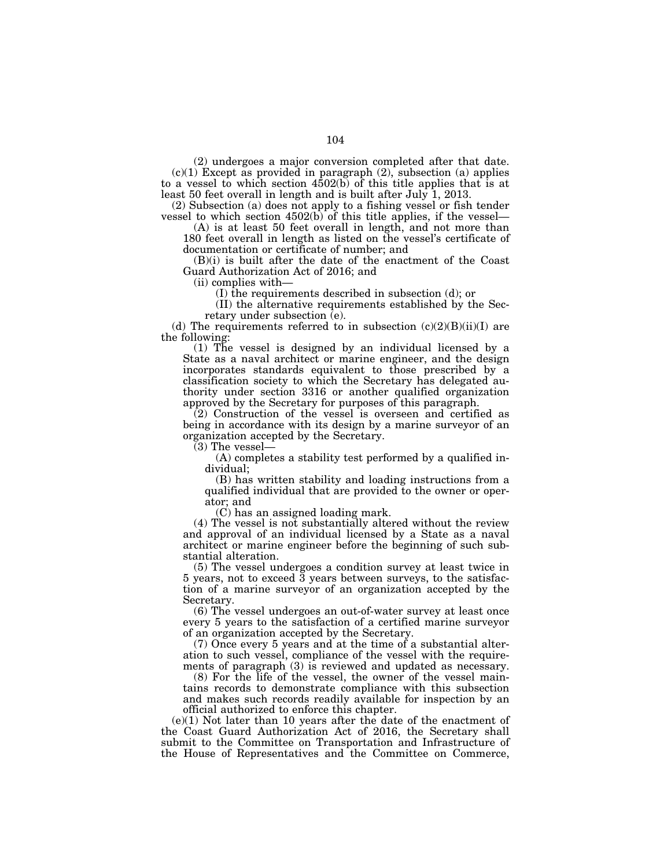(2) undergoes a major conversion completed after that date.  $(c)(1)$  Except as provided in paragraph  $(2)$ , subsection  $(a)$  applies to a vessel to which section  $4502(b)$  of this title applies that is at least 50 feet overall in length and is built after July  $1$ , 2013.

(2) Subsection (a) does not apply to a fishing vessel or fish tender vessel to which section  $4502(b)$  of this title applies, if the vessel—

(A) is at least 50 feet overall in length, and not more than 180 feet overall in length as listed on the vessel's certificate of documentation or certificate of number; and

(B)(i) is built after the date of the enactment of the Coast Guard Authorization Act of 2016; and

(ii) complies with—

(I) the requirements described in subsection (d); or

(II) the alternative requirements established by the Secretary under subsection (e).

(d) The requirements referred to in subsection  $(c)(2)(B)(ii)(I)$  are the following:

(1) The vessel is designed by an individual licensed by a State as a naval architect or marine engineer, and the design incorporates standards equivalent to those prescribed by a classification society to which the Secretary has delegated authority under section 3316 or another qualified organization approved by the Secretary for purposes of this paragraph.

(2) Construction of the vessel is overseen and certified as being in accordance with its design by a marine surveyor of an organization accepted by the Secretary.

(3) The vessel—

(A) completes a stability test performed by a qualified individual;

(B) has written stability and loading instructions from a qualified individual that are provided to the owner or operator; and

(C) has an assigned loading mark.

(4) The vessel is not substantially altered without the review and approval of an individual licensed by a State as a naval architect or marine engineer before the beginning of such substantial alteration.

(5) The vessel undergoes a condition survey at least twice in  $5$  years, not to exceed  $\bar{3}$  years between surveys, to the satisfaction of a marine surveyor of an organization accepted by the Secretary.

(6) The vessel undergoes an out-of-water survey at least once every 5 years to the satisfaction of a certified marine surveyor of an organization accepted by the Secretary.

(7) Once every 5 years and at the time of a substantial alteration to such vessel, compliance of the vessel with the requirements of paragraph (3) is reviewed and updated as necessary.

(8) For the life of the vessel, the owner of the vessel maintains records to demonstrate compliance with this subsection and makes such records readily available for inspection by an official authorized to enforce this chapter.

(e)(1) Not later than 10 years after the date of the enactment of the Coast Guard Authorization Act of 2016, the Secretary shall submit to the Committee on Transportation and Infrastructure of the House of Representatives and the Committee on Commerce,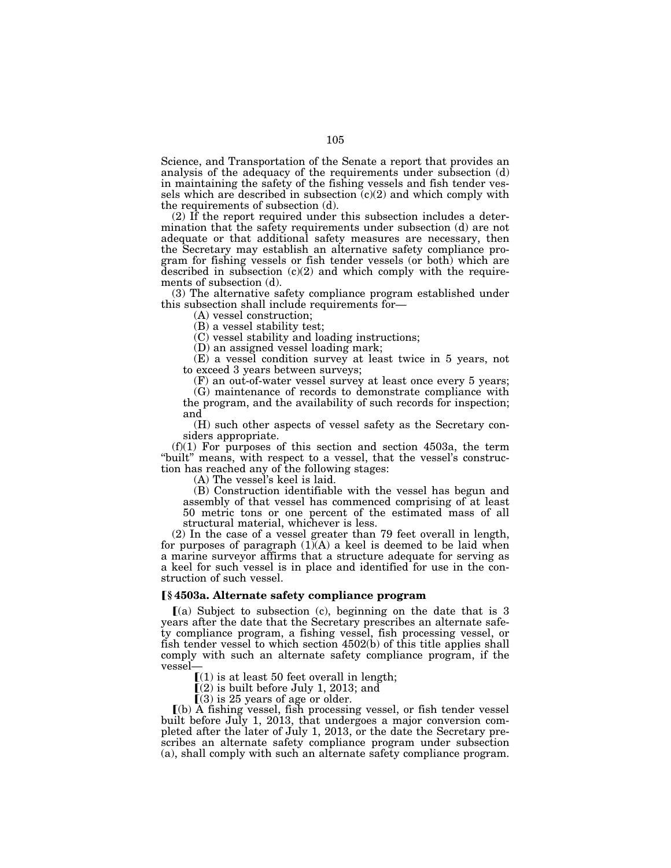Science, and Transportation of the Senate a report that provides an analysis of the adequacy of the requirements under subsection (d) in maintaining the safety of the fishing vessels and fish tender vessels which are described in subsection  $(c)(2)$  and which comply with the requirements of subsection (d).

(2) If the report required under this subsection includes a determination that the safety requirements under subsection (d) are not adequate or that additional safety measures are necessary, then the Secretary may establish an alternative safety compliance program for fishing vessels or fish tender vessels (or both) which are described in subsection (c)(2) and which comply with the requirements of subsection (d).

(3) The alternative safety compliance program established under this subsection shall include requirements for—

(A) vessel construction;

(B) a vessel stability test;

(C) vessel stability and loading instructions;

(D) an assigned vessel loading mark;

(E) a vessel condition survey at least twice in 5 years, not to exceed 3 years between surveys;

(F) an out-of-water vessel survey at least once every 5 years;

(G) maintenance of records to demonstrate compliance with the program, and the availability of such records for inspection; and

(H) such other aspects of vessel safety as the Secretary considers appropriate.

 $(f)(1)$  For purposes of this section and section 4503a, the term "built" means, with respect to a vessel, that the vessel's construction has reached any of the following stages:

(A) The vessel's keel is laid.

(B) Construction identifiable with the vessel has begun and assembly of that vessel has commenced comprising of at least 50 metric tons or one percent of the estimated mass of all structural material, whichever is less.

(2) In the case of a vessel greater than 79 feet overall in length, for purposes of paragraph (1)(A) a keel is deemed to be laid when a marine surveyor affirms that a structure adequate for serving as a keel for such vessel is in place and identified for use in the construction of such vessel.

### ø**§ 4503a. Alternate safety compliance program**

 $(a)$  Subject to subsection (c), beginning on the date that is 3 years after the date that the Secretary prescribes an alternate safety compliance program, a fishing vessel, fish processing vessel, or fish tender vessel to which section 4502(b) of this title applies shall comply with such an alternate safety compliance program, if the vessel—

 $(1)$  is at least 50 feet overall in length;

 $(2)$  is built before July 1, 2013; and

 $(3)$  is 25 years of age or older.

ø(b) A fishing vessel, fish processing vessel, or fish tender vessel built before July 1, 2013, that undergoes a major conversion completed after the later of July 1, 2013, or the date the Secretary prescribes an alternate safety compliance program under subsection (a), shall comply with such an alternate safety compliance program.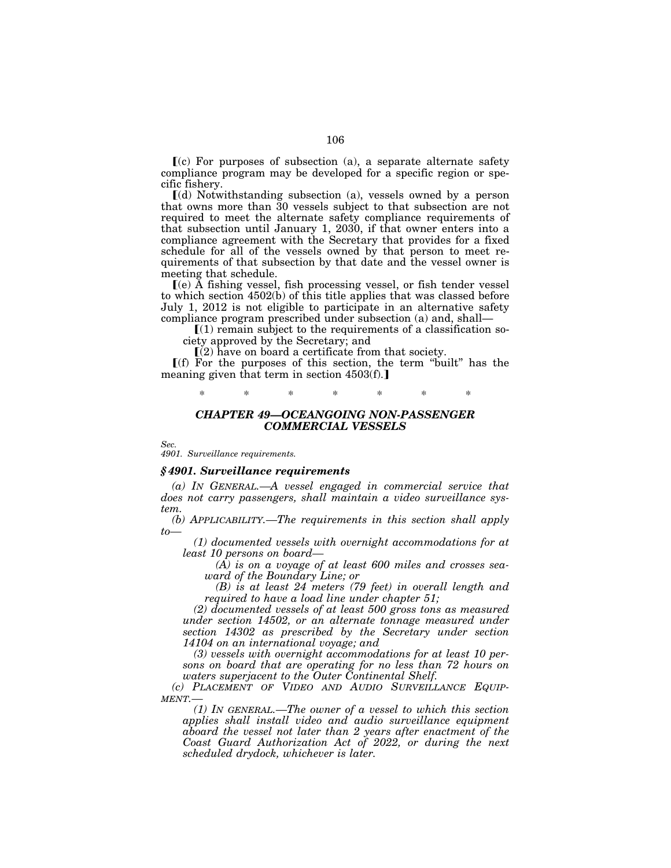$\lceil$ (c) For purposes of subsection (a), a separate alternate safety compliance program may be developed for a specific region or specific fishery.

ø(d) Notwithstanding subsection (a), vessels owned by a person that owns more than 30 vessels subject to that subsection are not required to meet the alternate safety compliance requirements of that subsection until January 1, 2030, if that owner enters into a compliance agreement with the Secretary that provides for a fixed schedule for all of the vessels owned by that person to meet requirements of that subsection by that date and the vessel owner is meeting that schedule.

 $(e)$  A fishing vessel, fish processing vessel, or fish tender vessel to which section 4502(b) of this title applies that was classed before July 1, 2012 is not eligible to participate in an alternative safety compliance program prescribed under subsection (a) and, shall—

 $(1)$  remain subject to the requirements of a classification society approved by the Secretary; and

 $(2)$  have on board a certificate from that society.

ø(f) For the purposes of this section, the term ''built'' has the meaning given that term in section  $4503(f)$ .

\* \* \* \* \* \* \*

### *CHAPTER 49—OCEANGOING NON-PASSENGER COMMERCIAL VESSELS*

*Sec.* 

*4901. Surveillance requirements.* 

#### *§ 4901. Surveillance requirements*

*(a) IN GENERAL.—A vessel engaged in commercial service that does not carry passengers, shall maintain a video surveillance system.* 

*(b) APPLICABILITY.—The requirements in this section shall apply to—* 

*(1) documented vessels with overnight accommodations for at least 10 persons on board—* 

*(A) is on a voyage of at least 600 miles and crosses seaward of the Boundary Line; or* 

*(B) is at least 24 meters (79 feet) in overall length and required to have a load line under chapter 51;* 

*(2) documented vessels of at least 500 gross tons as measured under section 14502, or an alternate tonnage measured under section 14302 as prescribed by the Secretary under section 14104 on an international voyage; and* 

*(3) vessels with overnight accommodations for at least 10 persons on board that are operating for no less than 72 hours on waters superjacent to the Outer Continental Shelf.* 

*(c) PLACEMENT OF VIDEO AND AUDIO SURVEILLANCE EQUIP-MENT.—* 

*(1) IN GENERAL.—The owner of a vessel to which this section applies shall install video and audio surveillance equipment aboard the vessel not later than 2 years after enactment of the Coast Guard Authorization Act of 2022, or during the next scheduled drydock, whichever is later.*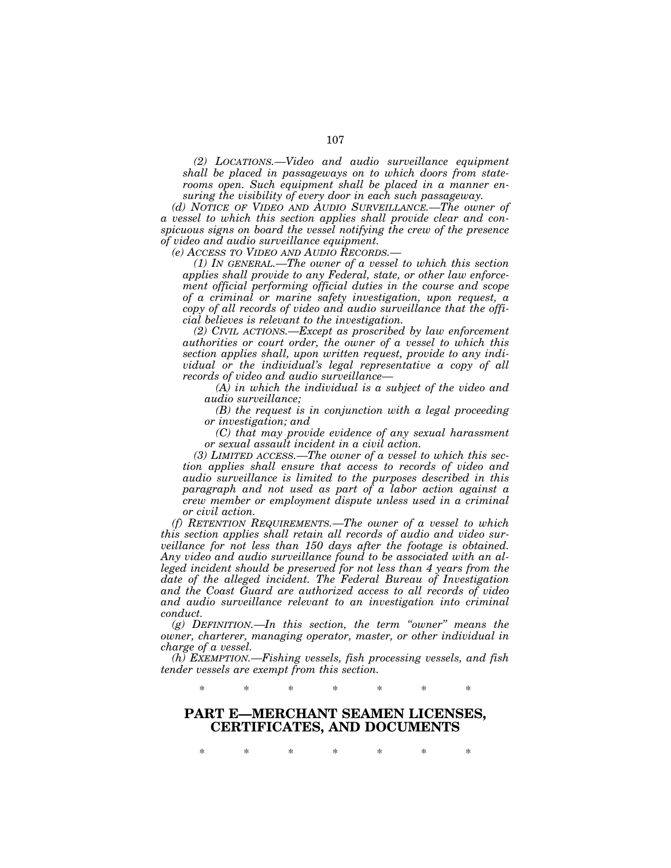*(2) LOCATIONS.—Video and audio surveillance equipment shall be placed in passageways on to which doors from staterooms open. Such equipment shall be placed in a manner ensuring the visibility of every door in each such passageway.* 

*(d) NOTICE OF VIDEO AND AUDIO SURVEILLANCE.—The owner of a vessel to which this section applies shall provide clear and conspicuous signs on board the vessel notifying the crew of the presence of video and audio surveillance equipment.* 

*(e) ACCESS TO VIDEO AND AUDIO RECORDS.—* 

*(1) IN GENERAL.—The owner of a vessel to which this section applies shall provide to any Federal, state, or other law enforcement official performing official duties in the course and scope of a criminal or marine safety investigation, upon request, a copy of all records of video and audio surveillance that the official believes is relevant to the investigation.* 

*(2) CIVIL ACTIONS.—Except as proscribed by law enforcement authorities or court order, the owner of a vessel to which this section applies shall, upon written request, provide to any individual or the individual's legal representative a copy of all records of video and audio surveillance—* 

*(A) in which the individual is a subject of the video and audio surveillance;* 

*(B) the request is in conjunction with a legal proceeding or investigation; and* 

*(C) that may provide evidence of any sexual harassment or sexual assault incident in a civil action.* 

*(3) LIMITED ACCESS.—The owner of a vessel to which this section applies shall ensure that access to records of video and audio surveillance is limited to the purposes described in this paragraph and not used as part of a labor action against a crew member or employment dispute unless used in a criminal or civil action.* 

*(f) RETENTION REQUIREMENTS.—The owner of a vessel to which this section applies shall retain all records of audio and video surveillance for not less than 150 days after the footage is obtained. Any video and audio surveillance found to be associated with an alleged incident should be preserved for not less than 4 years from the date of the alleged incident. The Federal Bureau of Investigation and the Coast Guard are authorized access to all records of video and audio surveillance relevant to an investigation into criminal conduct.* 

*(g) DEFINITION.—In this section, the term ''owner'' means the owner, charterer, managing operator, master, or other individual in charge of a vessel.* 

*(h) EXEMPTION.—Fishing vessels, fish processing vessels, and fish tender vessels are exempt from this section.* 

\* \* \* \* \* \* \*

## **PART E—MERCHANT SEAMEN LICENSES, CERTIFICATES, AND DOCUMENTS**

\* \* \* \* \* \* \*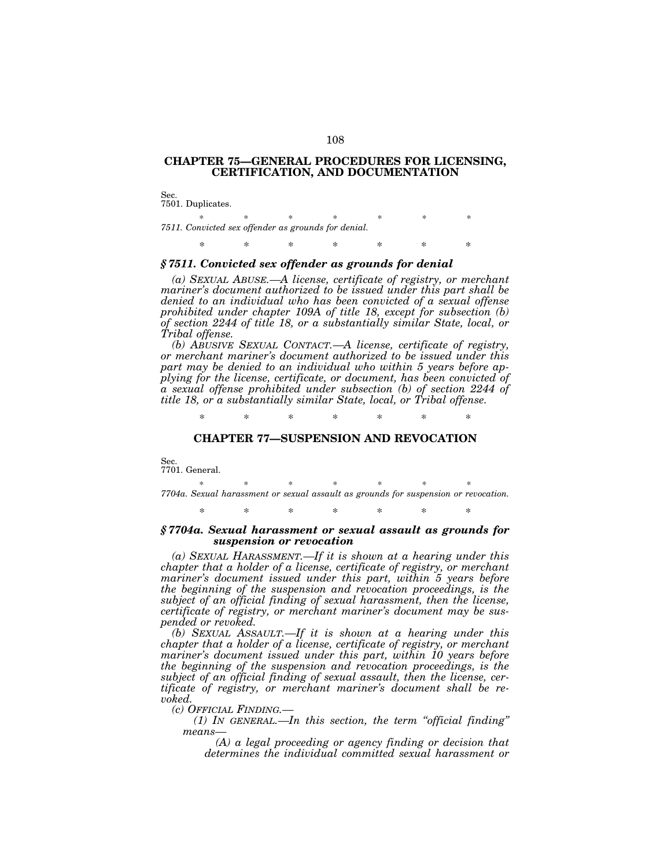### **CHAPTER 75—GENERAL PROCEDURES FOR LICENSING, CERTIFICATION, AND DOCUMENTATION**

Sec. 7501. Duplicates. \* \* \* \* \* \* \* \* *7511. Convicted sex offender as grounds for denial.*  \* \* \* \* \* \* \*

### *§ 7511. Convicted sex offender as grounds for denial*

*(a) SEXUAL ABUSE.—A license, certificate of registry, or merchant mariner's document authorized to be issued under this part shall be denied to an individual who has been convicted of a sexual offense prohibited under chapter 109A of title 18, except for subsection (b) of section 2244 of title 18, or a substantially similar State, local, or Tribal offense.* 

*(b) ABUSIVE SEXUAL CONTACT.—A license, certificate of registry, or merchant mariner's document authorized to be issued under this part may be denied to an individual who within 5 years before applying for the license, certificate, or document, has been convicted of a sexual offense prohibited under subsection (b) of section 2244 of title 18, or a substantially similar State, local, or Tribal offense.* 

\* \* \* \* \* \* \*

#### **CHAPTER 77—SUSPENSION AND REVOCATION**

Sec. 7701. General.

\* \* \* \* \* \* \* \* *7704a. Sexual harassment or sexual assault as grounds for suspension or revocation.* 

\* \* \* \* \* \* \*

### *§ 7704a. Sexual harassment or sexual assault as grounds for suspension or revocation*

*(a) SEXUAL HARASSMENT.—If it is shown at a hearing under this chapter that a holder of a license, certificate of registry, or merchant mariner's document issued under this part, within 5 years before the beginning of the suspension and revocation proceedings, is the subject of an official finding of sexual harassment, then the license, certificate of registry, or merchant mariner's document may be suspended or revoked.* 

*(b) SEXUAL ASSAULT.—If it is shown at a hearing under this chapter that a holder of a license, certificate of registry, or merchant mariner's document issued under this part, within 10 years before the beginning of the suspension and revocation proceedings, is the subject of an official finding of sexual assault, then the license, certificate of registry, or merchant mariner's document shall be revoked.* 

*(c) OFFICIAL FINDING.—* 

*(1) IN GENERAL.—In this section, the term ''official finding'' means—* 

*(A) a legal proceeding or agency finding or decision that determines the individual committed sexual harassment or*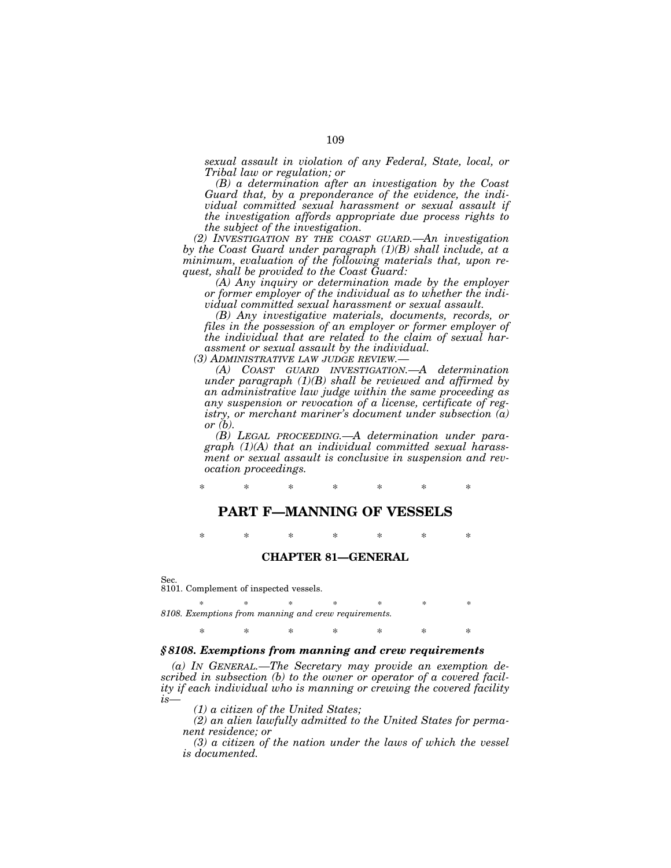*sexual assault in violation of any Federal, State, local, or Tribal law or regulation; or* 

*(B) a determination after an investigation by the Coast Guard that, by a preponderance of the evidence, the individual committed sexual harassment or sexual assault if the investigation affords appropriate due process rights to the subject of the investigation.* 

*(2) INVESTIGATION BY THE COAST GUARD.—An investigation by the Coast Guard under paragraph (1)(B) shall include, at a minimum, evaluation of the following materials that, upon request, shall be provided to the Coast Guard:* 

*(A) Any inquiry or determination made by the employer or former employer of the individual as to whether the individual committed sexual harassment or sexual assault.* 

*(B) Any investigative materials, documents, records, or files in the possession of an employer or former employer of the individual that are related to the claim of sexual harassment or sexual assault by the individual.* 

*(3) ADMINISTRATIVE LAW JUDGE REVIEW.—* 

*(A) COAST GUARD INVESTIGATION.—A determination under paragraph (1)(B) shall be reviewed and affirmed by an administrative law judge within the same proceeding as any suspension or revocation of a license, certificate of registry, or merchant mariner's document under subsection (a) or (b).* 

*(B) LEGAL PROCEEDING.—A determination under paragraph (1)(A) that an individual committed sexual harassment or sexual assault is conclusive in suspension and revocation proceedings.* 

\* \* \* \* \* \* \*

# **PART F—MANNING OF VESSELS**

\* \* \* \* \* \* \*

### **CHAPTER 81—GENERAL**

Sec.

8101. Complement of inspected vessels.

\* \* \* \* \* \* \* \* *8108. Exemptions from manning and crew requirements.* 

# \* \* \* \* \* \* \*

# *§ 8108. Exemptions from manning and crew requirements*

*(a) IN GENERAL.—The Secretary may provide an exemption described in subsection (b) to the owner or operator of a covered facility if each individual who is manning or crewing the covered facility is—* 

*(1) a citizen of the United States;* 

*(2) an alien lawfully admitted to the United States for permanent residence; or* 

*(3) a citizen of the nation under the laws of which the vessel is documented.*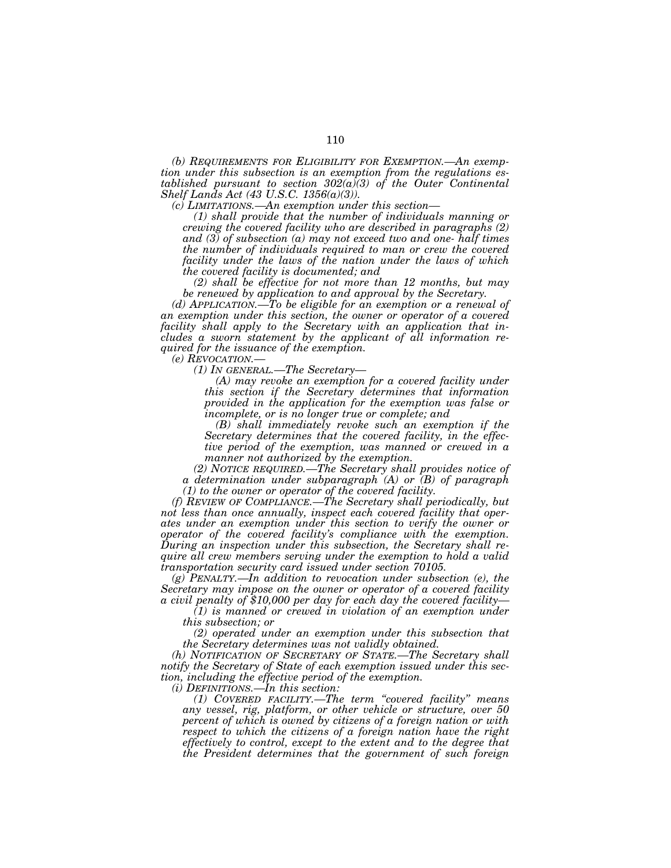*(b) REQUIREMENTS FOR ELIGIBILITY FOR EXEMPTION.—An exemption under this subsection is an exemption from the regulations established pursuant to section 302(a)(3) of the Outer Continental Shelf Lands Act (43 U.S.C. 1356(a)(3)).* 

*(c) LIMITATIONS.—An exemption under this section—* 

*(1) shall provide that the number of individuals manning or crewing the covered facility who are described in paragraphs (2) and (3) of subsection (a) may not exceed two and one- half times the number of individuals required to man or crew the covered facility under the laws of the nation under the laws of which the covered facility is documented; and* 

*(2) shall be effective for not more than 12 months, but may be renewed by application to and approval by the Secretary.* 

*(d) APPLICATION.—To be eligible for an exemption or a renewal of an exemption under this section, the owner or operator of a covered facility shall apply to the Secretary with an application that includes a sworn statement by the applicant of all information required for the issuance of the exemption.* 

*(e) REVOCATION.—* 

*(1) IN GENERAL.—The Secretary—* 

*(A) may revoke an exemption for a covered facility under this section if the Secretary determines that information provided in the application for the exemption was false or incomplete, or is no longer true or complete; and* 

*(B) shall immediately revoke such an exemption if the Secretary determines that the covered facility, in the effective period of the exemption, was manned or crewed in a manner not authorized by the exemption.* 

*(2) NOTICE REQUIRED.—The Secretary shall provides notice of a determination under subparagraph (A) or (B) of paragraph (1) to the owner or operator of the covered facility.* 

*(f) REVIEW OF COMPLIANCE.—The Secretary shall periodically, but not less than once annually, inspect each covered facility that operates under an exemption under this section to verify the owner or operator of the covered facility's compliance with the exemption. During an inspection under this subsection, the Secretary shall require all crew members serving under the exemption to hold a valid transportation security card issued under section 70105.* 

*(g) PENALTY.—In addition to revocation under subsection (e), the Secretary may impose on the owner or operator of a covered facility a civil penalty of \$10,000 per day for each day the covered facility—* 

*(1) is manned or crewed in violation of an exemption under this subsection; or* 

*(2) operated under an exemption under this subsection that the Secretary determines was not validly obtained.* 

*(h) NOTIFICATION OF SECRETARY OF STATE.—The Secretary shall notify the Secretary of State of each exemption issued under this section, including the effective period of the exemption.* 

*(i) DEFINITIONS.—In this section:* 

*(1) COVERED FACILITY.—The term ''covered facility'' means any vessel, rig, platform, or other vehicle or structure, over 50 percent of which is owned by citizens of a foreign nation or with respect to which the citizens of a foreign nation have the right effectively to control, except to the extent and to the degree that the President determines that the government of such foreign*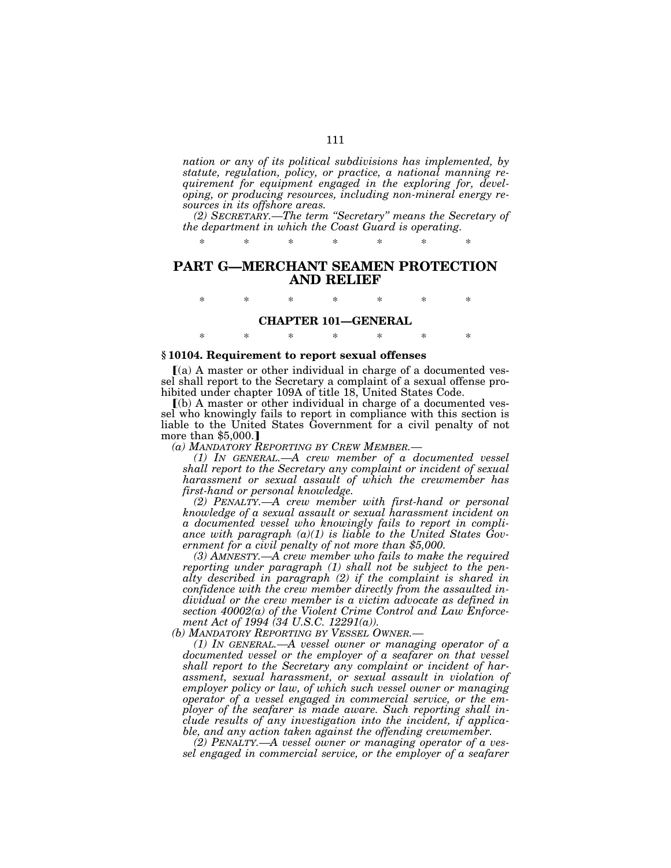*nation or any of its political subdivisions has implemented, by statute, regulation, policy, or practice, a national manning requirement for equipment engaged in the exploring for, developing, or producing resources, including non-mineral energy resources in its offshore areas.* 

*(2) SECRETARY.—The term ''Secretary'' means the Secretary of the department in which the Coast Guard is operating.* 

\* \* \* \* \* \* \*

# **PART G—MERCHANT SEAMEN PROTECTION AND RELIEF**

\* \* \* \* \* \* \*

## **CHAPTER 101—GENERAL**

\* \* \* \* \* \* \*

## **§ 10104. Requirement to report sexual offenses**

 $(a)$  A master or other individual in charge of a documented vessel shall report to the Secretary a complaint of a sexual offense prohibited under chapter 109A of title 18, United States Code.

 $(a)$  A master or other individual in charge of a documented vessel who knowingly fails to report in compliance with this section is liable to the United States Government for a civil penalty of not more than \$5,000.]<br>(a) MANDATORY REPORTING BY CREW MEMBER.—

*(1) In GENERAL.—A crew member of a documented vessel shall report to the Secretary any complaint or incident of sexual harassment or sexual assault of which the crewmember has first-hand or personal knowledge.* 

*(2) PENALTY.—A crew member with first-hand or personal knowledge of a sexual assault or sexual harassment incident on a documented vessel who knowingly fails to report in compliance with paragraph (a)(1) is liable to the United States Government for a civil penalty of not more than \$5,000.* 

*(3) AMNESTY.—A crew member who fails to make the required reporting under paragraph (1) shall not be subject to the penalty described in paragraph (2) if the complaint is shared in confidence with the crew member directly from the assaulted individual or the crew member is a victim advocate as defined in section 40002(a) of the Violent Crime Control and Law Enforcement Act of 1994 (34 U.S.C. 12291(a)).* 

*(b) MANDATORY REPORTING BY VESSEL OWNER.—* 

*(1) IN GENERAL.—A vessel owner or managing operator of a documented vessel or the employer of a seafarer on that vessel shall report to the Secretary any complaint or incident of harassment, sexual harassment, or sexual assault in violation of employer policy or law, of which such vessel owner or managing operator of a vessel engaged in commercial service, or the employer of the seafarer is made aware. Such reporting shall include results of any investigation into the incident, if applicable, and any action taken against the offending crewmember.* 

*(2) PENALTY.—A vessel owner or managing operator of a vessel engaged in commercial service, or the employer of a seafarer*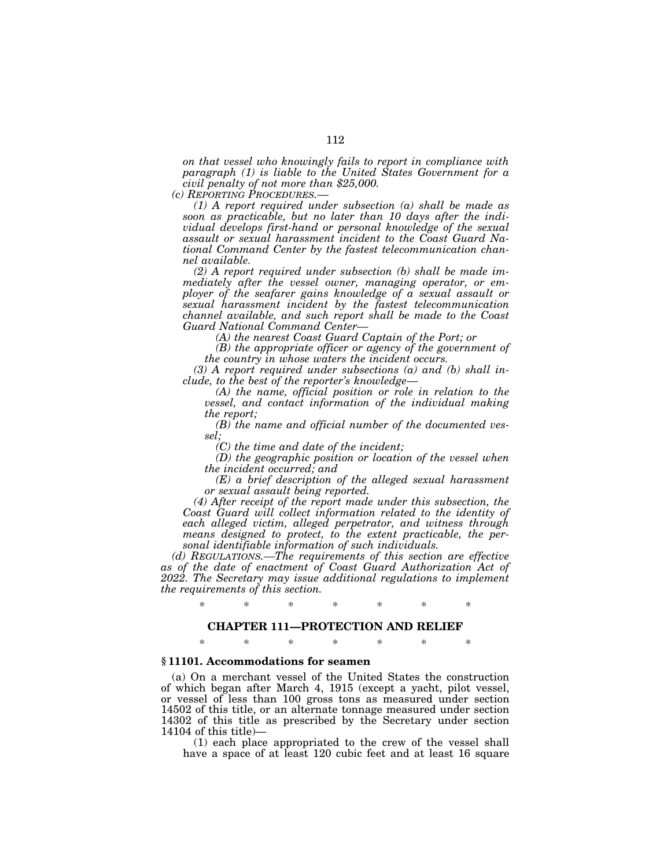*on that vessel who knowingly fails to report in compliance with paragraph (1) is liable to the United States Government for a civil penalty of not more than \$25,000.* 

 $(1)$  A report required under subsection  $(a)$  shall be made as *soon as practicable, but no later than 10 days after the individual develops first-hand or personal knowledge of the sexual assault or sexual harassment incident to the Coast Guard National Command Center by the fastest telecommunication channel available.* 

*(2) A report required under subsection (b) shall be made immediately after the vessel owner, managing operator, or employer of the seafarer gains knowledge of a sexual assault or sexual harassment incident by the fastest telecommunication channel available, and such report shall be made to the Coast Guard National Command Center—* 

*(A) the nearest Coast Guard Captain of the Port; or* 

*(B) the appropriate officer or agency of the government of the country in whose waters the incident occurs.* 

*(3) A report required under subsections (a) and (b) shall include, to the best of the reporter's knowledge—* 

*(A) the name, official position or role in relation to the vessel, and contact information of the individual making the report;* 

*(B) the name and official number of the documented vessel;* 

*(C) the time and date of the incident;* 

*(D) the geographic position or location of the vessel when the incident occurred; and* 

*(E) a brief description of the alleged sexual harassment or sexual assault being reported.* 

*(4) After receipt of the report made under this subsection, the Coast Guard will collect information related to the identity of each alleged victim, alleged perpetrator, and witness through means designed to protect, to the extent practicable, the personal identifiable information of such individuals.* 

*(d) REGULATIONS.—The requirements of this section are effective as of the date of enactment of Coast Guard Authorization Act of 2022. The Secretary may issue additional regulations to implement the requirements of this section.* 

\* \* \* \* \* \* \*

### **CHAPTER 111—PROTECTION AND RELIEF**

\* \* \* \* \* \* \*

## **§ 11101. Accommodations for seamen**

(a) On a merchant vessel of the United States the construction of which began after March 4, 1915 (except a yacht, pilot vessel, or vessel of less than 100 gross tons as measured under section 14502 of this title, or an alternate tonnage measured under section 14302 of this title as prescribed by the Secretary under section 14104 of this title)—

(1) each place appropriated to the crew of the vessel shall have a space of at least 120 cubic feet and at least 16 square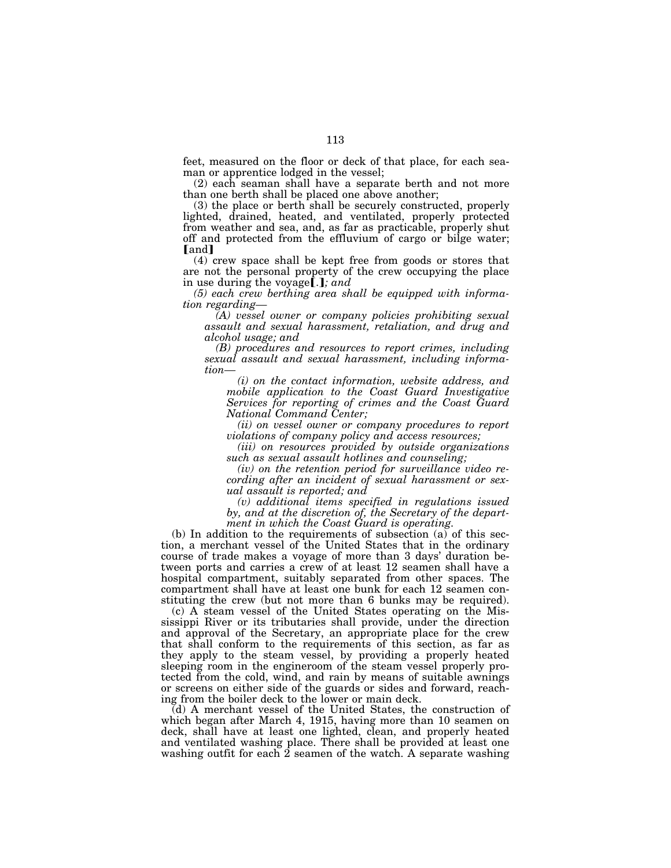feet, measured on the floor or deck of that place, for each seaman or apprentice lodged in the vessel;

(2) each seaman shall have a separate berth and not more than one berth shall be placed one above another;

(3) the place or berth shall be securely constructed, properly lighted, drained, heated, and ventilated, properly protected from weather and sea, and, as far as practicable, properly shut off and protected from the effluvium of cargo or bilge water; **[and]** 

(4) crew space shall be kept free from goods or stores that are not the personal property of the crew occupying the place in use during the voyage[.*]; and* 

*(5) each crew berthing area shall be equipped with information regarding—* 

*(A) vessel owner or company policies prohibiting sexual assault and sexual harassment, retaliation, and drug and alcohol usage; and* 

*(B) procedures and resources to report crimes, including sexual assault and sexual harassment, including information—* 

*(i) on the contact information, website address, and mobile application to the Coast Guard Investigative Services for reporting of crimes and the Coast Guard National Command Center;* 

*(ii) on vessel owner or company procedures to report violations of company policy and access resources;* 

*(iii) on resources provided by outside organizations such as sexual assault hotlines and counseling;* 

*(iv) on the retention period for surveillance video recording after an incident of sexual harassment or sexual assault is reported; and* 

*(v) additional items specified in regulations issued by, and at the discretion of, the Secretary of the department in which the Coast Guard is operating.* 

(b) In addition to the requirements of subsection (a) of this section, a merchant vessel of the United States that in the ordinary course of trade makes a voyage of more than 3 days' duration between ports and carries a crew of at least 12 seamen shall have a hospital compartment, suitably separated from other spaces. The compartment shall have at least one bunk for each 12 seamen constituting the crew (but not more than 6 bunks may be required).

(c) A steam vessel of the United States operating on the Mississippi River or its tributaries shall provide, under the direction and approval of the Secretary, an appropriate place for the crew that shall conform to the requirements of this section, as far as they apply to the steam vessel, by providing a properly heated sleeping room in the engineroom of the steam vessel properly protected from the cold, wind, and rain by means of suitable awnings or screens on either side of the guards or sides and forward, reaching from the boiler deck to the lower or main deck.

(d) A merchant vessel of the United States, the construction of which began after March 4, 1915, having more than 10 seamen on deck, shall have at least one lighted, clean, and properly heated and ventilated washing place. There shall be provided at least one washing outfit for each 2 seamen of the watch. A separate washing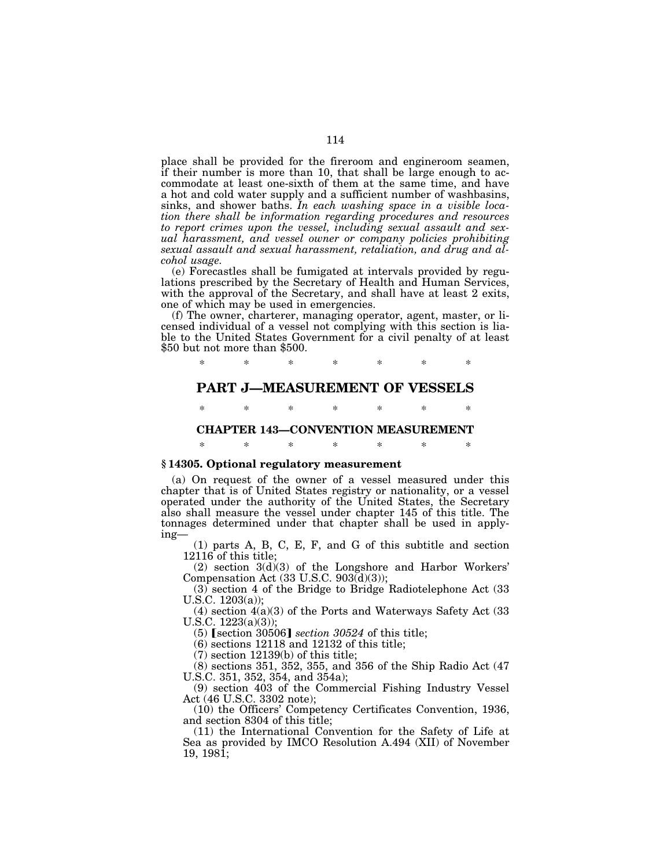place shall be provided for the fireroom and engineroom seamen, if their number is more than 10, that shall be large enough to accommodate at least one-sixth of them at the same time, and have a hot and cold water supply and a sufficient number of washbasins, sinks, and shower baths. *In each washing space in a visible location there shall be information regarding procedures and resources to report crimes upon the vessel, including sexual assault and sexual harassment, and vessel owner or company policies prohibiting sexual assault and sexual harassment, retaliation, and drug and alcohol usage.* 

(e) Forecastles shall be fumigated at intervals provided by regulations prescribed by the Secretary of Health and Human Services, with the approval of the Secretary, and shall have at least 2 exits, one of which may be used in emergencies.

(f) The owner, charterer, managing operator, agent, master, or licensed individual of a vessel not complying with this section is liable to the United States Government for a civil penalty of at least \$50 but not more than \$500.

\* \* \* \* \* \* \*

## **PART J—MEASUREMENT OF VESSELS**

\* \* \* \* \* \* \*

## **CHAPTER 143—CONVENTION MEASUREMENT**

\* \* \* \* \* \* \*

### **§ 14305. Optional regulatory measurement**

(a) On request of the owner of a vessel measured under this chapter that is of United States registry or nationality, or a vessel operated under the authority of the United States, the Secretary also shall measure the vessel under chapter 145 of this title. The tonnages determined under that chapter shall be used in applying—

(1) parts A, B, C, E, F, and G of this subtitle and section 12116 of this title;

(2) section 3(d)(3) of the Longshore and Harbor Workers' Compensation Act (33 U.S.C. 903(d)(3));

(3) section 4 of the Bridge to Bridge Radiotelephone Act (33 U.S.C. 1203(a));

 $(4)$  section  $4(a)(3)$  of the Ports and Waterways Safety Act  $(33)$ U.S.C. 1223(a)(3));

(5) **[section 30506]** *section 30524* of this title;

(6) sections 12118 and 12132 of this title;

(7) section 12139(b) of this title;

(8) sections 351, 352, 355, and 356 of the Ship Radio Act (47 U.S.C. 351, 352, 354, and 354a);

(9) section 403 of the Commercial Fishing Industry Vessel Act (46 U.S.C. 3302 note);

(10) the Officers' Competency Certificates Convention, 1936, and section 8304 of this title;

(11) the International Convention for the Safety of Life at Sea as provided by IMCO Resolution A.494 (XII) of November 19, 1981;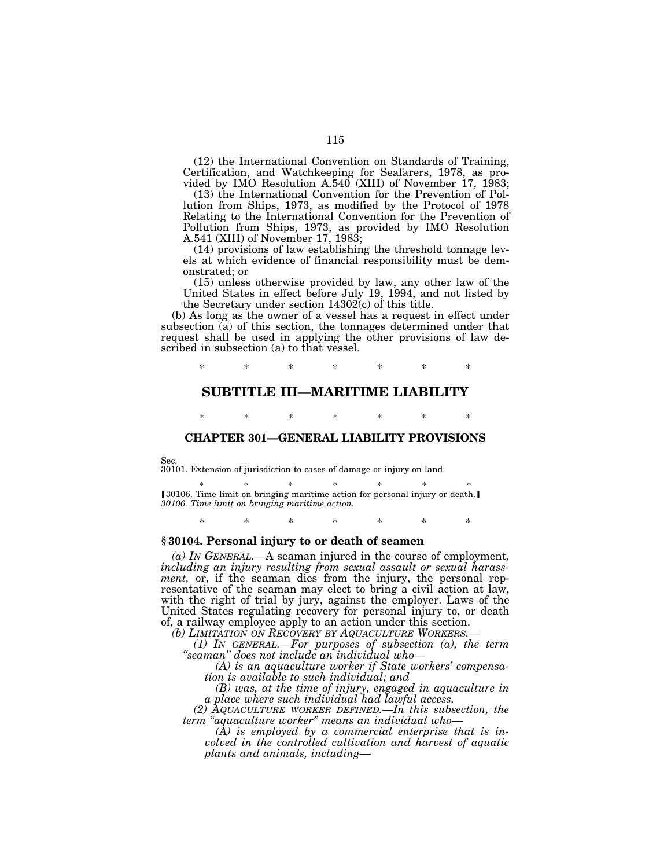(12) the International Convention on Standards of Training, Certification, and Watchkeeping for Seafarers, 1978, as provided by IMO Resolution A.540 (XIII) of November 17, 1983;

(13) the International Convention for the Prevention of Pollution from Ships, 1973, as modified by the Protocol of 1978 Relating to the International Convention for the Prevention of Pollution from Ships, 1973, as provided by IMO Resolution A.541 (XIII) of November 17, 1983;

(14) provisions of law establishing the threshold tonnage levels at which evidence of financial responsibility must be demonstrated; or

(15) unless otherwise provided by law, any other law of the United States in effect before July 19, 1994, and not listed by the Secretary under section 14302(c) of this title.

(b) As long as the owner of a vessel has a request in effect under subsection (a) of this section, the tonnages determined under that request shall be used in applying the other provisions of law described in subsection (a) to that vessel.

\* \* \* \* \* \* \*

## **SUBTITLE III—MARITIME LIABILITY**

\* \* \* \* \* \* \*

### **CHAPTER 301—GENERAL LIABILITY PROVISIONS**

Sec.

30101. Extension of jurisdiction to cases of damage or injury on land.

\* \* \* \* \* \* \* ø30106. Time limit on bringing maritime action for personal injury or death.¿ *30106. Time limit on bringing maritime action.* 

\* \* \* \* \* \* \*

### **§ 30104. Personal injury to or death of seamen**

*(a) IN GENERAL.—*A seaman injured in the course of employment*, including an injury resulting from sexual assault or sexual harassment,* or, if the seaman dies from the injury, the personal representative of the seaman may elect to bring a civil action at law, with the right of trial by jury, against the employer. Laws of the United States regulating recovery for personal injury to, or death of, a railway employee apply to an action under this section.

*(b) LIMITATION ON RECOVERY BY AQUACULTURE WORKERS.—* 

*(1) IN GENERAL.—For purposes of subsection (a), the term ''seaman'' does not include an individual who—* 

*(A) is an aquaculture worker if State workers' compensation is available to such individual; and* 

*(B) was, at the time of injury, engaged in aquaculture in a place where such individual had lawful access.* 

*(2) AQUACULTURE WORKER DEFINED.—In this subsection, the term ''aquaculture worker'' means an individual who—* 

*(A) is employed by a commercial enterprise that is involved in the controlled cultivation and harvest of aquatic plants and animals, including—*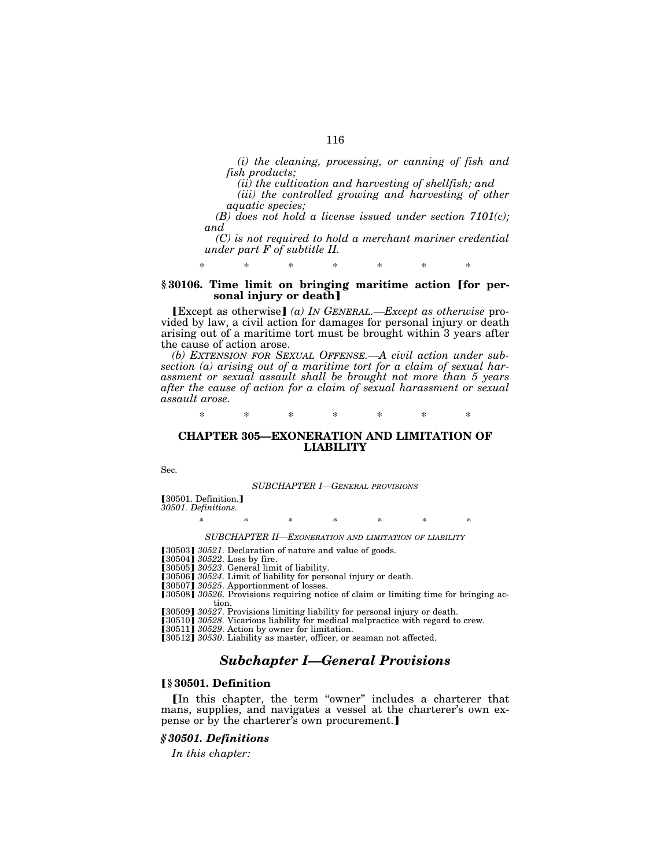*(i) the cleaning, processing, or canning of fish and fish products;* 

*(ii) the cultivation and harvesting of shellfish; and* 

*(iii) the controlled growing and harvesting of other aquatic species;* 

*(B) does not hold a license issued under section 7101(c); and* 

*(C) is not required to hold a merchant mariner credential under part F of subtitle II.* 

\* \* \* \* \* \* \*

## § 30106. Time limit on bringing maritime action [for personal injury or death]

øExcept as otherwise¿ *(a) IN GENERAL.—Except as otherwise* provided by law, a civil action for damages for personal injury or death arising out of a maritime tort must be brought within 3 years after the cause of action arose.

*(b) EXTENSION FOR SEXUAL OFFENSE.—A civil action under subsection (a) arising out of a maritime tort for a claim of sexual harassment or sexual assault shall be brought not more than 5 years after the cause of action for a claim of sexual harassment or sexual assault arose.* 

\* \* \* \* \* \* \*

### **CHAPTER 305—EXONERATION AND LIMITATION OF LIABILITY**

Sec.

#### *SUBCHAPTER I—GENERAL PROVISIONS*

[30501. Definition.]

*30501. Definitions.* 

\* \* \* \* \* \* \* \*

### *SUBCHAPTER II—EXONERATION AND LIMITATION OF LIABILITY*

[30503] 30521. Declaration of nature and value of goods.

**[30504]** 30522. Loss by fire.

[30505] 30523. General limit of liability.

[30506] 30524. Limit of liability for personal injury or death.

[30507] 30525. Apportionment of losses.

[30508] 30526. Provisions requiring notice of claim or limiting time for bringing action.

[30509] 30527. Provisions limiting liability for personal injury or death.

[30510] 30528. Vicarious liability for medical malpractice with regard to crew.

[30511] 30529. Action by owner for limitation.

[30512] 30530. Liability as master, officer, or seaman not affected.

# *Subchapter I—General Provisions*

### ø**§ 30501. Definition**

øIn this chapter, the term ''owner'' includes a charterer that mans, supplies, and navigates a vessel at the charterer's own expense or by the charterer's own procurement.]

### *§ 30501. Definitions*

*In this chapter:*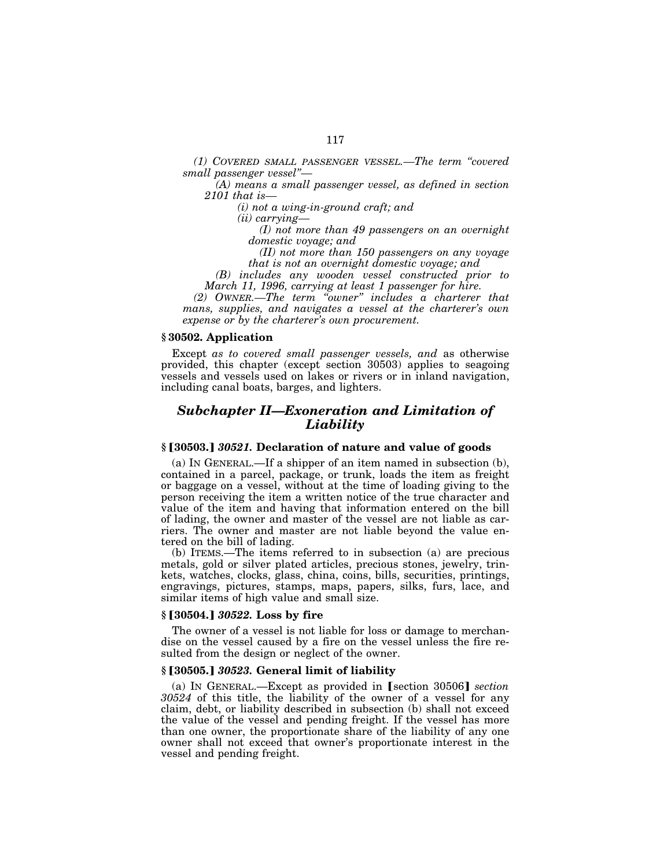*(1) COVERED SMALL PASSENGER VESSEL.—The term ''covered small passenger vessel''—* 

*(A) means a small passenger vessel, as defined in section 2101 that is—* 

*(i) not a wing-in-ground craft; and* 

*(ii) carrying—* 

*(I) not more than 49 passengers on an overnight domestic voyage; and* 

*(II) not more than 150 passengers on any voyage that is not an overnight domestic voyage; and* 

*(B) includes any wooden vessel constructed prior to March 11, 1996, carrying at least 1 passenger for hire.* 

*(2) OWNER.—The term ''owner'' includes a charterer that mans, supplies, and navigates a vessel at the charterer's own expense or by the charterer's own procurement.* 

### **§ 30502. Application**

Except *as to covered small passenger vessels, and* as otherwise provided, this chapter (except section 30503) applies to seagoing vessels and vessels used on lakes or rivers or in inland navigation, including canal boats, barges, and lighters.

# *Subchapter II—Exoneration and Limitation of Liability*

### **§** ø**30503.**¿ *30521.* **Declaration of nature and value of goods**

(a) IN GENERAL.—If a shipper of an item named in subsection (b), contained in a parcel, package, or trunk, loads the item as freight or baggage on a vessel, without at the time of loading giving to the person receiving the item a written notice of the true character and value of the item and having that information entered on the bill of lading, the owner and master of the vessel are not liable as carriers. The owner and master are not liable beyond the value entered on the bill of lading.

(b) ITEMS.—The items referred to in subsection (a) are precious metals, gold or silver plated articles, precious stones, jewelry, trinkets, watches, clocks, glass, china, coins, bills, securities, printings, engravings, pictures, stamps, maps, papers, silks, furs, lace, and similar items of high value and small size.

### **§** ø**30504.**¿ *30522.* **Loss by fire**

The owner of a vessel is not liable for loss or damage to merchandise on the vessel caused by a fire on the vessel unless the fire resulted from the design or neglect of the owner.

## **§** ø**30505.**¿ *30523.* **General limit of liability**

(a) IN GENERAL.—Except as provided in [section 30506] *section 30524* of this title, the liability of the owner of a vessel for any claim, debt, or liability described in subsection (b) shall not exceed the value of the vessel and pending freight. If the vessel has more than one owner, the proportionate share of the liability of any one owner shall not exceed that owner's proportionate interest in the vessel and pending freight.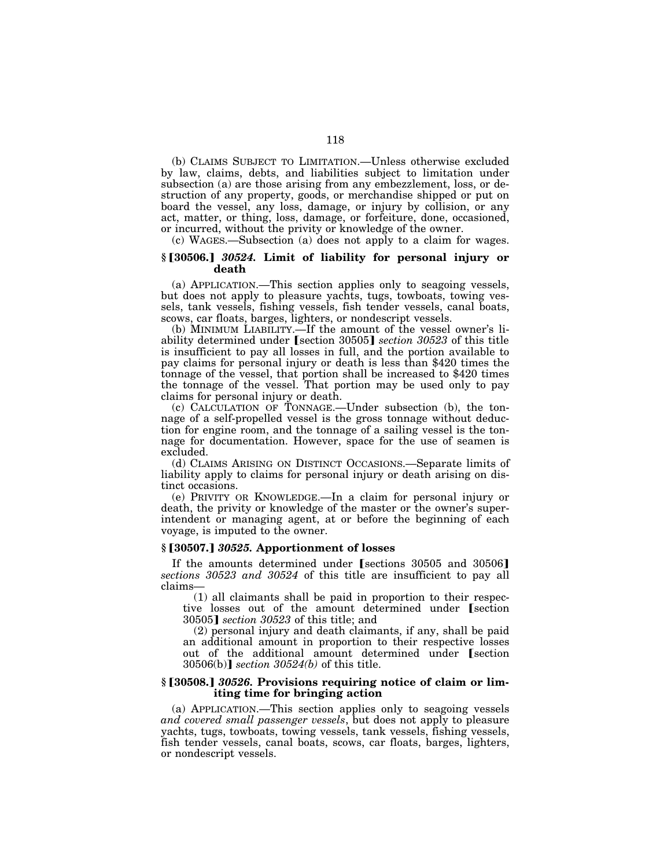(b) CLAIMS SUBJECT TO LIMITATION.—Unless otherwise excluded by law, claims, debts, and liabilities subject to limitation under subsection (a) are those arising from any embezzlement, loss, or destruction of any property, goods, or merchandise shipped or put on board the vessel, any loss, damage, or injury by collision, or any act, matter, or thing, loss, damage, or forfeiture, done, occasioned, or incurred, without the privity or knowledge of the owner.

(c) WAGES.—Subsection (a) does not apply to a claim for wages.

### **§** ø**30506.**¿ *30524.* **Limit of liability for personal injury or death**

(a) APPLICATION.—This section applies only to seagoing vessels, but does not apply to pleasure yachts, tugs, towboats, towing vessels, tank vessels, fishing vessels, fish tender vessels, canal boats, scows, car floats, barges, lighters, or nondescript vessels.

(b) MINIMUM LIABILITY.—If the amount of the vessel owner's liability determined under [section 30505] *section 30523* of this title is insufficient to pay all losses in full, and the portion available to pay claims for personal injury or death is less than \$420 times the tonnage of the vessel, that portion shall be increased to \$420 times the tonnage of the vessel. That portion may be used only to pay claims for personal injury or death.

(c) CALCULATION OF TONNAGE.—Under subsection (b), the tonnage of a self-propelled vessel is the gross tonnage without deduction for engine room, and the tonnage of a sailing vessel is the tonnage for documentation. However, space for the use of seamen is excluded.

(d) CLAIMS ARISING ON DISTINCT OCCASIONS.—Separate limits of liability apply to claims for personal injury or death arising on distinct occasions.

(e) PRIVITY OR KNOWLEDGE.—In a claim for personal injury or death, the privity or knowledge of the master or the owner's superintendent or managing agent, at or before the beginning of each voyage, is imputed to the owner.

### **§** ø**30507.**¿ *30525.* **Apportionment of losses**

If the amounts determined under  $\sqrt{\text{sections}}$  30505 and 30506 *sections 30523 and 30524* of this title are insufficient to pay all claims—

(1) all claimants shall be paid in proportion to their respective losses out of the amount determined under [section 30505¿ *section 30523* of this title; and

(2) personal injury and death claimants, if any, shall be paid an additional amount in proportion to their respective losses out of the additional amount determined under Section 30506(b)] *section 30524(b)* of this title.

## §<sup>[30508.]</sup> 30526. Provisions requiring notice of claim or lim**iting time for bringing action**

(a) APPLICATION.—This section applies only to seagoing vessels *and covered small passenger vessels*, but does not apply to pleasure yachts, tugs, towboats, towing vessels, tank vessels, fishing vessels, fish tender vessels, canal boats, scows, car floats, barges, lighters, or nondescript vessels.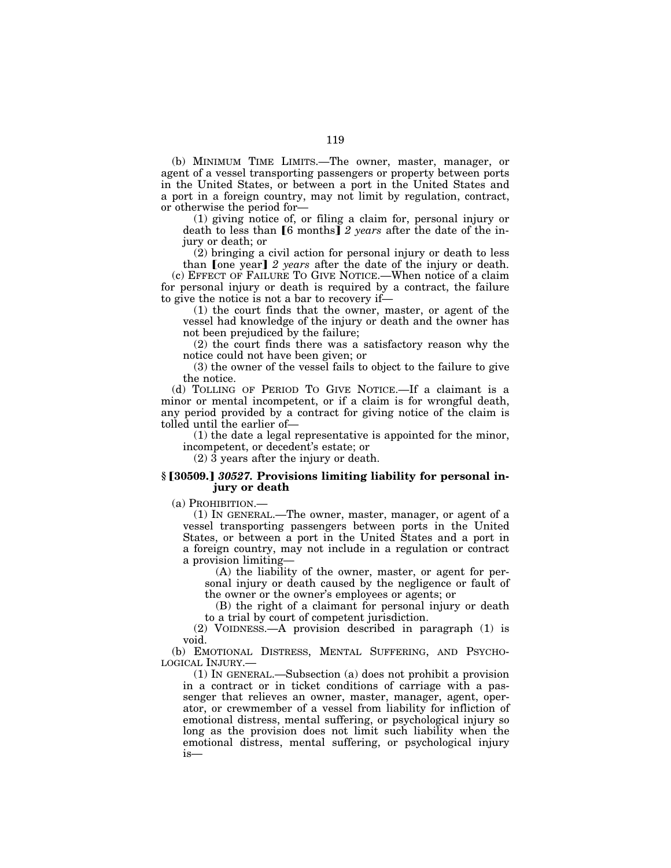(b) MINIMUM TIME LIMITS.—The owner, master, manager, or agent of a vessel transporting passengers or property between ports in the United States, or between a port in the United States and a port in a foreign country, may not limit by regulation, contract, or otherwise the period for—

(1) giving notice of, or filing a claim for, personal injury or death to less than [6 months] 2 years after the date of the injury or death; or

(2) bringing a civil action for personal injury or death to less than [one year] 2 years after the date of the injury or death.

(c) EFFECT OF FAILURE TO GIVE NOTICE.—When notice of a claim for personal injury or death is required by a contract, the failure to give the notice is not a bar to recovery if—

(1) the court finds that the owner, master, or agent of the vessel had knowledge of the injury or death and the owner has not been prejudiced by the failure;

(2) the court finds there was a satisfactory reason why the notice could not have been given; or

(3) the owner of the vessel fails to object to the failure to give the notice.

(d) TOLLING OF PERIOD TO GIVE NOTICE.—If a claimant is a minor or mental incompetent, or if a claim is for wrongful death, any period provided by a contract for giving notice of the claim is tolled until the earlier of—

(1) the date a legal representative is appointed for the minor, incompetent, or decedent's estate; or

(2) 3 years after the injury or death.

## §<sup>[30509.]</sup> 30527. Provisions limiting liability for personal in**jury or death**

(a) PROHIBITION.—

(1) IN GENERAL.—The owner, master, manager, or agent of a vessel transporting passengers between ports in the United States, or between a port in the United States and a port in a foreign country, may not include in a regulation or contract a provision limiting—

(A) the liability of the owner, master, or agent for personal injury or death caused by the negligence or fault of the owner or the owner's employees or agents; or

(B) the right of a claimant for personal injury or death to a trial by court of competent jurisdiction.

(2) VOIDNESS.—A provision described in paragraph (1) is void.

(b) EMOTIONAL DISTRESS, MENTAL SUFFERING, AND PSYCHO-LOGICAL INJURY.—

(1) IN GENERAL.—Subsection (a) does not prohibit a provision in a contract or in ticket conditions of carriage with a passenger that relieves an owner, master, manager, agent, operator, or crewmember of a vessel from liability for infliction of emotional distress, mental suffering, or psychological injury so long as the provision does not limit such liability when the emotional distress, mental suffering, or psychological injury is—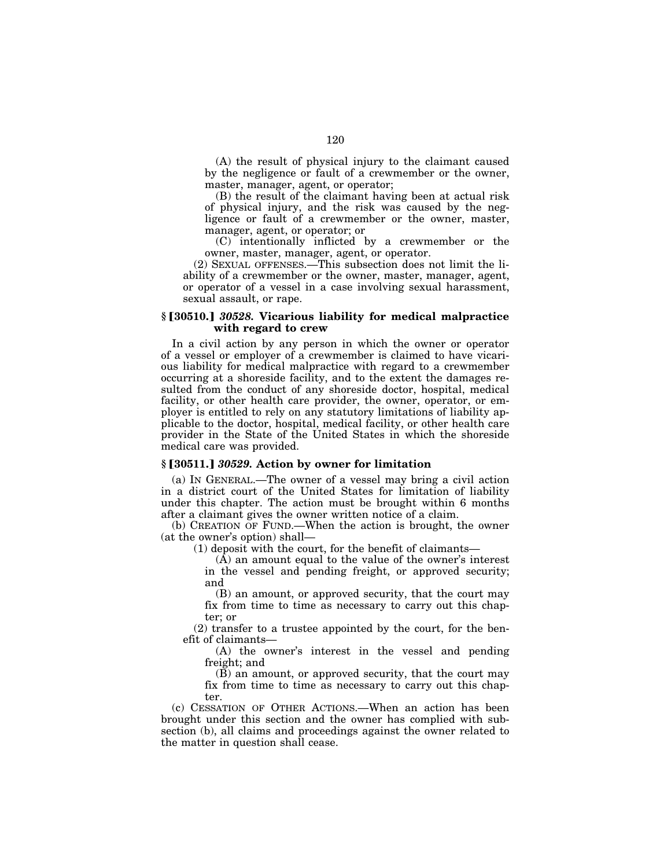(A) the result of physical injury to the claimant caused by the negligence or fault of a crewmember or the owner, master, manager, agent, or operator;

(B) the result of the claimant having been at actual risk of physical injury, and the risk was caused by the negligence or fault of a crewmember or the owner, master, manager, agent, or operator; or

(C) intentionally inflicted by a crewmember or the owner, master, manager, agent, or operator.

(2) SEXUAL OFFENSES.—This subsection does not limit the liability of a crewmember or the owner, master, manager, agent, or operator of a vessel in a case involving sexual harassment, sexual assault, or rape.

## §<sup>[30510.]</sup> 30528. Vicarious liability for medical malpractice **with regard to crew**

In a civil action by any person in which the owner or operator of a vessel or employer of a crewmember is claimed to have vicarious liability for medical malpractice with regard to a crewmember occurring at a shoreside facility, and to the extent the damages resulted from the conduct of any shoreside doctor, hospital, medical facility, or other health care provider, the owner, operator, or employer is entitled to rely on any statutory limitations of liability applicable to the doctor, hospital, medical facility, or other health care provider in the State of the United States in which the shoreside medical care was provided.

### **§** ø**30511.**¿ *30529.* **Action by owner for limitation**

(a) IN GENERAL.—The owner of a vessel may bring a civil action in a district court of the United States for limitation of liability under this chapter. The action must be brought within 6 months after a claimant gives the owner written notice of a claim.

(b) CREATION OF FUND.—When the action is brought, the owner (at the owner's option) shall—

(1) deposit with the court, for the benefit of claimants—

(A) an amount equal to the value of the owner's interest in the vessel and pending freight, or approved security; and

(B) an amount, or approved security, that the court may fix from time to time as necessary to carry out this chapter; or

(2) transfer to a trustee appointed by the court, for the benefit of claimants—

(A) the owner's interest in the vessel and pending freight; and

(B) an amount, or approved security, that the court may fix from time to time as necessary to carry out this chapter.

(c) CESSATION OF OTHER ACTIONS.—When an action has been brought under this section and the owner has complied with subsection (b), all claims and proceedings against the owner related to the matter in question shall cease.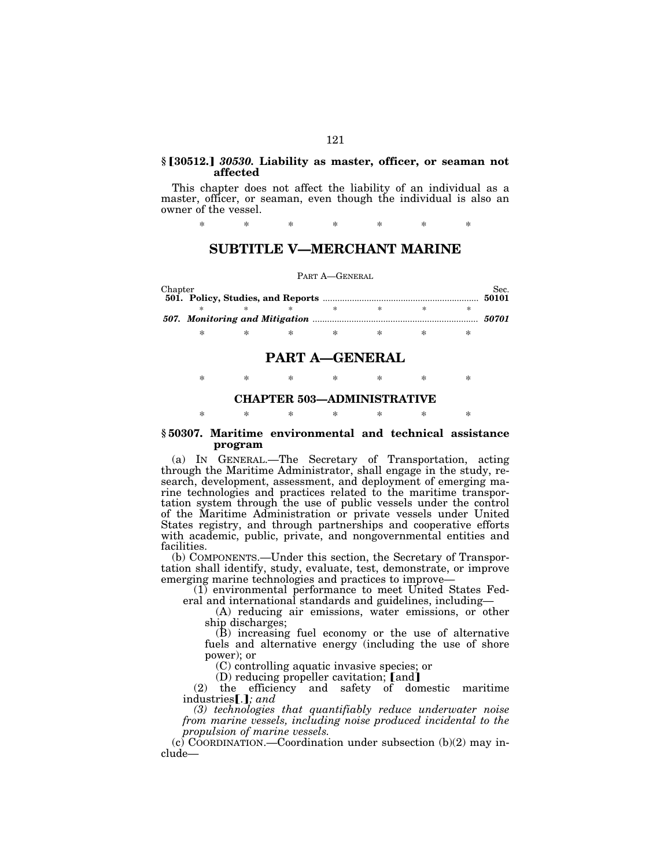## §<sup>[30512.]</sup> 30530. Liability as master, officer, or seaman not **affected**

This chapter does not affect the liability of an individual as a master, officer, or seaman, even though the individual is also an owner of the vessel.

\* \* \* \* \* \* \*

# **SUBTITLE V—MERCHANT MARINE**

PART A—GENERAL Chapter Sec. **501. Policy, Studies, and Reports** ................................................................ **50101**  \* \* \* \* \* \* \* *507. Monitoring and Mitigation .................................................................... 50701*  \* \* \* \* \* \* \*

# **PART A—GENERAL**

# \* \* \* \* \* \* \*

# **CHAPTER 503—ADMINISTRATIVE**

\* \* \* \* \* \* \*

### **§ 50307. Maritime environmental and technical assistance program**

(a) IN GENERAL.—The Secretary of Transportation, acting through the Maritime Administrator, shall engage in the study, research, development, assessment, and deployment of emerging marine technologies and practices related to the maritime transportation system through the use of public vessels under the control of the Maritime Administration or private vessels under United States registry, and through partnerships and cooperative efforts with academic, public, private, and nongovernmental entities and facilities.

(b) COMPONENTS.—Under this section, the Secretary of Transportation shall identify, study, evaluate, test, demonstrate, or improve emerging marine technologies and practices to improve—

(1) environmental performance to meet United States Federal and international standards and guidelines, including—

(A) reducing air emissions, water emissions, or other ship discharges;

(B) increasing fuel economy or the use of alternative fuels and alternative energy (including the use of shore power); or

(C) controlling aquatic invasive species; or

 $(D)$  reducing propeller cavitation; [and]

(2) the efficiency and safety of domestic maritime industries [.]; and

*(3) technologies that quantifiably reduce underwater noise from marine vessels, including noise produced incidental to the propulsion of marine vessels.* 

 $(c)$  COORDINATION.—Coordination under subsection  $(b)(2)$  may include—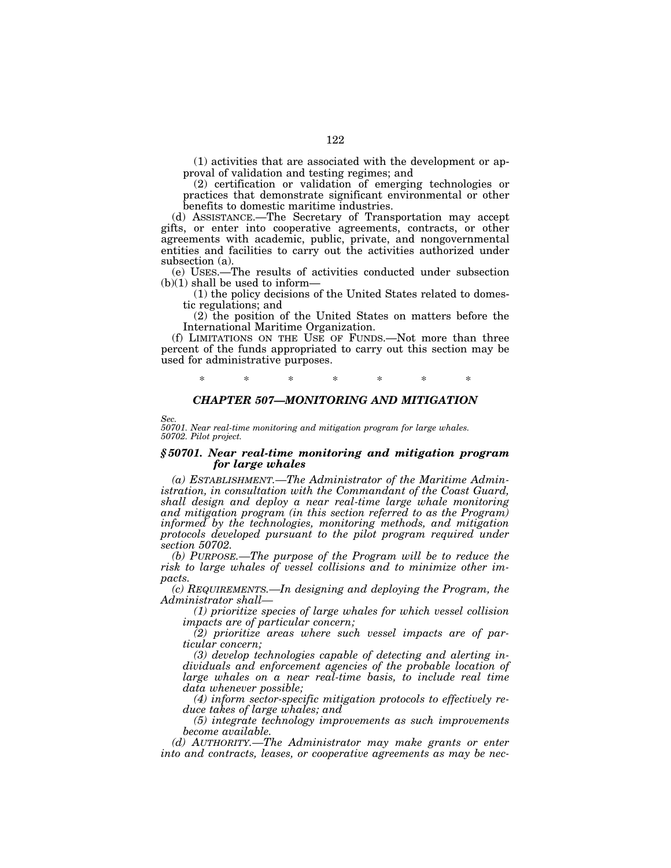(1) activities that are associated with the development or approval of validation and testing regimes; and

(2) certification or validation of emerging technologies or practices that demonstrate significant environmental or other benefits to domestic maritime industries.

(d) ASSISTANCE.—The Secretary of Transportation may accept gifts, or enter into cooperative agreements, contracts, or other agreements with academic, public, private, and nongovernmental entities and facilities to carry out the activities authorized under subsection (a).

(e) USES.—The results of activities conducted under subsection  $(b)(1)$  shall be used to inform-

(1) the policy decisions of the United States related to domestic regulations; and

(2) the position of the United States on matters before the International Maritime Organization.

(f) LIMITATIONS ON THE USE OF FUNDS.—Not more than three percent of the funds appropriated to carry out this section may be used for administrative purposes.

\* \* \* \* \* \* \*

## *CHAPTER 507—MONITORING AND MITIGATION*

*Sec.* 

*50701. Near real-time monitoring and mitigation program for large whales. 50702. Pilot project.* 

### *§ 50701. Near real-time monitoring and mitigation program for large whales*

*(a) ESTABLISHMENT.—The Administrator of the Maritime Administration, in consultation with the Commandant of the Coast Guard, shall design and deploy a near real-time large whale monitoring and mitigation program (in this section referred to as the Program) informed by the technologies, monitoring methods, and mitigation protocols developed pursuant to the pilot program required under section 50702.* 

*(b) PURPOSE.—The purpose of the Program will be to reduce the risk to large whales of vessel collisions and to minimize other impacts.* 

*(c) REQUIREMENTS.—In designing and deploying the Program, the Administrator shall—* 

*(1) prioritize species of large whales for which vessel collision impacts are of particular concern;* 

*(2) prioritize areas where such vessel impacts are of particular concern;* 

*(3) develop technologies capable of detecting and alerting individuals and enforcement agencies of the probable location of large whales on a near real-time basis, to include real time data whenever possible;* 

*(4) inform sector-specific mitigation protocols to effectively reduce takes of large whales; and* 

*(5) integrate technology improvements as such improvements become available.* 

*(d) AUTHORITY.—The Administrator may make grants or enter into and contracts, leases, or cooperative agreements as may be nec-*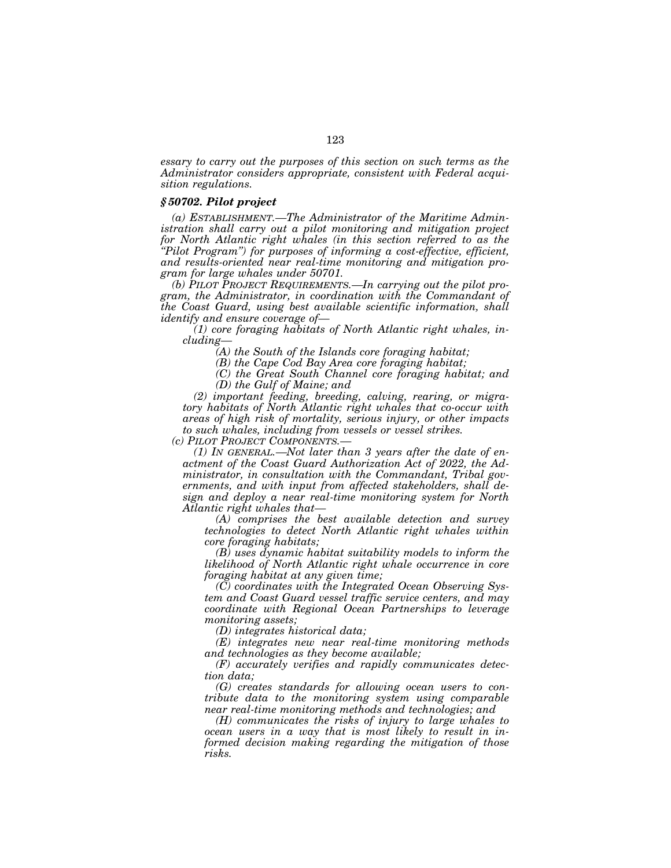*essary to carry out the purposes of this section on such terms as the Administrator considers appropriate, consistent with Federal acquisition regulations.* 

## *§ 50702. Pilot project*

*(a) ESTABLISHMENT.—The Administrator of the Maritime Administration shall carry out a pilot monitoring and mitigation project for North Atlantic right whales (in this section referred to as the ''Pilot Program'') for purposes of informing a cost-effective, efficient, and results-oriented near real-time monitoring and mitigation program for large whales under 50701.* 

*(b) PILOT PROJECT REQUIREMENTS.—In carrying out the pilot program, the Administrator, in coordination with the Commandant of the Coast Guard, using best available scientific information, shall identify and ensure coverage of—* 

*(1) core foraging habitats of North Atlantic right whales, including—* 

*(A) the South of the Islands core foraging habitat;* 

*(B) the Cape Cod Bay Area core foraging habitat;* 

*(C) the Great South Channel core foraging habitat; and (D) the Gulf of Maine; and* 

*(2) important feeding, breeding, calving, rearing, or migratory habitats of North Atlantic right whales that co-occur with areas of high risk of mortality, serious injury, or other impacts to such whales, including from vessels or vessel strikes.* 

*(c) PILOT PROJECT COMPONENTS.—* 

*(1) IN GENERAL.—Not later than 3 years after the date of enactment of the Coast Guard Authorization Act of 2022, the Administrator, in consultation with the Commandant, Tribal governments, and with input from affected stakeholders, shall design and deploy a near real-time monitoring system for North Atlantic right whales that—* 

*(A) comprises the best available detection and survey technologies to detect North Atlantic right whales within core foraging habitats;* 

*(B) uses dynamic habitat suitability models to inform the likelihood of North Atlantic right whale occurrence in core foraging habitat at any given time;* 

*(C) coordinates with the Integrated Ocean Observing System and Coast Guard vessel traffic service centers, and may coordinate with Regional Ocean Partnerships to leverage monitoring assets;* 

*(D) integrates historical data;* 

*(E) integrates new near real-time monitoring methods and technologies as they become available;* 

*(F) accurately verifies and rapidly communicates detection data;* 

*(G) creates standards for allowing ocean users to contribute data to the monitoring system using comparable near real-time monitoring methods and technologies; and* 

*(H) communicates the risks of injury to large whales to ocean users in a way that is most likely to result in informed decision making regarding the mitigation of those risks.*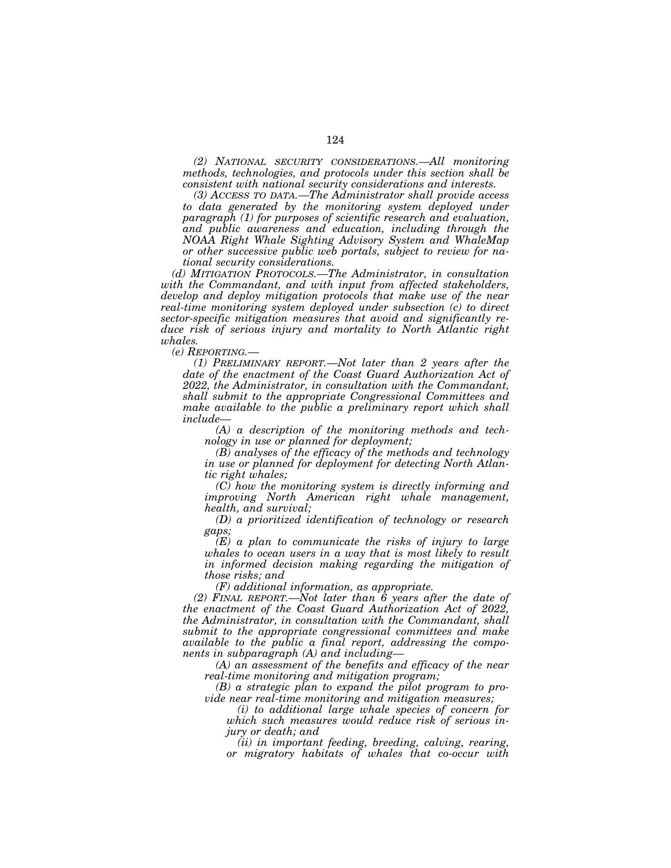*(2) NATIONAL SECURITY CONSIDERATIONS.—All monitoring methods, technologies, and protocols under this section shall be consistent with national security considerations and interests.* 

*(3) ACCESS TO DATA.—The Administrator shall provide access to data generated by the monitoring system deployed under paragraph (1) for purposes of scientific research and evaluation, and public awareness and education, including through the NOAA Right Whale Sighting Advisory System and WhaleMap or other successive public web portals, subject to review for national security considerations.* 

*(d) MITIGATION PROTOCOLS.—The Administrator, in consultation with the Commandant, and with input from affected stakeholders, develop and deploy mitigation protocols that make use of the near real-time monitoring system deployed under subsection (c) to direct sector-specific mitigation measures that avoid and significantly reduce risk of serious injury and mortality to North Atlantic right whales.* 

*(e) REPORTING.—* 

*(1) PRELIMINARY REPORT.—Not later than 2 years after the date of the enactment of the Coast Guard Authorization Act of 2022, the Administrator, in consultation with the Commandant, shall submit to the appropriate Congressional Committees and make available to the public a preliminary report which shall include—* 

*(A) a description of the monitoring methods and technology in use or planned for deployment;* 

*(B) analyses of the efficacy of the methods and technology in use or planned for deployment for detecting North Atlantic right whales;* 

*(C) how the monitoring system is directly informing and improving North American right whale management, health, and survival;* 

*(D) a prioritized identification of technology or research gaps;* 

*(E) a plan to communicate the risks of injury to large whales to ocean users in a way that is most likely to result in informed decision making regarding the mitigation of those risks; and* 

*(F) additional information, as appropriate.* 

*(2) FINAL REPORT.—Not later than 6 years after the date of the enactment of the Coast Guard Authorization Act of 2022, the Administrator, in consultation with the Commandant, shall submit to the appropriate congressional committees and make available to the public a final report, addressing the components in subparagraph (A) and including—* 

*(A) an assessment of the benefits and efficacy of the near real-time monitoring and mitigation program;* 

*(B) a strategic plan to expand the pilot program to provide near real-time monitoring and mitigation measures;* 

*(i) to additional large whale species of concern for which such measures would reduce risk of serious injury or death; and* 

*(ii) in important feeding, breeding, calving, rearing, or migratory habitats of whales that co-occur with*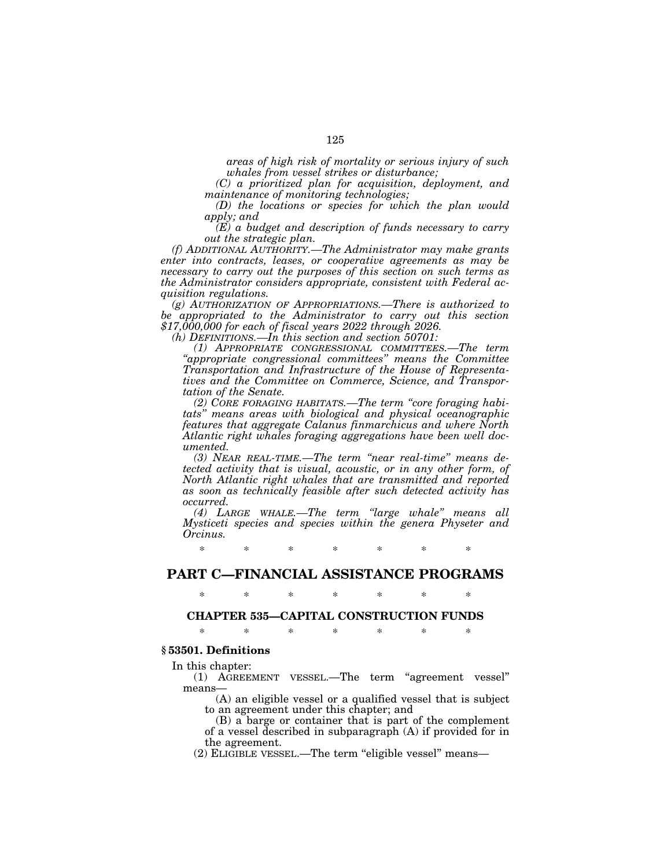*areas of high risk of mortality or serious injury of such whales from vessel strikes or disturbance;* 

*(C) a prioritized plan for acquisition, deployment, and maintenance of monitoring technologies;* 

*(D) the locations or species for which the plan would apply; and* 

*(E) a budget and description of funds necessary to carry out the strategic plan.* 

*(f) ADDITIONAL AUTHORITY.—The Administrator may make grants enter into contracts, leases, or cooperative agreements as may be necessary to carry out the purposes of this section on such terms as the Administrator considers appropriate, consistent with Federal acquisition regulations.* 

*(g) AUTHORIZATION OF APPROPRIATIONS.—There is authorized to be appropriated to the Administrator to carry out this section \$17,000,000 for each of fiscal years 2022 through 2026.* 

*(h) DEFINITIONS.—In this section and section 50701:* 

*(1) APPROPRIATE CONGRESSIONAL COMMITTEES.—The term ''appropriate congressional committees'' means the Committee Transportation and Infrastructure of the House of Representatives and the Committee on Commerce, Science, and Transportation of the Senate.* 

*(2) CORE FORAGING HABITATS.—The term ''core foraging habitats'' means areas with biological and physical oceanographic features that aggregate Calanus finmarchicus and where North Atlantic right whales foraging aggregations have been well documented.* 

*(3) NEAR REAL-TIME.—The term ''near real-time'' means detected activity that is visual, acoustic, or in any other form, of North Atlantic right whales that are transmitted and reported as soon as technically feasible after such detected activity has occurred.* 

*(4) LARGE WHALE.—The term ''large whale'' means all Mysticeti species and species within the genera Physeter and Orcinus.* 

\* \* \* \* \* \* \*

# **PART C—FINANCIAL ASSISTANCE PROGRAMS**

\* \* \* \* \* \* \*

# **CHAPTER 535—CAPITAL CONSTRUCTION FUNDS**

\* \* \* \* \* \* \*

# **§ 53501. Definitions**

In this chapter:

(1) AGREEMENT VESSEL.—The term ''agreement vessel'' means—

(A) an eligible vessel or a qualified vessel that is subject to an agreement under this chapter; and

(B) a barge or container that is part of the complement of a vessel described in subparagraph (A) if provided for in the agreement.

(2) ELIGIBLE VESSEL.—The term ''eligible vessel'' means—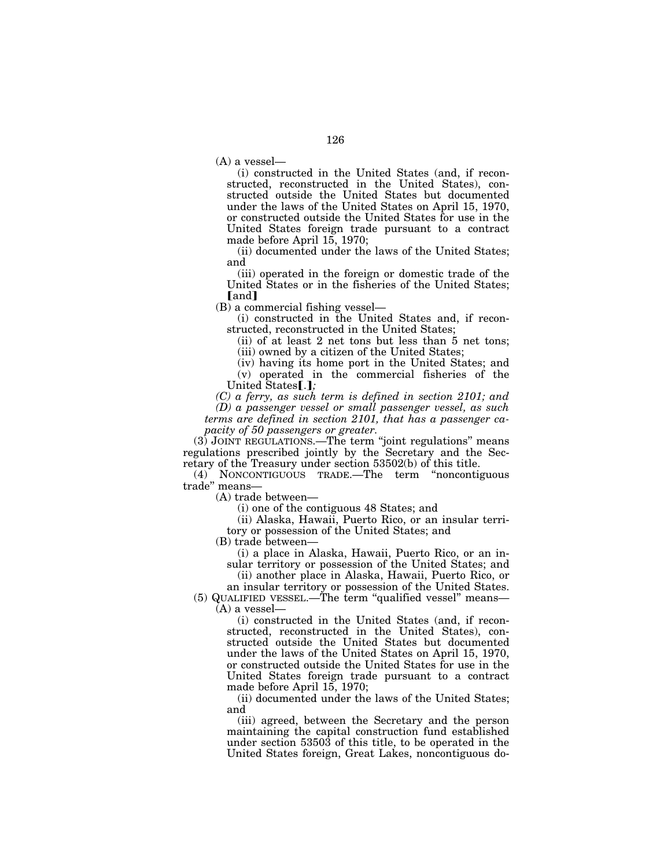(A) a vessel—

(i) constructed in the United States (and, if reconstructed, reconstructed in the United States), constructed outside the United States but documented under the laws of the United States on April 15, 1970, or constructed outside the United States for use in the United States foreign trade pursuant to a contract made before April 15, 1970;

(ii) documented under the laws of the United States; and

(iii) operated in the foreign or domestic trade of the United States or in the fisheries of the United States; [and]

(B) a commercial fishing vessel—

(i) constructed in the United States and, if reconstructed, reconstructed in the United States;

(ii) of at least 2 net tons but less than 5 net tons; (iii) owned by a citizen of the United States;

(iv) having its home port in the United States; and (v) operated in the commercial fisheries of the

United States[.];

*(C) a ferry, as such term is defined in section 2101; and (D) a passenger vessel or small passenger vessel, as such terms are defined in section 2101, that has a passenger capacity of 50 passengers or greater.* 

(3) JOINT REGULATIONS.—The term ''joint regulations'' means regulations prescribed jointly by the Secretary and the Secretary of the Treasury under section 53502(b) of this title.

(4) NONCONTIGUOUS TRADE.—The term ''noncontiguous trade'' means—

(A) trade between—

(i) one of the contiguous 48 States; and

(ii) Alaska, Hawaii, Puerto Rico, or an insular terri-

tory or possession of the United States; and

(B) trade between—

(i) a place in Alaska, Hawaii, Puerto Rico, or an insular territory or possession of the United States; and

(ii) another place in Alaska, Hawaii, Puerto Rico, or an insular territory or possession of the United States.

(5) QUALIFIED VESSEL.—The term ''qualified vessel'' means— (A) a vessel—

> (i) constructed in the United States (and, if reconstructed, reconstructed in the United States), constructed outside the United States but documented under the laws of the United States on April 15, 1970, or constructed outside the United States for use in the United States foreign trade pursuant to a contract made before April 15, 1970;

> (ii) documented under the laws of the United States; and

> (iii) agreed, between the Secretary and the person maintaining the capital construction fund established under section 53503 of this title, to be operated in the United States foreign, Great Lakes, noncontiguous do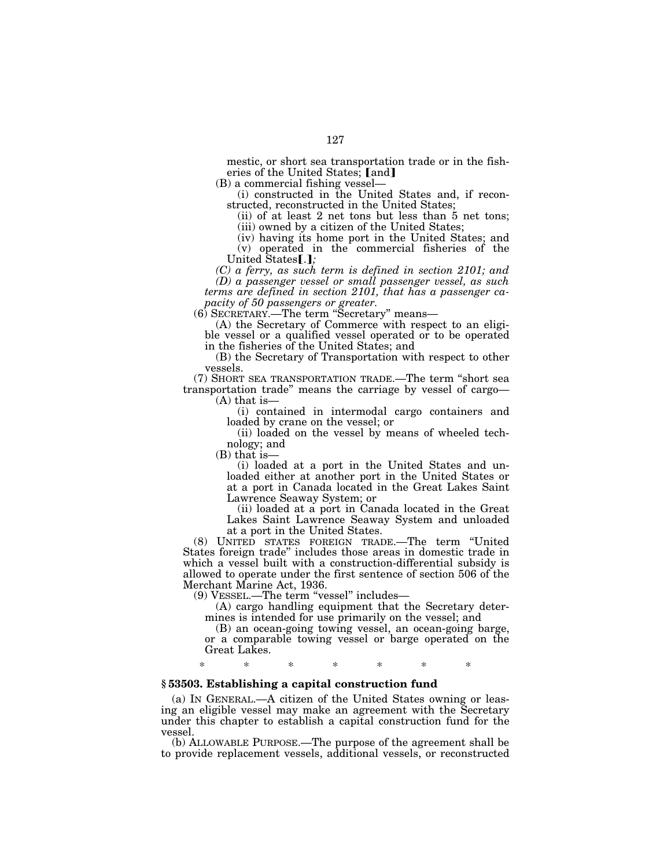mestic, or short sea transportation trade or in the fisheries of the United States; [and]

(B) a commercial fishing vessel—

(i) constructed in the United States and, if reconstructed, reconstructed in the United States;

(ii) of at least 2 net tons but less than 5 net tons; (iii) owned by a citizen of the United States;

(iv) having its home port in the United States; and (v) operated in the commercial fisheries of the United States[.];

*(C) a ferry, as such term is defined in section 2101; and (D) a passenger vessel or small passenger vessel, as such terms are defined in section 2101, that has a passenger capacity of 50 passengers or greater.* 

(6) SECRETARY.—The term ''Secretary'' means—

(A) the Secretary of Commerce with respect to an eligible vessel or a qualified vessel operated or to be operated in the fisheries of the United States; and

(B) the Secretary of Transportation with respect to other vessels.

(7) SHORT SEA TRANSPORTATION TRADE.—The term ''short sea transportation trade'' means the carriage by vessel of cargo— (A) that is—

> (i) contained in intermodal cargo containers and loaded by crane on the vessel; or

> (ii) loaded on the vessel by means of wheeled technology; and

(B) that is—

(i) loaded at a port in the United States and unloaded either at another port in the United States or at a port in Canada located in the Great Lakes Saint Lawrence Seaway System; or

(ii) loaded at a port in Canada located in the Great Lakes Saint Lawrence Seaway System and unloaded at a port in the United States.

(8) UNITED STATES FOREIGN TRADE.—The term ''United States foreign trade'' includes those areas in domestic trade in which a vessel built with a construction-differential subsidy is allowed to operate under the first sentence of section 506 of the Merchant Marine Act, 1936.

(9) VESSEL.—The term ''vessel'' includes—

(A) cargo handling equipment that the Secretary determines is intended for use primarily on the vessel; and

(B) an ocean-going towing vessel, an ocean-going barge, or a comparable towing vessel or barge operated on the Great Lakes.

\* \* \* \* \* \* \*

## **§ 53503. Establishing a capital construction fund**

(a) IN GENERAL.—A citizen of the United States owning or leasing an eligible vessel may make an agreement with the Secretary under this chapter to establish a capital construction fund for the vessel.

(b) ALLOWABLE PURPOSE.—The purpose of the agreement shall be to provide replacement vessels, additional vessels, or reconstructed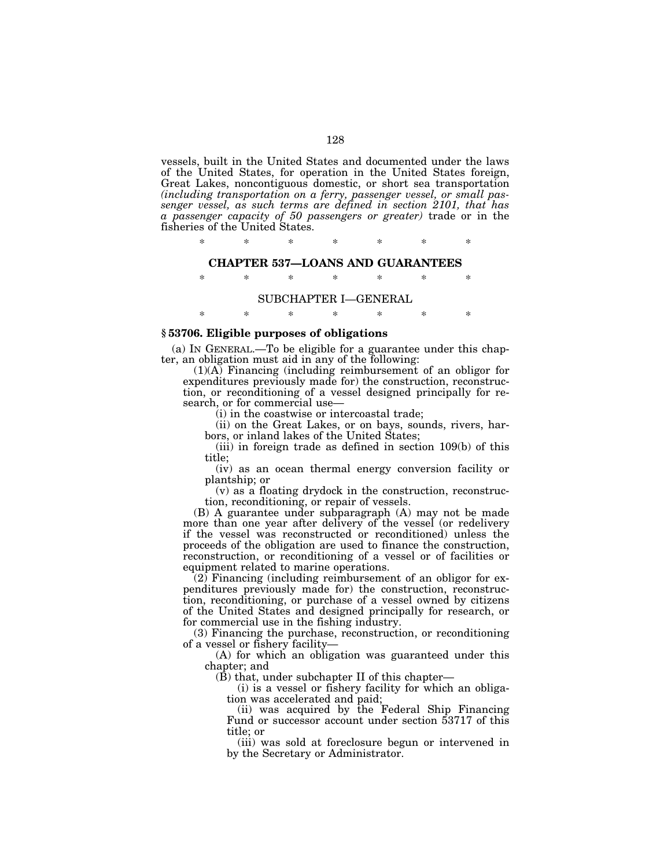vessels, built in the United States and documented under the laws of the United States, for operation in the United States foreign, Great Lakes, noncontiguous domestic, or short sea transportation *(including transportation on a ferry, passenger vessel, or small passenger vessel, as such terms are defined in section 2101, that has a passenger capacity of 50 passengers or greater)* trade or in the fisheries of the United States.

\* \* \* \* \* \* \*

## **CHAPTER 537—LOANS AND GUARANTEES**

\* \* \* \* \* \* \*

### SUBCHAPTER I—GENERAL

\* \* \* \* \* \* \*

### **§ 53706. Eligible purposes of obligations**

(a) IN GENERAL.—To be eligible for a guarantee under this chapter, an obligation must aid in any of the following:

(1)(A) Financing (including reimbursement of an obligor for expenditures previously made for) the construction, reconstruction, or reconditioning of a vessel designed principally for research, or for commercial use—

(i) in the coastwise or intercoastal trade;

(ii) on the Great Lakes, or on bays, sounds, rivers, harbors, or inland lakes of the United States;

(iii) in foreign trade as defined in section 109(b) of this title;

(iv) as an ocean thermal energy conversion facility or plantship; or

(v) as a floating drydock in the construction, reconstruction, reconditioning, or repair of vessels.

(B) A guarantee under subparagraph (A) may not be made more than one year after delivery of the vessel (or redelivery if the vessel was reconstructed or reconditioned) unless the proceeds of the obligation are used to finance the construction, reconstruction, or reconditioning of a vessel or of facilities or equipment related to marine operations.

 $(2)$  Financing (including reimbursement of an obligor for expenditures previously made for) the construction, reconstruction, reconditioning, or purchase of a vessel owned by citizens of the United States and designed principally for research, or for commercial use in the fishing industry.

(3) Financing the purchase, reconstruction, or reconditioning of a vessel or fishery facility—

(A) for which an obligation was guaranteed under this chapter; and

(B) that, under subchapter II of this chapter—

(i) is a vessel or fishery facility for which an obligation was accelerated and paid;

(ii) was acquired by the Federal Ship Financing Fund or successor account under section 53717 of this title; or

(iii) was sold at foreclosure begun or intervened in by the Secretary or Administrator.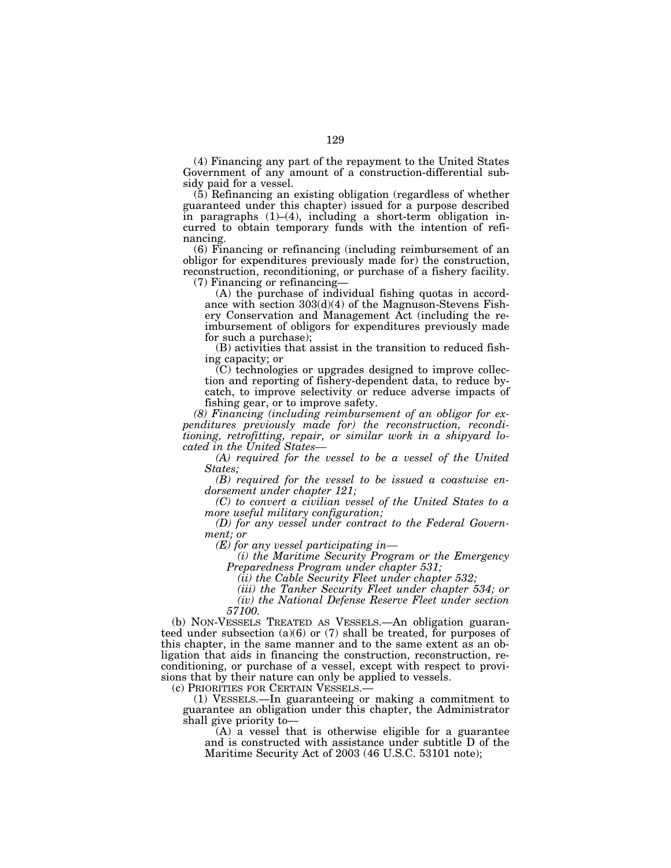(4) Financing any part of the repayment to the United States Government of any amount of a construction-differential subsidy paid for a vessel.

(5) Refinancing an existing obligation (regardless of whether guaranteed under this chapter) issued for a purpose described in paragraphs (1)–(4), including a short-term obligation incurred to obtain temporary funds with the intention of refinancing.

(6) Financing or refinancing (including reimbursement of an obligor for expenditures previously made for) the construction, reconstruction, reconditioning, or purchase of a fishery facility. (7) Financing or refinancing—

(A) the purchase of individual fishing quotas in accordance with section 303(d)(4) of the Magnuson-Stevens Fishery Conservation and Management Act (including the reimbursement of obligors for expenditures previously made for such a purchase);

(B) activities that assist in the transition to reduced fishing capacity; or

(C) technologies or upgrades designed to improve collection and reporting of fishery-dependent data, to reduce bycatch, to improve selectivity or reduce adverse impacts of fishing gear, or to improve safety.

*(8) Financing (including reimbursement of an obligor for expenditures previously made for) the reconstruction, reconditioning, retrofitting, repair, or similar work in a shipyard located in the United States—* 

*(A) required for the vessel to be a vessel of the United States;* 

*(B) required for the vessel to be issued a coastwise endorsement under chapter 121;* 

*(C) to convert a civilian vessel of the United States to a more useful military configuration;* 

*(D) for any vessel under contract to the Federal Government; or* 

*(E) for any vessel participating in—* 

*(i) the Maritime Security Program or the Emergency Preparedness Program under chapter 531;* 

*(ii) the Cable Security Fleet under chapter 532;* 

*(iii) the Tanker Security Fleet under chapter 534; or (iv) the National Defense Reserve Fleet under section* 

*57100.* 

(b) NON-VESSELS TREATED AS VESSELS.—An obligation guaranteed under subsection  $(a)(6)$  or  $(7)$  shall be treated, for purposes of this chapter, in the same manner and to the same extent as an obligation that aids in financing the construction, reconstruction, reconditioning, or purchase of a vessel, except with respect to provisions that by their nature can only be applied to vessels.

(c) PRIORITIES FOR CERTAIN VESSELS.— (1) VESSELS.—In guaranteeing or making a commitment to guarantee an obligation under this chapter, the Administrator shall give priority to—

(A) a vessel that is otherwise eligible for a guarantee and is constructed with assistance under subtitle D of the Maritime Security Act of 2003 (46 U.S.C. 53101 note);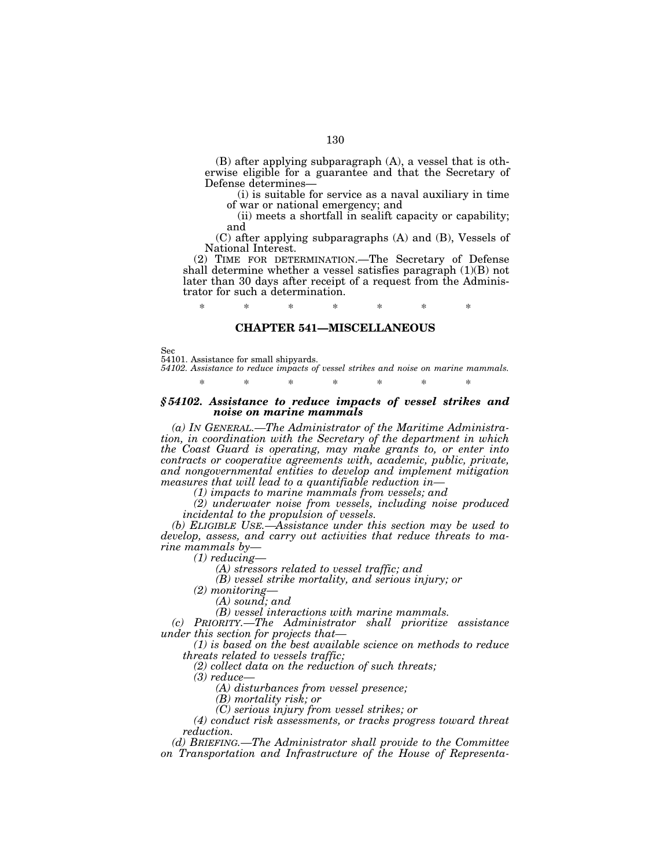(B) after applying subparagraph (A), a vessel that is otherwise eligible for a guarantee and that the Secretary of Defense determines—

(i) is suitable for service as a naval auxiliary in time of war or national emergency; and

(ii) meets a shortfall in sealift capacity or capability; and

(C) after applying subparagraphs (A) and (B), Vessels of National Interest.

(2) TIME FOR DETERMINATION.—The Secretary of Defense shall determine whether a vessel satisfies paragraph (1)(B) not later than 30 days after receipt of a request from the Administrator for such a determination.

\* \* \* \* \* \* \*

## **CHAPTER 541—MISCELLANEOUS**

Sec

54101. Assistance for small shipyards.

*54102. Assistance to reduce impacts of vessel strikes and noise on marine mammals.*  \* \* \* \* \* \* \*

### *§ 54102. Assistance to reduce impacts of vessel strikes and noise on marine mammals*

*(a) IN GENERAL.—The Administrator of the Maritime Administration, in coordination with the Secretary of the department in which the Coast Guard is operating, may make grants to, or enter into contracts or cooperative agreements with, academic, public, private, and nongovernmental entities to develop and implement mitigation measures that will lead to a quantifiable reduction in—* 

*(1) impacts to marine mammals from vessels; and* 

*(2) underwater noise from vessels, including noise produced incidental to the propulsion of vessels.* 

*(b) ELIGIBLE USE.—Assistance under this section may be used to develop, assess, and carry out activities that reduce threats to marine mammals by—* 

*(1) reducing—* 

*(A) stressors related to vessel traffic; and* 

*(B) vessel strike mortality, and serious injury; or* 

*(2) monitoring—* 

*(A) sound; and* 

*(B) vessel interactions with marine mammals.* 

*(c) PRIORITY.—The Administrator shall prioritize assistance under this section for projects that—* 

*(1) is based on the best available science on methods to reduce threats related to vessels traffic;* 

*(2) collect data on the reduction of such threats;* 

*(3) reduce—* 

*(A) disturbances from vessel presence;* 

*(B) mortality risk; or* 

*(C) serious injury from vessel strikes; or* 

*(4) conduct risk assessments, or tracks progress toward threat reduction.* 

*(d) BRIEFING.—The Administrator shall provide to the Committee on Transportation and Infrastructure of the House of Representa-*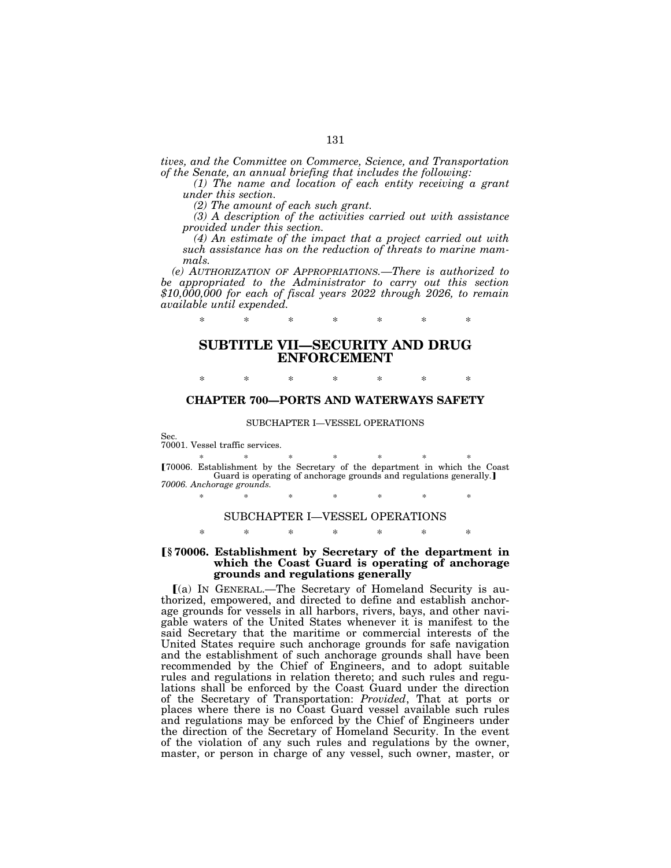*tives, and the Committee on Commerce, Science, and Transportation of the Senate, an annual briefing that includes the following:* 

*(1) The name and location of each entity receiving a grant under this section.* 

*(2) The amount of each such grant.* 

*(3) A description of the activities carried out with assistance provided under this section.* 

*(4) An estimate of the impact that a project carried out with such assistance has on the reduction of threats to marine mammals.* 

*(e) AUTHORIZATION OF APPROPRIATIONS.—There is authorized to be appropriated to the Administrator to carry out this section \$10,000,000 for each of fiscal years 2022 through 2026, to remain available until expended.* 

# **SUBTITLE VII—SECURITY AND DRUG ENFORCEMENT**

\* \* \* \* \* \* \*

\* \* \* \* \* \* \*

## **CHAPTER 700—PORTS AND WATERWAYS SAFETY**

### SUBCHAPTER I—VESSEL OPERATIONS

Sec. 70001. Vessel traffic services.

\* \* \* \* \* \* \* ø70006. Establishment by the Secretary of the department in which the Coast Guard is operating of anchorage grounds and regulations generally.] *70006. Anchorage grounds.* 

#### \* \* \* \* \* \* \* \*

### SUBCHAPTER I—VESSEL OPERATIONS

\* \* \* \* \* \* \*

### ø**§ 70006. Establishment by Secretary of the department in which the Coast Guard is operating of anchorage grounds and regulations generally**

ø(a) IN GENERAL.—The Secretary of Homeland Security is authorized, empowered, and directed to define and establish anchorage grounds for vessels in all harbors, rivers, bays, and other navigable waters of the United States whenever it is manifest to the said Secretary that the maritime or commercial interests of the United States require such anchorage grounds for safe navigation and the establishment of such anchorage grounds shall have been recommended by the Chief of Engineers, and to adopt suitable rules and regulations in relation thereto; and such rules and regulations shall be enforced by the Coast Guard under the direction of the Secretary of Transportation: *Provided*, That at ports or places where there is no Coast Guard vessel available such rules and regulations may be enforced by the Chief of Engineers under the direction of the Secretary of Homeland Security. In the event of the violation of any such rules and regulations by the owner, master, or person in charge of any vessel, such owner, master, or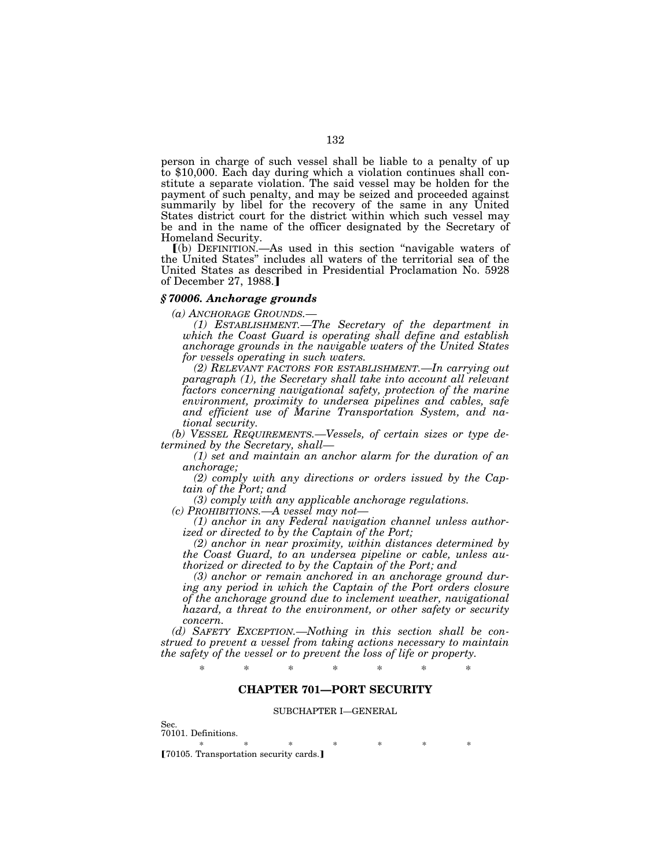person in charge of such vessel shall be liable to a penalty of up to \$10,000. Each day during which a violation continues shall constitute a separate violation. The said vessel may be holden for the payment of such penalty, and may be seized and proceeded against summarily by libel for the recovery of the same in any United States district court for the district within which such vessel may be and in the name of the officer designated by the Secretary of Homeland Security.

 $\Gamma$ (b) DEFINITION.—As used in this section "navigable waters of the United States'' includes all waters of the territorial sea of the United States as described in Presidential Proclamation No. 5928 of December 27, 1988.]

### *§ 70006. Anchorage grounds*

*(a) ANCHORAGE GROUNDS.— (1) ESTABLISHMENT.—The Secretary of the department in which the Coast Guard is operating shall define and establish anchorage grounds in the navigable waters of the United States for vessels operating in such waters.* 

*(2) RELEVANT FACTORS FOR ESTABLISHMENT.—In carrying out*  paragraph (1), the Secretary shall take into account all relevant *factors concerning navigational safety, protection of the marine environment, proximity to undersea pipelines and cables, safe and efficient use of Marine Transportation System, and national security.* 

*(b) VESSEL REQUIREMENTS.—Vessels, of certain sizes or type determined by the Secretary, shall—* 

*(1) set and maintain an anchor alarm for the duration of an anchorage;* 

*(2) comply with any directions or orders issued by the Captain of the Port; and* 

*(3) comply with any applicable anchorage regulations.* 

*(c) PROHIBITIONS.—A vessel may not—* 

*(1) anchor in any Federal navigation channel unless authorized or directed to by the Captain of the Port;* 

*(2) anchor in near proximity, within distances determined by the Coast Guard, to an undersea pipeline or cable, unless authorized or directed to by the Captain of the Port; and* 

*(3) anchor or remain anchored in an anchorage ground during any period in which the Captain of the Port orders closure of the anchorage ground due to inclement weather, navigational hazard, a threat to the environment, or other safety or security concern.* 

*(d) SAFETY EXCEPTION.—Nothing in this section shall be construed to prevent a vessel from taking actions necessary to maintain the safety of the vessel or to prevent the loss of life or property.* 

\* \* \* \* \* \* \*

## **CHAPTER 701—PORT SECURITY**

### SUBCHAPTER I—GENERAL

Sec. 70101. Definitions.

\* \* \* \* \* \* \* \* [70105. Transportation security cards.]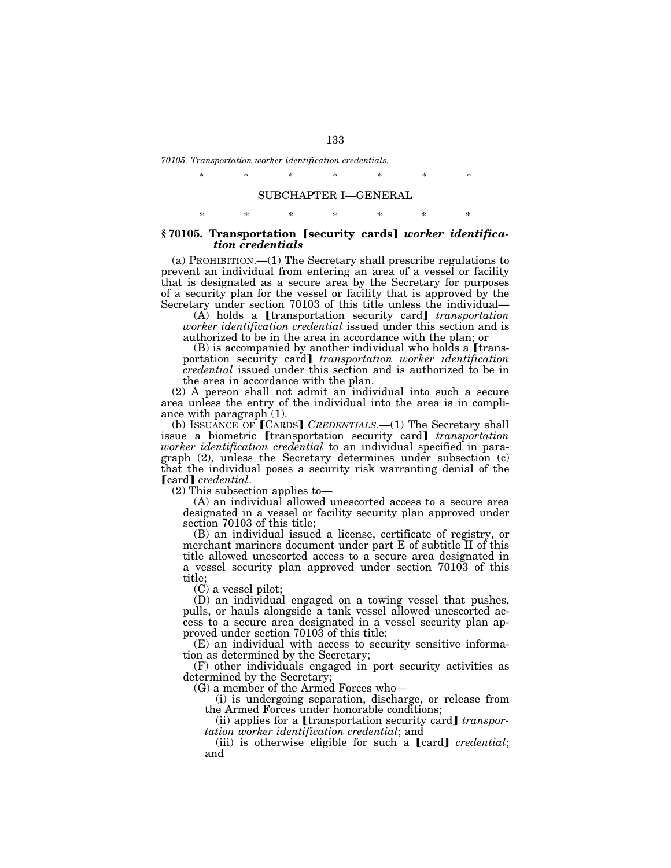### *70105. Transportation worker identification credentials.*

\* \* \* \* \* \* \* \*

### SUBCHAPTER I—GENERAL

\* \* \* \* \* \* \*

### § 70105. Transportation [security cards] *worker identification credentials*

(a) PROHIBITION.—(1) The Secretary shall prescribe regulations to prevent an individual from entering an area of a vessel or facility that is designated as a secure area by the Secretary for purposes of a security plan for the vessel or facility that is approved by the Secretary under section 70103 of this title unless the individual—

(A) holds a **[transportation security card]** *transportation worker identification credential* issued under this section and is authorized to be in the area in accordance with the plan; or

 $(B)$  is accompanied by another individual who holds a [transportation security card] *transportation worker identification credential* issued under this section and is authorized to be in the area in accordance with the plan.

(2) A person shall not admit an individual into such a secure area unless the entry of the individual into the area is in compliance with paragraph (1).

(b) ISSUANCE OF **[CARDS**] *CREDENTIALS*.—(1) The Secretary shall issue a biometric *transportation* security card *transportation worker identification credential* to an individual specified in paragraph (2), unless the Secretary determines under subsection (c) that the individual poses a security risk warranting denial of the **[card]** *credential*.<br>(2) This subsection applies to—

(A) an individual allowed unescorted access to a secure area designated in a vessel or facility security plan approved under section 70103 of this title;

(B) an individual issued a license, certificate of registry, or merchant mariners document under part E of subtitle II of this title allowed unescorted access to a secure area designated in a vessel security plan approved under section 70103 of this title;

(C) a vessel pilot;

(D) an individual engaged on a towing vessel that pushes, pulls, or hauls alongside a tank vessel allowed unescorted access to a secure area designated in a vessel security plan approved under section 70103 of this title;

(E) an individual with access to security sensitive information as determined by the Secretary;

(F) other individuals engaged in port security activities as determined by the Secretary;

(G) a member of the Armed Forces who—

(i) is undergoing separation, discharge, or release from the Armed Forces under honorable conditions;

(ii) applies for a **[transportation security card]** *transportation worker identification credential*; and

(iii) is otherwise eligible for such a **[card]** *credential*; and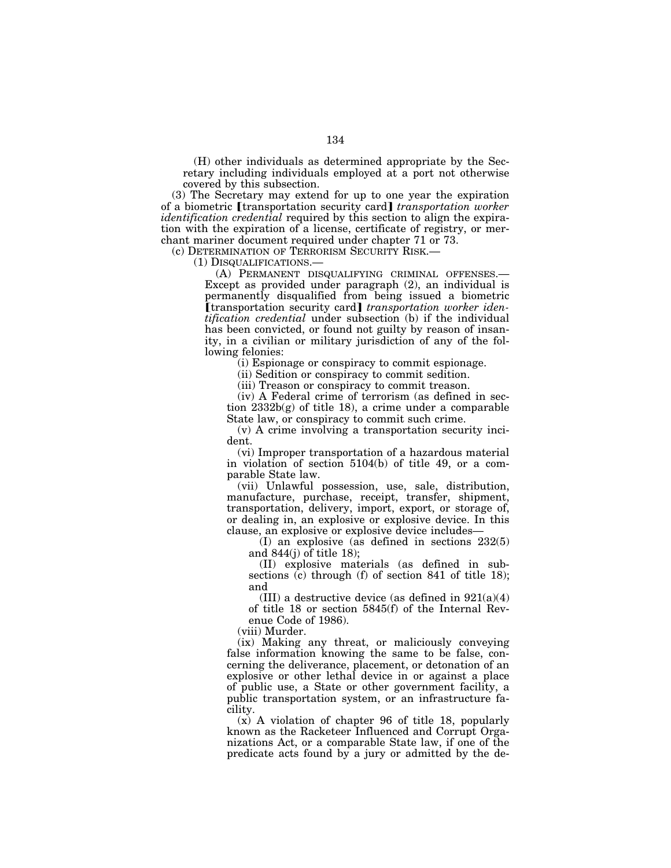(H) other individuals as determined appropriate by the Secretary including individuals employed at a port not otherwise covered by this subsection.

(3) The Secretary may extend for up to one year the expiration of a biometric *[transportation security card] transportation worker identification credential* required by this section to align the expiration with the expiration of a license, certificate of registry, or merchant mariner document required under chapter 71 or 73.

(c) DETERMINATION OF TERRORISM SECURITY RISK.—

(1) DISQUALIFICATIONS.—

(A) PERMANENT DISQUALIFYING CRIMINAL OFFENSES.— Except as provided under paragraph (2), an individual is permanently disqualified from being issued a biometric [transportation security card] transportation worker iden*tification credential* under subsection (b) if the individual has been convicted, or found not guilty by reason of insanity, in a civilian or military jurisdiction of any of the following felonies:

(i) Espionage or conspiracy to commit espionage.

(ii) Sedition or conspiracy to commit sedition.

(iii) Treason or conspiracy to commit treason.

(iv) A Federal crime of terrorism (as defined in section 2332b(g) of title 18), a crime under a comparable State law, or conspiracy to commit such crime.

(v) A crime involving a transportation security incident.

(vi) Improper transportation of a hazardous material in violation of section 5104(b) of title 49, or a comparable State law.

(vii) Unlawful possession, use, sale, distribution, manufacture, purchase, receipt, transfer, shipment, transportation, delivery, import, export, or storage of, or dealing in, an explosive or explosive device. In this clause, an explosive or explosive device includes—

(I) an explosive (as defined in sections 232(5) and  $844(j)$  of title 18);

(II) explosive materials (as defined in subsections  $\overline{c}$ ) through  $\overline{f}$  of section 841 of title 18); and

(III) a destructive device (as defined in  $921(a)(4)$ ) of title 18 or section 5845(f) of the Internal Rev-

enue Code of 1986).

(viii) Murder.

(ix) Making any threat, or maliciously conveying false information knowing the same to be false, concerning the deliverance, placement, or detonation of an explosive or other lethal device in or against a place of public use, a State or other government facility, a public transportation system, or an infrastructure facility.

(x) A violation of chapter 96 of title 18, popularly known as the Racketeer Influenced and Corrupt Organizations Act, or a comparable State law, if one of the predicate acts found by a jury or admitted by the de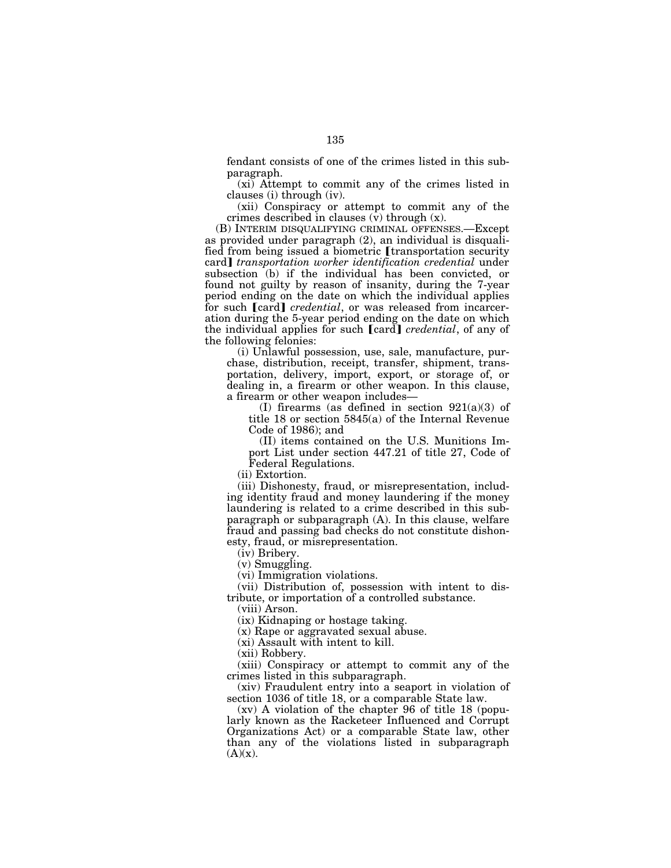fendant consists of one of the crimes listed in this subparagraph.

(xi) Attempt to commit any of the crimes listed in clauses (i) through (iv).

(xii) Conspiracy or attempt to commit any of the crimes described in clauses  $(v)$  through  $(x)$ .

(B) INTERIM DISQUALIFYING CRIMINAL OFFENSES.—Except as provided under paragraph (2), an individual is disqualified from being issued a biometric *f*transportation security card¿ *transportation worker identification credential* under subsection (b) if the individual has been convicted, or found not guilty by reason of insanity, during the 7-year period ending on the date on which the individual applies<br>for such **[**card**]** *credential*, or was released from incarceration during the 5-year period ending on the date on which the individual applies for such **[card]** *credential*, of any of the following felonies:

(i) Unlawful possession, use, sale, manufacture, purchase, distribution, receipt, transfer, shipment, transportation, delivery, import, export, or storage of, or dealing in, a firearm or other weapon. In this clause, a firearm or other weapon includes—

(I) firearms (as defined in section  $921(a)(3)$  of title 18 or section 5845(a) of the Internal Revenue Code of 1986); and

(II) items contained on the U.S. Munitions Import List under section 447.21 of title 27, Code of Federal Regulations.

(ii) Extortion.

(iii) Dishonesty, fraud, or misrepresentation, including identity fraud and money laundering if the money laundering is related to a crime described in this subparagraph or subparagraph (A). In this clause, welfare fraud and passing bad checks do not constitute dishonesty, fraud, or misrepresentation.

(iv) Bribery.

(v) Smuggling.

(vi) Immigration violations.

(vii) Distribution of, possession with intent to distribute, or importation of a controlled substance.

(viii) Arson.

(ix) Kidnaping or hostage taking.

(x) Rape or aggravated sexual abuse.

(xi) Assault with intent to kill.

(xii) Robbery.

(xiii) Conspiracy or attempt to commit any of the crimes listed in this subparagraph.

(xiv) Fraudulent entry into a seaport in violation of section 1036 of title 18, or a comparable State law.

(xv) A violation of the chapter 96 of title 18 (popularly known as the Racketeer Influenced and Corrupt Organizations Act) or a comparable State law, other than any of the violations listed in subparagraph  $(A)(x)$ .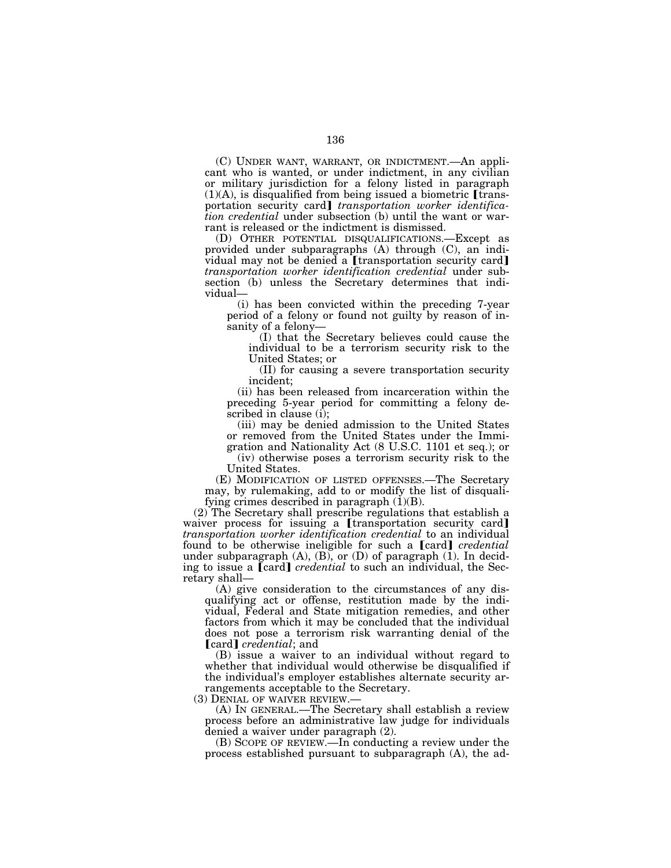(C) UNDER WANT, WARRANT, OR INDICTMENT.—An applicant who is wanted, or under indictment, in any civilian or military jurisdiction for a felony listed in paragraph  $(1)(A)$ , is disqualified from being issued a biometric [transportation security card] *transportation worker identification credential* under subsection (b) until the want or warrant is released or the indictment is dismissed.

(D) OTHER POTENTIAL DISQUALIFICATIONS.—Except as provided under subparagraphs (A) through (C), an individual may not be denied a  $[transportion$  security card $]$ *transportation worker identification credential* under subsection (b) unless the Secretary determines that individual—

(i) has been convicted within the preceding 7-year period of a felony or found not guilty by reason of insanity of a felony—

(I) that the Secretary believes could cause the individual to be a terrorism security risk to the United States; or

(II) for causing a severe transportation security incident;

(ii) has been released from incarceration within the preceding 5-year period for committing a felony described in clause (i);

(iii) may be denied admission to the United States or removed from the United States under the Immigration and Nationality Act (8 U.S.C. 1101 et seq.); or

(iv) otherwise poses a terrorism security risk to the United States.

(E) MODIFICATION OF LISTED OFFENSES.—The Secretary may, by rulemaking, add to or modify the list of disqualifying crimes described in paragraph  $(1)(B)$ .

(2) The Secretary shall prescribe regulations that establish a waiver process for issuing a [transportation security card] *transportation worker identification credential* to an individual found to be otherwise ineligible for such a **[card]** *credential* under subparagraph  $(A)$ ,  $(B)$ , or  $(D)$  of paragraph  $(1)$ . In deciding to issue a **[card]** *credential* to such an individual, the Secretary shall—

(A) give consideration to the circumstances of any disqualifying act or offense, restitution made by the individual, Federal and State mitigation remedies, and other factors from which it may be concluded that the individual does not pose a terrorism risk warranting denial of the øcard¿ *credential*; and

(B) issue a waiver to an individual without regard to whether that individual would otherwise be disqualified if the individual's employer establishes alternate security arrangements acceptable to the Secretary.<br>(3) DENIAL OF WAIVER REVIEW.—

(A) IN GENERAL.—The Secretary shall establish a review process before an administrative law judge for individuals denied a waiver under paragraph (2).

(B) SCOPE OF REVIEW.—In conducting a review under the process established pursuant to subparagraph (A), the ad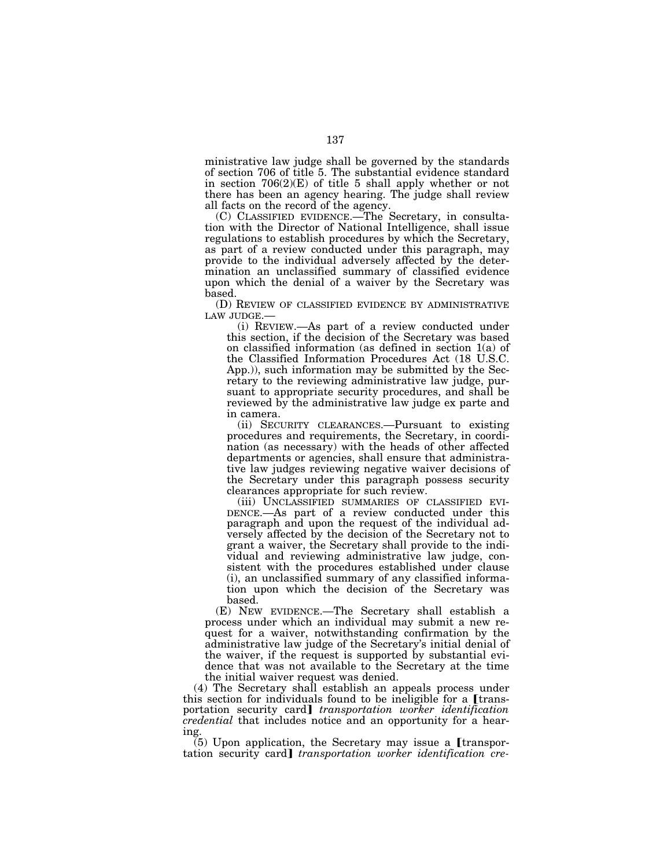ministrative law judge shall be governed by the standards of section 706 of title 5. The substantial evidence standard in section 706(2)(E) of title 5 shall apply whether or not there has been an agency hearing. The judge shall review all facts on the record of the agency.

(C) CLASSIFIED EVIDENCE.—The Secretary, in consultation with the Director of National Intelligence, shall issue regulations to establish procedures by which the Secretary, as part of a review conducted under this paragraph, may provide to the individual adversely affected by the determination an unclassified summary of classified evidence upon which the denial of a waiver by the Secretary was based.

(D) REVIEW OF CLASSIFIED EVIDENCE BY ADMINISTRATIVE LAW JUDGE.—

(i) REVIEW.—As part of a review conducted under this section, if the decision of the Secretary was based on classified information (as defined in section 1(a) of the Classified Information Procedures Act (18 U.S.C. App.)), such information may be submitted by the Secretary to the reviewing administrative law judge, pursuant to appropriate security procedures, and shall be reviewed by the administrative law judge ex parte and in camera.

(ii) SECURITY CLEARANCES.—Pursuant to existing procedures and requirements, the Secretary, in coordination (as necessary) with the heads of other affected departments or agencies, shall ensure that administrative law judges reviewing negative waiver decisions of the Secretary under this paragraph possess security clearances appropriate for such review.

(iii) UNCLASSIFIED SUMMARIES OF CLASSIFIED EVI-DENCE.—As part of a review conducted under this paragraph and upon the request of the individual adversely affected by the decision of the Secretary not to grant a waiver, the Secretary shall provide to the individual and reviewing administrative law judge, consistent with the procedures established under clause (i), an unclassified summary of any classified information upon which the decision of the Secretary was based.

(E) NEW EVIDENCE.—The Secretary shall establish a process under which an individual may submit a new request for a waiver, notwithstanding confirmation by the administrative law judge of the Secretary's initial denial of the waiver, if the request is supported by substantial evidence that was not available to the Secretary at the time the initial waiver request was denied.

(4) The Secretary shall establish an appeals process under this section for individuals found to be ineligible for a [transportation security card] *transportation worker identification credential* that includes notice and an opportunity for a hearing.

 $(5)$  Upon application, the Secretary may issue a *[transpor*tation security card] *transportation worker identification cre-*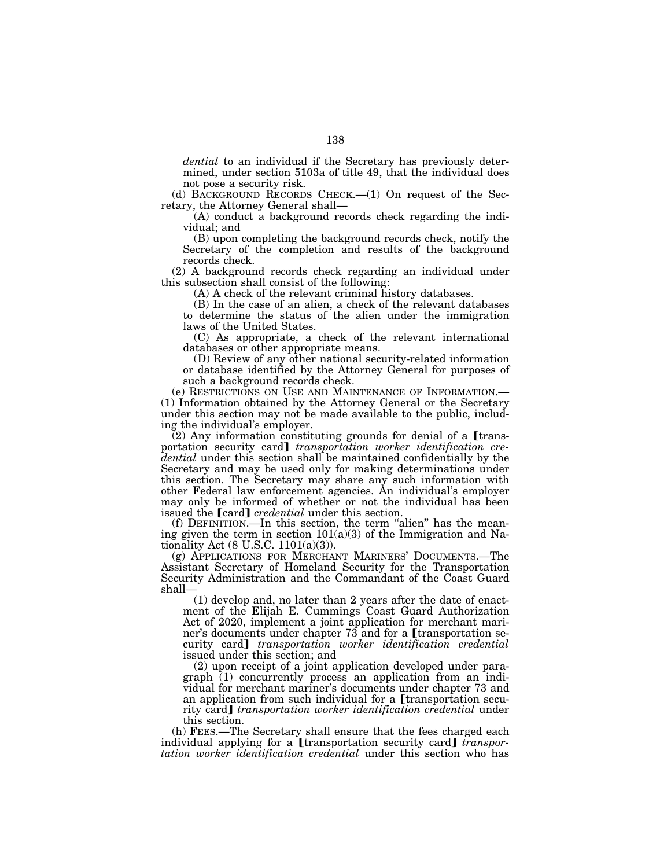*dential* to an individual if the Secretary has previously determined, under section 5103a of title 49, that the individual does not pose a security risk.

(d) BACKGROUND RECORDS CHECK.—(1) On request of the Secretary, the Attorney General shall—

(A) conduct a background records check regarding the individual; and

(B) upon completing the background records check, notify the Secretary of the completion and results of the background records check.

(2) A background records check regarding an individual under this subsection shall consist of the following:

(A) A check of the relevant criminal history databases.

(B) In the case of an alien, a check of the relevant databases to determine the status of the alien under the immigration laws of the United States.

(C) As appropriate, a check of the relevant international databases or other appropriate means.

(D) Review of any other national security-related information or database identified by the Attorney General for purposes of

such a background records check.<br>(e) RESTRICTIONS ON USE AND MAINTENANCE OF INFORMATION.— (1) Information obtained by the Attorney General or the Secretary under this section may not be made available to the public, including the individual's employer.

 $(2)$  Any information constituting grounds for denial of a [transportation security card] *transportation worker identification credential* under this section shall be maintained confidentially by the Secretary and may be used only for making determinations under this section. The Secretary may share any such information with other Federal law enforcement agencies. An individual's employer may only be informed of whether or not the individual has been issued the [card] *credential* under this section.

(f) DEFINITION.—In this section, the term ''alien'' has the meaning given the term in section  $101(a)(3)$  of the Immigration and Nationality Act  $(8 \text{ U.S.C. } 1101(a)(3))$ .

(g) APPLICATIONS FOR MERCHANT MARINERS' DOCUMENTS.—The Assistant Secretary of Homeland Security for the Transportation Security Administration and the Commandant of the Coast Guard shall—

(1) develop and, no later than 2 years after the date of enactment of the Elijah E. Cummings Coast Guard Authorization Act of 2020, implement a joint application for merchant mariner's documents under chapter 73 and for a *[transportation se*curity card] *transportation worker identification credential* issued under this section; and

(2) upon receipt of a joint application developed under paragraph (1) concurrently process an application from an individual for merchant mariner's documents under chapter 73 and an application from such individual for a *Leansportation* security card] *transportation worker identification credential* under this section.

(h) FEES.—The Secretary shall ensure that the fees charged each individual applying for a **[transportation security card]** *transportation worker identification credential* under this section who has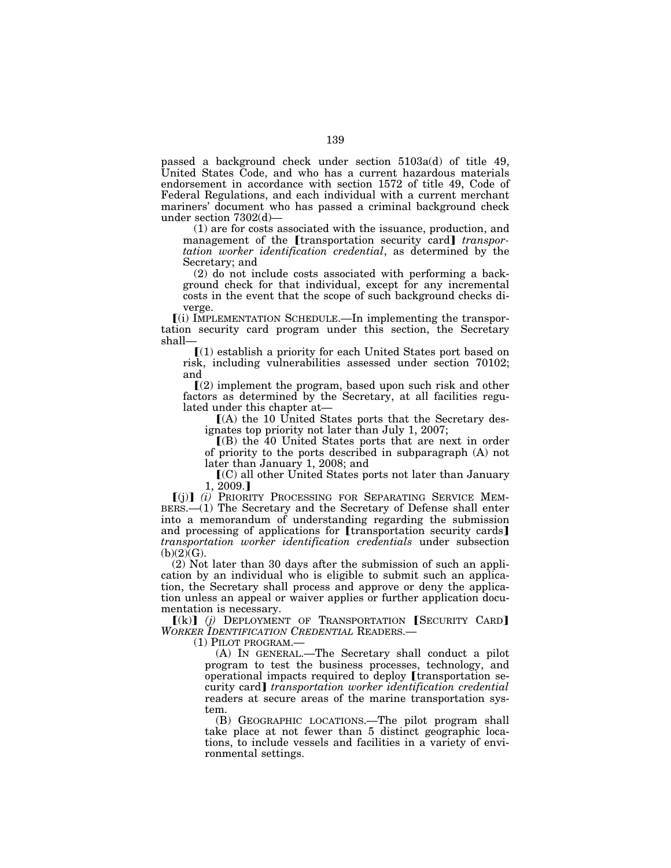passed a background check under section 5103a(d) of title 49, United States Code, and who has a current hazardous materials endorsement in accordance with section 1572 of title 49, Code of Federal Regulations, and each individual with a current merchant mariners' document who has passed a criminal background check under section 7302(d)—

(1) are for costs associated with the issuance, production, and management of the *[transportation security card] transportation worker identification credential*, as determined by the Secretary; and

(2) do not include costs associated with performing a background check for that individual, except for any incremental costs in the event that the scope of such background checks diverge.

ø(i) IMPLEMENTATION SCHEDULE.—In implementing the transportation security card program under this section, the Secretary shall—

 $(1)$  establish a priority for each United States port based on risk, including vulnerabilities assessed under section 70102; and

 $(2)$  implement the program, based upon such risk and other factors as determined by the Secretary, at all facilities regulated under this chapter at—

 $(A)$  the 10 United States ports that the Secretary designates top priority not later than July 1, 2007;

 $(6)$  the 40 United States ports that are next in order of priority to the ports described in subparagraph (A) not later than January 1, 2008; and

 $(C)$  all other United States ports not later than January  $1, 2009.$ 

[(j)] (i) PRIORITY PROCESSING FOR SEPARATING SERVICE MEM-BERS.—(1) The Secretary and the Secretary of Defense shall enter into a memorandum of understanding regarding the submission and processing of applications for [transportation security cards] *transportation worker identification credentials* under subsection  $(b)(2)(G)$ .

(2) Not later than 30 days after the submission of such an application by an individual who is eligible to submit such an application, the Secretary shall process and approve or deny the application unless an appeal or waiver applies or further application documentation is necessary.

[(k)] (j) DEPLOYMENT OF TRANSPORTATION [SECURITY CARD] *WORKER IDENTIFICATION CREDENTIAL* READERS.—

(1) PILOT PROGRAM.—

(A) IN GENERAL.—The Secretary shall conduct a pilot program to test the business processes, technology, and operational impacts required to deploy  $[transportion$ curity card¿ *transportation worker identification credential*  readers at secure areas of the marine transportation system.

(B) GEOGRAPHIC LOCATIONS.—The pilot program shall take place at not fewer than 5 distinct geographic locations, to include vessels and facilities in a variety of environmental settings.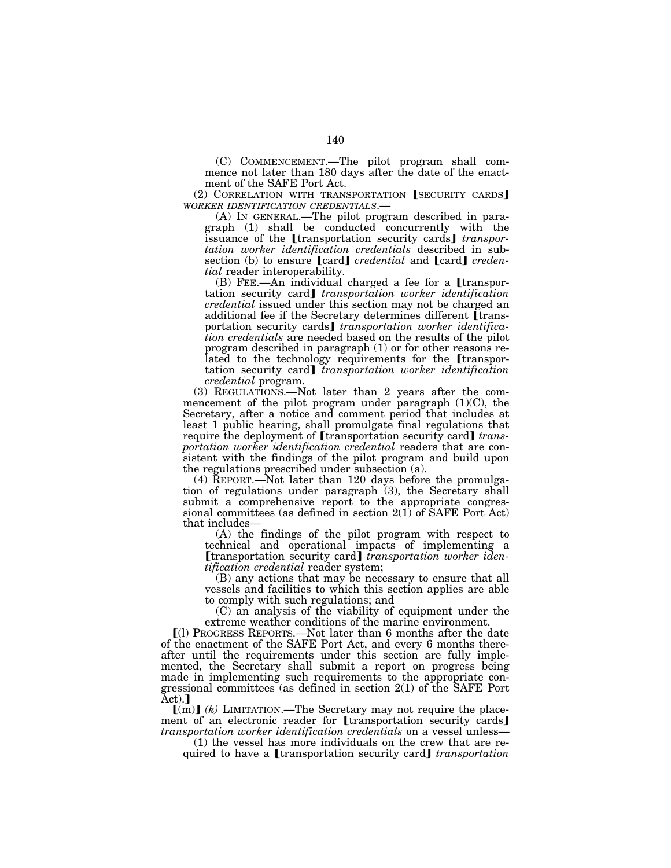(C) COMMENCEMENT.—The pilot program shall commence not later than 180 days after the date of the enactment of the SAFE Port Act.

(2) CORRELATION WITH TRANSPORTATION  $[$  SECURITY CARDS $]$  *WORKER IDENTIFICATION CREDENTIALS*.—

*(A)* In GENERAL.—The pilot program described in paragraph (1) shall be conducted concurrently with the issuance of the [transportation security cards] transpor*tation worker identification credentials* described in subsection (b) to ensure [card] *credential* and [card] *credential* reader interoperability.

 $(B)$  FEE.—An individual charged a fee for a [transportation security card¿ *transportation worker identification credential* issued under this section may not be charged an additional fee if the Secretary determines different [transportation security cards¿ *transportation worker identification credentials* are needed based on the results of the pilot program described in paragraph (1) or for other reasons related to the technology requirements for the [transportation security card] *transportation worker identification credential* program.

(3) REGULATIONS.—Not later than 2 years after the commencement of the pilot program under paragraph  $(1)(C)$ , the Secretary, after a notice and comment period that includes at least 1 public hearing, shall promulgate final regulations that require the deployment of [transportation security card] *transportation worker identification credential* readers that are consistent with the findings of the pilot program and build upon the regulations prescribed under subsection (a).

(4) REPORT.—Not later than 120 days before the promulgation of regulations under paragraph (3), the Secretary shall submit a comprehensive report to the appropriate congressional committees (as defined in section  $2(1)$  of SAFE Port Act) that includes—

(A) the findings of the pilot program with respect to technical and operational impacts of implementing a [transportation security card] *transportation worker identification credential* reader system;

(B) any actions that may be necessary to ensure that all vessels and facilities to which this section applies are able to comply with such regulations; and

(C) an analysis of the viability of equipment under the extreme weather conditions of the marine environment.

ø(l) PROGRESS REPORTS.—Not later than 6 months after the date of the enactment of the SAFE Port Act, and every 6 months thereafter until the requirements under this section are fully implemented, the Secretary shall submit a report on progress being made in implementing such requirements to the appropriate congressional committees (as defined in section 2(1) of the SAFE Port  $Act).$ 

 $(m)$  (k) LIMITATION.—The Secretary may not require the placement of an electronic reader for *f*transportation security cards *transportation worker identification credentials* on a vessel unless—

(1) the vessel has more individuals on the crew that are required to have a *[transportation security card] transportation*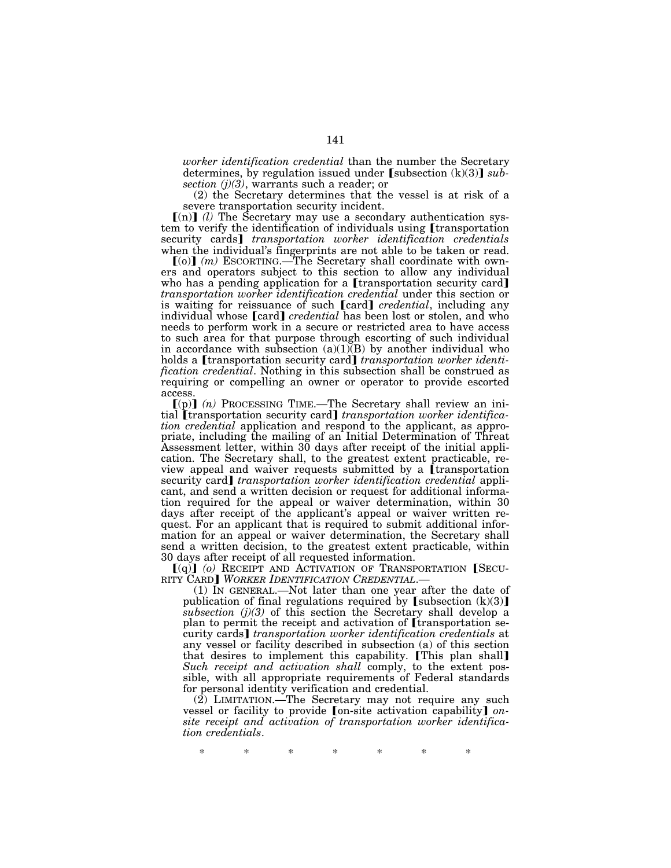*worker identification credential* than the number the Secretary determines, by regulation issued under  $\lceil \text{subsection (k)}(3) \rceil \text{sub-}$ *section (j)(3)*, warrants such a reader; or

(2) the Secretary determines that the vessel is at risk of a severe transportation security incident.

 $(n)$  *(l)* The Secretary may use a secondary authentication system to verify the identification of individuals using [transportation security cards] *transportation worker identification credentials* when the individual's fingerprints are not able to be taken or read.

 $[0(0)]$   $(m)$  ESCORTING.—The Secretary shall coordinate with owners and operators subject to this section to allow any individual who has a pending application for a [transportation security card] *transportation worker identification credential* under this section or is waiting for reissuance of such [card] *credential*, including any individual whose [card] *credential* has been lost or stolen, and who needs to perform work in a secure or restricted area to have access to such area for that purpose through escorting of such individual in accordance with subsection  $(a)(1)(B)$  by another individual who holds a *[transportation security card] transportation worker identification credential*. Nothing in this subsection shall be construed as requiring or compelling an owner or operator to provide escorted access.

 $(p)$  (*n*) PROCESSING TIME.—The Secretary shall review an initial [transportation security card] *transportation worker identification credential* application and respond to the applicant, as appropriate, including the mailing of an Initial Determination of Threat Assessment letter, within 30 days after receipt of the initial application. The Secretary shall, to the greatest extent practicable, review appeal and waiver requests submitted by a *[transportation* security card] *transportation worker identification credential* applicant, and send a written decision or request for additional information required for the appeal or waiver determination, within 30 days after receipt of the applicant's appeal or waiver written request. For an applicant that is required to submit additional information for an appeal or waiver determination, the Secretary shall send a written decision, to the greatest extent practicable, within 30 days after receipt of all requested information.

 $(q)$  (o) RECEIPT AND ACTIVATION OF TRANSPORTATION SECU-RITY CARD¿ *WORKER IDENTIFICATION CREDENTIAL*.—

(1) IN GENERAL.—Not later than one year after the date of publication of final regulations required by [subsection  $(k)(3)$ ] *subsection (j)(3)* of this section the Secretary shall develop a plan to permit the receipt and activation of **[transportation** security cards¿ *transportation worker identification credentials* at any vessel or facility described in subsection (a) of this section that desires to implement this capability. **[This plan shall**] *Such receipt and activation shall* comply, to the extent possible, with all appropriate requirements of Federal standards for personal identity verification and credential.

(2) LIMITATION.—The Secretary may not require any such vessel or facility to provide [on-site activation capability] on*site receipt and activation of transportation worker identification credentials*.

\* \* \* \* \* \* \*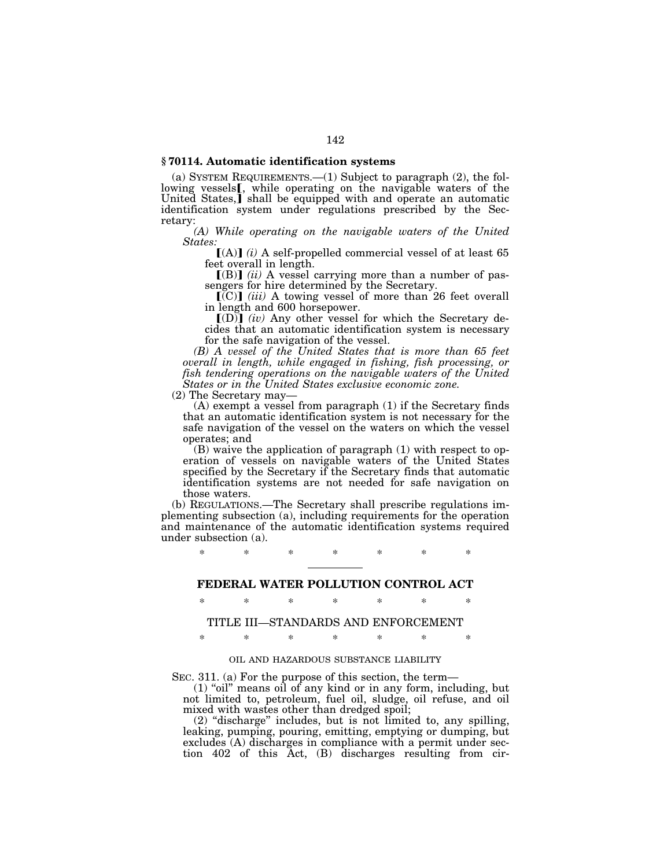### **§ 70114. Automatic identification systems**

(a) SYSTEM REQUIREMENTS.—(1) Subject to paragraph (2), the following vessels<sup>[</sup>, while operating on the navigable waters of the United States, shall be equipped with and operate an automatic identification system under regulations prescribed by the Secretary:

*(A) While operating on the navigable waters of the United States:* 

 $[(A)]$  *(i)* A self-propelled commercial vessel of at least 65 feet overall in length.

 $[(B)]$   $(ii)$  A vessel carrying more than a number of passengers for hire determined by the Secretary.

 $\left[\left[\begin{matrix} \overline{C} \end{matrix}\right]\right]$  *(iii)* A towing vessel of more than 26 feet overall in length and 600 horsepower.

 $[(D)]$  *(iv)* Any other vessel for which the Secretary decides that an automatic identification system is necessary for the safe navigation of the vessel.

*(B) A vessel of the United States that is more than 65 feet overall in length, while engaged in fishing, fish processing, or*  fish tendering operations on the navigable waters of the United *States or in the United States exclusive economic zone.* 

(2) The Secretary may—

(A) exempt a vessel from paragraph (1) if the Secretary finds that an automatic identification system is not necessary for the safe navigation of the vessel on the waters on which the vessel operates; and

(B) waive the application of paragraph (1) with respect to operation of vessels on navigable waters of the United States specified by the Secretary if the Secretary finds that automatic identification systems are not needed for safe navigation on those waters.

(b) REGULATIONS.—The Secretary shall prescribe regulations implementing subsection (a), including requirements for the operation and maintenance of the automatic identification systems required under subsection (a).

\* \* \* \* \* \* \*

### **FEDERAL WATER POLLUTION CONTROL ACT**

\* \* \* \* \* \* \*

TITLE III—STANDARDS AND ENFORCEMENT

\* \* \* \* \* \* \*

### OIL AND HAZARDOUS SUBSTANCE LIABILITY

SEC. 311. (a) For the purpose of this section, the term—  $(1)$  "oil" means oil of any kind or in any form, including, but not limited to, petroleum, fuel oil, sludge, oil refuse, and oil mixed with wastes other than dredged spoil;

(2) ''discharge'' includes, but is not limited to, any spilling, leaking, pumping, pouring, emitting, emptying or dumping, but excludes (A) discharges in compliance with a permit under section 402 of this Act, (B) discharges resulting from cir-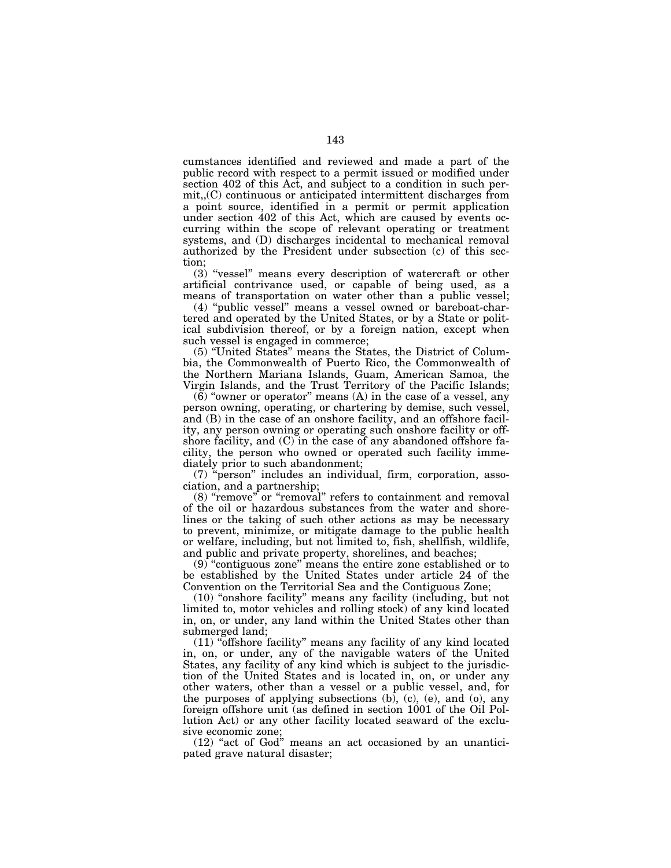cumstances identified and reviewed and made a part of the public record with respect to a permit issued or modified under section 402 of this Act, and subject to a condition in such permit,,(C) continuous or anticipated intermittent discharges from a point source, identified in a permit or permit application under section 402 of this Act, which are caused by events occurring within the scope of relevant operating or treatment systems, and (D) discharges incidental to mechanical removal authorized by the President under subsection (c) of this section;

(3) ''vessel'' means every description of watercraft or other artificial contrivance used, or capable of being used, as a means of transportation on water other than a public vessel;

(4) ''public vessel'' means a vessel owned or bareboat-chartered and operated by the United States, or by a State or political subdivision thereof, or by a foreign nation, except when such vessel is engaged in commerce;

(5) ''United States'' means the States, the District of Columbia, the Commonwealth of Puerto Rico, the Commonwealth of the Northern Mariana Islands, Guam, American Samoa, the Virgin Islands, and the Trust Territory of the Pacific Islands;

 $(6)$  "owner or operator" means  $(A)$  in the case of a vessel, any person owning, operating, or chartering by demise, such vessel, and (B) in the case of an onshore facility, and an offshore facility, any person owning or operating such onshore facility or offshore facility, and (C) in the case of any abandoned offshore facility, the person who owned or operated such facility immediately prior to such abandonment;

(7) ''person'' includes an individual, firm, corporation, association, and a partnership;

(8) ''remove'' or ''removal'' refers to containment and removal of the oil or hazardous substances from the water and shorelines or the taking of such other actions as may be necessary to prevent, minimize, or mitigate damage to the public health or welfare, including, but not limited to, fish, shellfish, wildlife, and public and private property, shorelines, and beaches;

 $(9)$  "contiguous zone" means the entire zone established or to be established by the United States under article 24 of the Convention on the Territorial Sea and the Contiguous Zone;

(10) ''onshore facility'' means any facility (including, but not limited to, motor vehicles and rolling stock) of any kind located in, on, or under, any land within the United States other than submerged land;

(11) ''offshore facility'' means any facility of any kind located in, on, or under, any of the navigable waters of the United States, any facility of any kind which is subject to the jurisdiction of the United States and is located in, on, or under any other waters, other than a vessel or a public vessel, and, for the purposes of applying subsections  $(b)$ ,  $(c)$ ,  $(e)$ , and  $(o)$ , any foreign offshore unit (as defined in section 1001 of the Oil Pollution Act) or any other facility located seaward of the exclusive economic zone;

 $(12)$  "act of God" means an act occasioned by an unanticipated grave natural disaster;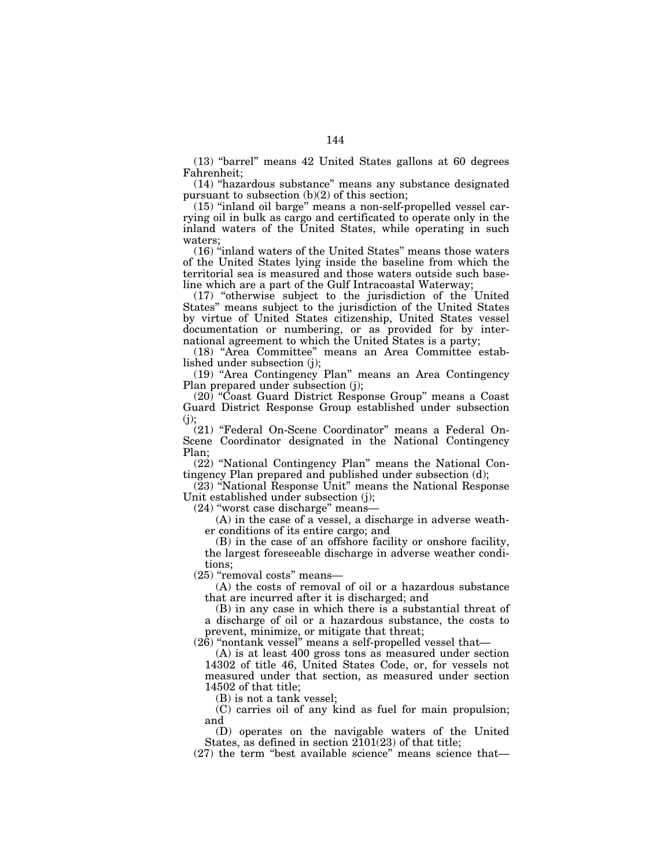(13) ''barrel'' means 42 United States gallons at 60 degrees Fahrenheit;

(14) ''hazardous substance'' means any substance designated pursuant to subsection (b)(2) of this section;

(15) ''inland oil barge'' means a non-self-propelled vessel carrying oil in bulk as cargo and certificated to operate only in the inland waters of the United States, while operating in such waters;

(16) ''inland waters of the United States'' means those waters of the United States lying inside the baseline from which the territorial sea is measured and those waters outside such baseline which are a part of the Gulf Intracoastal Waterway;

(17) ''otherwise subject to the jurisdiction of the United States'' means subject to the jurisdiction of the United States by virtue of United States citizenship, United States vessel documentation or numbering, or as provided for by international agreement to which the United States is a party;

(18) ''Area Committee'' means an Area Committee established under subsection (j);

(19) "Area Contingency Plan" means an Area Contingency Plan prepared under subsection (j);

(20) ''Coast Guard District Response Group'' means a Coast Guard District Response Group established under subsection (j);

(21) ''Federal On-Scene Coordinator'' means a Federal On-Scene Coordinator designated in the National Contingency Plan;

(22) ''National Contingency Plan'' means the National Contingency Plan prepared and published under subsection (d);

(23) ''National Response Unit'' means the National Response Unit established under subsection (j);

 $(24)$  "worst case discharge" means-

(A) in the case of a vessel, a discharge in adverse weather conditions of its entire cargo; and

(B) in the case of an offshore facility or onshore facility, the largest foreseeable discharge in adverse weather conditions;

(25) ''removal costs'' means—

(A) the costs of removal of oil or a hazardous substance that are incurred after it is discharged; and

(B) in any case in which there is a substantial threat of a discharge of oil or a hazardous substance, the costs to prevent, minimize, or mitigate that threat;

(26) ''nontank vessel'' means a self-propelled vessel that—

(A) is at least 400 gross tons as measured under section 14302 of title 46, United States Code, or, for vessels not measured under that section, as measured under section 14502 of that title;

(B) is not a tank vessel;

(C) carries oil of any kind as fuel for main propulsion; and

(D) operates on the navigable waters of the United States, as defined in section 2101(23) of that title;

(27) the term ''best available science'' means science that—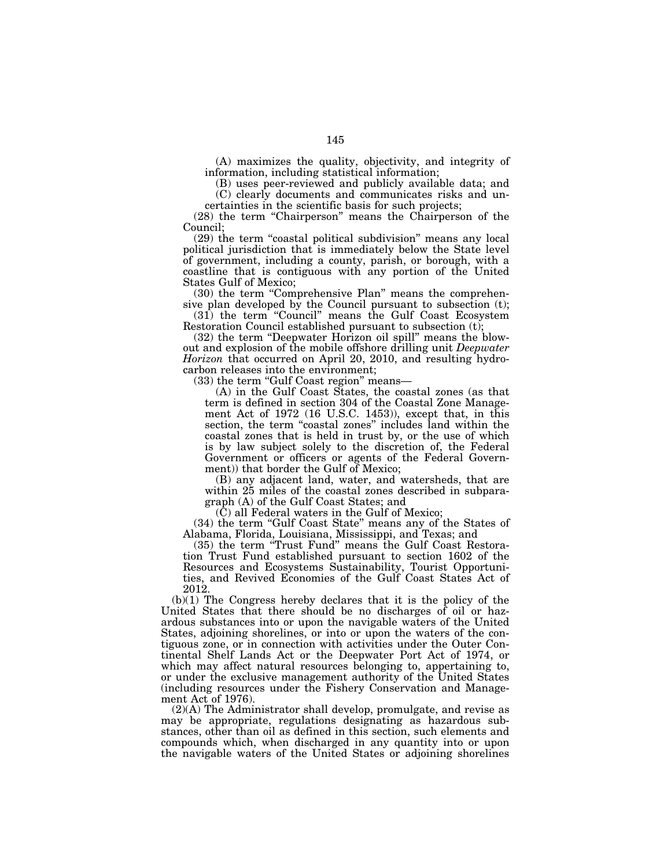(A) maximizes the quality, objectivity, and integrity of information, including statistical information;

(B) uses peer-reviewed and publicly available data; and

(C) clearly documents and communicates risks and uncertainties in the scientific basis for such projects;

(28) the term ''Chairperson'' means the Chairperson of the Council;

(29) the term "coastal political subdivision" means any local political jurisdiction that is immediately below the State level of government, including a county, parish, or borough, with a coastline that is contiguous with any portion of the United States Gulf of Mexico;

(30) the term "Comprehensive Plan" means the comprehensive plan developed by the Council pursuant to subsection (t);

(31) the term ''Council'' means the Gulf Coast Ecosystem Restoration Council established pursuant to subsection (t);

(32) the term ''Deepwater Horizon oil spill'' means the blowout and explosion of the mobile offshore drilling unit *Deepwater Horizon* that occurred on April 20, 2010, and resulting hydrocarbon releases into the environment;

(33) the term "Gulf Coast region" means-

(A) in the Gulf Coast States, the coastal zones (as that term is defined in section 304 of the Coastal Zone Management Act of 1972 (16 U.S.C. 1453)), except that, in this section, the term "coastal zones" includes land within the coastal zones that is held in trust by, or the use of which is by law subject solely to the discretion of, the Federal Government or officers or agents of the Federal Government)) that border the Gulf of Mexico;

(B) any adjacent land, water, and watersheds, that are within 25 miles of the coastal zones described in subparagraph (A) of the Gulf Coast States; and

(C) all Federal waters in the Gulf of Mexico;

(34) the term ''Gulf Coast State'' means any of the States of Alabama, Florida, Louisiana, Mississippi, and Texas; and

(35) the term ''Trust Fund'' means the Gulf Coast Restoration Trust Fund established pursuant to section 1602 of the Resources and Ecosystems Sustainability, Tourist Opportunities, and Revived Economies of the Gulf Coast States Act of 2012.

(b)(1) The Congress hereby declares that it is the policy of the United States that there should be no discharges of oil or hazardous substances into or upon the navigable waters of the United States, adjoining shorelines, or into or upon the waters of the contiguous zone, or in connection with activities under the Outer Continental Shelf Lands Act or the Deepwater Port Act of 1974, or which may affect natural resources belonging to, appertaining to, or under the exclusive management authority of the United States (including resources under the Fishery Conservation and Management Act of 1976).

(2)(A) The Administrator shall develop, promulgate, and revise as may be appropriate, regulations designating as hazardous substances, other than oil as defined in this section, such elements and compounds which, when discharged in any quantity into or upon the navigable waters of the United States or adjoining shorelines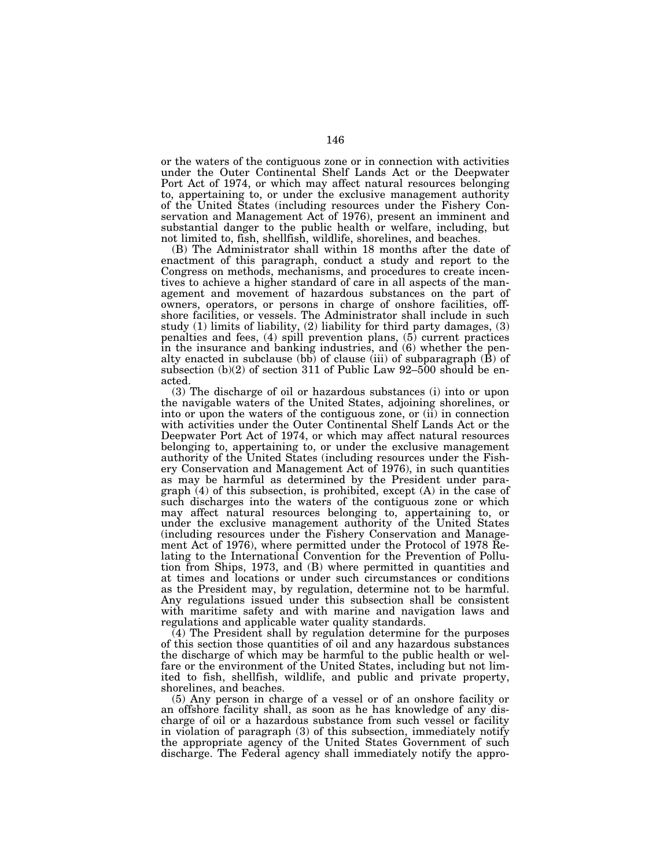or the waters of the contiguous zone or in connection with activities under the Outer Continental Shelf Lands Act or the Deepwater Port Act of 1974, or which may affect natural resources belonging to, appertaining to, or under the exclusive management authority of the United States (including resources under the Fishery Conservation and Management Act of 1976), present an imminent and substantial danger to the public health or welfare, including, but not limited to, fish, shellfish, wildlife, shorelines, and beaches.

(B) The Administrator shall within 18 months after the date of enactment of this paragraph, conduct a study and report to the Congress on methods, mechanisms, and procedures to create incentives to achieve a higher standard of care in all aspects of the management and movement of hazardous substances on the part of owners, operators, or persons in charge of onshore facilities, offshore facilities, or vessels. The Administrator shall include in such study (1) limits of liability, (2) liability for third party damages, (3) penalties and fees, (4) spill prevention plans, (5) current practices in the insurance and banking industries, and (6) whether the penalty enacted in subclause (bb) of clause (iii) of subparagraph (B) of subsection (b)(2) of section 311 of Public Law 92–500 should be enacted.

(3) The discharge of oil or hazardous substances (i) into or upon the navigable waters of the United States, adjoining shorelines, or into or upon the waters of the contiguous zone, or (ii) in connection with activities under the Outer Continental Shelf Lands Act or the Deepwater Port Act of 1974, or which may affect natural resources belonging to, appertaining to, or under the exclusive management authority of the United States (including resources under the Fishery Conservation and Management Act of 1976), in such quantities as may be harmful as determined by the President under paragraph (4) of this subsection, is prohibited, except (A) in the case of such discharges into the waters of the contiguous zone or which may affect natural resources belonging to, appertaining to, or under the exclusive management authority of the United States (including resources under the Fishery Conservation and Management Act of 1976), where permitted under the Protocol of 1978 Relating to the International Convention for the Prevention of Pollution from Ships, 1973, and (B) where permitted in quantities and at times and locations or under such circumstances or conditions as the President may, by regulation, determine not to be harmful. Any regulations issued under this subsection shall be consistent with maritime safety and with marine and navigation laws and regulations and applicable water quality standards.

(4) The President shall by regulation determine for the purposes of this section those quantities of oil and any hazardous substances the discharge of which may be harmful to the public health or welfare or the environment of the United States, including but not limited to fish, shellfish, wildlife, and public and private property, shorelines, and beaches.

(5) Any person in charge of a vessel or of an onshore facility or an offshore facility shall, as soon as he has knowledge of any discharge of oil or a hazardous substance from such vessel or facility in violation of paragraph (3) of this subsection, immediately notify the appropriate agency of the United States Government of such discharge. The Federal agency shall immediately notify the appro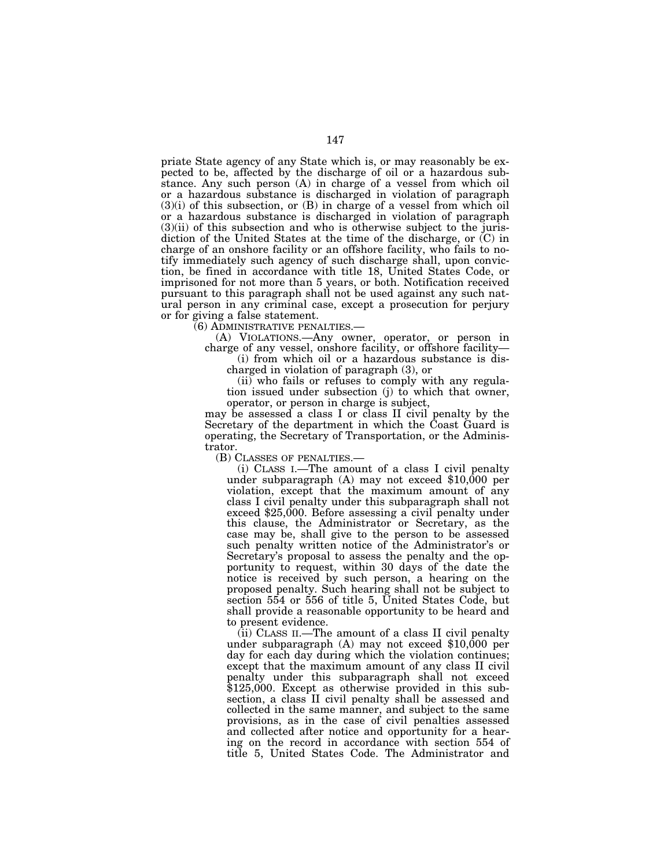priate State agency of any State which is, or may reasonably be expected to be, affected by the discharge of oil or a hazardous substance. Any such person (A) in charge of a vessel from which oil or a hazardous substance is discharged in violation of paragraph (3)(i) of this subsection, or (B) in charge of a vessel from which oil or a hazardous substance is discharged in violation of paragraph  $(3)(ii)$  of this subsection and who is otherwise subject to the jurisdiction of the United States at the time of the discharge, or (C) in charge of an onshore facility or an offshore facility, who fails to notify immediately such agency of such discharge shall, upon conviction, be fined in accordance with title 18, United States Code, or imprisoned for not more than 5 years, or both. Notification received pursuant to this paragraph shall not be used against any such natural person in any criminal case, except a prosecution for perjury or for giving a false statement.

(6) ADMINISTRATIVE PENALTIES.—

(A) VIOLATIONS.—Any owner, operator, or person in charge of any vessel, onshore facility, or offshore facility—

(i) from which oil or a hazardous substance is discharged in violation of paragraph (3), or

(ii) who fails or refuses to comply with any regulation issued under subsection (j) to which that owner, operator, or person in charge is subject,

may be assessed a class I or class II civil penalty by the Secretary of the department in which the Coast Guard is operating, the Secretary of Transportation, or the Administrator.<br>(B) CLASSES OF PENALTIES.—

(i) CLASS I.—The amount of a class I civil penalty under subparagraph (A) may not exceed \$10,000 per violation, except that the maximum amount of any class I civil penalty under this subparagraph shall not exceed \$25,000. Before assessing a civil penalty under this clause, the Administrator or Secretary, as the case may be, shall give to the person to be assessed such penalty written notice of the Administrator's or Secretary's proposal to assess the penalty and the opportunity to request, within 30 days of the date the notice is received by such person, a hearing on the proposed penalty. Such hearing shall not be subject to section 554 or 556 of title 5, United States Code, but shall provide a reasonable opportunity to be heard and to present evidence.

(ii) CLASS II.—The amount of a class II civil penalty under subparagraph (A) may not exceed \$10,000 per day for each day during which the violation continues; except that the maximum amount of any class II civil penalty under this subparagraph shall not exceed \$125,000. Except as otherwise provided in this subsection, a class II civil penalty shall be assessed and collected in the same manner, and subject to the same provisions, as in the case of civil penalties assessed and collected after notice and opportunity for a hearing on the record in accordance with section 554 of title 5, United States Code. The Administrator and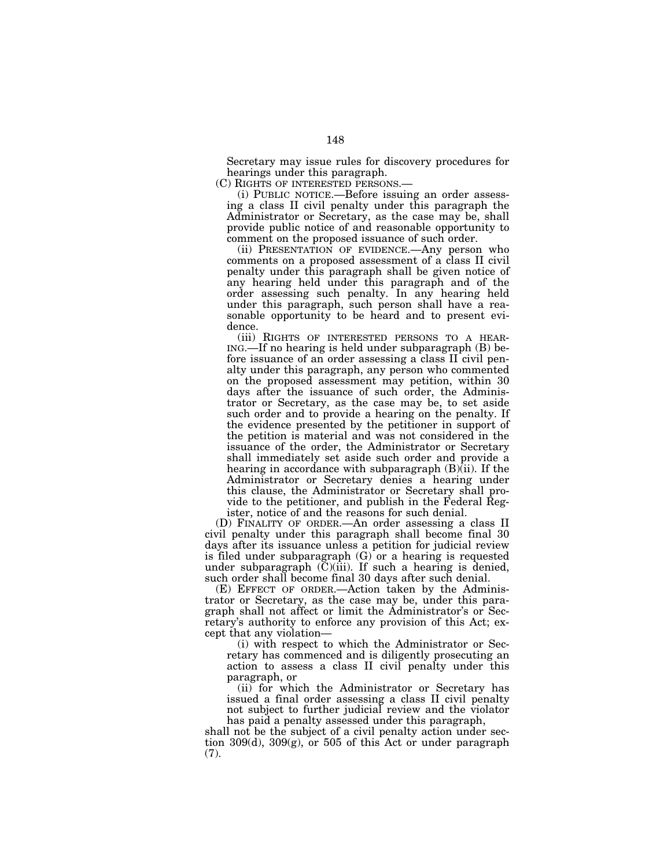Secretary may issue rules for discovery procedures for hearings under this paragraph.

(C) RIGHTS OF INTERESTED PERSONS.— (i) PUBLIC NOTICE.—Before issuing an order assessing a class II civil penalty under this paragraph the Administrator or Secretary, as the case may be, shall provide public notice of and reasonable opportunity to comment on the proposed issuance of such order.

(ii) PRESENTATION OF EVIDENCE.—Any person who comments on a proposed assessment of a class II civil penalty under this paragraph shall be given notice of any hearing held under this paragraph and of the order assessing such penalty. In any hearing held under this paragraph, such person shall have a reasonable opportunity to be heard and to present evidence.

(iii) RIGHTS OF INTERESTED PERSONS TO A HEAR- ING.—If no hearing is held under subparagraph (B) before issuance of an order assessing a class II civil penalty under this paragraph, any person who commented on the proposed assessment may petition, within 30 days after the issuance of such order, the Administrator or Secretary, as the case may be, to set aside such order and to provide a hearing on the penalty. If the evidence presented by the petitioner in support of the petition is material and was not considered in the issuance of the order, the Administrator or Secretary shall immediately set aside such order and provide a hearing in accordance with subparagraph  $(B)$ (ii). If the Administrator or Secretary denies a hearing under this clause, the Administrator or Secretary shall provide to the petitioner, and publish in the Federal Register, notice of and the reasons for such denial.

(D) FINALITY OF ORDER.—An order assessing a class II civil penalty under this paragraph shall become final 30 days after its issuance unless a petition for judicial review is filed under subparagraph  $(G)$  or a hearing is requested under subparagraph  $(C)(iii)$ . If such a hearing is denied, such order shall become final 30 days after such denial.

(E) EFFECT OF ORDER.—Action taken by the Administrator or Secretary, as the case may be, under this paragraph shall not affect or limit the Administrator's or Secretary's authority to enforce any provision of this Act; except that any violation—

(i) with respect to which the Administrator or Secretary has commenced and is diligently prosecuting an action to assess a class II civil penalty under this paragraph, or

(ii) for which the Administrator or Secretary has issued a final order assessing a class II civil penalty not subject to further judicial review and the violator has paid a penalty assessed under this paragraph,

shall not be the subject of a civil penalty action under section 309(d), 309(g), or 505 of this Act or under paragraph (7).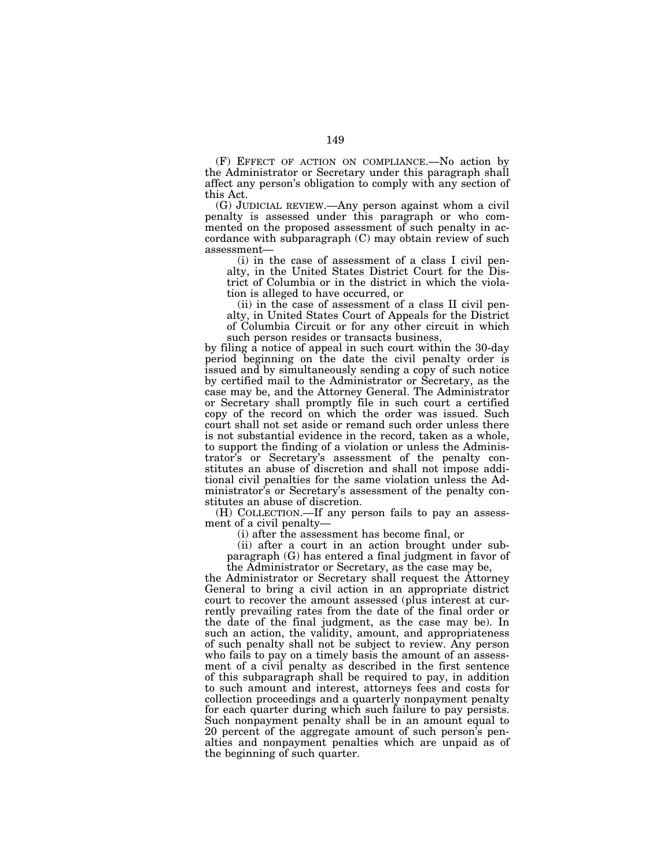(F) EFFECT OF ACTION ON COMPLIANCE.—No action by the Administrator or Secretary under this paragraph shall affect any person's obligation to comply with any section of this Act.

(G) JUDICIAL REVIEW.—Any person against whom a civil penalty is assessed under this paragraph or who commented on the proposed assessment of such penalty in accordance with subparagraph (C) may obtain review of such assessment—

(i) in the case of assessment of a class I civil penalty, in the United States District Court for the District of Columbia or in the district in which the violation is alleged to have occurred, or

(ii) in the case of assessment of a class II civil penalty, in United States Court of Appeals for the District of Columbia Circuit or for any other circuit in which such person resides or transacts business,

by filing a notice of appeal in such court within the 30-day period beginning on the date the civil penalty order is issued and by simultaneously sending a copy of such notice by certified mail to the Administrator or Secretary, as the case may be, and the Attorney General. The Administrator or Secretary shall promptly file in such court a certified copy of the record on which the order was issued. Such court shall not set aside or remand such order unless there is not substantial evidence in the record, taken as a whole, to support the finding of a violation or unless the Administrator's or Secretary's assessment of the penalty constitutes an abuse of discretion and shall not impose additional civil penalties for the same violation unless the Administrator's or Secretary's assessment of the penalty constitutes an abuse of discretion.

(H) COLLECTION.—If any person fails to pay an assessment of a civil penalty—

(i) after the assessment has become final, or

(ii) after a court in an action brought under subparagraph (G) has entered a final judgment in favor of

the Administrator or Secretary, as the case may be, the Administrator or Secretary shall request the Attorney General to bring a civil action in an appropriate district court to recover the amount assessed (plus interest at currently prevailing rates from the date of the final order or the date of the final judgment, as the case may be). In such an action, the validity, amount, and appropriateness of such penalty shall not be subject to review. Any person who fails to pay on a timely basis the amount of an assessment of a civil penalty as described in the first sentence of this subparagraph shall be required to pay, in addition to such amount and interest, attorneys fees and costs for collection proceedings and a quarterly nonpayment penalty for each quarter during which such failure to pay persists. Such nonpayment penalty shall be in an amount equal to 20 percent of the aggregate amount of such person's penalties and nonpayment penalties which are unpaid as of the beginning of such quarter.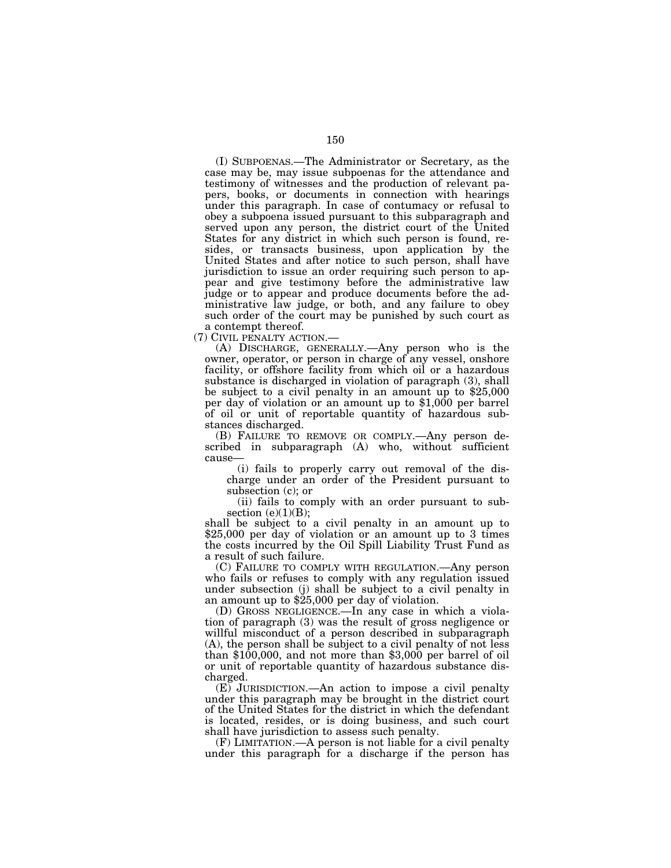(I) SUBPOENAS.—The Administrator or Secretary, as the case may be, may issue subpoenas for the attendance and testimony of witnesses and the production of relevant papers, books, or documents in connection with hearings under this paragraph. In case of contumacy or refusal to obey a subpoena issued pursuant to this subparagraph and served upon any person, the district court of the United States for any district in which such person is found, resides, or transacts business, upon application by the United States and after notice to such person, shall have jurisdiction to issue an order requiring such person to appear and give testimony before the administrative law judge or to appear and produce documents before the administrative law judge, or both, and any failure to obey such order of the court may be punished by such court as a contempt thereof.

(7) CIVIL PENALTY ACTION.—

(A) DISCHARGE, GENERALLY.—Any person who is the owner, operator, or person in charge of any vessel, onshore facility, or offshore facility from which oil or a hazardous substance is discharged in violation of paragraph (3), shall be subject to a civil penalty in an amount up to \$25,000 per day of violation or an amount up to \$1,000 per barrel of oil or unit of reportable quantity of hazardous substances discharged.

(B) FAILURE TO REMOVE OR COMPLY.—Any person described in subparagraph (A) who, without sufficient cause—

(i) fails to properly carry out removal of the discharge under an order of the President pursuant to subsection (c); or

(ii) fails to comply with an order pursuant to subsection  $(e)(1)(B)$ ;

shall be subject to a civil penalty in an amount up to \$25,000 per day of violation or an amount up to 3 times the costs incurred by the Oil Spill Liability Trust Fund as a result of such failure.

(C) FAILURE TO COMPLY WITH REGULATION.—Any person who fails or refuses to comply with any regulation issued under subsection (j) shall be subject to a civil penalty in an amount up to \$25,000 per day of violation.

(D) GROSS NEGLIGENCE.—In any case in which a violation of paragraph (3) was the result of gross negligence or willful misconduct of a person described in subparagraph (A), the person shall be subject to a civil penalty of not less than \$100,000, and not more than \$3,000 per barrel of oil or unit of reportable quantity of hazardous substance discharged.

(E) JURISDICTION.—An action to impose a civil penalty under this paragraph may be brought in the district court of the United States for the district in which the defendant is located, resides, or is doing business, and such court shall have jurisdiction to assess such penalty.

(F) LIMITATION.—A person is not liable for a civil penalty under this paragraph for a discharge if the person has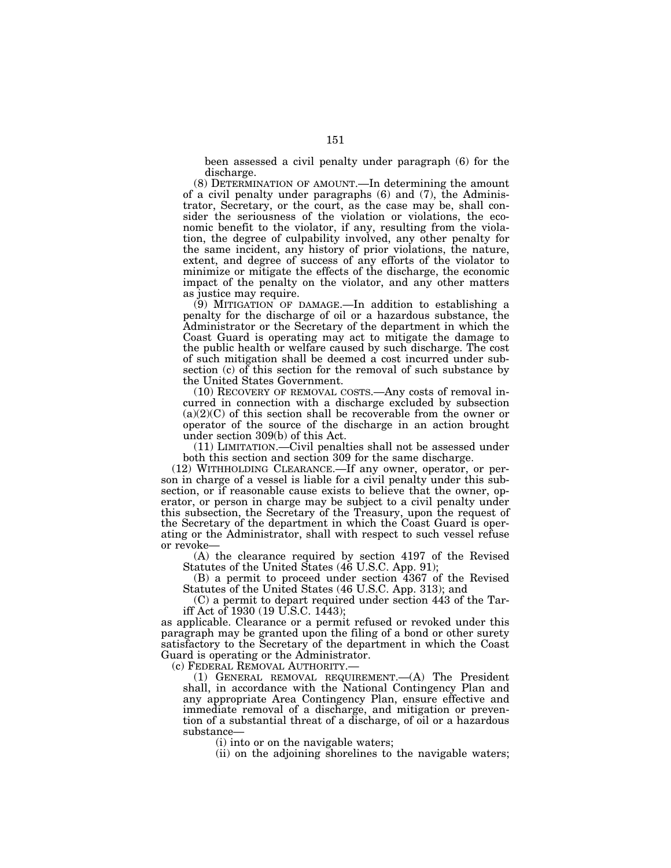been assessed a civil penalty under paragraph (6) for the discharge.

(8) DETERMINATION OF AMOUNT.—In determining the amount of a civil penalty under paragraphs (6) and (7), the Administrator, Secretary, or the court, as the case may be, shall consider the seriousness of the violation or violations, the economic benefit to the violator, if any, resulting from the violation, the degree of culpability involved, any other penalty for the same incident, any history of prior violations, the nature, extent, and degree of success of any efforts of the violator to minimize or mitigate the effects of the discharge, the economic impact of the penalty on the violator, and any other matters as justice may require.

(9) MITIGATION OF DAMAGE.—In addition to establishing a penalty for the discharge of oil or a hazardous substance, the Administrator or the Secretary of the department in which the Coast Guard is operating may act to mitigate the damage to the public health or welfare caused by such discharge. The cost of such mitigation shall be deemed a cost incurred under subsection (c) of this section for the removal of such substance by the United States Government.

(10) RECOVERY OF REMOVAL COSTS.—Any costs of removal incurred in connection with a discharge excluded by subsection  $(a)(2)(C)$  of this section shall be recoverable from the owner or operator of the source of the discharge in an action brought under section 309(b) of this Act.

(11) LIMITATION.—Civil penalties shall not be assessed under both this section and section 309 for the same discharge.

(12) WITHHOLDING CLEARANCE.—If any owner, operator, or person in charge of a vessel is liable for a civil penalty under this subsection, or if reasonable cause exists to believe that the owner, operator, or person in charge may be subject to a civil penalty under this subsection, the Secretary of the Treasury, upon the request of the Secretary of the department in which the Coast Guard is operating or the Administrator, shall with respect to such vessel refuse or revoke—

(A) the clearance required by section 4197 of the Revised Statutes of the United States (46 U.S.C. App. 91);

(B) a permit to proceed under section 4367 of the Revised Statutes of the United States (46 U.S.C. App. 313); and

(C) a permit to depart required under section 443 of the Tariff Act of 1930 (19 U.S.C. 1443);

as applicable. Clearance or a permit refused or revoked under this paragraph may be granted upon the filing of a bond or other surety satisfactory to the Secretary of the department in which the Coast Guard is operating or the Administrator.

(c) FEDERAL REMOVAL AUTHORITY.—

(1) GENERAL REMOVAL REQUIREMENT.—(A) The President shall, in accordance with the National Contingency Plan and any appropriate Area Contingency Plan, ensure effective and immediate removal of a discharge, and mitigation or prevention of a substantial threat of a discharge, of oil or a hazardous substance—

(i) into or on the navigable waters;

(ii) on the adjoining shorelines to the navigable waters;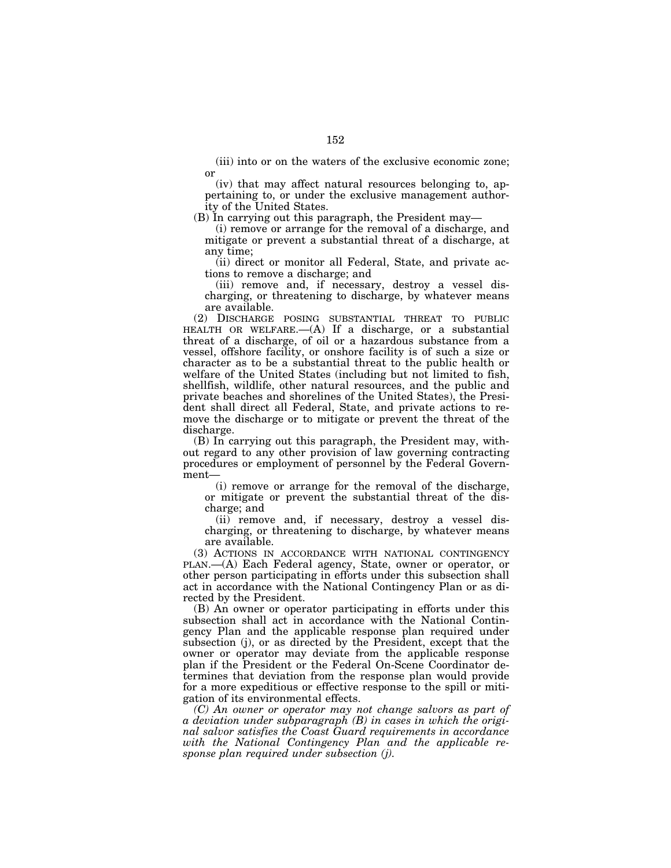(iii) into or on the waters of the exclusive economic zone; or

(iv) that may affect natural resources belonging to, appertaining to, or under the exclusive management authority of the United States.

(B) In carrying out this paragraph, the President may—

(i) remove or arrange for the removal of a discharge, and mitigate or prevent a substantial threat of a discharge, at any time;

(ii) direct or monitor all Federal, State, and private actions to remove a discharge; and

(iii) remove and, if necessary, destroy a vessel discharging, or threatening to discharge, by whatever means are available.

(2) DISCHARGE POSING SUBSTANTIAL THREAT TO PUBLIC HEALTH OR WELFARE.—(A) If a discharge, or a substantial threat of a discharge, of oil or a hazardous substance from a vessel, offshore facility, or onshore facility is of such a size or character as to be a substantial threat to the public health or welfare of the United States (including but not limited to fish, shellfish, wildlife, other natural resources, and the public and private beaches and shorelines of the United States), the President shall direct all Federal, State, and private actions to remove the discharge or to mitigate or prevent the threat of the discharge.

(B) In carrying out this paragraph, the President may, without regard to any other provision of law governing contracting procedures or employment of personnel by the Federal Government—

(i) remove or arrange for the removal of the discharge, or mitigate or prevent the substantial threat of the discharge; and

(ii) remove and, if necessary, destroy a vessel discharging, or threatening to discharge, by whatever means are available.

(3) ACTIONS IN ACCORDANCE WITH NATIONAL CONTINGENCY PLAN.—(A) Each Federal agency, State, owner or operator, or other person participating in efforts under this subsection shall act in accordance with the National Contingency Plan or as directed by the President.

(B) An owner or operator participating in efforts under this subsection shall act in accordance with the National Contingency Plan and the applicable response plan required under subsection (j), or as directed by the President, except that the owner or operator may deviate from the applicable response plan if the President or the Federal On-Scene Coordinator determines that deviation from the response plan would provide for a more expeditious or effective response to the spill or mitigation of its environmental effects.

*(C) An owner or operator may not change salvors as part of a deviation under subparagraph (B) in cases in which the original salvor satisfies the Coast Guard requirements in accordance with the National Contingency Plan and the applicable response plan required under subsection (j).*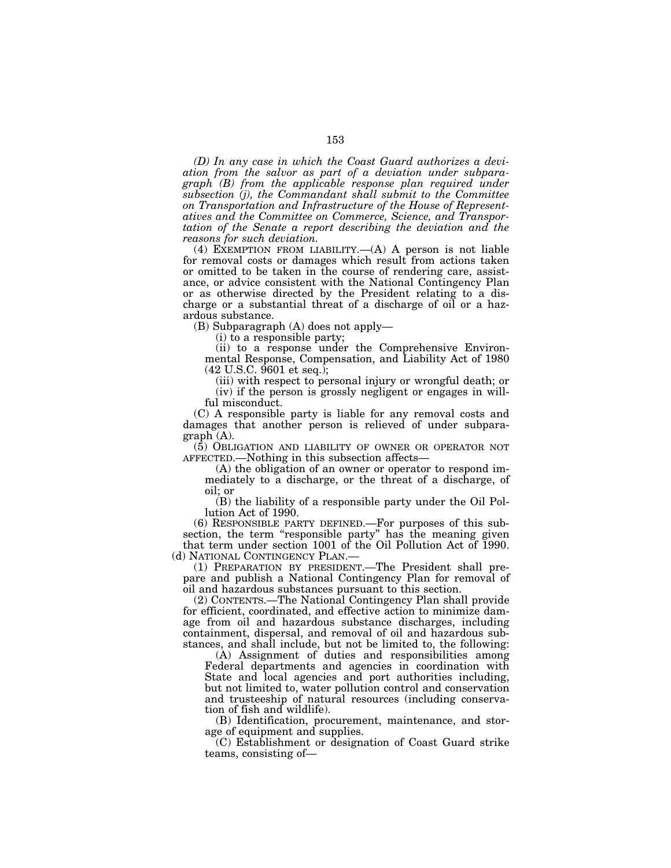*(D) In any case in which the Coast Guard authorizes a deviation from the salvor as part of a deviation under subparagraph (B) from the applicable response plan required under subsection (j), the Commandant shall submit to the Committee on Transportation and Infrastructure of the House of Representatives and the Committee on Commerce, Science, and Transportation of the Senate a report describing the deviation and the reasons for such deviation.* 

(4) EXEMPTION FROM LIABILITY.—(A) A person is not liable for removal costs or damages which result from actions taken or omitted to be taken in the course of rendering care, assistance, or advice consistent with the National Contingency Plan or as otherwise directed by the President relating to a discharge or a substantial threat of a discharge of oil or a hazardous substance.

(B) Subparagraph (A) does not apply—

(i) to a responsible party;

(ii) to a response under the Comprehensive Environmental Response, Compensation, and Liability Act of 1980 (42 U.S.C. 9601 et seq.);

(iii) with respect to personal injury or wrongful death; or (iv) if the person is grossly negligent or engages in willful misconduct.

(C) A responsible party is liable for any removal costs and damages that another person is relieved of under subparagraph (A).

(5) OBLIGATION AND LIABILITY OF OWNER OR OPERATOR NOT AFFECTED.—Nothing in this subsection affects—

(A) the obligation of an owner or operator to respond immediately to a discharge, or the threat of a discharge, of oil; or

(B) the liability of a responsible party under the Oil Pollution Act of 1990.

(6) RESPONSIBLE PARTY DEFINED.—For purposes of this subsection, the term "responsible party" has the meaning given that term under section 1001 of the Oil Pollution Act of 1990.

(1) PREPARATION BY PRESIDENT.—The President shall prepare and publish a National Contingency Plan for removal of oil and hazardous substances pursuant to this section.

(2) CONTENTS.—The National Contingency Plan shall provide for efficient, coordinated, and effective action to minimize damage from oil and hazardous substance discharges, including containment, dispersal, and removal of oil and hazardous substances, and shall include, but not be limited to, the following:

(A) Assignment of duties and responsibilities among Federal departments and agencies in coordination with State and local agencies and port authorities including, but not limited to, water pollution control and conservation and trusteeship of natural resources (including conservation of fish and wildlife).

(B) Identification, procurement, maintenance, and storage of equipment and supplies.

(C) Establishment or designation of Coast Guard strike teams, consisting of—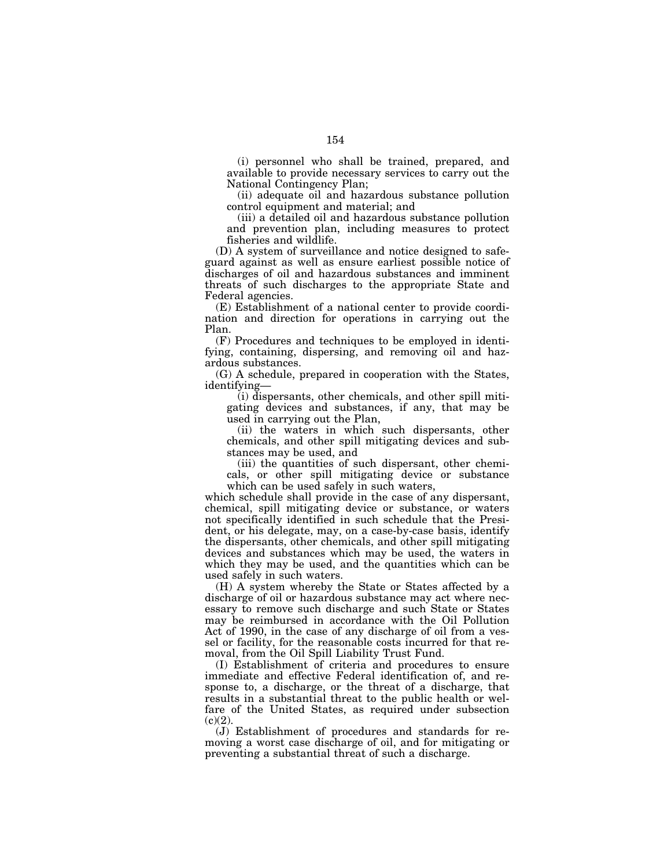(i) personnel who shall be trained, prepared, and available to provide necessary services to carry out the National Contingency Plan;

(ii) adequate oil and hazardous substance pollution control equipment and material; and

(iii) a detailed oil and hazardous substance pollution and prevention plan, including measures to protect fisheries and wildlife.

(D) A system of surveillance and notice designed to safeguard against as well as ensure earliest possible notice of discharges of oil and hazardous substances and imminent threats of such discharges to the appropriate State and Federal agencies.

(E) Establishment of a national center to provide coordination and direction for operations in carrying out the Plan.

(F) Procedures and techniques to be employed in identifying, containing, dispersing, and removing oil and hazardous substances.

(G) A schedule, prepared in cooperation with the States, identifying—

(i) dispersants, other chemicals, and other spill mitigating devices and substances, if any, that may be used in carrying out the Plan,

(ii) the waters in which such dispersants, other chemicals, and other spill mitigating devices and substances may be used, and

(iii) the quantities of such dispersant, other chemicals, or other spill mitigating device or substance which can be used safely in such waters,

which schedule shall provide in the case of any dispersant, chemical, spill mitigating device or substance, or waters not specifically identified in such schedule that the President, or his delegate, may, on a case-by-case basis, identify the dispersants, other chemicals, and other spill mitigating devices and substances which may be used, the waters in which they may be used, and the quantities which can be used safely in such waters.

(H) A system whereby the State or States affected by a discharge of oil or hazardous substance may act where necessary to remove such discharge and such State or States may be reimbursed in accordance with the Oil Pollution Act of 1990, in the case of any discharge of oil from a vessel or facility, for the reasonable costs incurred for that removal, from the Oil Spill Liability Trust Fund.

(I) Establishment of criteria and procedures to ensure immediate and effective Federal identification of, and response to, a discharge, or the threat of a discharge, that results in a substantial threat to the public health or welfare of the United States, as required under subsection  $(c)(2)$ .

(J) Establishment of procedures and standards for removing a worst case discharge of oil, and for mitigating or preventing a substantial threat of such a discharge.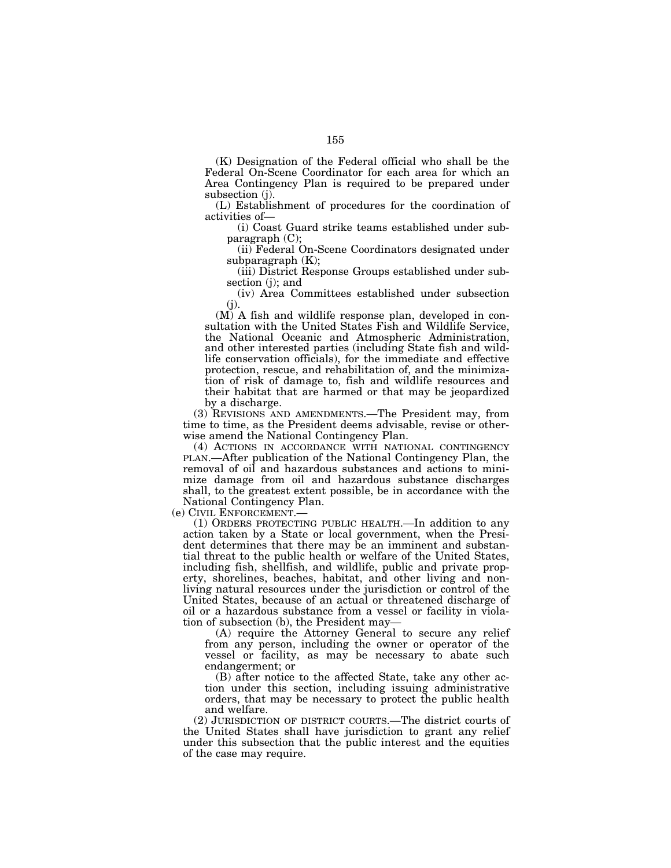(K) Designation of the Federal official who shall be the Federal On-Scene Coordinator for each area for which an Area Contingency Plan is required to be prepared under subsection (j).

(L) Establishment of procedures for the coordination of activities of—

(i) Coast Guard strike teams established under subparagraph (C);

(ii) Federal On-Scene Coordinators designated under subparagraph (K);

(iii) District Response Groups established under subsection (j); and

(iv) Area Committees established under subsection (j).

(M) A fish and wildlife response plan, developed in consultation with the United States Fish and Wildlife Service, the National Oceanic and Atmospheric Administration, and other interested parties (including State fish and wildlife conservation officials), for the immediate and effective protection, rescue, and rehabilitation of, and the minimization of risk of damage to, fish and wildlife resources and their habitat that are harmed or that may be jeopardized by a discharge.

(3) REVISIONS AND AMENDMENTS.—The President may, from time to time, as the President deems advisable, revise or otherwise amend the National Contingency Plan.

(4) ACTIONS IN ACCORDANCE WITH NATIONAL CONTINGENCY PLAN.—After publication of the National Contingency Plan, the removal of oil and hazardous substances and actions to minimize damage from oil and hazardous substance discharges shall, to the greatest extent possible, be in accordance with the

National Contingency Plan.<br>(e) CIVIL ENFORCEMENT.—

 $(1)$  ORDERS PROTECTING PUBLIC HEALTH.—In addition to any action taken by a State or local government, when the President determines that there may be an imminent and substantial threat to the public health or welfare of the United States, including fish, shellfish, and wildlife, public and private property, shorelines, beaches, habitat, and other living and nonliving natural resources under the jurisdiction or control of the United States, because of an actual or threatened discharge of oil or a hazardous substance from a vessel or facility in violation of subsection (b), the President may—

(A) require the Attorney General to secure any relief from any person, including the owner or operator of the vessel or facility, as may be necessary to abate such endangerment; or

(B) after notice to the affected State, take any other action under this section, including issuing administrative orders, that may be necessary to protect the public health and welfare.

(2) JURISDICTION OF DISTRICT COURTS.—The district courts of the United States shall have jurisdiction to grant any relief under this subsection that the public interest and the equities of the case may require.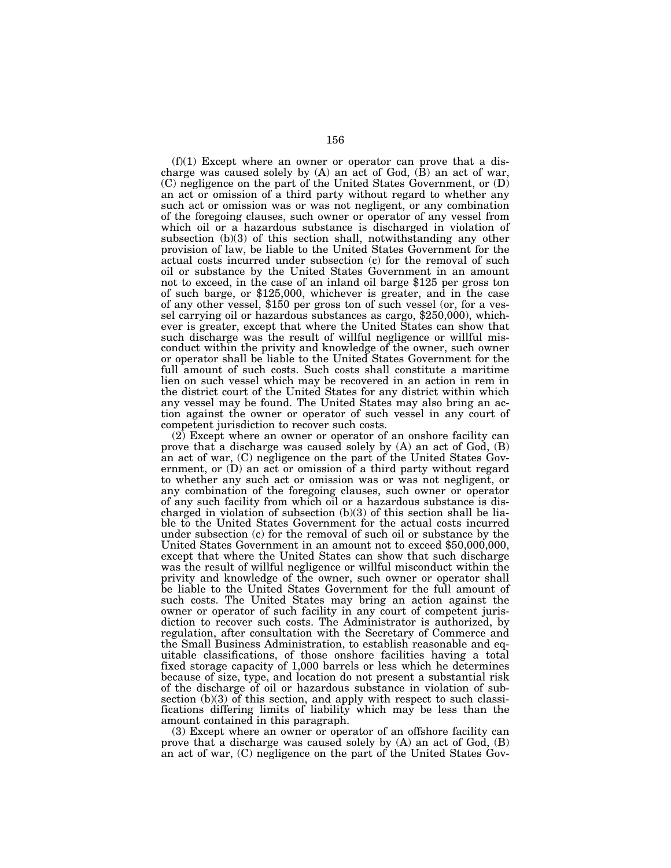$(f)(1)$  Except where an owner or operator can prove that a discharge was caused solely by (A) an act of God, (B) an act of war, (C) negligence on the part of the United States Government, or (D) an act or omission of a third party without regard to whether any such act or omission was or was not negligent, or any combination of the foregoing clauses, such owner or operator of any vessel from which oil or a hazardous substance is discharged in violation of subsection (b)(3) of this section shall, notwithstanding any other provision of law, be liable to the United States Government for the actual costs incurred under subsection (c) for the removal of such oil or substance by the United States Government in an amount not to exceed, in the case of an inland oil barge \$125 per gross ton of such barge, or \$125,000, whichever is greater, and in the case of any other vessel, \$150 per gross ton of such vessel (or, for a vessel carrying oil or hazardous substances as cargo, \$250,000), whichever is greater, except that where the United States can show that such discharge was the result of willful negligence or willful misconduct within the privity and knowledge of the owner, such owner or operator shall be liable to the United States Government for the full amount of such costs. Such costs shall constitute a maritime lien on such vessel which may be recovered in an action in rem in the district court of the United States for any district within which any vessel may be found. The United States may also bring an action against the owner or operator of such vessel in any court of competent jurisdiction to recover such costs.

(2) Except where an owner or operator of an onshore facility can prove that a discharge was caused solely by  $(A)$  an act of God,  $(B)$ an act of war, (C) negligence on the part of the United States Government, or (D) an act or omission of a third party without regard to whether any such act or omission was or was not negligent, or any combination of the foregoing clauses, such owner or operator of any such facility from which oil or a hazardous substance is discharged in violation of subsection  $(b)(3)$  of this section shall be liable to the United States Government for the actual costs incurred under subsection (c) for the removal of such oil or substance by the United States Government in an amount not to exceed \$50,000,000, except that where the United States can show that such discharge was the result of willful negligence or willful misconduct within the privity and knowledge of the owner, such owner or operator shall be liable to the United States Government for the full amount of such costs. The United States may bring an action against the owner or operator of such facility in any court of competent jurisdiction to recover such costs. The Administrator is authorized, by regulation, after consultation with the Secretary of Commerce and the Small Business Administration, to establish reasonable and equitable classifications, of those onshore facilities having a total fixed storage capacity of 1,000 barrels or less which he determines because of size, type, and location do not present a substantial risk of the discharge of oil or hazardous substance in violation of subsection (b)(3) of this section, and apply with respect to such classifications differing limits of liability which may be less than the amount contained in this paragraph.

(3) Except where an owner or operator of an offshore facility can prove that a discharge was caused solely by  $(A)$  an act of God,  $(B)$ an act of war, (C) negligence on the part of the United States Gov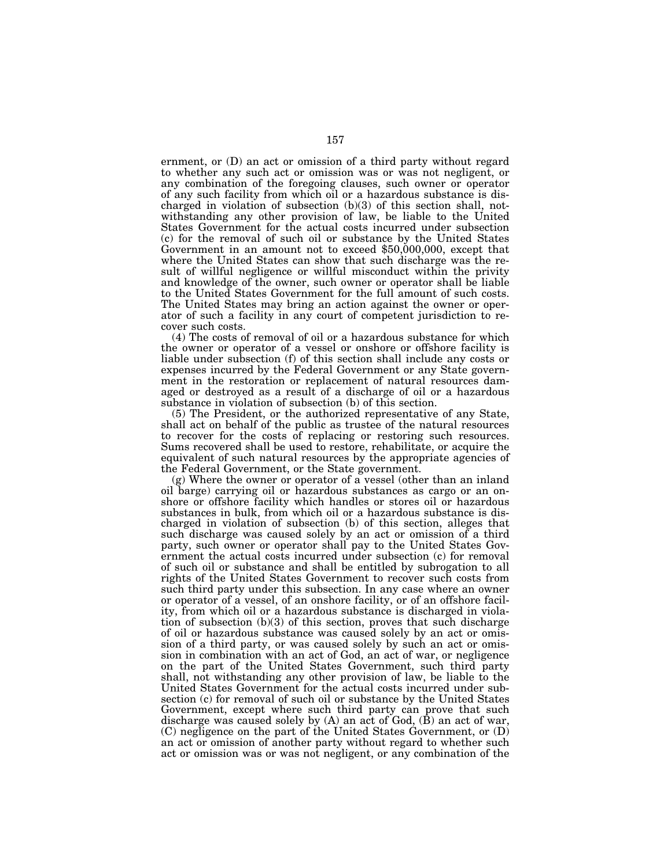ernment, or (D) an act or omission of a third party without regard to whether any such act or omission was or was not negligent, or any combination of the foregoing clauses, such owner or operator of any such facility from which oil or a hazardous substance is discharged in violation of subsection (b)(3) of this section shall, notwithstanding any other provision of law, be liable to the United States Government for the actual costs incurred under subsection (c) for the removal of such oil or substance by the United States Government in an amount not to exceed \$50,000,000, except that where the United States can show that such discharge was the result of willful negligence or willful misconduct within the privity and knowledge of the owner, such owner or operator shall be liable to the United States Government for the full amount of such costs. The United States may bring an action against the owner or operator of such a facility in any court of competent jurisdiction to recover such costs.

(4) The costs of removal of oil or a hazardous substance for which the owner or operator of a vessel or onshore or offshore facility is liable under subsection (f) of this section shall include any costs or expenses incurred by the Federal Government or any State government in the restoration or replacement of natural resources damaged or destroyed as a result of a discharge of oil or a hazardous substance in violation of subsection (b) of this section.

(5) The President, or the authorized representative of any State, shall act on behalf of the public as trustee of the natural resources to recover for the costs of replacing or restoring such resources. Sums recovered shall be used to restore, rehabilitate, or acquire the equivalent of such natural resources by the appropriate agencies of the Federal Government, or the State government.

(g) Where the owner or operator of a vessel (other than an inland oil barge) carrying oil or hazardous substances as cargo or an onshore or offshore facility which handles or stores oil or hazardous substances in bulk, from which oil or a hazardous substance is discharged in violation of subsection (b) of this section, alleges that such discharge was caused solely by an act or omission of a third party, such owner or operator shall pay to the United States Government the actual costs incurred under subsection (c) for removal of such oil or substance and shall be entitled by subrogation to all rights of the United States Government to recover such costs from such third party under this subsection. In any case where an owner or operator of a vessel, of an onshore facility, or of an offshore facility, from which oil or a hazardous substance is discharged in violation of subsection (b)(3) of this section, proves that such discharge of oil or hazardous substance was caused solely by an act or omission of a third party, or was caused solely by such an act or omission in combination with an act of God, an act of war, or negligence on the part of the United States Government, such third party shall, not withstanding any other provision of law, be liable to the United States Government for the actual costs incurred under subsection (c) for removal of such oil or substance by the United States Government, except where such third party can prove that such discharge was caused solely by  $(A)$  an act of  $God, (B)$  an act of war, (C) negligence on the part of the United States Government, or (D) an act or omission of another party without regard to whether such act or omission was or was not negligent, or any combination of the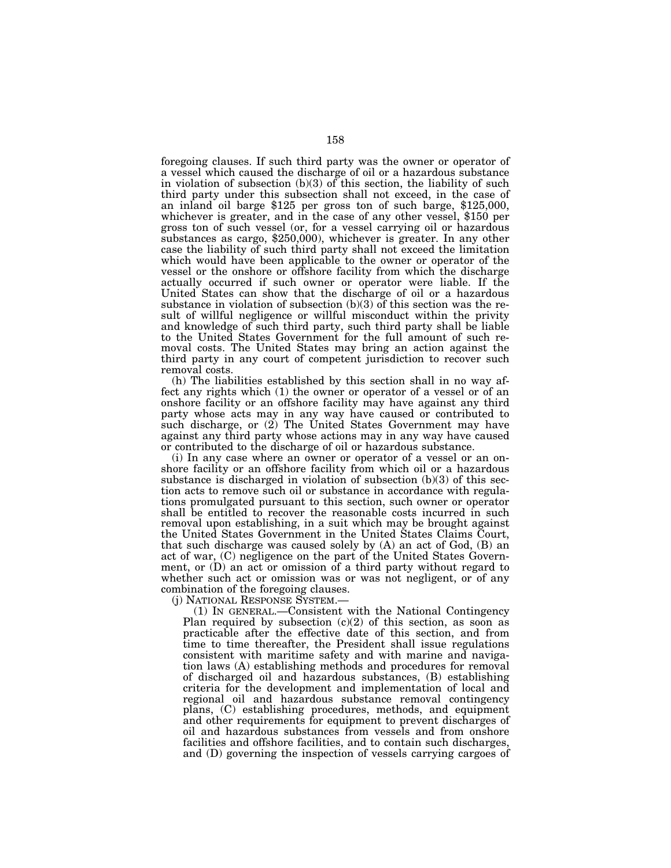foregoing clauses. If such third party was the owner or operator of a vessel which caused the discharge of oil or a hazardous substance in violation of subsection (b)(3) of this section, the liability of such third party under this subsection shall not exceed, in the case of an inland oil barge \$125 per gross ton of such barge, \$125,000, whichever is greater, and in the case of any other vessel, \$150 per gross ton of such vessel (or, for a vessel carrying oil or hazardous substances as cargo, \$250,000), whichever is greater. In any other case the liability of such third party shall not exceed the limitation which would have been applicable to the owner or operator of the vessel or the onshore or offshore facility from which the discharge actually occurred if such owner or operator were liable. If the United States can show that the discharge of oil or a hazardous substance in violation of subsection (b)(3) of this section was the result of willful negligence or willful misconduct within the privity and knowledge of such third party, such third party shall be liable to the United States Government for the full amount of such removal costs. The United States may bring an action against the third party in any court of competent jurisdiction to recover such removal costs.

(h) The liabilities established by this section shall in no way affect any rights which (1) the owner or operator of a vessel or of an onshore facility or an offshore facility may have against any third party whose acts may in any way have caused or contributed to such discharge, or (2) The United States Government may have against any third party whose actions may in any way have caused or contributed to the discharge of oil or hazardous substance.

(i) In any case where an owner or operator of a vessel or an onshore facility or an offshore facility from which oil or a hazardous substance is discharged in violation of subsection (b)(3) of this section acts to remove such oil or substance in accordance with regulations promulgated pursuant to this section, such owner or operator shall be entitled to recover the reasonable costs incurred in such removal upon establishing, in a suit which may be brought against the United States Government in the United States Claims Court, that such discharge was caused solely by (A) an act of God, (B) an act of war, (C) negligence on the part of the United States Government, or (D) an act or omission of a third party without regard to whether such act or omission was or was not negligent, or of any combination of the foregoing clauses.

(j) NATIONAL RESPONSE SYSTEM.—

(1) IN GENERAL.—Consistent with the National Contingency Plan required by subsection  $(c)(2)$  of this section, as soon as practicable after the effective date of this section, and from time to time thereafter, the President shall issue regulations consistent with maritime safety and with marine and navigation laws (A) establishing methods and procedures for removal of discharged oil and hazardous substances, (B) establishing criteria for the development and implementation of local and regional oil and hazardous substance removal contingency plans, (C) establishing procedures, methods, and equipment and other requirements for equipment to prevent discharges of oil and hazardous substances from vessels and from onshore facilities and offshore facilities, and to contain such discharges, and (D) governing the inspection of vessels carrying cargoes of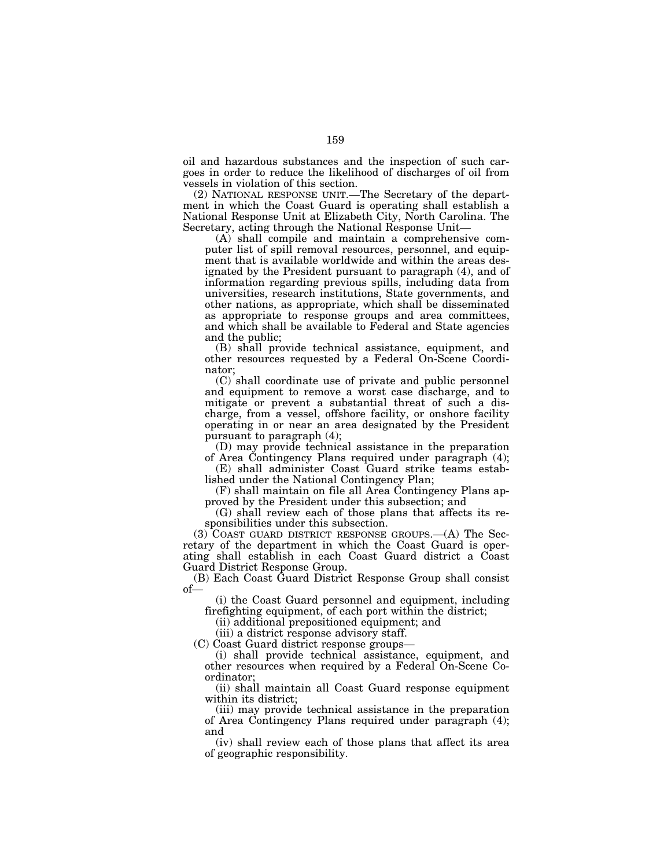oil and hazardous substances and the inspection of such cargoes in order to reduce the likelihood of discharges of oil from vessels in violation of this section.

(2) NATIONAL RESPONSE UNIT.—The Secretary of the department in which the Coast Guard is operating shall establish a National Response Unit at Elizabeth City, North Carolina. The Secretary, acting through the National Response Unit—

(A) shall compile and maintain a comprehensive computer list of spill removal resources, personnel, and equipment that is available worldwide and within the areas designated by the President pursuant to paragraph (4), and of information regarding previous spills, including data from universities, research institutions, State governments, and other nations, as appropriate, which shall be disseminated as appropriate to response groups and area committees, and which shall be available to Federal and State agencies and the public;

(B) shall provide technical assistance, equipment, and other resources requested by a Federal On-Scene Coordinator;

(C) shall coordinate use of private and public personnel and equipment to remove a worst case discharge, and to mitigate or prevent a substantial threat of such a discharge, from a vessel, offshore facility, or onshore facility operating in or near an area designated by the President pursuant to paragraph (4);

(D) may provide technical assistance in the preparation of Area Contingency Plans required under paragraph (4);

(E) shall administer Coast Guard strike teams established under the National Contingency Plan;

(F) shall maintain on file all Area Contingency Plans approved by the President under this subsection; and

(G) shall review each of those plans that affects its responsibilities under this subsection.

(3) COAST GUARD DISTRICT RESPONSE GROUPS.—(A) The Secretary of the department in which the Coast Guard is operating shall establish in each Coast Guard district a Coast Guard District Response Group.

(B) Each Coast Guard District Response Group shall consist of—

(i) the Coast Guard personnel and equipment, including firefighting equipment, of each port within the district;

(ii) additional prepositioned equipment; and

(iii) a district response advisory staff.

(C) Coast Guard district response groups—

(i) shall provide technical assistance, equipment, and other resources when required by a Federal On-Scene Coordinator;

(ii) shall maintain all Coast Guard response equipment within its district;

(iii) may provide technical assistance in the preparation of Area Contingency Plans required under paragraph (4); and

(iv) shall review each of those plans that affect its area of geographic responsibility.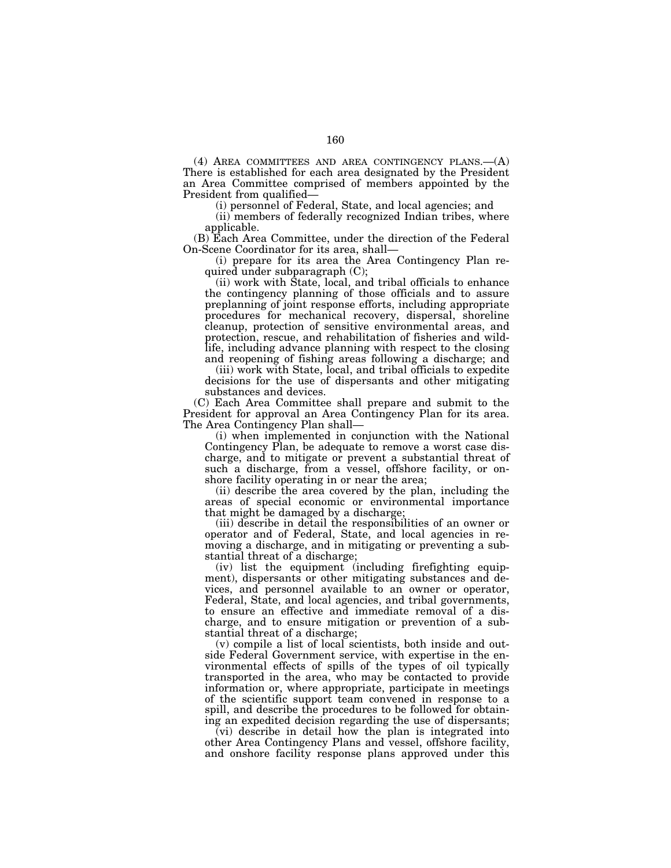(4) AREA COMMITTEES AND AREA CONTINGENCY PLANS.—(A) There is established for each area designated by the President an Area Committee comprised of members appointed by the President from qualified—

(i) personnel of Federal, State, and local agencies; and

(ii) members of federally recognized Indian tribes, where applicable.

(B) Each Area Committee, under the direction of the Federal On-Scene Coordinator for its area, shall—

(i) prepare for its area the Area Contingency Plan required under subparagraph (C);

(ii) work with State, local, and tribal officials to enhance the contingency planning of those officials and to assure preplanning of joint response efforts, including appropriate procedures for mechanical recovery, dispersal, shoreline cleanup, protection of sensitive environmental areas, and protection, rescue, and rehabilitation of fisheries and wildlife, including advance planning with respect to the closing and reopening of fishing areas following a discharge; and

(iii) work with State, local, and tribal officials to expedite decisions for the use of dispersants and other mitigating substances and devices.

(C) Each Area Committee shall prepare and submit to the President for approval an Area Contingency Plan for its area. The Area Contingency Plan shall—

(i) when implemented in conjunction with the National Contingency Plan, be adequate to remove a worst case discharge, and to mitigate or prevent a substantial threat of such a discharge, from a vessel, offshore facility, or onshore facility operating in or near the area;

(ii) describe the area covered by the plan, including the areas of special economic or environmental importance that might be damaged by a discharge;

(iii) describe in detail the responsibilities of an owner or operator and of Federal, State, and local agencies in removing a discharge, and in mitigating or preventing a substantial threat of a discharge;

(iv) list the equipment (including firefighting equipment), dispersants or other mitigating substances and devices, and personnel available to an owner or operator, Federal, State, and local agencies, and tribal governments, to ensure an effective and immediate removal of a discharge, and to ensure mitigation or prevention of a substantial threat of a discharge;

(v) compile a list of local scientists, both inside and outside Federal Government service, with expertise in the environmental effects of spills of the types of oil typically transported in the area, who may be contacted to provide information or, where appropriate, participate in meetings of the scientific support team convened in response to a spill, and describe the procedures to be followed for obtaining an expedited decision regarding the use of dispersants;

(vi) describe in detail how the plan is integrated into other Area Contingency Plans and vessel, offshore facility, and onshore facility response plans approved under this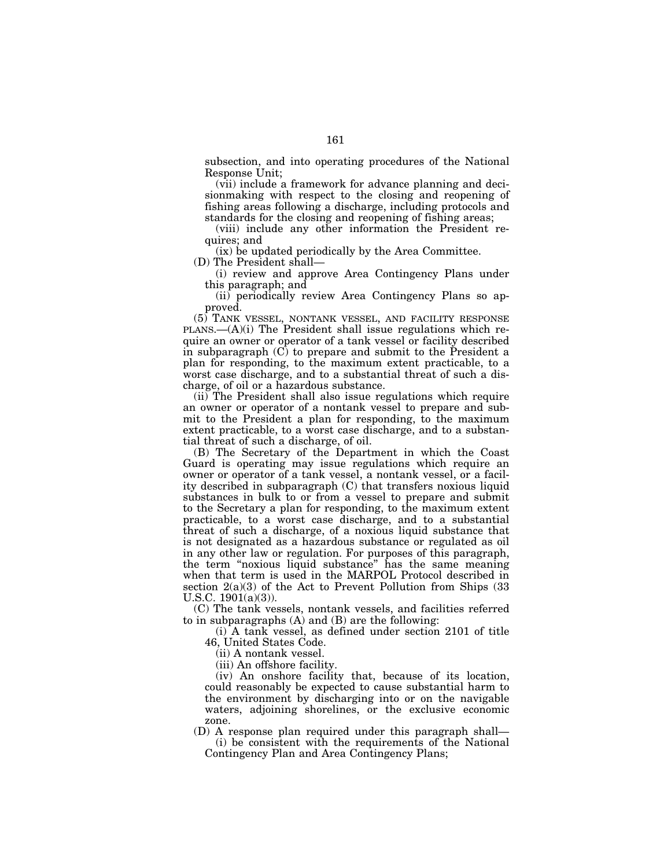subsection, and into operating procedures of the National Response Unit;

(vii) include a framework for advance planning and decisionmaking with respect to the closing and reopening of fishing areas following a discharge, including protocols and standards for the closing and reopening of fishing areas;

(viii) include any other information the President requires; and

(ix) be updated periodically by the Area Committee. (D) The President shall—

(i) review and approve Area Contingency Plans under this paragraph; and

(ii) periodically review Area Contingency Plans so approved.

(5) TANK VESSEL, NONTANK VESSEL, AND FACILITY RESPONSE  $PLANS. —(A)(i)$  The President shall issue regulations which require an owner or operator of a tank vessel or facility described in subparagraph (C) to prepare and submit to the President a plan for responding, to the maximum extent practicable, to a worst case discharge, and to a substantial threat of such a discharge, of oil or a hazardous substance.

(ii) The President shall also issue regulations which require an owner or operator of a nontank vessel to prepare and submit to the President a plan for responding, to the maximum extent practicable, to a worst case discharge, and to a substantial threat of such a discharge, of oil.

(B) The Secretary of the Department in which the Coast Guard is operating may issue regulations which require an owner or operator of a tank vessel, a nontank vessel, or a facility described in subparagraph (C) that transfers noxious liquid substances in bulk to or from a vessel to prepare and submit to the Secretary a plan for responding, to the maximum extent practicable, to a worst case discharge, and to a substantial threat of such a discharge, of a noxious liquid substance that is not designated as a hazardous substance or regulated as oil in any other law or regulation. For purposes of this paragraph, the term ''noxious liquid substance'' has the same meaning when that term is used in the MARPOL Protocol described in section  $2(a)(3)$  of the Act to Prevent Pollution from Ships  $(33)$ U.S.C.  $1901(a)(3)$ ).

(C) The tank vessels, nontank vessels, and facilities referred to in subparagraphs (A) and (B) are the following:

(i) A tank vessel, as defined under section 2101 of title 46, United States Code.

(ii) A nontank vessel.

(iii) An offshore facility.

(iv) An onshore facility that, because of its location, could reasonably be expected to cause substantial harm to the environment by discharging into or on the navigable waters, adjoining shorelines, or the exclusive economic zone.

(D) A response plan required under this paragraph shall— (i) be consistent with the requirements of the National Contingency Plan and Area Contingency Plans;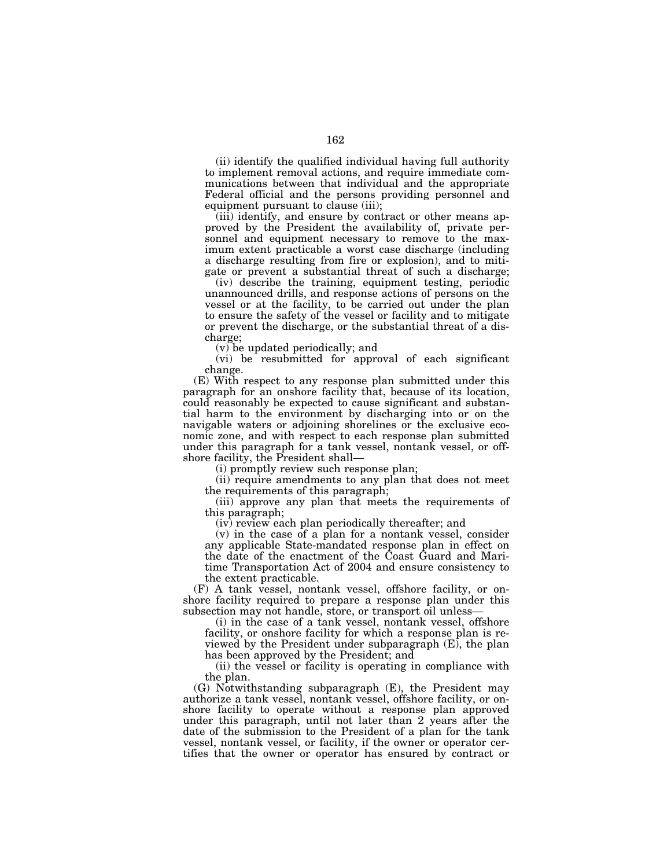(ii) identify the qualified individual having full authority to implement removal actions, and require immediate communications between that individual and the appropriate Federal official and the persons providing personnel and equipment pursuant to clause (iii);

(iii) identify, and ensure by contract or other means approved by the President the availability of, private personnel and equipment necessary to remove to the maximum extent practicable a worst case discharge (including a discharge resulting from fire or explosion), and to mitigate or prevent a substantial threat of such a discharge;

(iv) describe the training, equipment testing, periodic unannounced drills, and response actions of persons on the vessel or at the facility, to be carried out under the plan to ensure the safety of the vessel or facility and to mitigate or prevent the discharge, or the substantial threat of a discharge;

(v) be updated periodically; and

(vi) be resubmitted for approval of each significant change.

(E) With respect to any response plan submitted under this paragraph for an onshore facility that, because of its location, could reasonably be expected to cause significant and substantial harm to the environment by discharging into or on the navigable waters or adjoining shorelines or the exclusive economic zone, and with respect to each response plan submitted under this paragraph for a tank vessel, nontank vessel, or offshore facility, the President shall—

(i) promptly review such response plan;

(ii) require amendments to any plan that does not meet the requirements of this paragraph;

(iii) approve any plan that meets the requirements of this paragraph;

(iv) review each plan periodically thereafter; and

(v) in the case of a plan for a nontank vessel, consider any applicable State-mandated response plan in effect on the date of the enactment of the Coast Guard and Maritime Transportation Act of 2004 and ensure consistency to the extent practicable.

(F) A tank vessel, nontank vessel, offshore facility, or onshore facility required to prepare a response plan under this subsection may not handle, store, or transport oil unless-

(i) in the case of a tank vessel, nontank vessel, offshore facility, or onshore facility for which a response plan is reviewed by the President under subparagraph (E), the plan has been approved by the President; and

(ii) the vessel or facility is operating in compliance with the plan.

(G) Notwithstanding subparagraph (E), the President may authorize a tank vessel, nontank vessel, offshore facility, or onshore facility to operate without a response plan approved under this paragraph, until not later than 2 years after the date of the submission to the President of a plan for the tank vessel, nontank vessel, or facility, if the owner or operator certifies that the owner or operator has ensured by contract or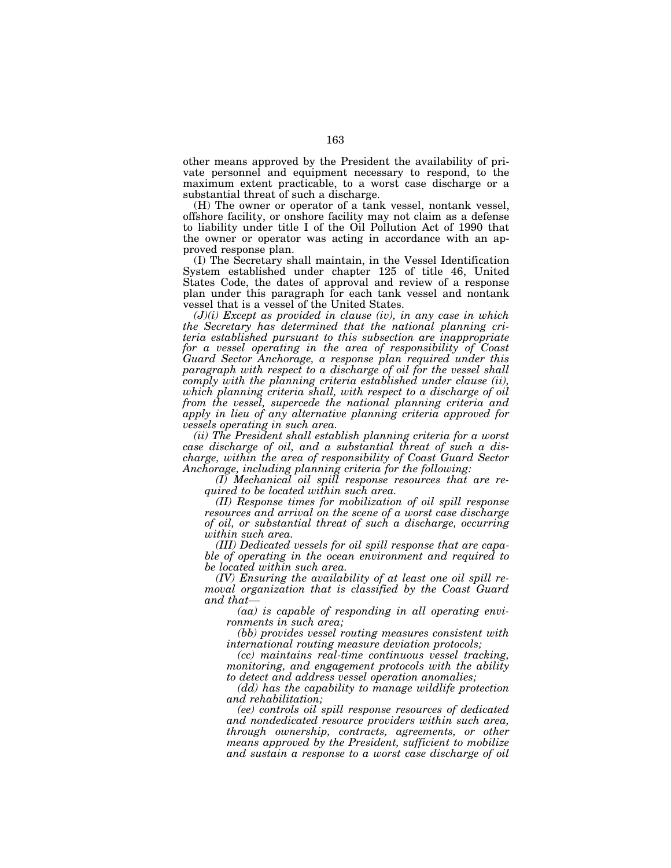other means approved by the President the availability of private personnel and equipment necessary to respond, to the maximum extent practicable, to a worst case discharge or a substantial threat of such a discharge.

(H) The owner or operator of a tank vessel, nontank vessel, offshore facility, or onshore facility may not claim as a defense to liability under title I of the Oil Pollution Act of 1990 that the owner or operator was acting in accordance with an approved response plan.

(I) The Secretary shall maintain, in the Vessel Identification System established under chapter 125 of title 46, United States Code, the dates of approval and review of a response plan under this paragraph for each tank vessel and nontank vessel that is a vessel of the United States.

*(J)(i) Except as provided in clause (iv), in any case in which the Secretary has determined that the national planning criteria established pursuant to this subsection are inappropriate for a vessel operating in the area of responsibility of Coast Guard Sector Anchorage, a response plan required under this paragraph with respect to a discharge of oil for the vessel shall comply with the planning criteria established under clause (ii), which planning criteria shall, with respect to a discharge of oil from the vessel, supercede the national planning criteria and apply in lieu of any alternative planning criteria approved for vessels operating in such area.* 

*(ii) The President shall establish planning criteria for a worst case discharge of oil, and a substantial threat of such a discharge, within the area of responsibility of Coast Guard Sector Anchorage, including planning criteria for the following:* 

*(I) Mechanical oil spill response resources that are required to be located within such area.* 

*(II) Response times for mobilization of oil spill response resources and arrival on the scene of a worst case discharge of oil, or substantial threat of such a discharge, occurring within such area.* 

*(III) Dedicated vessels for oil spill response that are capable of operating in the ocean environment and required to be located within such area.* 

*(IV) Ensuring the availability of at least one oil spill removal organization that is classified by the Coast Guard and that—* 

*(aa) is capable of responding in all operating environments in such area;* 

*(bb) provides vessel routing measures consistent with international routing measure deviation protocols;* 

*(cc) maintains real-time continuous vessel tracking, monitoring, and engagement protocols with the ability to detect and address vessel operation anomalies;* 

*(dd) has the capability to manage wildlife protection and rehabilitation;* 

*(ee) controls oil spill response resources of dedicated and nondedicated resource providers within such area, through ownership, contracts, agreements, or other means approved by the President, sufficient to mobilize and sustain a response to a worst case discharge of oil*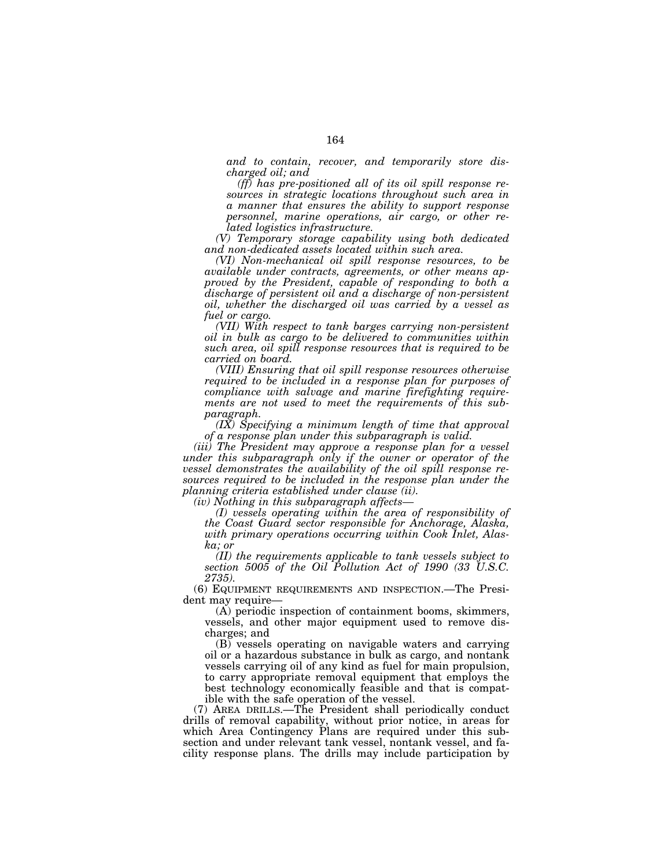*and to contain, recover, and temporarily store discharged oil; and* 

*(ff) has pre-positioned all of its oil spill response resources in strategic locations throughout such area in a manner that ensures the ability to support response personnel, marine operations, air cargo, or other related logistics infrastructure.* 

*(V) Temporary storage capability using both dedicated and non-dedicated assets located within such area.* 

*(VI) Non-mechanical oil spill response resources, to be available under contracts, agreements, or other means approved by the President, capable of responding to both a discharge of persistent oil and a discharge of non-persistent oil, whether the discharged oil was carried by a vessel as fuel or cargo.* 

*(VII) With respect to tank barges carrying non-persistent oil in bulk as cargo to be delivered to communities within such area, oil spill response resources that is required to be carried on board.* 

*(VIII) Ensuring that oil spill response resources otherwise required to be included in a response plan for purposes of compliance with salvage and marine firefighting requirements are not used to meet the requirements of this subparagraph.* 

*(IX) Specifying a minimum length of time that approval of a response plan under this subparagraph is valid.* 

*(iii) The President may approve a response plan for a vessel under this subparagraph only if the owner or operator of the vessel demonstrates the availability of the oil spill response resources required to be included in the response plan under the planning criteria established under clause (ii).* 

*(iv) Nothing in this subparagraph affects—* 

*(I) vessels operating within the area of responsibility of the Coast Guard sector responsible for Anchorage, Alaska, with primary operations occurring within Cook Inlet, Alaska; or* 

*(II) the requirements applicable to tank vessels subject to section 5005 of the Oil Pollution Act of 1990 (33 U.S.C. 2735).* 

(6) EQUIPMENT REQUIREMENTS AND INSPECTION.—The President may require—

(A) periodic inspection of containment booms, skimmers, vessels, and other major equipment used to remove discharges; and

(B) vessels operating on navigable waters and carrying oil or a hazardous substance in bulk as cargo, and nontank vessels carrying oil of any kind as fuel for main propulsion, to carry appropriate removal equipment that employs the best technology economically feasible and that is compatible with the safe operation of the vessel.

(7) AREA DRILLS.—The President shall periodically conduct drills of removal capability, without prior notice, in areas for which Area Contingency Plans are required under this subsection and under relevant tank vessel, nontank vessel, and facility response plans. The drills may include participation by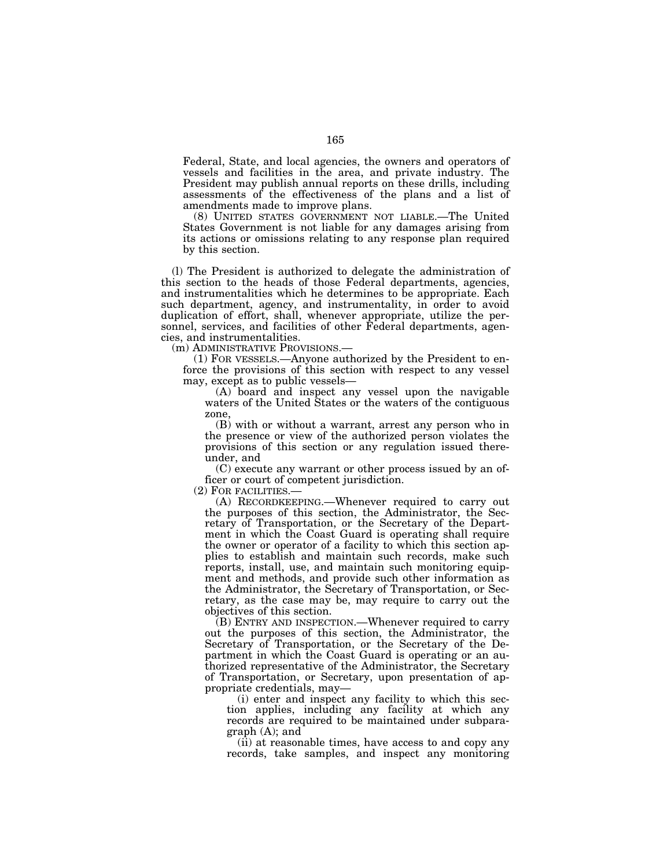Federal, State, and local agencies, the owners and operators of vessels and facilities in the area, and private industry. The President may publish annual reports on these drills, including assessments of the effectiveness of the plans and a list of amendments made to improve plans.

(8) UNITED STATES GOVERNMENT NOT LIABLE.—The United States Government is not liable for any damages arising from its actions or omissions relating to any response plan required by this section.

(l) The President is authorized to delegate the administration of this section to the heads of those Federal departments, agencies, and instrumentalities which he determines to be appropriate. Each such department, agency, and instrumentality, in order to avoid duplication of effort, shall, whenever appropriate, utilize the personnel, services, and facilities of other Federal departments, agencies, and instrumentalities.<br>
(m) ADMINISTRATIVE PROVISIONS.—

(1) FOR VESSELS.—Anyone authorized by the President to enforce the provisions of this section with respect to any vessel may, except as to public vessels—

(A) board and inspect any vessel upon the navigable waters of the United States or the waters of the contiguous zone,

(B) with or without a warrant, arrest any person who in the presence or view of the authorized person violates the provisions of this section or any regulation issued thereunder, and

(C) execute any warrant or other process issued by an officer or court of competent jurisdiction.

(2) FOR FACILITIES.— (A) RECORDKEEPING.—Whenever required to carry out the purposes of this section, the Administrator, the Secretary of Transportation, or the Secretary of the Department in which the Coast Guard is operating shall require the owner or operator of a facility to which this section applies to establish and maintain such records, make such reports, install, use, and maintain such monitoring equipment and methods, and provide such other information as the Administrator, the Secretary of Transportation, or Secretary, as the case may be, may require to carry out the objectives of this section.

(B) ENTRY AND INSPECTION.—Whenever required to carry out the purposes of this section, the Administrator, the Secretary of Transportation, or the Secretary of the Department in which the Coast Guard is operating or an authorized representative of the Administrator, the Secretary of Transportation, or Secretary, upon presentation of appropriate credentials, may—

(i) enter and inspect any facility to which this section applies, including any facility at which any records are required to be maintained under subparagraph (A); and

(ii) at reasonable times, have access to and copy any records, take samples, and inspect any monitoring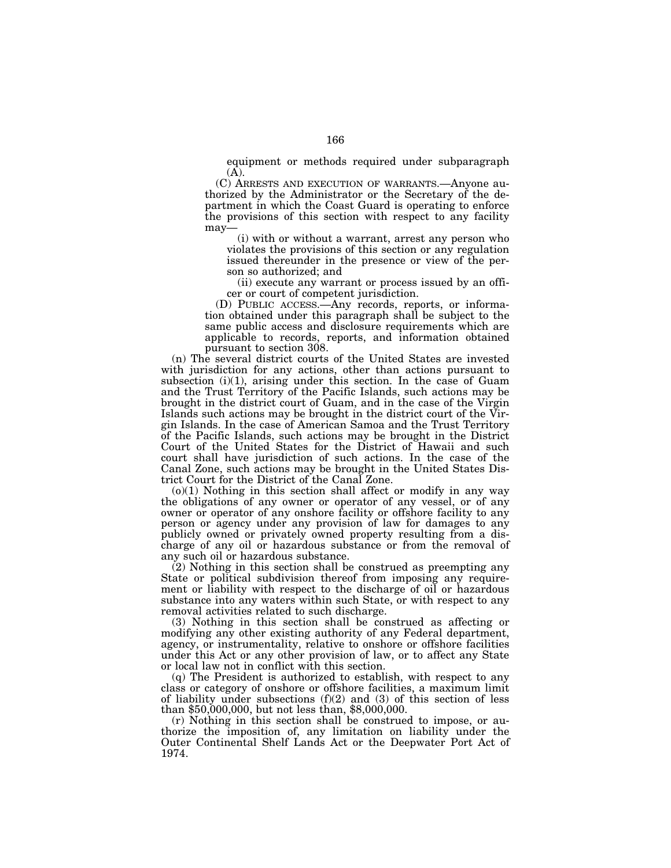equipment or methods required under subparagraph (A).

(C) ARRESTS AND EXECUTION OF WARRANTS.—Anyone authorized by the Administrator or the Secretary of the department in which the Coast Guard is operating to enforce the provisions of this section with respect to any facility may—

(i) with or without a warrant, arrest any person who violates the provisions of this section or any regulation issued thereunder in the presence or view of the person so authorized; and

(ii) execute any warrant or process issued by an officer or court of competent jurisdiction.

(D) PUBLIC ACCESS.—Any records, reports, or information obtained under this paragraph shall be subject to the same public access and disclosure requirements which are applicable to records, reports, and information obtained pursuant to section 308.

(n) The several district courts of the United States are invested with jurisdiction for any actions, other than actions pursuant to subsection (i)(1), arising under this section. In the case of Guam and the Trust Territory of the Pacific Islands, such actions may be brought in the district court of Guam, and in the case of the Virgin Islands such actions may be brought in the district court of the Virgin Islands. In the case of American Samoa and the Trust Territory of the Pacific Islands, such actions may be brought in the District Court of the United States for the District of Hawaii and such court shall have jurisdiction of such actions. In the case of the Canal Zone, such actions may be brought in the United States District Court for the District of the Canal Zone.

 $(0)(1)$  Nothing in this section shall affect or modify in any way the obligations of any owner or operator of any vessel, or of any owner or operator of any onshore facility or offshore facility to any person or agency under any provision of law for damages to any publicly owned or privately owned property resulting from a discharge of any oil or hazardous substance or from the removal of any such oil or hazardous substance.

(2) Nothing in this section shall be construed as preempting any State or political subdivision thereof from imposing any requirement or liability with respect to the discharge of oil or hazardous substance into any waters within such State, or with respect to any removal activities related to such discharge.

(3) Nothing in this section shall be construed as affecting or modifying any other existing authority of any Federal department, agency, or instrumentality, relative to onshore or offshore facilities under this Act or any other provision of law, or to affect any State or local law not in conflict with this section.

(q) The President is authorized to establish, with respect to any class or category of onshore or offshore facilities, a maximum limit of liability under subsections  $(f)(2)$  and  $(3)$  of this section of less than \$50,000,000, but not less than, \$8,000,000.

(r) Nothing in this section shall be construed to impose, or authorize the imposition of, any limitation on liability under the Outer Continental Shelf Lands Act or the Deepwater Port Act of 1974.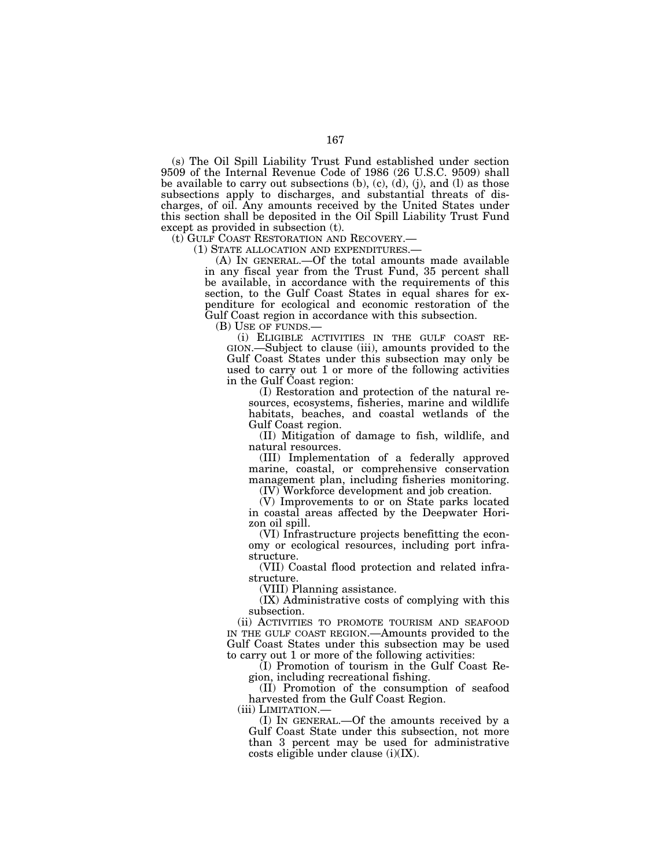(s) The Oil Spill Liability Trust Fund established under section 9509 of the Internal Revenue Code of 1986 (26 U.S.C. 9509) shall be available to carry out subsections  $(b)$ ,  $(c)$ ,  $(d)$ ,  $(j)$ , and  $(l)$  as those subsections apply to discharges, and substantial threats of discharges, of oil. Any amounts received by the United States under this section shall be deposited in the Oil Spill Liability Trust Fund except as provided in subsection (t).<br>
(t) GULF COAST RESTORATION AND RECOVERY.—

(1) STATE ALLOCATION AND EXPENDITURES.—<br>(A) IN GENERAL.—Of the total amounts made available in any fiscal year from the Trust Fund, 35 percent shall be available, in accordance with the requirements of this section, to the Gulf Coast States in equal shares for expenditure for ecological and economic restoration of the Gulf Coast region in accordance with this subsection.

(B) USE OF FUNDS.—

(i) ELIGIBLE ACTIVITIES IN THE GULF COAST RE- GION.—Subject to clause (iii), amounts provided to the Gulf Coast States under this subsection may only be used to carry out 1 or more of the following activities in the Gulf Coast region:

(I) Restoration and protection of the natural resources, ecosystems, fisheries, marine and wildlife habitats, beaches, and coastal wetlands of the Gulf Coast region.

(II) Mitigation of damage to fish, wildlife, and natural resources.

(III) Implementation of a federally approved marine, coastal, or comprehensive conservation management plan, including fisheries monitoring.

(IV) Workforce development and job creation.

(V) Improvements to or on State parks located in coastal areas affected by the Deepwater Horizon oil spill.

(VI) Infrastructure projects benefitting the economy or ecological resources, including port infrastructure.

(VII) Coastal flood protection and related infrastructure.

(VIII) Planning assistance.

(IX) Administrative costs of complying with this subsection.

(ii) ACTIVITIES TO PROMOTE TOURISM AND SEAFOOD IN THE GULF COAST REGION.—Amounts provided to the Gulf Coast States under this subsection may be used to carry out 1 or more of the following activities:

(I) Promotion of tourism in the Gulf Coast Region, including recreational fishing.

(II) Promotion of the consumption of seafood harvested from the Gulf Coast Region.<br>(iii) LIMITATION.—

 $(I)$  In GENERAL.—Of the amounts received by a Gulf Coast State under this subsection, not more than 3 percent may be used for administrative costs eligible under clause (i)(IX).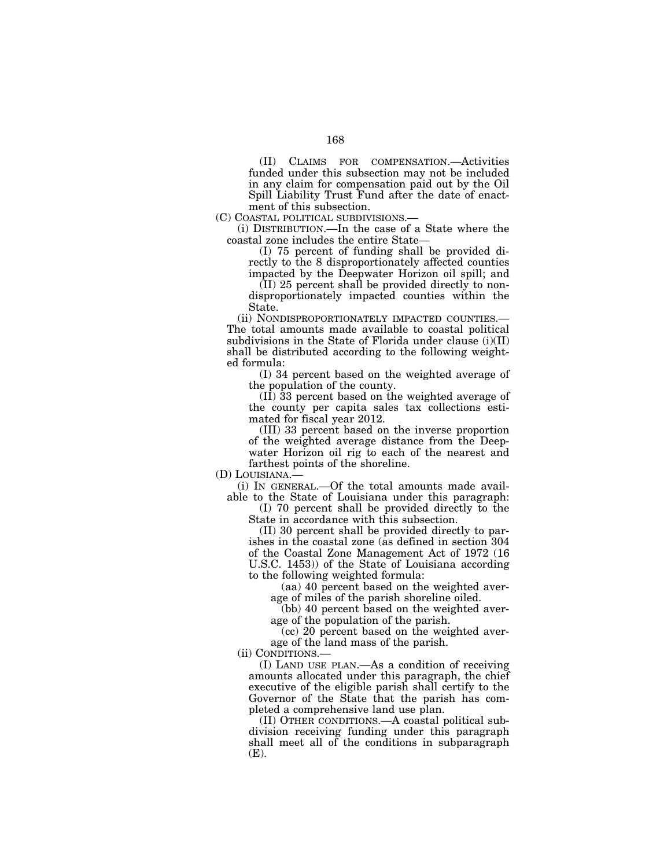(II) CLAIMS FOR COMPENSATION.—Activities funded under this subsection may not be included in any claim for compensation paid out by the Oil Spill Liability Trust Fund after the date of enactment of this subsection.

(C) COASTAL POLITICAL SUBDIVISIONS.—

(i) DISTRIBUTION.—In the case of a State where the coastal zone includes the entire State—

(I) 75 percent of funding shall be provided directly to the 8 disproportionately affected counties

impacted by the Deepwater Horizon oil spill; and (II) 25 percent shall be provided directly to non-

disproportionately impacted counties within the State.

(ii) NONDISPROPORTIONATELY IMPACTED COUNTIES.— The total amounts made available to coastal political subdivisions in the State of Florida under clause (i)(II) shall be distributed according to the following weighted formula:

(I) 34 percent based on the weighted average of the population of the county.

(II) 33 percent based on the weighted average of the county per capita sales tax collections estimated for fiscal year 2012.

(III) 33 percent based on the inverse proportion of the weighted average distance from the Deepwater Horizon oil rig to each of the nearest and farthest points of the shoreline.

(D) LOUISIANA.—

(i) IN GENERAL.—Of the total amounts made available to the State of Louisiana under this paragraph:

(I) 70 percent shall be provided directly to the State in accordance with this subsection.

(II) 30 percent shall be provided directly to parishes in the coastal zone (as defined in section 304 of the Coastal Zone Management Act of 1972 (16 U.S.C. 1453)) of the State of Louisiana according to the following weighted formula:

(aa) 40 percent based on the weighted average of miles of the parish shoreline oiled.

(bb) 40 percent based on the weighted average of the population of the parish.

(cc) 20 percent based on the weighted average of the land mass of the parish.

(ii) CONDITIONS.—

(I) LAND USE PLAN.—As a condition of receiving amounts allocated under this paragraph, the chief executive of the eligible parish shall certify to the Governor of the State that the parish has completed a comprehensive land use plan.

(II) OTHER CONDITIONS.—A coastal political subdivision receiving funding under this paragraph shall meet all of the conditions in subparagraph (E).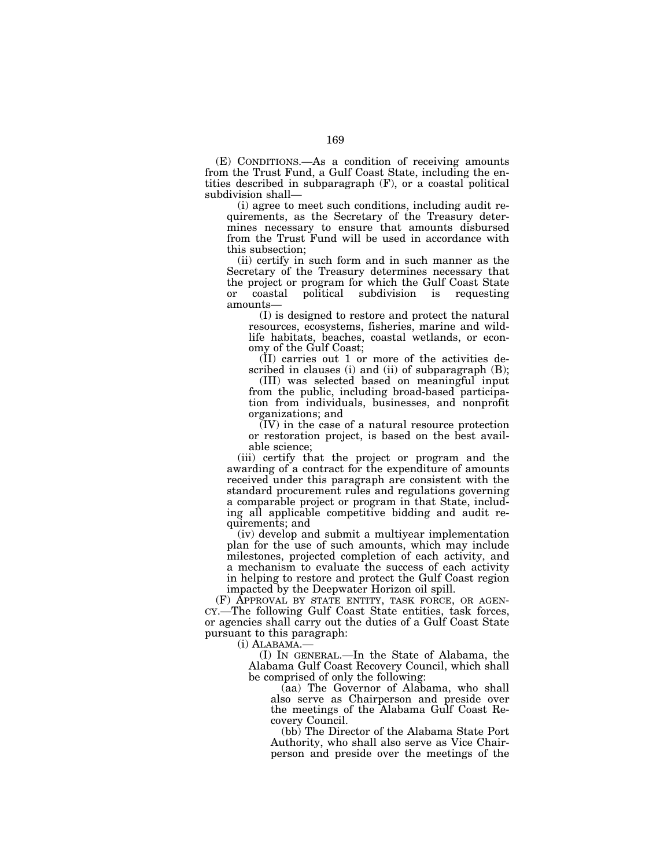(E) CONDITIONS.—As a condition of receiving amounts from the Trust Fund, a Gulf Coast State, including the entities described in subparagraph (F), or a coastal political subdivision shall—

(i) agree to meet such conditions, including audit requirements, as the Secretary of the Treasury determines necessary to ensure that amounts disbursed from the Trust Fund will be used in accordance with this subsection;

(ii) certify in such form and in such manner as the Secretary of the Treasury determines necessary that the project or program for which the Gulf Coast State or coastal political subdivision is requesting amounts—

(I) is designed to restore and protect the natural resources, ecosystems, fisheries, marine and wildlife habitats, beaches, coastal wetlands, or economy of the Gulf Coast;

(II) carries out 1 or more of the activities described in clauses (i) and (ii) of subparagraph (B);

(III) was selected based on meaningful input from the public, including broad-based participation from individuals, businesses, and nonprofit organizations; and

(IV) in the case of a natural resource protection or restoration project, is based on the best available science;

(iii) certify that the project or program and the awarding of a contract for the expenditure of amounts received under this paragraph are consistent with the standard procurement rules and regulations governing a comparable project or program in that State, including all applicable competitive bidding and audit requirements; and

(iv) develop and submit a multiyear implementation plan for the use of such amounts, which may include milestones, projected completion of each activity, and a mechanism to evaluate the success of each activity in helping to restore and protect the Gulf Coast region impacted by the Deepwater Horizon oil spill.

(F) APPROVAL BY STATE ENTITY, TASK FORCE, OR AGEN-CY.—The following Gulf Coast State entities, task forces, or agencies shall carry out the duties of a Gulf Coast State pursuant to this paragraph:

(i) ALABAMA.—

(I) IN GENERAL.—In the State of Alabama, the Alabama Gulf Coast Recovery Council, which shall be comprised of only the following:

(aa) The Governor of Alabama, who shall also serve as Chairperson and preside over the meetings of the Alabama Gulf Coast Recovery Council.

(bb) The Director of the Alabama State Port Authority, who shall also serve as Vice Chairperson and preside over the meetings of the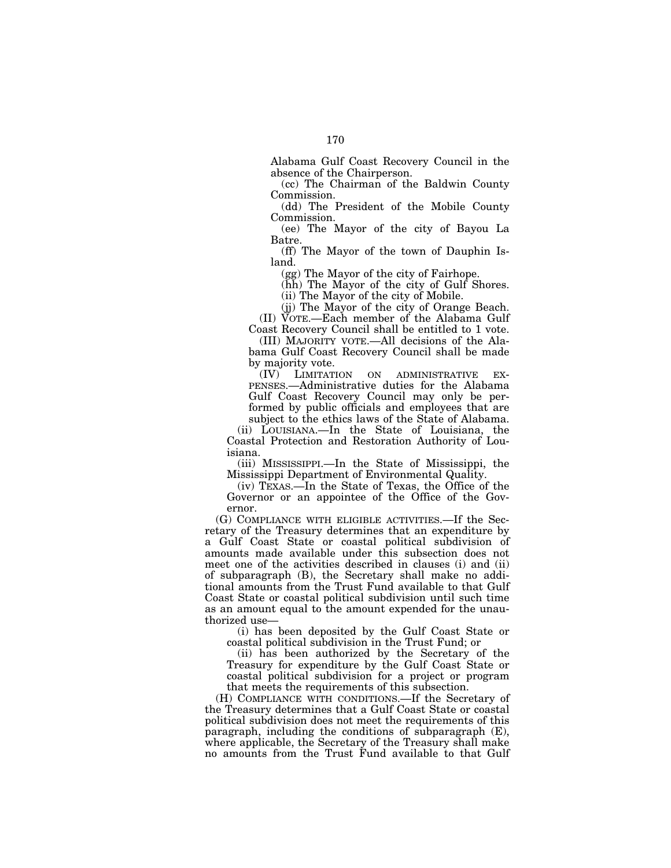Alabama Gulf Coast Recovery Council in the absence of the Chairperson.

(cc) The Chairman of the Baldwin County Commission.

(dd) The President of the Mobile County Commission.

(ee) The Mayor of the city of Bayou La Batre.

(ff) The Mayor of the town of Dauphin Island.

(gg) The Mayor of the city of Fairhope.

(hh) The Mayor of the city of Gulf Shores.

(ii) The Mayor of the city of Mobile.

(jj) The Mayor of the city of Orange Beach. (II) VOTE.—Each member of the Alabama Gulf

Coast Recovery Council shall be entitled to 1 vote. (III) MAJORITY VOTE.—All decisions of the Alabama Gulf Coast Recovery Council shall be made

by majority vote.<br>(IV) LIMITATION ON ADMINISTRATIVE EX-

PENSES.—Administrative duties for the Alabama Gulf Coast Recovery Council may only be performed by public officials and employees that are subject to the ethics laws of the State of Alabama.

(ii) LOUISIANA.—In the State of Louisiana, the Coastal Protection and Restoration Authority of Louisiana.

(iii) MISSISSIPPI.—In the State of Mississippi, the Mississippi Department of Environmental Quality.

(iv) TEXAS.—In the State of Texas, the Office of the Governor or an appointee of the Office of the Governor.

(G) COMPLIANCE WITH ELIGIBLE ACTIVITIES.—If the Secretary of the Treasury determines that an expenditure by a Gulf Coast State or coastal political subdivision of amounts made available under this subsection does not meet one of the activities described in clauses (i) and (ii) of subparagraph (B), the Secretary shall make no additional amounts from the Trust Fund available to that Gulf Coast State or coastal political subdivision until such time as an amount equal to the amount expended for the unauthorized use—

(i) has been deposited by the Gulf Coast State or coastal political subdivision in the Trust Fund; or

(ii) has been authorized by the Secretary of the Treasury for expenditure by the Gulf Coast State or coastal political subdivision for a project or program that meets the requirements of this subsection.

(H) COMPLIANCE WITH CONDITIONS.—If the Secretary of the Treasury determines that a Gulf Coast State or coastal political subdivision does not meet the requirements of this paragraph, including the conditions of subparagraph (E), where applicable, the Secretary of the Treasury shall make no amounts from the Trust Fund available to that Gulf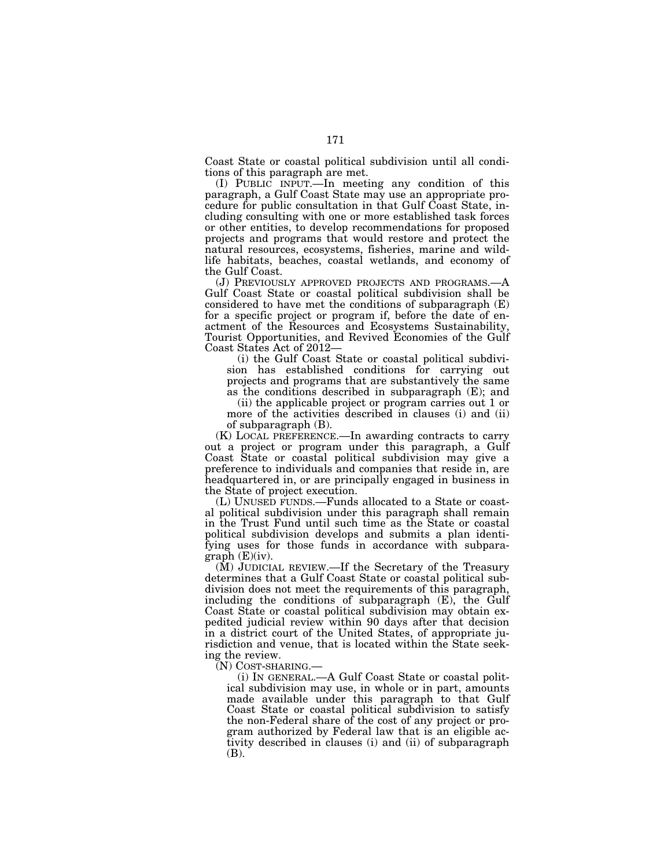Coast State or coastal political subdivision until all conditions of this paragraph are met.

(I) PUBLIC INPUT.—In meeting any condition of this paragraph, a Gulf Coast State may use an appropriate procedure for public consultation in that Gulf Coast State, including consulting with one or more established task forces or other entities, to develop recommendations for proposed projects and programs that would restore and protect the natural resources, ecosystems, fisheries, marine and wildlife habitats, beaches, coastal wetlands, and economy of the Gulf Coast.

(J) PREVIOUSLY APPROVED PROJECTS AND PROGRAMS.—A Gulf Coast State or coastal political subdivision shall be considered to have met the conditions of subparagraph (E) for a specific project or program if, before the date of enactment of the Resources and Ecosystems Sustainability, Tourist Opportunities, and Revived Economies of the Gulf Coast States Act of 2012—

(i) the Gulf Coast State or coastal political subdivision has established conditions for carrying out projects and programs that are substantively the same as the conditions described in subparagraph (E); and

(ii) the applicable project or program carries out 1 or more of the activities described in clauses (i) and (ii) of subparagraph (B).

(K) LOCAL PREFERENCE.—In awarding contracts to carry out a project or program under this paragraph, a Gulf Coast State or coastal political subdivision may give a preference to individuals and companies that reside in, are headquartered in, or are principally engaged in business in the State of project execution.

(L) UNUSED FUNDS.—Funds allocated to a State or coastal political subdivision under this paragraph shall remain in the Trust Fund until such time as the State or coastal political subdivision develops and submits a plan identifying uses for those funds in accordance with subpara $graph$  (E)(iv).

(M) JUDICIAL REVIEW.—If the Secretary of the Treasury determines that a Gulf Coast State or coastal political subdivision does not meet the requirements of this paragraph, including the conditions of subparagraph (E), the Gulf Coast State or coastal political subdivision may obtain expedited judicial review within 90 days after that decision in a district court of the United States, of appropriate jurisdiction and venue, that is located within the State seeking the review.

(N) COST-SHARING.—

(i) IN GENERAL.—A Gulf Coast State or coastal political subdivision may use, in whole or in part, amounts made available under this paragraph to that Gulf Coast State or coastal political subdivision to satisfy the non-Federal share of the cost of any project or program authorized by Federal law that is an eligible activity described in clauses (i) and (ii) of subparagraph (B).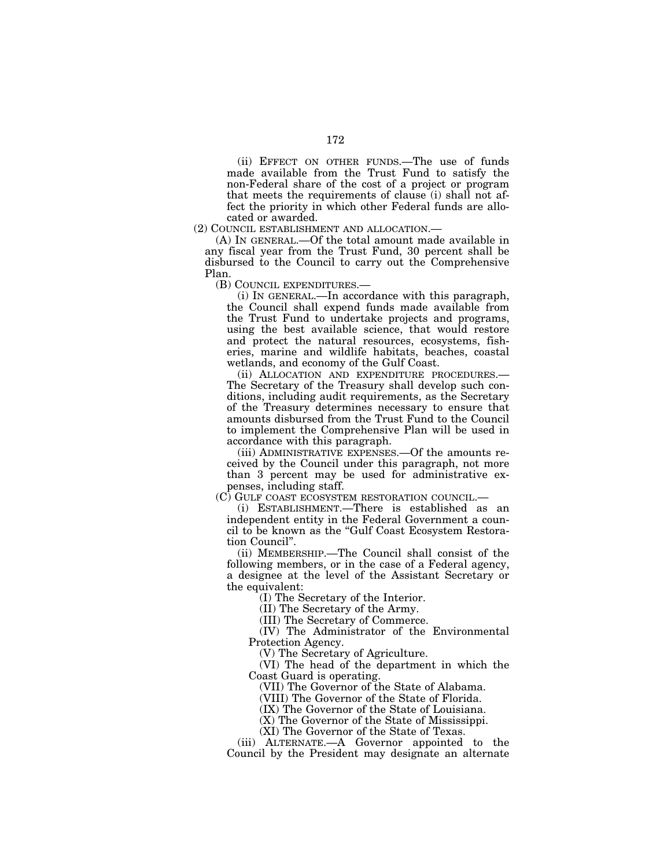(ii) EFFECT ON OTHER FUNDS.—The use of funds made available from the Trust Fund to satisfy the non-Federal share of the cost of a project or program that meets the requirements of clause (i) shall not affect the priority in which other Federal funds are allocated or awarded.

## (2) COUNCIL ESTABLISHMENT AND ALLOCATION.—

(A) IN GENERAL.—Of the total amount made available in any fiscal year from the Trust Fund, 30 percent shall be disbursed to the Council to carry out the Comprehensive Plan.

(B) COUNCIL EXPENDITURES.—

(i) IN GENERAL.—In accordance with this paragraph, the Council shall expend funds made available from the Trust Fund to undertake projects and programs, using the best available science, that would restore and protect the natural resources, ecosystems, fisheries, marine and wildlife habitats, beaches, coastal wetlands, and economy of the Gulf Coast.

(ii) ALLOCATION AND EXPENDITURE PROCEDURES.— The Secretary of the Treasury shall develop such conditions, including audit requirements, as the Secretary of the Treasury determines necessary to ensure that amounts disbursed from the Trust Fund to the Council to implement the Comprehensive Plan will be used in accordance with this paragraph.

(iii) ADMINISTRATIVE EXPENSES.—Of the amounts received by the Council under this paragraph, not more than 3 percent may be used for administrative expenses, including staff.

(C) GULF COAST ECOSYSTEM RESTORATION COUNCIL.—

(i) ESTABLISHMENT.—There is established as an independent entity in the Federal Government a council to be known as the ''Gulf Coast Ecosystem Restoration Council''.

(ii) MEMBERSHIP.—The Council shall consist of the following members, or in the case of a Federal agency, a designee at the level of the Assistant Secretary or the equivalent:

(I) The Secretary of the Interior.

(II) The Secretary of the Army.

(III) The Secretary of Commerce.

(IV) The Administrator of the Environmental Protection Agency.

(V) The Secretary of Agriculture.

(VI) The head of the department in which the Coast Guard is operating.

(VII) The Governor of the State of Alabama.

(VIII) The Governor of the State of Florida.

(IX) The Governor of the State of Louisiana.

(X) The Governor of the State of Mississippi.

(XI) The Governor of the State of Texas.

(iii) ALTERNATE.—A Governor appointed to the Council by the President may designate an alternate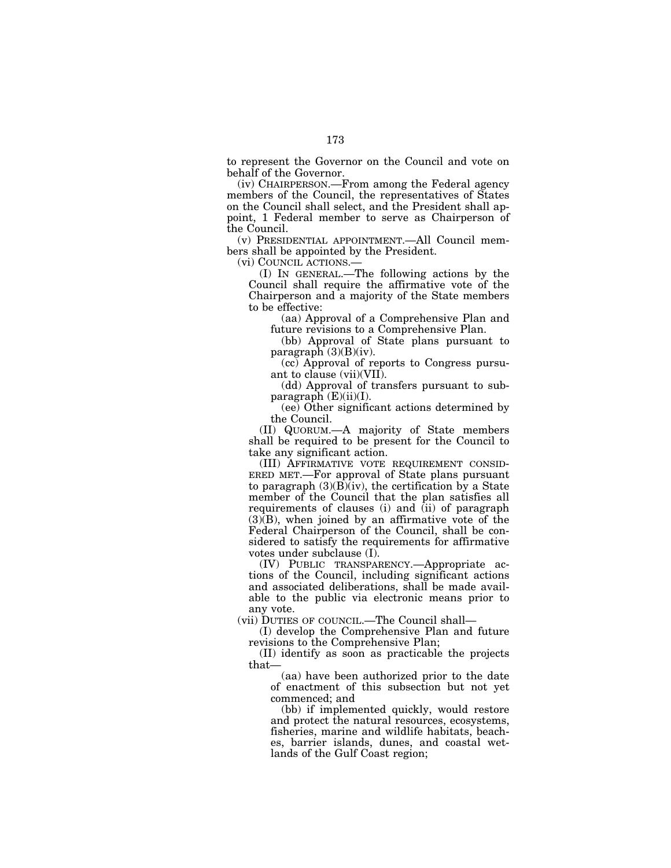to represent the Governor on the Council and vote on behalf of the Governor.

(iv) CHAIRPERSON.—From among the Federal agency members of the Council, the representatives of States on the Council shall select, and the President shall appoint, 1 Federal member to serve as Chairperson of the Council.

(v) PRESIDENTIAL APPOINTMENT.—All Council members shall be appointed by the President.

(vi) COUNCIL ACTIONS.—

(I) IN GENERAL.—The following actions by the Council shall require the affirmative vote of the Chairperson and a majority of the State members to be effective:

(aa) Approval of a Comprehensive Plan and future revisions to a Comprehensive Plan.

(bb) Approval of State plans pursuant to paragraph  $(3)(B)(iv)$ .

(cc) Approval of reports to Congress pursuant to clause (vii)(VII).

(dd) Approval of transfers pursuant to subparagraph  $(E)(ii)(I)$ .

(ee) Other significant actions determined by the Council.

(II) QUORUM.—A majority of State members shall be required to be present for the Council to take any significant action.

(III) AFFIRMATIVE VOTE REQUIREMENT CONSID-ERED MET.—For approval of State plans pursuant to paragraph  $(3)(B)(iv)$ , the certification by a State member of the Council that the plan satisfies all requirements of clauses (i) and  $(iii)$  of paragraph  $(3)(B)$ , when joined by an affirmative vote of the Federal Chairperson of the Council, shall be considered to satisfy the requirements for affirmative votes under subclause (I).

(IV) PUBLIC TRANSPARENCY.—Appropriate actions of the Council, including significant actions and associated deliberations, shall be made available to the public via electronic means prior to any vote.

(vii) DUTIES OF COUNCIL.—The Council shall—

(I) develop the Comprehensive Plan and future revisions to the Comprehensive Plan;

(II) identify as soon as practicable the projects that—

(aa) have been authorized prior to the date of enactment of this subsection but not yet commenced; and

(bb) if implemented quickly, would restore and protect the natural resources, ecosystems, fisheries, marine and wildlife habitats, beaches, barrier islands, dunes, and coastal wetlands of the Gulf Coast region;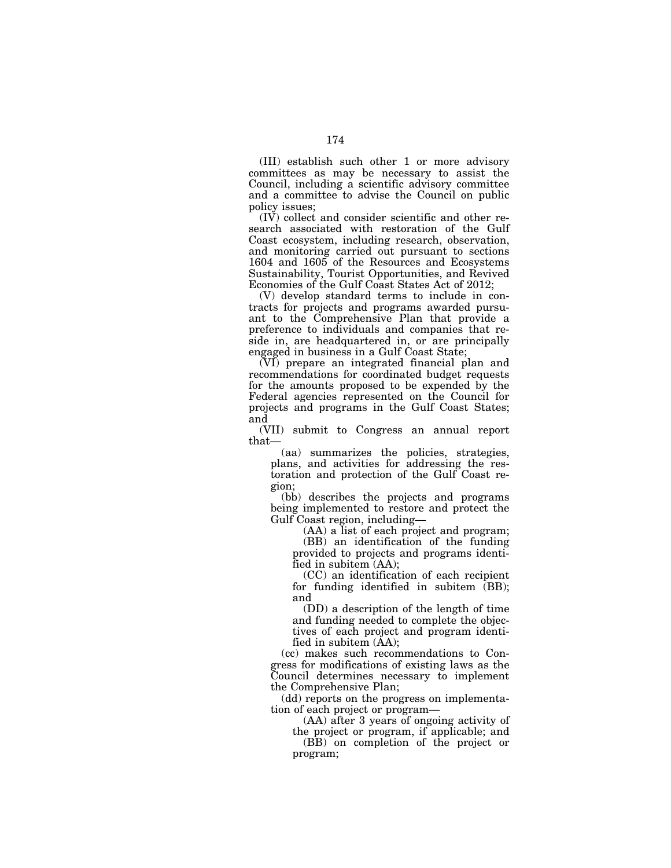(III) establish such other 1 or more advisory committees as may be necessary to assist the Council, including a scientific advisory committee and a committee to advise the Council on public policy issues;

(IV) collect and consider scientific and other research associated with restoration of the Gulf Coast ecosystem, including research, observation, and monitoring carried out pursuant to sections 1604 and 1605 of the Resources and Ecosystems Sustainability, Tourist Opportunities, and Revived Economies of the Gulf Coast States Act of 2012;

(V) develop standard terms to include in contracts for projects and programs awarded pursuant to the Comprehensive Plan that provide a preference to individuals and companies that reside in, are headquartered in, or are principally engaged in business in a Gulf Coast State;

(VI) prepare an integrated financial plan and recommendations for coordinated budget requests for the amounts proposed to be expended by the Federal agencies represented on the Council for projects and programs in the Gulf Coast States; and

(VII) submit to Congress an annual report that—

(aa) summarizes the policies, strategies, plans, and activities for addressing the restoration and protection of the Gulf Coast region;

(bb) describes the projects and programs being implemented to restore and protect the Gulf Coast region, including—

(AA) a list of each project and program;

(BB) an identification of the funding provided to projects and programs identified in subitem (AA);

(CC) an identification of each recipient for funding identified in subitem (BB); and

(DD) a description of the length of time and funding needed to complete the objectives of each project and program identified in subitem (AA);

(cc) makes such recommendations to Congress for modifications of existing laws as the Council determines necessary to implement the Comprehensive Plan;

(dd) reports on the progress on implementation of each project or program—

(AA) after 3 years of ongoing activity of the project or program, if applicable; and

(BB) on completion of the project or program;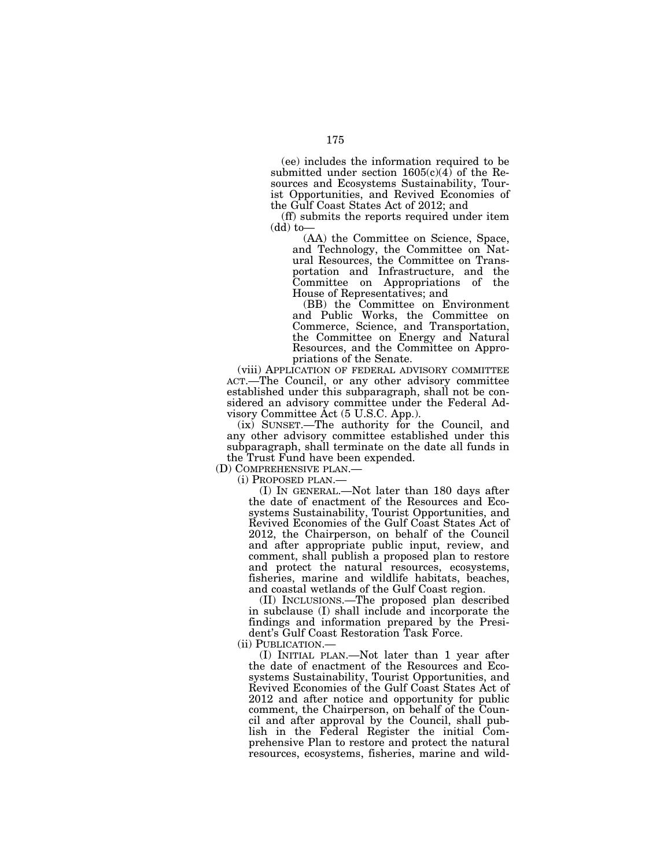(ee) includes the information required to be submitted under section  $1605(c)(4)$  of the Resources and Ecosystems Sustainability, Tourist Opportunities, and Revived Economies of the Gulf Coast States Act of 2012; and

(ff) submits the reports required under item (dd) to—

(AA) the Committee on Science, Space, and Technology, the Committee on Natural Resources, the Committee on Transportation and Infrastructure, and the Committee on Appropriations of the House of Representatives; and

(BB) the Committee on Environment and Public Works, the Committee on Commerce, Science, and Transportation, the Committee on Energy and Natural Resources, and the Committee on Appropriations of the Senate.

(viii) APPLICATION OF FEDERAL ADVISORY COMMITTEE ACT.—The Council, or any other advisory committee established under this subparagraph, shall not be considered an advisory committee under the Federal Advisory Committee Act (5 U.S.C. App.).

(ix) SUNSET.—The authority for the Council, and any other advisory committee established under this subparagraph, shall terminate on the date all funds in the Trust Fund have been expended.

(D) COMPREHENSIVE PLAN.—

(i) PROPOSED PLAN.—

(I) IN GENERAL.—Not later than 180 days after the date of enactment of the Resources and Ecosystems Sustainability, Tourist Opportunities, and Revived Economies of the Gulf Coast States Act of 2012, the Chairperson, on behalf of the Council and after appropriate public input, review, and comment, shall publish a proposed plan to restore and protect the natural resources, ecosystems, fisheries, marine and wildlife habitats, beaches, and coastal wetlands of the Gulf Coast region.

(II) INCLUSIONS.—The proposed plan described in subclause (I) shall include and incorporate the findings and information prepared by the President's Gulf Coast Restoration Task Force.

(ii) PUBLICATION.—

(I) INITIAL PLAN.—Not later than 1 year after the date of enactment of the Resources and Ecosystems Sustainability, Tourist Opportunities, and Revived Economies of the Gulf Coast States Act of 2012 and after notice and opportunity for public comment, the Chairperson, on behalf of the Council and after approval by the Council, shall publish in the Federal Register the initial Comprehensive Plan to restore and protect the natural resources, ecosystems, fisheries, marine and wild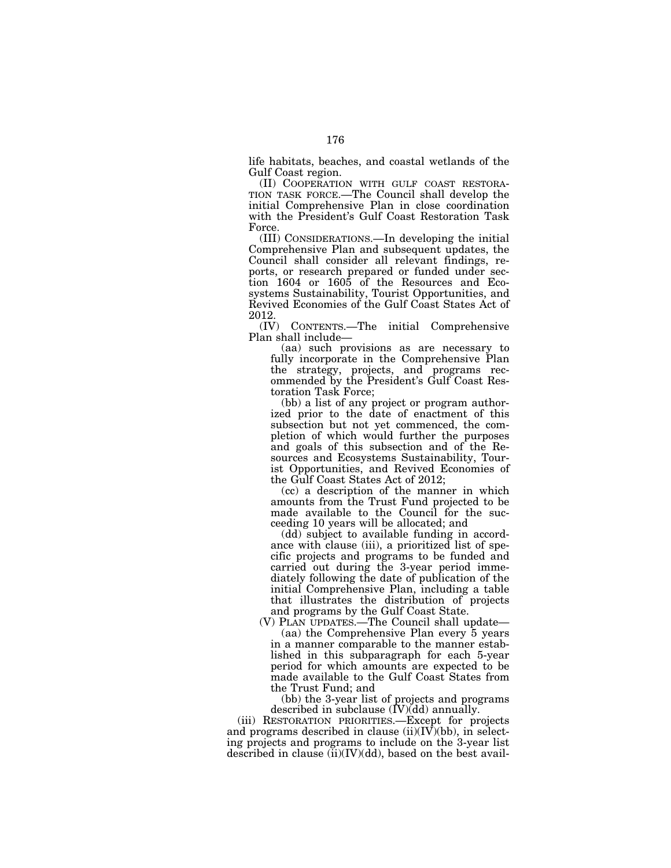life habitats, beaches, and coastal wetlands of the Gulf Coast region.

(II) COOPERATION WITH GULF COAST RESTORA- TION TASK FORCE.—The Council shall develop the initial Comprehensive Plan in close coordination with the President's Gulf Coast Restoration Task Force.

(III) CONSIDERATIONS.—In developing the initial Comprehensive Plan and subsequent updates, the Council shall consider all relevant findings, reports, or research prepared or funded under section 1604 or 1605 of the Resources and Ecosystems Sustainability, Tourist Opportunities, and Revived Economies of the Gulf Coast States Act of 2012.

(IV) CONTENTS.—The initial Comprehensive Plan shall include—

(aa) such provisions as are necessary to fully incorporate in the Comprehensive Plan the strategy, projects, and programs recommended by the President's Gulf Coast Restoration Task Force;

(bb) a list of any project or program authorized prior to the date of enactment of this subsection but not yet commenced, the completion of which would further the purposes and goals of this subsection and of the Resources and Ecosystems Sustainability, Tourist Opportunities, and Revived Economies of the Gulf Coast States Act of 2012;

(cc) a description of the manner in which amounts from the Trust Fund projected to be made available to the Council for the succeeding 10 years will be allocated; and

(dd) subject to available funding in accordance with clause (iii), a prioritized list of specific projects and programs to be funded and carried out during the 3-year period immediately following the date of publication of the initial Comprehensive Plan, including a table that illustrates the distribution of projects and programs by the Gulf Coast State.

(V) PLAN UPDATES.—The Council shall update—

(aa) the Comprehensive Plan every 5 years in a manner comparable to the manner established in this subparagraph for each 5-year period for which amounts are expected to be made available to the Gulf Coast States from the Trust Fund; and

(bb) the 3-year list of projects and programs described in subclause  $(\overline{IV})(dd)$  annually.

(iii) RESTORATION PRIORITIES.—Except for projects and programs described in clause  $(ii)(IV)(bb)$ , in selecting projects and programs to include on the 3-year list described in clause (ii)(IV)(dd), based on the best avail-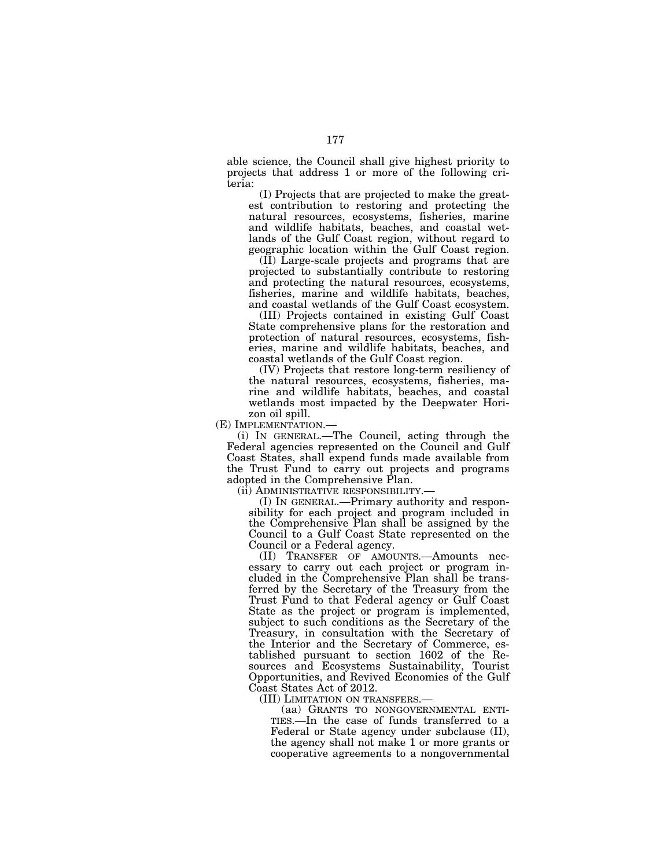able science, the Council shall give highest priority to projects that address 1 or more of the following criteria:

(I) Projects that are projected to make the greatest contribution to restoring and protecting the natural resources, ecosystems, fisheries, marine and wildlife habitats, beaches, and coastal wetlands of the Gulf Coast region, without regard to geographic location within the Gulf Coast region.

(II) Large-scale projects and programs that are projected to substantially contribute to restoring and protecting the natural resources, ecosystems, fisheries, marine and wildlife habitats, beaches, and coastal wetlands of the Gulf Coast ecosystem.

(III) Projects contained in existing Gulf Coast State comprehensive plans for the restoration and protection of natural resources, ecosystems, fisheries, marine and wildlife habitats, beaches, and coastal wetlands of the Gulf Coast region.

(IV) Projects that restore long-term resiliency of the natural resources, ecosystems, fisheries, marine and wildlife habitats, beaches, and coastal wetlands most impacted by the Deepwater Horizon oil spill.

(E) IMPLEMENTATION.— (i) IN GENERAL.—The Council, acting through the Federal agencies represented on the Council and Gulf Coast States, shall expend funds made available from the Trust Fund to carry out projects and programs adopted in the Comprehensive Plan.

(ii) ADMINISTRATIVE RESPONSIBILITY.— (I) IN GENERAL.—Primary authority and responsibility for each project and program included in the Comprehensive Plan shall be assigned by the Council to a Gulf Coast State represented on the Council or a Federal agency.

(II) TRANSFER OF AMOUNTS.—Amounts necessary to carry out each project or program included in the Comprehensive Plan shall be transferred by the Secretary of the Treasury from the Trust Fund to that Federal agency or Gulf Coast State as the project or program is implemented, subject to such conditions as the Secretary of the Treasury, in consultation with the Secretary of the Interior and the Secretary of Commerce, established pursuant to section 1602 of the Resources and Ecosystems Sustainability, Tourist Opportunities, and Revived Economies of the Gulf Coast States Act of 2012.

(III) LIMITATION ON TRANSFERS.— (aa) GRANTS TO NONGOVERNMENTAL ENTI- TIES.—In the case of funds transferred to a Federal or State agency under subclause (II), the agency shall not make 1 or more grants or cooperative agreements to a nongovernmental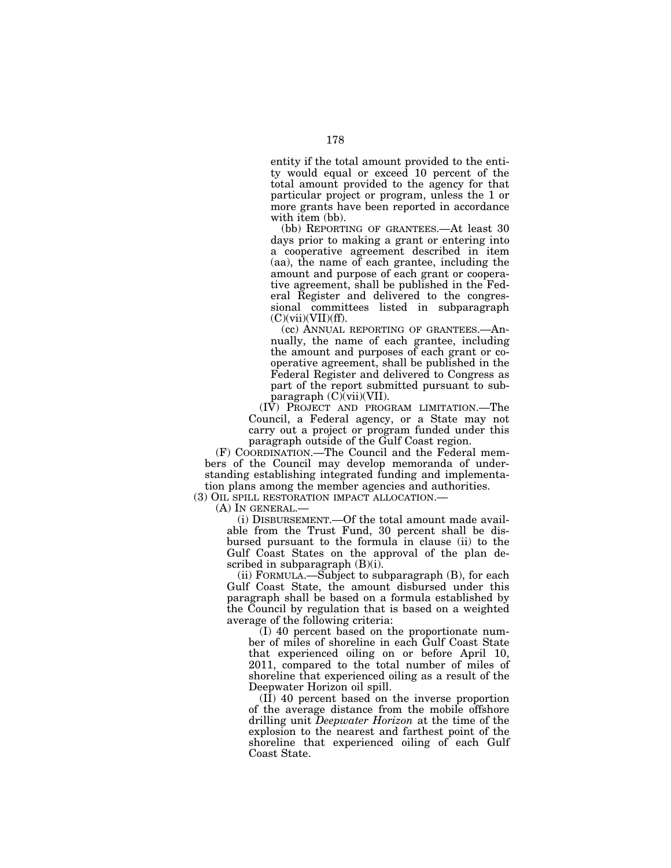entity if the total amount provided to the entity would equal or exceed 10 percent of the total amount provided to the agency for that particular project or program, unless the 1 or more grants have been reported in accordance with item (bb).

(bb) REPORTING OF GRANTEES.—At least 30 days prior to making a grant or entering into a cooperative agreement described in item (aa), the name of each grantee, including the amount and purpose of each grant or cooperative agreement, shall be published in the Federal Register and delivered to the congressional committees listed in subparagraph  $(C)(vii)(VII)(ff).$ 

(cc) ANNUAL REPORTING OF GRANTEES.—Annually, the name of each grantee, including the amount and purposes of each grant or cooperative agreement, shall be published in the Federal Register and delivered to Congress as part of the report submitted pursuant to subparagraph  $(C)(\nabla i)(VII)$ .

(IV) PROJECT AND PROGRAM LIMITATION.—The Council, a Federal agency, or a State may not carry out a project or program funded under this paragraph outside of the Gulf Coast region.

(F) COORDINATION.—The Council and the Federal members of the Council may develop memoranda of understanding establishing integrated funding and implementation plans among the member agencies and authorities.

(3) OIL SPILL RESTORATION IMPACT ALLOCATION.—

(A) IN GENERAL.—

(i) DISBURSEMENT.—Of the total amount made available from the Trust Fund, 30 percent shall be disbursed pursuant to the formula in clause (ii) to the Gulf Coast States on the approval of the plan described in subparagraph  $(B)(i)$ .

(ii) FORMULA.—Subject to subparagraph (B), for each Gulf Coast State, the amount disbursed under this paragraph shall be based on a formula established by the Council by regulation that is based on a weighted average of the following criteria:

(I) 40 percent based on the proportionate number of miles of shoreline in each Gulf Coast State that experienced oiling on or before April 10, 2011, compared to the total number of miles of shoreline that experienced oiling as a result of the Deepwater Horizon oil spill.

(II) 40 percent based on the inverse proportion of the average distance from the mobile offshore drilling unit *Deepwater Horizon* at the time of the explosion to the nearest and farthest point of the shoreline that experienced oiling of each Gulf Coast State.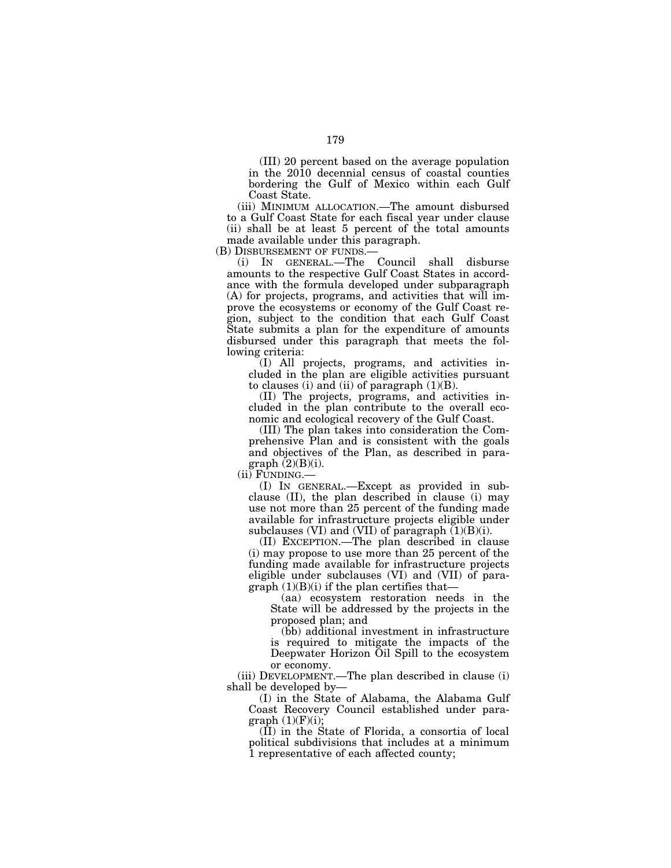(III) 20 percent based on the average population in the 2010 decennial census of coastal counties bordering the Gulf of Mexico within each Gulf Coast State.

(iii) MINIMUM ALLOCATION.—The amount disbursed to a Gulf Coast State for each fiscal year under clause (ii) shall be at least 5 percent of the total amounts made available under this paragraph.

(B) DISBURSEMENT OF FUNDS.

(i) IN GENERAL.—The Council shall disburse amounts to the respective Gulf Coast States in accordance with the formula developed under subparagraph (A) for projects, programs, and activities that will improve the ecosystems or economy of the Gulf Coast region, subject to the condition that each Gulf Coast State submits a plan for the expenditure of amounts disbursed under this paragraph that meets the following criteria:

(I) All projects, programs, and activities included in the plan are eligible activities pursuant to clauses (i) and (ii) of paragraph (1)(B).

(II) The projects, programs, and activities included in the plan contribute to the overall economic and ecological recovery of the Gulf Coast.

(III) The plan takes into consideration the Comprehensive Plan and is consistent with the goals and objectives of the Plan, as described in para $graph (2)(B)(i).$ 

(ii) FUNDING.—

(I) IN GENERAL.—Except as provided in subclause (II), the plan described in clause (i) may use not more than 25 percent of the funding made available for infrastructure projects eligible under subclauses (VI) and (VII) of paragraph  $\tilde{(1)}(B)(i)$ .

(II) EXCEPTION.—The plan described in clause (i) may propose to use more than 25 percent of the funding made available for infrastructure projects eligible under subclauses (VI) and (VII) of paragraph  $(1)(B)(i)$  if the plan certifies that-

(aa) ecosystem restoration needs in the State will be addressed by the projects in the proposed plan; and

(bb) additional investment in infrastructure is required to mitigate the impacts of the Deepwater Horizon Oil Spill to the ecosystem or economy.

(iii) DEVELOPMENT.—The plan described in clause (i) shall be developed by—

(I) in the State of Alabama, the Alabama Gulf Coast Recovery Council established under paragraph  $(1)(F)(i)$ ;

 $(\overline{II})$  in the State of Florida, a consortia of local political subdivisions that includes at a minimum 1 representative of each affected county;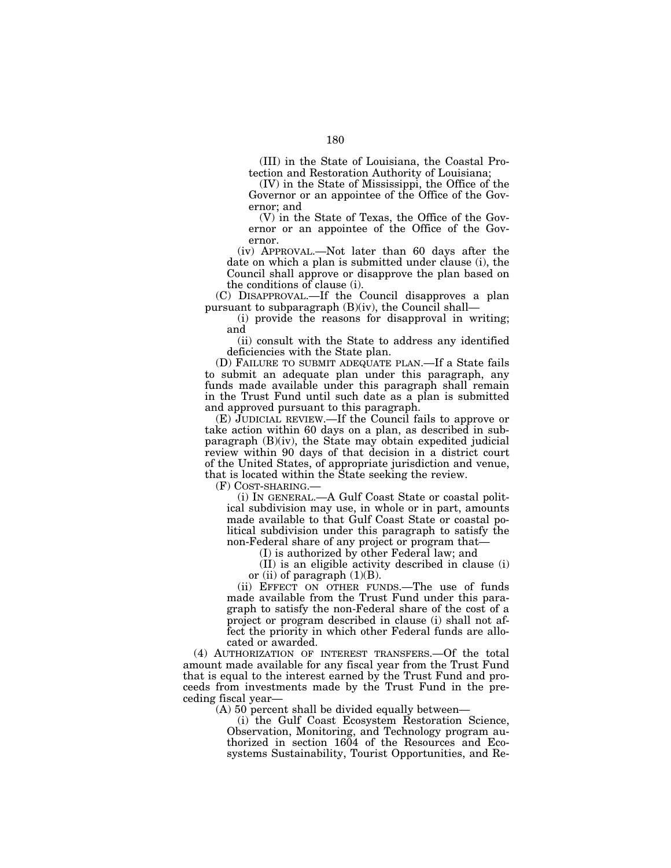(III) in the State of Louisiana, the Coastal Protection and Restoration Authority of Louisiana;

(IV) in the State of Mississippi, the Office of the Governor or an appointee of the Office of the Governor; and

(V) in the State of Texas, the Office of the Governor or an appointee of the Office of the Governor.

(iv) APPROVAL.—Not later than 60 days after the date on which a plan is submitted under clause (i), the Council shall approve or disapprove the plan based on the conditions of clause (i).

(C) DISAPPROVAL.—If the Council disapproves a plan pursuant to subparagraph (B)(iv), the Council shall—

(i) provide the reasons for disapproval in writing; and

(ii) consult with the State to address any identified deficiencies with the State plan.

(D) FAILURE TO SUBMIT ADEQUATE PLAN.—If a State fails to submit an adequate plan under this paragraph, any funds made available under this paragraph shall remain in the Trust Fund until such date as a plan is submitted and approved pursuant to this paragraph.

(E) JUDICIAL REVIEW.—If the Council fails to approve or take action within 60 days on a plan, as described in subparagraph (B)(iv), the State may obtain expedited judicial review within 90 days of that decision in a district court of the United States, of appropriate jurisdiction and venue, that is located within the State seeking the review.

(F) COST-SHARING.—

(i) IN GENERAL.—A Gulf Coast State or coastal political subdivision may use, in whole or in part, amounts made available to that Gulf Coast State or coastal political subdivision under this paragraph to satisfy the non-Federal share of any project or program that—

(I) is authorized by other Federal law; and

(II) is an eligible activity described in clause (i) or (ii) of paragraph  $(1)(B)$ .

(ii) EFFECT ON OTHER FUNDS.—The use of funds made available from the Trust Fund under this paragraph to satisfy the non-Federal share of the cost of a project or program described in clause (i) shall not affect the priority in which other Federal funds are allocated or awarded.

(4) AUTHORIZATION OF INTEREST TRANSFERS.—Of the total amount made available for any fiscal year from the Trust Fund that is equal to the interest earned by the Trust Fund and proceeds from investments made by the Trust Fund in the preceding fiscal year—

(A) 50 percent shall be divided equally between—

(i) the Gulf Coast Ecosystem Restoration Science, Observation, Monitoring, and Technology program authorized in section 1604 of the Resources and Ecosystems Sustainability, Tourist Opportunities, and Re-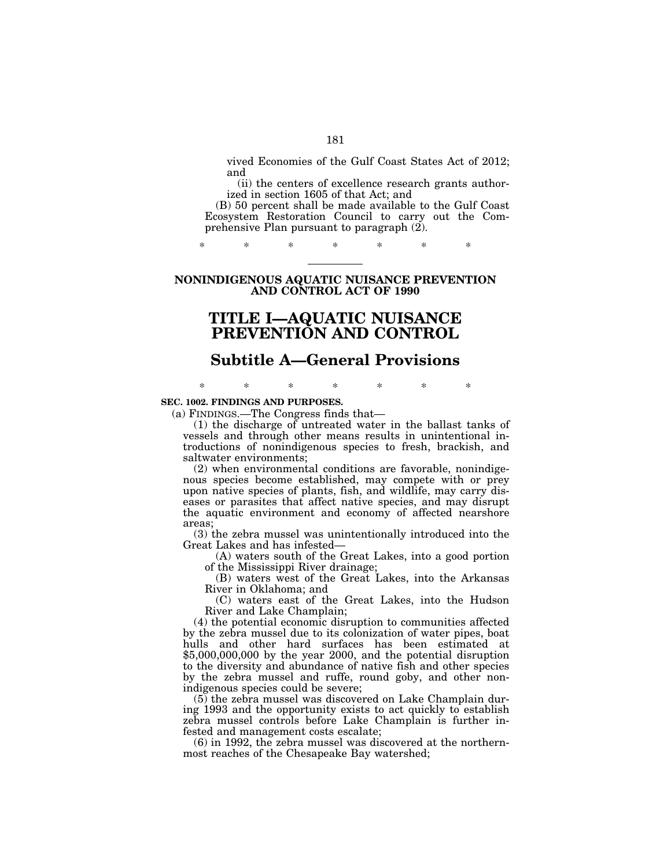vived Economies of the Gulf Coast States Act of 2012; and

(ii) the centers of excellence research grants authorized in section 1605 of that Act; and

(B) 50 percent shall be made available to the Gulf Coast Ecosystem Restoration Council to carry out the Comprehensive Plan pursuant to paragraph (2).

\* \* \* \* \* \* \*

## **NONINDIGENOUS AQUATIC NUISANCE PREVENTION AND CONTROL ACT OF 1990**

## **TITLE I—AQUATIC NUISANCE PREVENTION AND CONTROL**

## **Subtitle A—General Provisions**

\* \* \* \* \* \* \*

#### **SEC. 1002. FINDINGS AND PURPOSES.**

(a) FINDINGS.—The Congress finds that—

(1) the discharge of untreated water in the ballast tanks of vessels and through other means results in unintentional introductions of nonindigenous species to fresh, brackish, and saltwater environments;

(2) when environmental conditions are favorable, nonindigenous species become established, may compete with or prey upon native species of plants, fish, and wildlife, may carry diseases or parasites that affect native species, and may disrupt the aquatic environment and economy of affected nearshore areas;

(3) the zebra mussel was unintentionally introduced into the Great Lakes and has infested—

(A) waters south of the Great Lakes, into a good portion of the Mississippi River drainage;

(B) waters west of the Great Lakes, into the Arkansas River in Oklahoma; and

(C) waters east of the Great Lakes, into the Hudson River and Lake Champlain;

(4) the potential economic disruption to communities affected by the zebra mussel due to its colonization of water pipes, boat hulls and other hard surfaces has been estimated at \$5,000,000,000 by the year 2000, and the potential disruption to the diversity and abundance of native fish and other species by the zebra mussel and ruffe, round goby, and other nonindigenous species could be severe;

(5) the zebra mussel was discovered on Lake Champlain during 1993 and the opportunity exists to act quickly to establish zebra mussel controls before Lake Champlain is further infested and management costs escalate;

(6) in 1992, the zebra mussel was discovered at the northernmost reaches of the Chesapeake Bay watershed;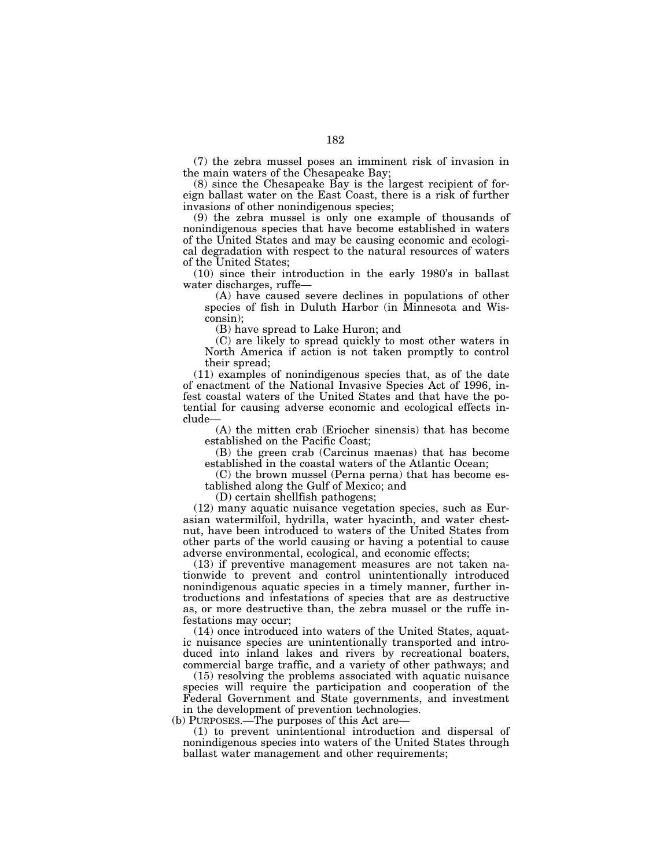(7) the zebra mussel poses an imminent risk of invasion in the main waters of the Chesapeake Bay;

(8) since the Chesapeake Bay is the largest recipient of foreign ballast water on the East Coast, there is a risk of further invasions of other nonindigenous species;

(9) the zebra mussel is only one example of thousands of nonindigenous species that have become established in waters of the United States and may be causing economic and ecological degradation with respect to the natural resources of waters of the United States;

(10) since their introduction in the early 1980's in ballast water discharges, ruffe—

(A) have caused severe declines in populations of other species of fish in Duluth Harbor (in Minnesota and Wisconsin);

(B) have spread to Lake Huron; and

(C) are likely to spread quickly to most other waters in North America if action is not taken promptly to control their spread;

(11) examples of nonindigenous species that, as of the date of enactment of the National Invasive Species Act of 1996, infest coastal waters of the United States and that have the potential for causing adverse economic and ecological effects include—

(A) the mitten crab (Eriocher sinensis) that has become established on the Pacific Coast;

(B) the green crab (Carcinus maenas) that has become established in the coastal waters of the Atlantic Ocean;

(C) the brown mussel (Perna perna) that has become established along the Gulf of Mexico; and

(D) certain shellfish pathogens;

(12) many aquatic nuisance vegetation species, such as Eurasian watermilfoil, hydrilla, water hyacinth, and water chestnut, have been introduced to waters of the United States from other parts of the world causing or having a potential to cause adverse environmental, ecological, and economic effects;

(13) if preventive management measures are not taken nationwide to prevent and control unintentionally introduced nonindigenous aquatic species in a timely manner, further introductions and infestations of species that are as destructive as, or more destructive than, the zebra mussel or the ruffe infestations may occur;

(14) once introduced into waters of the United States, aquatic nuisance species are unintentionally transported and introduced into inland lakes and rivers by recreational boaters, commercial barge traffic, and a variety of other pathways; and

(15) resolving the problems associated with aquatic nuisance species will require the participation and cooperation of the Federal Government and State governments, and investment in the development of prevention technologies.

(b) PURPOSES.—The purposes of this Act are—

(1) to prevent unintentional introduction and dispersal of nonindigenous species into waters of the United States through ballast water management and other requirements;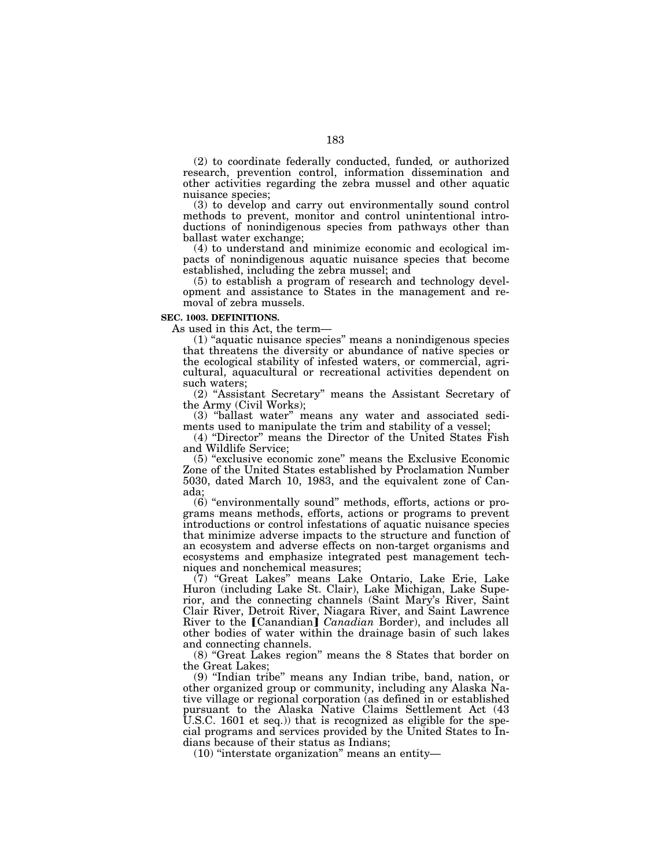(2) to coordinate federally conducted, funded*,* or authorized research, prevention control, information dissemination and other activities regarding the zebra mussel and other aquatic nuisance species;

(3) to develop and carry out environmentally sound control methods to prevent, monitor and control unintentional introductions of nonindigenous species from pathways other than ballast water exchange;

(4) to understand and minimize economic and ecological impacts of nonindigenous aquatic nuisance species that become established, including the zebra mussel; and

(5) to establish a program of research and technology development and assistance to States in the management and removal of zebra mussels.

#### **SEC. 1003. DEFINITIONS.**

As used in this Act, the term—

(1) ''aquatic nuisance species'' means a nonindigenous species that threatens the diversity or abundance of native species or the ecological stability of infested waters, or commercial, agricultural, aquacultural or recreational activities dependent on such waters;

(2) ''Assistant Secretary'' means the Assistant Secretary of the Army (Civil Works);

(3) ''ballast water'' means any water and associated sediments used to manipulate the trim and stability of a vessel;

(4) ''Director'' means the Director of the United States Fish and Wildlife Service;

(5) "exclusive economic zone" means the Exclusive Economic Zone of the United States established by Proclamation Number 5030, dated March 10, 1983, and the equivalent zone of Canada;

(6) ''environmentally sound'' methods, efforts, actions or programs means methods, efforts, actions or programs to prevent introductions or control infestations of aquatic nuisance species that minimize adverse impacts to the structure and function of an ecosystem and adverse effects on non-target organisms and ecosystems and emphasize integrated pest management techniques and nonchemical measures;

(7) ''Great Lakes'' means Lake Ontario, Lake Erie, Lake Huron (including Lake St. Clair), Lake Michigan, Lake Superior, and the connecting channels (Saint Mary's River, Saint Clair River, Detroit River, Niagara River, and Saint Lawrence River to the *[Canandian] Canadian Border*), and includes all other bodies of water within the drainage basin of such lakes and connecting channels.

(8) ''Great Lakes region'' means the 8 States that border on the Great Lakes;

(9) ''Indian tribe'' means any Indian tribe, band, nation, or other organized group or community, including any Alaska Native village or regional corporation (as defined in or established pursuant to the Alaska Native Claims Settlement Act (43 U.S.C. 1601 et seq.)) that is recognized as eligible for the special programs and services provided by the United States to Indians because of their status as Indians;

(10) ''interstate organization'' means an entity—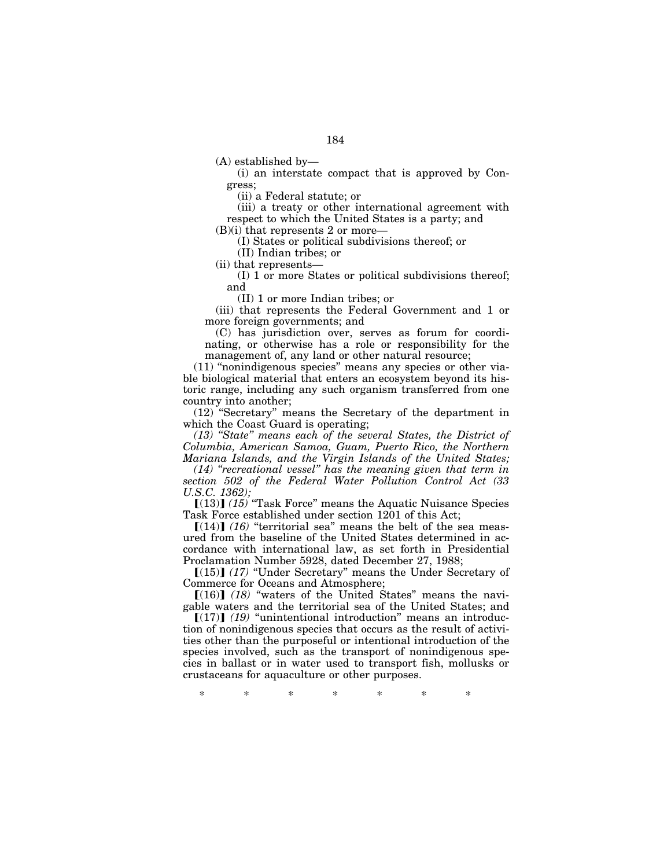(A) established by—

(i) an interstate compact that is approved by Congress;

(ii) a Federal statute; or

(iii) a treaty or other international agreement with respect to which the United States is a party; and

 $(B)(i)$  that represents 2 or more-

(I) States or political subdivisions thereof; or

(II) Indian tribes; or

(ii) that represents—

(I) 1 or more States or political subdivisions thereof; and

(II) 1 or more Indian tribes; or

(iii) that represents the Federal Government and 1 or more foreign governments; and

(C) has jurisdiction over, serves as forum for coordinating, or otherwise has a role or responsibility for the management of, any land or other natural resource;

(11) ''nonindigenous species'' means any species or other viable biological material that enters an ecosystem beyond its historic range, including any such organism transferred from one country into another;

(12) ''Secretary'' means the Secretary of the department in which the Coast Guard is operating;

*(13) ''State'' means each of the several States, the District of Columbia, American Samoa, Guam, Puerto Rico, the Northern Mariana Islands, and the Virgin Islands of the United States;* 

*(14) ''recreational vessel'' has the meaning given that term in section 502 of the Federal Water Pollution Control Act (33 U.S.C. 1362);* 

 $[(13)]$   $(15)$  "Task Force" means the Aquatic Nuisance Species Task Force established under section 1201 of this Act;

 $[(14)]$  (16) "territorial sea" means the belt of the sea measured from the baseline of the United States determined in accordance with international law, as set forth in Presidential Proclamation Number 5928, dated December 27, 1988;

[(15)] (17) "Under Secretary" means the Under Secretary of Commerce for Oceans and Atmosphere;

 $[(16)]$   $(18)$  "waters of the United States" means the navigable waters and the territorial sea of the United States; and

 $[(17)]$   $(19)$  "unintentional introduction" means an introduction of nonindigenous species that occurs as the result of activities other than the purposeful or intentional introduction of the species involved, such as the transport of nonindigenous species in ballast or in water used to transport fish, mollusks or crustaceans for aquaculture or other purposes.

\* \* \* \* \* \* \*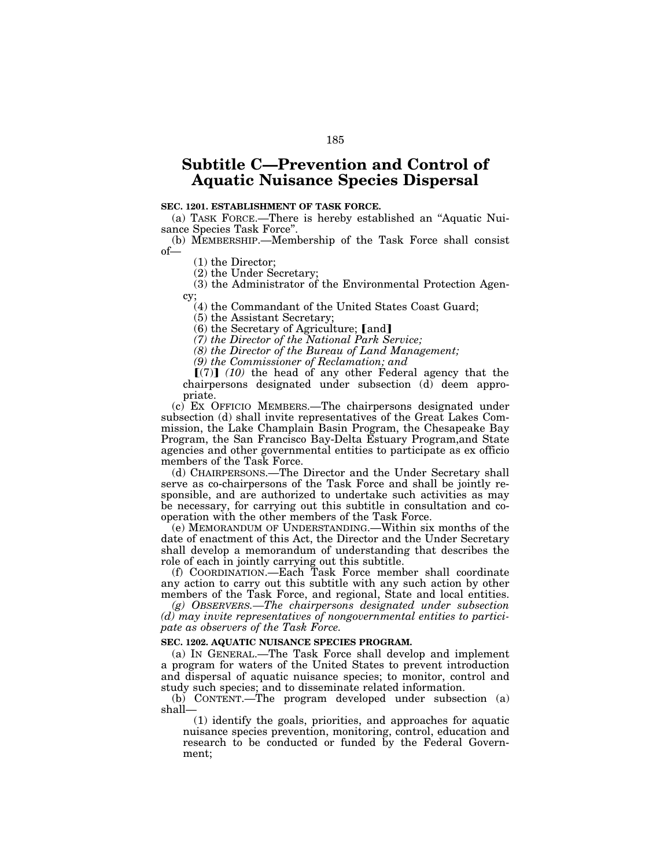# **Subtitle C—Prevention and Control of Aquatic Nuisance Species Dispersal**

### **SEC. 1201. ESTABLISHMENT OF TASK FORCE.**

(a) TASK FORCE.—There is hereby established an ''Aquatic Nuisance Species Task Force''.

(b) MEMBERSHIP.—Membership of the Task Force shall consist of—

(1) the Director;

(2) the Under Secretary;

(3) the Administrator of the Environmental Protection Agency;

(4) the Commandant of the United States Coast Guard;

(5) the Assistant Secretary;

 $(6)$  the Secretary of Agriculture; [and]

*(7) the Director of the National Park Service;* 

*(8) the Director of the Bureau of Land Management;* 

*(9) the Commissioner of Reclamation; and* 

 $\lceil (7) \rceil$  (10) the head of any other Federal agency that the chairpersons designated under subsection (d) deem appropriate.

(c) EX OFFICIO MEMBERS.—The chairpersons designated under subsection (d) shall invite representatives of the Great Lakes Commission, the Lake Champlain Basin Program, the Chesapeake Bay Program, the San Francisco Bay-Delta Estuary Program,and State agencies and other governmental entities to participate as ex officio members of the Task Force.

(d) CHAIRPERSONS.—The Director and the Under Secretary shall serve as co-chairpersons of the Task Force and shall be jointly responsible, and are authorized to undertake such activities as may be necessary, for carrying out this subtitle in consultation and cooperation with the other members of the Task Force.

(e) MEMORANDUM OF UNDERSTANDING.—Within six months of the date of enactment of this Act, the Director and the Under Secretary shall develop a memorandum of understanding that describes the role of each in jointly carrying out this subtitle.

(f) COORDINATION.—Each Task Force member shall coordinate any action to carry out this subtitle with any such action by other members of the Task Force, and regional, State and local entities.

*(g) OBSERVERS.—The chairpersons designated under subsection (d) may invite representatives of nongovernmental entities to participate as observers of the Task Force.* 

#### **SEC. 1202. AQUATIC NUISANCE SPECIES PROGRAM.**

(a) IN GENERAL.—The Task Force shall develop and implement a program for waters of the United States to prevent introduction and dispersal of aquatic nuisance species; to monitor, control and study such species; and to disseminate related information.

(b) CONTENT.—The program developed under subsection (a) shall—

(1) identify the goals, priorities, and approaches for aquatic nuisance species prevention, monitoring, control, education and research to be conducted or funded by the Federal Government;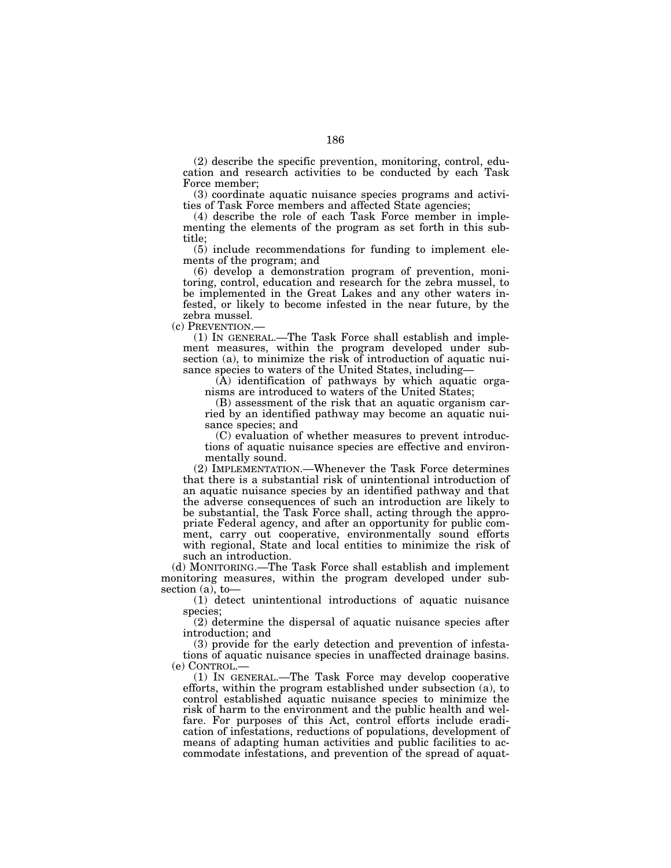(2) describe the specific prevention, monitoring, control, education and research activities to be conducted by each Task Force member;

(3) coordinate aquatic nuisance species programs and activities of Task Force members and affected State agencies;

(4) describe the role of each Task Force member in implementing the elements of the program as set forth in this subtitle;

(5) include recommendations for funding to implement elements of the program; and

(6) develop a demonstration program of prevention, monitoring, control, education and research for the zebra mussel, to be implemented in the Great Lakes and any other waters infested, or likely to become infested in the near future, by the zebra mussel.

(c) PREVENTION.—

(1) IN GENERAL.—The Task Force shall establish and implement measures, within the program developed under subsection (a), to minimize the risk of introduction of aquatic nuisance species to waters of the United States, including—

(A) identification of pathways by which aquatic organisms are introduced to waters of the United States;

(B) assessment of the risk that an aquatic organism carried by an identified pathway may become an aquatic nuisance species; and

(C) evaluation of whether measures to prevent introductions of aquatic nuisance species are effective and environmentally sound.

(2) IMPLEMENTATION.—Whenever the Task Force determines that there is a substantial risk of unintentional introduction of an aquatic nuisance species by an identified pathway and that the adverse consequences of such an introduction are likely to be substantial, the Task Force shall, acting through the appropriate Federal agency, and after an opportunity for public comment, carry out cooperative, environmentally sound efforts with regional, State and local entities to minimize the risk of such an introduction.

(d) MONITORING.—The Task Force shall establish and implement monitoring measures, within the program developed under subsection (a), to—

(1) detect unintentional introductions of aquatic nuisance species;

(2) determine the dispersal of aquatic nuisance species after introduction; and

(3) provide for the early detection and prevention of infestations of aquatic nuisance species in unaffected drainage basins. (e) CONTROL.—

(1) IN GENERAL.—The Task Force may develop cooperative efforts, within the program established under subsection (a), to control established aquatic nuisance species to minimize the risk of harm to the environment and the public health and welfare. For purposes of this Act, control efforts include eradication of infestations, reductions of populations, development of means of adapting human activities and public facilities to accommodate infestations, and prevention of the spread of aquat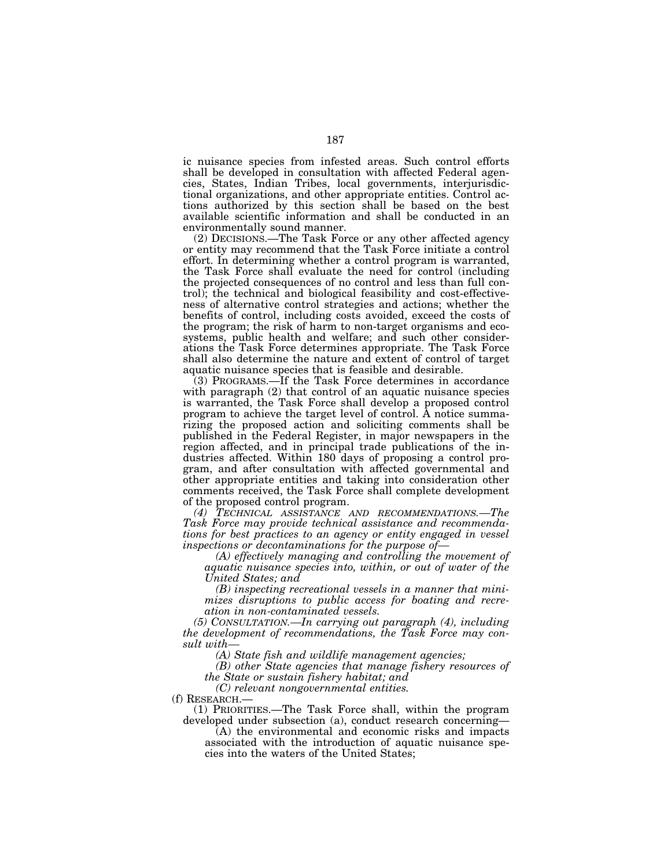ic nuisance species from infested areas. Such control efforts shall be developed in consultation with affected Federal agencies, States, Indian Tribes, local governments, interjurisdictional organizations, and other appropriate entities. Control actions authorized by this section shall be based on the best available scientific information and shall be conducted in an environmentally sound manner.

(2) DECISIONS.—The Task Force or any other affected agency or entity may recommend that the Task Force initiate a control effort. In determining whether a control program is warranted, the Task Force shall evaluate the need for control (including the projected consequences of no control and less than full control); the technical and biological feasibility and cost-effectiveness of alternative control strategies and actions; whether the benefits of control, including costs avoided, exceed the costs of the program; the risk of harm to non-target organisms and ecosystems, public health and welfare; and such other considerations the Task Force determines appropriate. The Task Force shall also determine the nature and extent of control of target aquatic nuisance species that is feasible and desirable.

(3) PROGRAMS.—If the Task Force determines in accordance with paragraph (2) that control of an aquatic nuisance species is warranted, the Task Force shall develop a proposed control program to achieve the target level of control. A notice summarizing the proposed action and soliciting comments shall be published in the Federal Register, in major newspapers in the region affected, and in principal trade publications of the industries affected. Within 180 days of proposing a control program, and after consultation with affected governmental and other appropriate entities and taking into consideration other comments received, the Task Force shall complete development of the proposed control program.

*(4) TECHNICAL ASSISTANCE AND RECOMMENDATIONS.—The Task Force may provide technical assistance and recommendations for best practices to an agency or entity engaged in vessel inspections or decontaminations for the purpose of—* 

*(A) effectively managing and controlling the movement of aquatic nuisance species into, within, or out of water of the United States; and* 

*(B) inspecting recreational vessels in a manner that minimizes disruptions to public access for boating and recreation in non-contaminated vessels.* 

*(5) CONSULTATION.—In carrying out paragraph (4), including the development of recommendations, the Task Force may consult with—* 

*(A) State fish and wildlife management agencies;* 

*(B) other State agencies that manage fishery resources of the State or sustain fishery habitat; and* 

*(C) relevant nongovernmental entities.* 

(f) RESEARCH.— (1) PRIORITIES.—The Task Force shall, within the program developed under subsection (a), conduct research concerning—

(A) the environmental and economic risks and impacts associated with the introduction of aquatic nuisance species into the waters of the United States;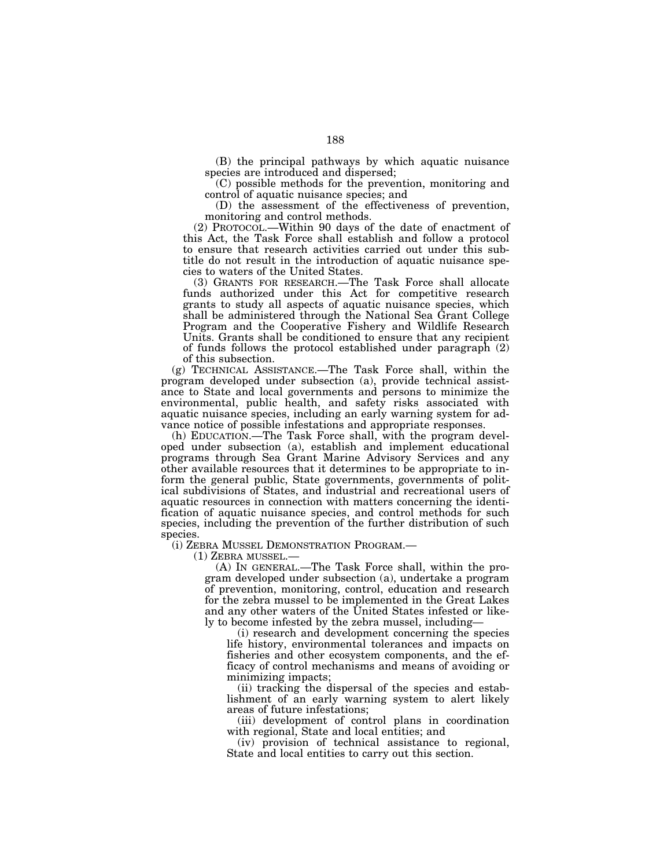(B) the principal pathways by which aquatic nuisance species are introduced and dispersed;

(C) possible methods for the prevention, monitoring and control of aquatic nuisance species; and

(D) the assessment of the effectiveness of prevention, monitoring and control methods.

(2) PROTOCOL.—Within 90 days of the date of enactment of this Act, the Task Force shall establish and follow a protocol to ensure that research activities carried out under this subtitle do not result in the introduction of aquatic nuisance species to waters of the United States.

(3) GRANTS FOR RESEARCH.—The Task Force shall allocate funds authorized under this Act for competitive research grants to study all aspects of aquatic nuisance species, which shall be administered through the National Sea Grant College Program and the Cooperative Fishery and Wildlife Research Units. Grants shall be conditioned to ensure that any recipient of funds follows the protocol established under paragraph (2) of this subsection.

(g) TECHNICAL ASSISTANCE.—The Task Force shall, within the program developed under subsection (a), provide technical assistance to State and local governments and persons to minimize the environmental, public health, and safety risks associated with aquatic nuisance species, including an early warning system for advance notice of possible infestations and appropriate responses.

(h) EDUCATION.—The Task Force shall, with the program developed under subsection (a), establish and implement educational programs through Sea Grant Marine Advisory Services and any other available resources that it determines to be appropriate to inform the general public, State governments, governments of political subdivisions of States, and industrial and recreational users of aquatic resources in connection with matters concerning the identification of aquatic nuisance species, and control methods for such species, including the prevention of the further distribution of such species.

(i) ZEBRA MUSSEL DEMONSTRATION PROGRAM.—<br>
(1) ZEBRA MUSSEL.—<br>
(A) IN GENERAL.—The Task Force shall, within the program developed under subsection (a), undertake a program of prevention, monitoring, control, education and research for the zebra mussel to be implemented in the Great Lakes and any other waters of the United States infested or likely to become infested by the zebra mussel, including—

> (i) research and development concerning the species life history, environmental tolerances and impacts on fisheries and other ecosystem components, and the efficacy of control mechanisms and means of avoiding or minimizing impacts;

> (ii) tracking the dispersal of the species and establishment of an early warning system to alert likely areas of future infestations;

> (iii) development of control plans in coordination with regional, State and local entities; and

> (iv) provision of technical assistance to regional, State and local entities to carry out this section.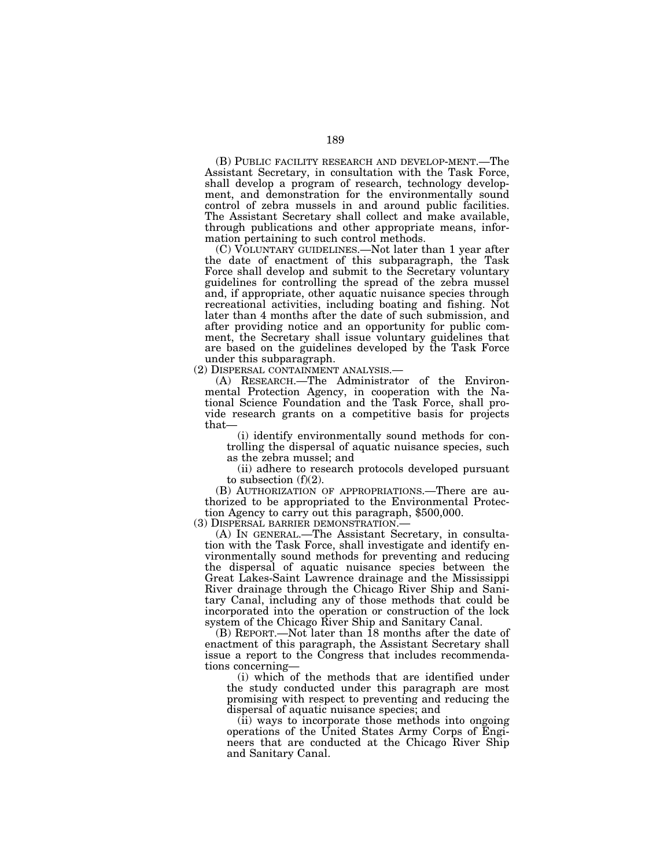(B) PUBLIC FACILITY RESEARCH AND DEVELOP-MENT.—The Assistant Secretary, in consultation with the Task Force, shall develop a program of research, technology development, and demonstration for the environmentally sound control of zebra mussels in and around public facilities. The Assistant Secretary shall collect and make available, through publications and other appropriate means, information pertaining to such control methods.

(C) VOLUNTARY GUIDELINES.—Not later than 1 year after the date of enactment of this subparagraph, the Task Force shall develop and submit to the Secretary voluntary guidelines for controlling the spread of the zebra mussel and, if appropriate, other aquatic nuisance species through recreational activities, including boating and fishing. Not later than 4 months after the date of such submission, and after providing notice and an opportunity for public comment, the Secretary shall issue voluntary guidelines that are based on the guidelines developed by the Task Force under this subparagraph.

(2) DISPERSAL CONTAINMENT ANALYSIS.—

(A) RESEARCH.—The Administrator of the Environmental Protection Agency, in cooperation with the National Science Foundation and the Task Force, shall provide research grants on a competitive basis for projects that—

(i) identify environmentally sound methods for controlling the dispersal of aquatic nuisance species, such as the zebra mussel; and

(ii) adhere to research protocols developed pursuant to subsection  $(f)(2)$ .

(B) AUTHORIZATION OF APPROPRIATIONS.—There are authorized to be appropriated to the Environmental Protection Agency to carry out this paragraph, \$500,000.

(3) DISPERSAL BARRIER DEMONSTRATION.—

(A) IN GENERAL.—The Assistant Secretary, in consultation with the Task Force, shall investigate and identify environmentally sound methods for preventing and reducing the dispersal of aquatic nuisance species between the Great Lakes-Saint Lawrence drainage and the Mississippi River drainage through the Chicago River Ship and Sanitary Canal, including any of those methods that could be incorporated into the operation or construction of the lock system of the Chicago River Ship and Sanitary Canal.

(B) REPORT.—Not later than 18 months after the date of enactment of this paragraph, the Assistant Secretary shall issue a report to the Congress that includes recommendations concerning—

(i) which of the methods that are identified under the study conducted under this paragraph are most promising with respect to preventing and reducing the dispersal of aquatic nuisance species; and

(ii) ways to incorporate those methods into ongoing operations of the United States Army Corps of Engineers that are conducted at the Chicago River Ship and Sanitary Canal.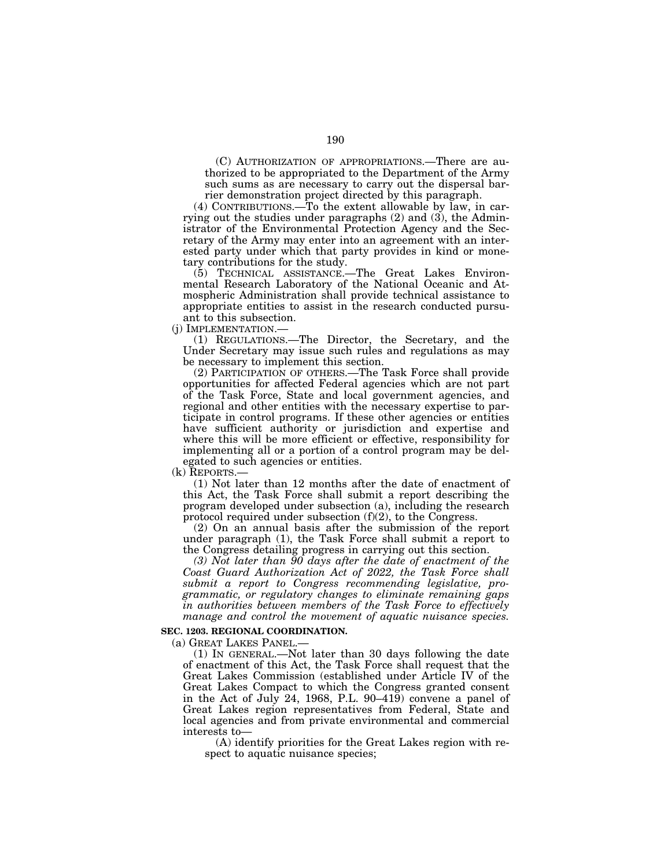(C) AUTHORIZATION OF APPROPRIATIONS.—There are authorized to be appropriated to the Department of the Army such sums as are necessary to carry out the dispersal barrier demonstration project directed by this paragraph.

(4) CONTRIBUTIONS.—To the extent allowable by law, in carrying out the studies under paragraphs (2) and (3), the Administrator of the Environmental Protection Agency and the Secretary of the Army may enter into an agreement with an interested party under which that party provides in kind or monetary contributions for the study.

(5) TECHNICAL ASSISTANCE.—The Great Lakes Environmental Research Laboratory of the National Oceanic and Atmospheric Administration shall provide technical assistance to appropriate entities to assist in the research conducted pursuant to this subsection.

(j) IMPLEMENTATION.—

(1) REGULATIONS.—The Director, the Secretary, and the Under Secretary may issue such rules and regulations as may be necessary to implement this section.

(2) PARTICIPATION OF OTHERS.—The Task Force shall provide opportunities for affected Federal agencies which are not part of the Task Force, State and local government agencies, and regional and other entities with the necessary expertise to participate in control programs. If these other agencies or entities have sufficient authority or jurisdiction and expertise and where this will be more efficient or effective, responsibility for implementing all or a portion of a control program may be delegated to such agencies or entities.

(k) REPORTS.—

(1) Not later than 12 months after the date of enactment of this Act, the Task Force shall submit a report describing the program developed under subsection (a), including the research protocol required under subsection (f)(2), to the Congress.

(2) On an annual basis after the submission of the report under paragraph (1), the Task Force shall submit a report to the Congress detailing progress in carrying out this section.

*(3) Not later than 90 days after the date of enactment of the Coast Guard Authorization Act of 2022, the Task Force shall submit a report to Congress recommending legislative, programmatic, or regulatory changes to eliminate remaining gaps in authorities between members of the Task Force to effectively manage and control the movement of aquatic nuisance species.* 

### **SEC. 1203. REGIONAL COORDINATION.**

(a) GREAT LAKES PANEL.—

(1) IN GENERAL.—Not later than 30 days following the date of enactment of this Act, the Task Force shall request that the Great Lakes Commission (established under Article IV of the Great Lakes Compact to which the Congress granted consent in the Act of July 24, 1968, P.L. 90-419) convene a panel of Great Lakes region representatives from Federal, State and local agencies and from private environmental and commercial interests to—

(A) identify priorities for the Great Lakes region with respect to aquatic nuisance species;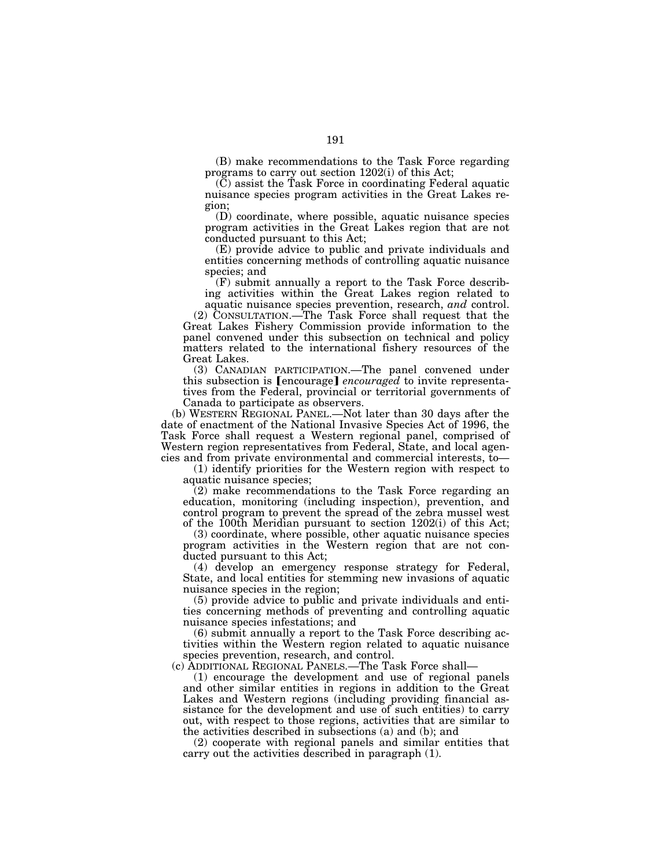(B) make recommendations to the Task Force regarding programs to carry out section 1202(i) of this Act;

(C) assist the Task Force in coordinating Federal aquatic nuisance species program activities in the Great Lakes region;

(D) coordinate, where possible, aquatic nuisance species program activities in the Great Lakes region that are not conducted pursuant to this Act;

(E) provide advice to public and private individuals and entities concerning methods of controlling aquatic nuisance species; and

(F) submit annually a report to the Task Force describing activities within the Great Lakes region related to aquatic nuisance species prevention, research, *and* control.

(2) CONSULTATION.—The Task Force shall request that the Great Lakes Fishery Commission provide information to the panel convened under this subsection on technical and policy matters related to the international fishery resources of the Great Lakes.

(3) CANADIAN PARTICIPATION.—The panel convened under this subsection is [encourage] *encouraged* to invite representatives from the Federal, provincial or territorial governments of Canada to participate as observers.

(b) WESTERN REGIONAL PANEL.—Not later than 30 days after the date of enactment of the National Invasive Species Act of 1996, the Task Force shall request a Western regional panel, comprised of Western region representatives from Federal, State, and local agencies and from private environmental and commercial interests, to—

(1) identify priorities for the Western region with respect to aquatic nuisance species;

(2) make recommendations to the Task Force regarding an education, monitoring (including inspection), prevention, and control program to prevent the spread of the zebra mussel west of the 100th Meridian pursuant to section 1202(i) of this Act;

(3) coordinate, where possible, other aquatic nuisance species program activities in the Western region that are not conducted pursuant to this Act;

(4) develop an emergency response strategy for Federal, State, and local entities for stemming new invasions of aquatic nuisance species in the region;

(5) provide advice to public and private individuals and entities concerning methods of preventing and controlling aquatic nuisance species infestations; and

(6) submit annually a report to the Task Force describing activities within the Western region related to aquatic nuisance species prevention, research, and control.

(c) ADDITIONAL REGIONAL PANELS.—The Task Force shall—

(1) encourage the development and use of regional panels and other similar entities in regions in addition to the Great Lakes and Western regions (including providing financial assistance for the development and use of such entities) to carry out, with respect to those regions, activities that are similar to the activities described in subsections (a) and (b); and

(2) cooperate with regional panels and similar entities that carry out the activities described in paragraph (1).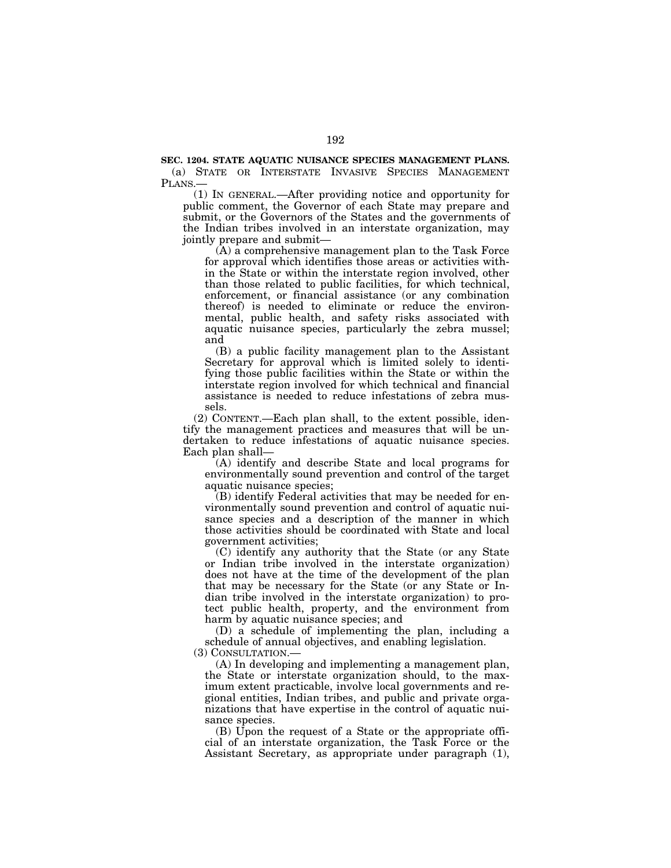**SEC. 1204. STATE AQUATIC NUISANCE SPECIES MANAGEMENT PLANS.**  (a) STATE OR INTERSTATE INVASIVE SPECIES MANAGEMENT PLANS.—

(1) IN GENERAL.—After providing notice and opportunity for public comment, the Governor of each State may prepare and submit, or the Governors of the States and the governments of the Indian tribes involved in an interstate organization, may jointly prepare and submit—

(A) a comprehensive management plan to the Task Force for approval which identifies those areas or activities within the State or within the interstate region involved, other than those related to public facilities, for which technical, enforcement, or financial assistance (or any combination thereof) is needed to eliminate or reduce the environmental, public health, and safety risks associated with aquatic nuisance species, particularly the zebra mussel; and

(B) a public facility management plan to the Assistant Secretary for approval which is limited solely to identifying those public facilities within the State or within the interstate region involved for which technical and financial assistance is needed to reduce infestations of zebra mussels.

(2) CONTENT.—Each plan shall, to the extent possible, identify the management practices and measures that will be undertaken to reduce infestations of aquatic nuisance species. Each plan shall—

(A) identify and describe State and local programs for environmentally sound prevention and control of the target aquatic nuisance species;

(B) identify Federal activities that may be needed for environmentally sound prevention and control of aquatic nuisance species and a description of the manner in which those activities should be coordinated with State and local government activities;

(C) identify any authority that the State (or any State or Indian tribe involved in the interstate organization) does not have at the time of the development of the plan that may be necessary for the State (or any State or Indian tribe involved in the interstate organization) to protect public health, property, and the environment from harm by aquatic nuisance species; and

(D) a schedule of implementing the plan, including a schedule of annual objectives, and enabling legislation.

(3) CONSULTATION.—

(A) In developing and implementing a management plan, the State or interstate organization should, to the maximum extent practicable, involve local governments and regional entities, Indian tribes, and public and private organizations that have expertise in the control of aquatic nuisance species.

(B) Upon the request of a State or the appropriate official of an interstate organization, the Task Force or the Assistant Secretary, as appropriate under paragraph (1),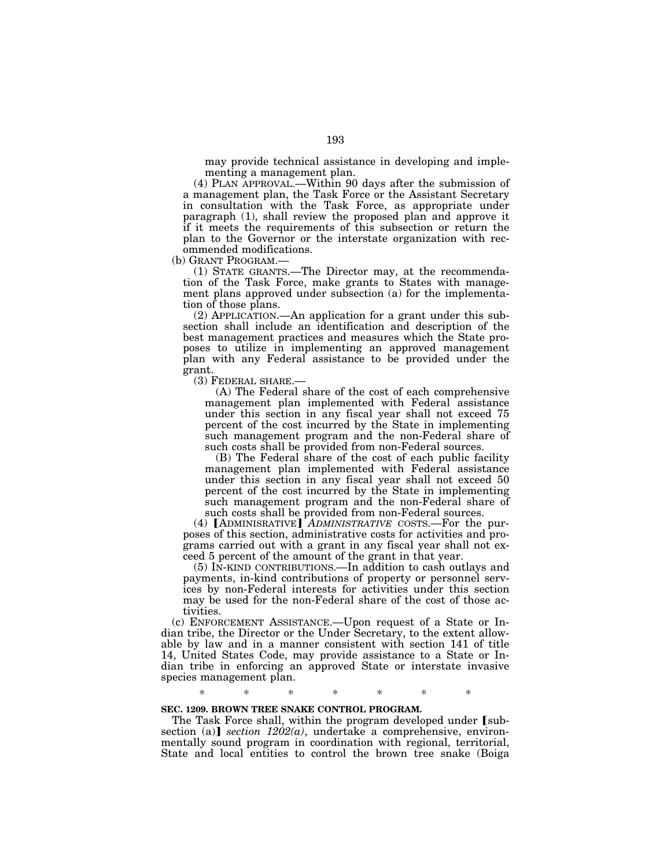may provide technical assistance in developing and implementing a management plan.

(4) PLAN APPROVAL.—Within 90 days after the submission of a management plan, the Task Force or the Assistant Secretary in consultation with the Task Force, as appropriate under paragraph (1), shall review the proposed plan and approve it if it meets the requirements of this subsection or return the plan to the Governor or the interstate organization with recommended modifications.<br>(b) GRANT PROGRAM.—

(b) GRANT PROGRAM.— (1) STATE GRANTS.—The Director may, at the recommendation of the Task Force, make grants to States with management plans approved under subsection (a) for the implementation of those plans.

(2) APPLICATION.—An application for a grant under this subsection shall include an identification and description of the best management practices and measures which the State proposes to utilize in implementing an approved management plan with any Federal assistance to be provided under the grant.

(3) FEDERAL SHARE.— (A) The Federal share of the cost of each comprehensive management plan implemented with Federal assistance under this section in any fiscal year shall not exceed 75 percent of the cost incurred by the State in implementing such management program and the non-Federal share of such costs shall be provided from non-Federal sources.

(B) The Federal share of the cost of each public facility management plan implemented with Federal assistance under this section in any fiscal year shall not exceed 50 percent of the cost incurred by the State in implementing such management program and the non-Federal share of such costs shall be provided from non-Federal sources.

(4) [ADMINISRATIVE] *ADMINISTRATIVE* COSTS.—For the purposes of this section, administrative costs for activities and programs carried out with a grant in any fiscal year shall not exceed 5 percent of the amount of the grant in that year.

(5) IN-KIND CONTRIBUTIONS.—In addition to cash outlays and payments, in-kind contributions of property or personnel services by non-Federal interests for activities under this section may be used for the non-Federal share of the cost of those activities.

(c) ENFORCEMENT ASSISTANCE.—Upon request of a State or Indian tribe, the Director or the Under Secretary, to the extent allowable by law and in a manner consistent with section 141 of title 14, United States Code, may provide assistance to a State or Indian tribe in enforcing an approved State or interstate invasive species management plan.

\* \* \* \* \* \* \*

#### **SEC. 1209. BROWN TREE SNAKE CONTROL PROGRAM.**

The Task Force shall, within the program developed under [subsection (a)] *section 1202(a)*, undertake a comprehensive, environmentally sound program in coordination with regional, territorial, State and local entities to control the brown tree snake (Boiga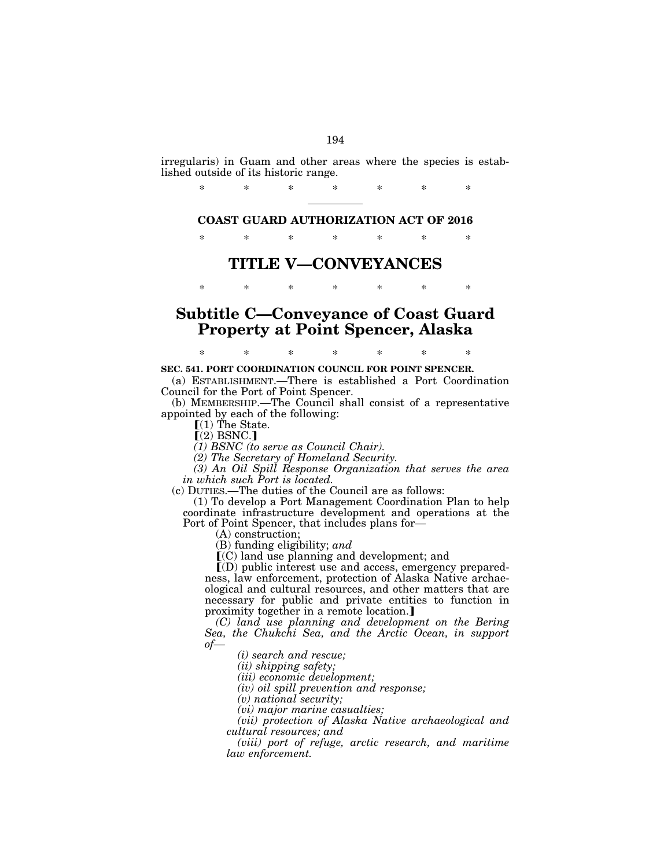irregularis) in Guam and other areas where the species is established outside of its historic range.

**COAST GUARD AUTHORIZATION ACT OF 2016** 

\* \* \* \* \* \* \*

\* \* \* \* \* \* \*

## **TITLE V—CONVEYANCES**

\* \* \* \* \* \* \*

# **Subtitle C—Conveyance of Coast Guard Property at Point Spencer, Alaska**

\* \* \* \* \* \* \*

## **SEC. 541. PORT COORDINATION COUNCIL FOR POINT SPENCER.**

(a) ESTABLISHMENT.—There is established a Port Coordination Council for the Port of Point Spencer.

(b) MEMBERSHIP.—The Council shall consist of a representative appointed by each of the following:

 $(1)$  The State.

 $(2)$  BSNC.

*(1) BSNC (to serve as Council Chair).* 

*(2) The Secretary of Homeland Security.* 

*(3) An Oil Spill Response Organization that serves the area in which such Port is located.* 

(c) DUTIES.—The duties of the Council are as follows:

(1) To develop a Port Management Coordination Plan to help coordinate infrastructure development and operations at the Port of Point Spencer, that includes plans for—

(A) construction;

(B) funding eligibility; *and* 

 $\mathbf{C}(C)$  land use planning and development; and

ø(D) public interest use and access, emergency preparedness, law enforcement, protection of Alaska Native archaeological and cultural resources, and other matters that are necessary for public and private entities to function in proximity together in a remote location.]

*(C) land use planning and development on the Bering Sea, the Chukchi Sea, and the Arctic Ocean, in support of—* 

*(i) search and rescue;* 

*(ii) shipping safety;* 

*(iii) economic development;* 

*(iv) oil spill prevention and response;* 

*(v) national security;* 

*(vi) major marine casualties;* 

*(vii) protection of Alaska Native archaeological and cultural resources; and* 

*(viii) port of refuge, arctic research, and maritime law enforcement.*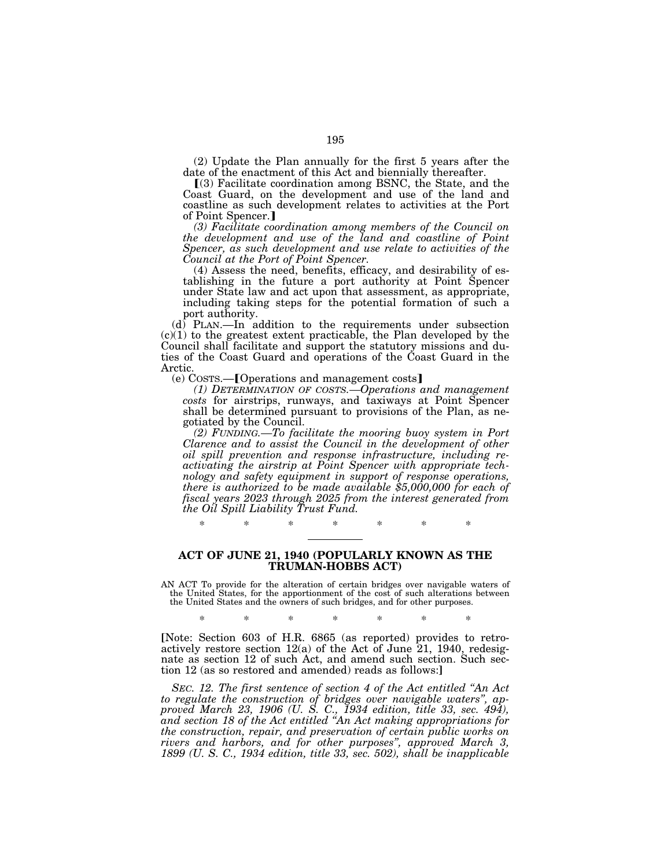(2) Update the Plan annually for the first 5 years after the date of the enactment of this Act and biennially thereafter.

ø(3) Facilitate coordination among BSNC, the State, and the Coast Guard, on the development and use of the land and coastline as such development relates to activities at the Port of Point Spencer.]

*(3) Facilitate coordination among members of the Council on the development and use of the land and coastline of Point Spencer, as such development and use relate to activities of the Council at the Port of Point Spencer.* 

(4) Assess the need, benefits, efficacy, and desirability of establishing in the future a port authority at Point Spencer under State law and act upon that assessment, as appropriate, including taking steps for the potential formation of such a port authority.

(d) PLAN.—In addition to the requirements under subsection (c)(1) to the greatest extent practicable, the Plan developed by the Council shall facilitate and support the statutory missions and duties of the Coast Guard and operations of the Coast Guard in the Arctic.

 $(e)$  COSTS.— $[Operations and management costs]$ 

*(1) DETERMINATION OF COSTS.—Operations and management costs* for airstrips, runways, and taxiways at Point Spencer shall be determined pursuant to provisions of the Plan, as negotiated by the Council.

*(2) FUNDING.—To facilitate the mooring buoy system in Port Clarence and to assist the Council in the development of other oil spill prevention and response infrastructure, including reactivating the airstrip at Point Spencer with appropriate technology and safety equipment in support of response operations, there is authorized to be made available \$5,000,000 for each of fiscal years 2023 through 2025 from the interest generated from the Oil Spill Liability Trust Fund.* 

\* \* \* \* \* \* \*

### **ACT OF JUNE 21, 1940 (POPULARLY KNOWN AS THE TRUMAN-HOBBS ACT)**

AN ACT To provide for the alteration of certain bridges over navigable waters of the United States, for the apportionment of the cost of such alterations between the United States and the owners of such bridges, and for other purposes.

\* \* \* \* \* \* \*

**[**Note: Section 603 of H.R. 6865 (as reported) provides to retroactively restore section  $12(a)$  of the Act of June 21, 1940, redesignate as section 12 of such Act, and amend such section. Such section 12 (as so restored and amended) reads as follows:**]** 

*SEC. 12. The first sentence of section 4 of the Act entitled ''An Act to regulate the construction of bridges over navigable waters'', approved March 23, 1906 (U. S. C., 1934 edition, title 33, sec. 494), and section 18 of the Act entitled ''An Act making appropriations for the construction, repair, and preservation of certain public works on rivers and harbors, and for other purposes'', approved March 3, 1899 (U. S. C., 1934 edition, title 33, sec. 502), shall be inapplicable*